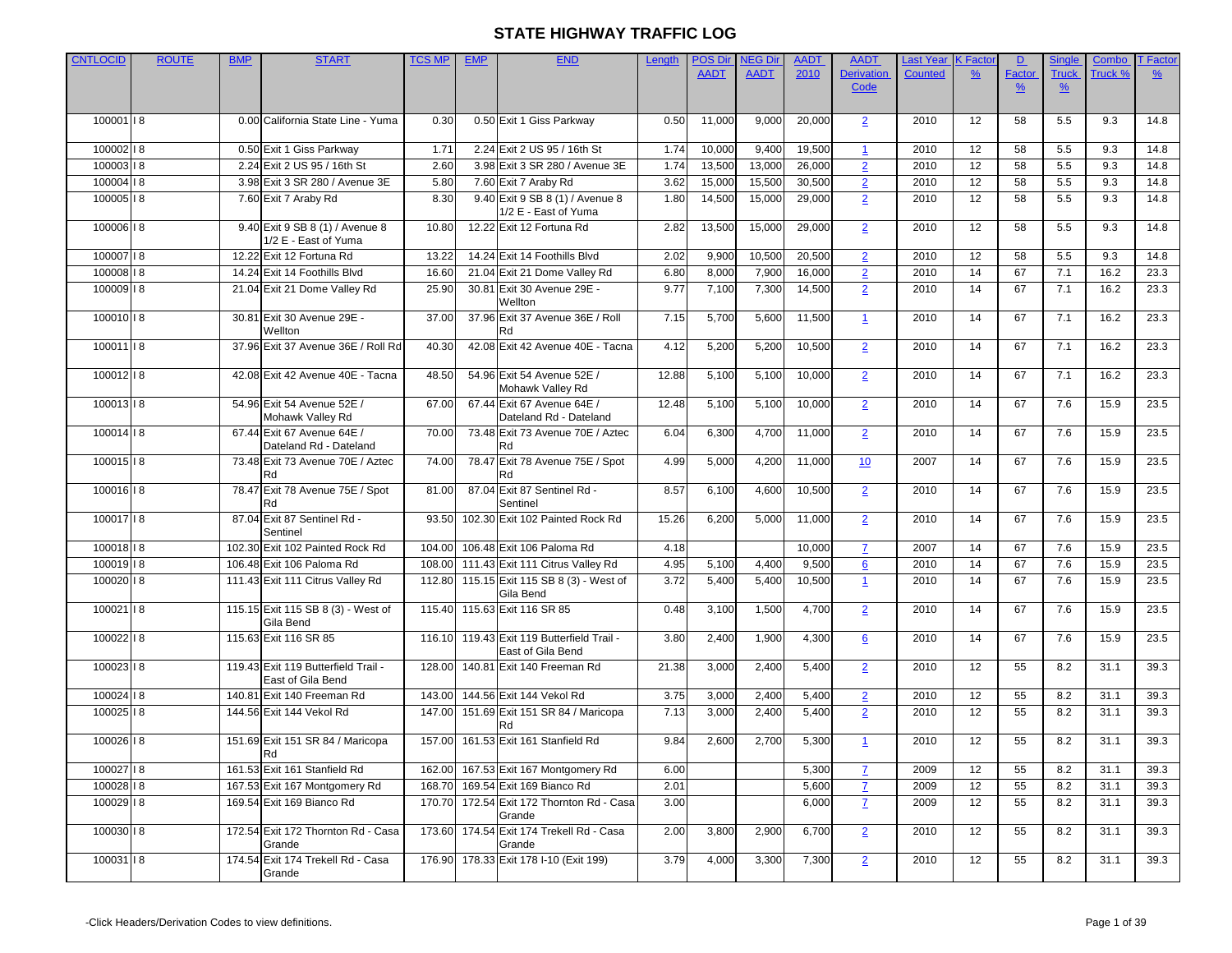| <b>CNTLOCID</b>        | <b>ROUTE</b> | <b>BMP</b> | <b>START</b>                                     | <b>TCS MP</b> | <b>EMP</b> | <b>END</b>                                     | Length       | <b>POS Dir</b> | <b>NEG Dir</b> | <b>AADT</b>      | <b>AADT</b>       | <b>Last Year</b> | <b>K</b> Facto | D             | Single        | Combo   | <b>T</b> Factor |
|------------------------|--------------|------------|--------------------------------------------------|---------------|------------|------------------------------------------------|--------------|----------------|----------------|------------------|-------------------|------------------|----------------|---------------|---------------|---------|-----------------|
|                        |              |            |                                                  |               |            |                                                |              | <b>AADT</b>    | <b>AADT</b>    | 2010             | <b>Derivation</b> | <b>Counted</b>   | $\frac{9}{6}$  | <b>Factor</b> | <b>Truck</b>  | Truck % | $\frac{9}{6}$   |
|                        |              |            |                                                  |               |            |                                                |              |                |                |                  | Code              |                  |                | $\frac{9}{6}$ | $\frac{9}{6}$ |         |                 |
|                        |              |            |                                                  |               |            |                                                |              |                |                |                  |                   |                  |                |               |               |         |                 |
| 100001   8             |              |            | 0.00 California State Line - Yuma                | 0.30          |            | 0.50 Exit 1 Giss Parkway                       | 0.50         | 11,000         | 9,000          | 20,000           | $\overline{2}$    | 2010             | 12             | 58            | 5.5           | 9.3     | 14.8            |
| 100002   8             |              |            | 0.50 Exit 1 Giss Parkway                         | 1.71          |            | 2.24 Exit 2 US 95 / 16th St                    | 1.74         | 10,000         | 9,400          | 19,500           | $\mathbf{1}$      | 2010             | 12             | 58            | 5.5           | 9.3     | 14.8            |
| 10000318               |              |            | 2.24 Exit 2 US 95 / 16th St                      | 2.60          |            | 3.98 Exit 3 SR 280 / Avenue 3E                 | 1.74         | 13,500         | 13,000         | 26,000           | $\overline{2}$    | 2010             | 12             | 58            | 5.5           | 9.3     | 14.8            |
| 100004   8             |              |            | 3.98 Exit 3 SR 280 / Avenue 3E                   | 5.80          |            | 7.60 Exit 7 Araby Rd                           | 3.62         | 15,000         | 15,500         | 30,500           | $\overline{2}$    | 2010             | 12             | 58            | 5.5           | 9.3     | 14.8            |
| 100005   8             |              |            | 7.60 Exit 7 Araby Rd                             | 8.30          |            | 9.40 Exit 9 SB 8 (1) / Avenue 8                | 1.80         | 14,500         | 15,000         | 29,000           | $\overline{2}$    | 2010             | 12             | 58            | 5.5           | 9.3     | 14.8            |
|                        |              |            |                                                  |               |            | 1/2 E - East of Yuma                           |              |                |                |                  |                   |                  |                |               |               |         |                 |
| 100006   8             |              |            | 9.40 Exit 9 SB 8 (1) / Avenue 8                  | 10.80         |            | 12.22 Exit 12 Fortuna Rd                       | 2.82         | 13,500         | 15,000         | 29,000           | $\overline{2}$    | 2010             | 12             | 58            | 5.5           | 9.3     | 14.8            |
| 100007   8             |              |            | 1/2 E - East of Yuma<br>12.22 Exit 12 Fortuna Rd | 13.22         |            | 14.24 Exit 14 Foothills Blvd                   |              |                | 10,500         |                  |                   | 2010             | 12             | 58            | 5.5           | 9.3     | 14.8            |
| $100008$ <sup>18</sup> |              |            | 14.24 Exit 14 Foothills Blvd                     | 16.60         |            | 21.04 Exit 21 Dome Valley Rd                   | 2.02<br>6.80 | 9,900<br>8,000 | 7,900          | 20,500<br>16,000 | $\overline{2}$    | 2010             | 14             | 67            | 7.1           | 16.2    | 23.3            |
| 100009 18              |              |            | 21.04 Exit 21 Dome Valley Rd                     | 25.90         |            | 30.81 Exit 30 Avenue 29E -                     | 9.77         | 7,100          | 7,300          | 14,500           | $\overline{2}$    | 2010             | 14             | 67            | 7.1           | 16.2    | 23.3            |
|                        |              |            |                                                  |               |            | Wellton                                        |              |                |                |                  | $\overline{2}$    |                  |                |               |               |         |                 |
| 100010   8             |              |            | 30.81 Exit 30 Avenue 29E -                       | 37.00         |            | 37.96 Exit 37 Avenue 36E / Roll                | 7.15         | 5,700          | 5,600          | 11,500           | $\mathbf{1}$      | 2010             | 14             | 67            | 7.1           | 16.2    | 23.3            |
|                        |              |            | Wellton                                          |               |            | Rd                                             |              |                |                |                  |                   |                  |                |               |               |         |                 |
| 100011   8             |              |            | 37.96 Exit 37 Avenue 36E / Roll Rd               | 40.30         |            | 42.08 Exit 42 Avenue 40E - Tacna               | 4.12         | 5,200          | 5,200          | 10,500           | $\overline{2}$    | 2010             | 14             | 67            | 7.1           | 16.2    | 23.3            |
|                        |              |            |                                                  |               |            |                                                |              |                |                |                  |                   |                  |                |               |               |         |                 |
| 100012   8             |              |            | 42.08 Exit 42 Avenue 40E - Tacna                 | 48.50         |            | 54.96 Exit 54 Avenue 52E /<br>Mohawk Valley Rd | 12.88        | 5,100          | 5,100          | 10,000           | $\overline{2}$    | 2010             | 14             | 67            | 7.1           | 16.2    | 23.3            |
| 10001318               |              |            | 54.96 Exit 54 Avenue 52E /                       | 67.00         |            | 67.44 Exit 67 Avenue 64E /                     | 12.48        | 5,100          | 5,100          | 10,000           | $\overline{2}$    | 2010             | 14             | 67            | 7.6           | 15.9    | 23.5            |
|                        |              |            | Mohawk Valley Rd                                 |               |            | Dateland Rd - Dateland                         |              |                |                |                  |                   |                  |                |               |               |         |                 |
| 100014   8             |              |            | 67.44 Exit 67 Avenue 64E /                       | 70.00         |            | 73.48 Exit 73 Avenue 70E / Aztec               | 6.04         | 6,300          | 4,700          | 11,000           | $\overline{2}$    | 2010             | 14             | 67            | 7.6           | 15.9    | 23.5            |
|                        |              |            | Dateland Rd - Dateland                           |               |            | Rd                                             |              |                |                |                  |                   |                  |                |               |               |         |                 |
| 100015   8             |              |            | 73.48 Exit 73 Avenue 70E / Aztec                 | 74.00         |            | 78.47 Exit 78 Avenue 75E / Spot                | 4.99         | 5,000          | 4,200          | 11,000           | 10                | 2007             | 14             | 67            | 7.6           | 15.9    | 23.5            |
| 100016   8             |              |            | Rd<br>78.47 Exit 78 Avenue 75E / Spot            | 81.00         |            | Rd<br>87.04 Exit 87 Sentinel Rd -              | 8.57         | 6,100          | 4,600          | 10,500           | $\overline{2}$    | 2010             | 14             | 67            | 7.6           | 15.9    | 23.5            |
|                        |              |            | Rd                                               |               |            | Sentinel                                       |              |                |                |                  |                   |                  |                |               |               |         |                 |
| 100017   8             |              |            | 87.04 Exit 87 Sentinel Rd -                      | 93.50         |            | 102.30 Exit 102 Painted Rock Rd                | 15.26        | 6,200          | 5,000          | 11,000           | $\overline{2}$    | 2010             | 14             | 67            | 7.6           | 15.9    | 23.5            |
|                        |              |            | Sentinel                                         |               |            |                                                |              |                |                |                  |                   |                  |                |               |               |         |                 |
| 100018   8             |              |            | 102.30 Exit 102 Painted Rock Rd                  | 104.00        |            | 106.48 Exit 106 Paloma Rd                      | 4.18         |                |                | 10,000           | $\mathbf{Z}$      | 2007             | 14             | 67            | 7.6           | 15.9    | 23.5            |
| 100019   8             |              |            | 106.48 Exit 106 Paloma Rd                        | 108.00        |            | 111.43 Exit 111 Citrus Valley Rd               | 4.95         | 5,100          | 4,400          | 9,500            | 6                 | 2010             | 14             | 67            | 7.6           | 15.9    | 23.5            |
| 100020   8             |              |            | 111.43 Exit 111 Citrus Valley Rd                 | 112.80        |            | 115.15 Exit 115 SB 8 (3) - West of             | 3.72         | 5,400          | 5,400          | 10,500           | $\mathbf{1}$      | 2010             | 14             | 67            | 7.6           | 15.9    | 23.5            |
|                        |              |            |                                                  |               |            | Gila Bend                                      |              |                |                |                  |                   | 2010             |                |               |               |         |                 |
| 100021   8             |              |            | 115.15 Exit 115 SB 8 (3) - West of<br>Gila Bend  |               |            | 115.40 115.63 Exit 116 SR 85                   | 0.48         | 3,100          | 1,500          | 4,700            | $\overline{2}$    |                  | 14             | 67            | 7.6           | 15.9    | 23.5            |
| 10002218               |              |            | 115.63 Exit 116 SR 85                            | 116.10        |            | 119.43 Exit 119 Butterfield Trail -            | 3.80         | 2,400          | 1,900          | 4,300            | 6                 | 2010             | 14             | 67            | 7.6           | 15.9    | 23.5            |
|                        |              |            |                                                  |               |            | East of Gila Bend                              |              |                |                |                  |                   |                  |                |               |               |         |                 |
| 10002318               |              |            | 119.43 Exit 119 Butterfield Trail -              | 128.00        |            | 140.81 Exit 140 Freeman Rd                     | 21.38        | 3,000          | 2,400          | 5,400            | $\overline{2}$    | 2010             | 12             | 55            | 8.2           | 31.1    | 39.3            |
|                        |              |            | East of Gila Bend                                |               |            |                                                |              |                |                |                  |                   |                  |                |               |               |         |                 |
| 100024   8             |              |            | 140.81 Exit 140 Freeman Rd                       | 143.00        |            | 144.56 Exit 144 Vekol Rd                       | 3.75         | 3,000          | 2,400          | 5,400            | $\overline{2}$    | 2010             | 12             | 55            | 8.2           | 31.1    | 39.3            |
| 100025   8             |              |            | 144.56 Exit 144 Vekol Rd                         | 147.00        |            | 151.69 Exit 151 SR 84 / Maricopa<br>Rd         | 7.13         | 3,000          | 2,400          | 5,400            | $\overline{2}$    | 2010             | 12             | 55            | 8.2           | 31.1    | 39.3            |
| 100026   8             |              |            | 151.69 Exit 151 SR 84 / Maricopa                 |               |            | 157.00 161.53 Exit 161 Stanfield Rd            | 9.84         | 2,600          | 2,700          | 5,300            | $\mathbf{1}$      | 2010             | 12             | 55            | 8.2           | 31.1    | 39.3            |
|                        |              |            | Rd                                               |               |            |                                                |              |                |                |                  |                   |                  |                |               |               |         |                 |
| 100027   8             |              |            | 161.53 Exit 161 Stanfield Rd                     | 162.00        |            | 167.53 Exit 167 Montgomery Rd                  | 6.00         |                |                | 5,300            | $\mathbf{Z}$      | 2009             | 12             | 55            | 8.2           | 31.1    | 39.3            |
| 100028   8             |              |            | 167.53 Exit 167 Montgomery Rd                    | 168.70        |            | 169.54 Exit 169 Bianco Rd                      | 2.01         |                |                | 5,600            | $\mathbf{Z}$      | 2009             | 12             | 55            | 8.2           | 31.1    | 39.3            |
| 100029   8             |              |            | 169.54 Exit 169 Bianco Rd                        | 170.70        |            | 172.54 Exit 172 Thornton Rd - Casa             | 3.00         |                |                | 6,000            | $\mathbf{Z}$      | 2009             | 12             | 55            | 8.2           | 31.1    | 39.3            |
|                        |              |            |                                                  |               |            | Grande                                         |              |                |                |                  |                   |                  |                |               |               |         |                 |
| 100030   8             |              |            | 172.54 Exit 172 Thornton Rd - Casa<br>Grande     | 173.60        |            | 174.54 Exit 174 Trekell Rd - Casa<br>Grande    | 2.00         | 3,800          | 2,900          | 6,700            | $\overline{2}$    | 2010             | 12             | 55            | 8.2           | 31.1    | 39.3            |
| 10003118               |              |            | 174.54 Exit 174 Trekell Rd - Casa                |               |            | 176.90 178.33 Exit 178 I-10 (Exit 199)         | 3.79         | 4,000          | 3,300          | 7,300            | $\overline{2}$    | 2010             | 12             | 55            | 8.2           | 31.1    | 39.3            |
|                        |              |            | Grande                                           |               |            |                                                |              |                |                |                  |                   |                  |                |               |               |         |                 |
|                        |              |            |                                                  |               |            |                                                |              |                |                |                  |                   |                  |                |               |               |         |                 |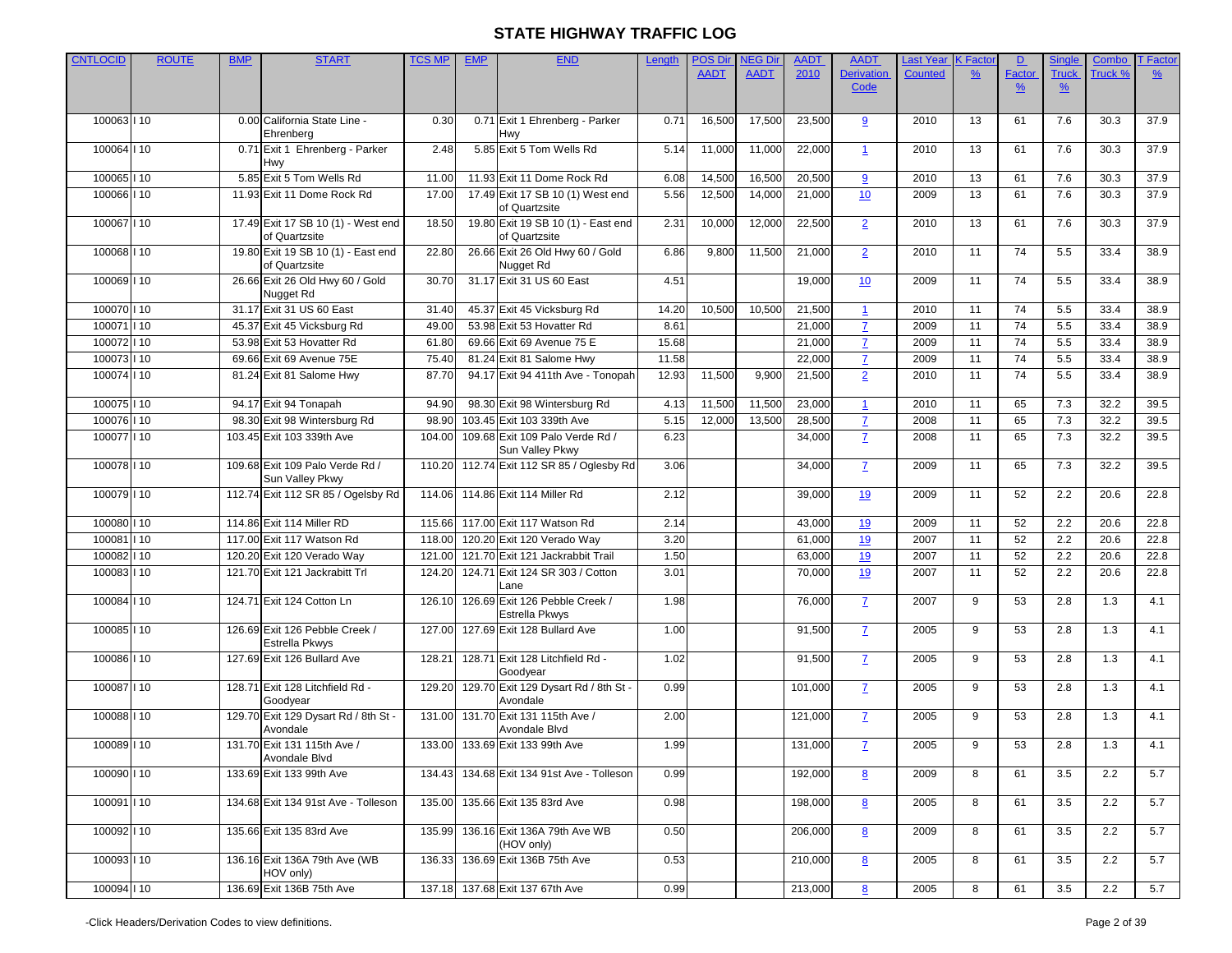| <b>CNTLOCID</b> | <b>ROUTE</b> | <b>BMP</b> | <b>START</b>                                        | <b>TCS MP</b> | <b>EMP</b> | <b>END</b>                                          | Length | <b>POS Dir</b> | <b>NEG Dir</b> | <b>AADT</b> | <b>AADT</b>       | Last Year      | <b>K</b> Facto | D             | Single        | Combo   | <b>T</b> Factor |
|-----------------|--------------|------------|-----------------------------------------------------|---------------|------------|-----------------------------------------------------|--------|----------------|----------------|-------------|-------------------|----------------|----------------|---------------|---------------|---------|-----------------|
|                 |              |            |                                                     |               |            |                                                     |        | <b>AADT</b>    | <b>AADT</b>    | 2010        | <b>Derivation</b> | <b>Counted</b> | $\frac{9}{6}$  | Factor        | <b>Truck</b>  | Truck 9 | $\frac{9}{6}$   |
|                 |              |            |                                                     |               |            |                                                     |        |                |                |             | Code              |                |                | $\frac{9}{6}$ | $\frac{9}{6}$ |         |                 |
|                 |              |            |                                                     |               |            |                                                     |        |                |                |             |                   |                |                |               |               |         |                 |
| 100063   10     |              |            | 0.00 California State Line -                        | 0.30          |            | 0.71 Exit 1 Ehrenberg - Parker                      | 0.71   | 16,500         | 17,500         | 23,500      | 9                 | 2010           | 13             | 61            | 7.6           | 30.3    | 37.9            |
|                 |              |            | Ehrenberg                                           |               |            | Hwy                                                 |        |                |                |             |                   |                |                |               |               |         |                 |
| 100064   10     |              |            | 0.71 Exit 1 Ehrenberg - Parker                      | 2.48          |            | 5.85 Exit 5 Tom Wells Rd                            | 5.14   | 11,000         | 11,000         | 22,000      | $\mathbf{1}$      | 2010           | 13             | 61            | 7.6           | 30.3    | 37.9            |
|                 |              |            | Hwy                                                 |               |            |                                                     |        |                |                |             |                   |                |                |               |               |         |                 |
| 100065   10     |              |            | 5.85 Exit 5 Tom Wells Rd                            | 11.00         |            | 11.93 Exit 11 Dome Rock Rd                          | 6.08   | 14,500         | 16,500         | 20,500      | 9                 | 2010           | 13             | 61            | 7.6           | 30.3    | 37.9            |
| 100066   10     |              |            | 11.93 Exit 11 Dome Rock Rd                          | 17.00         |            | 17.49 Exit 17 SB 10 (1) West end                    | 5.56   | 12,500         | 14,000         | 21,000      | 10                | 2009           | 13             | 61            | 7.6           | 30.3    | 37.9            |
|                 |              |            |                                                     |               |            | of Quartzsite                                       |        |                |                |             |                   |                |                |               |               |         |                 |
| 100067   10     |              |            | 17.49 Exit 17 SB 10 (1) - West end                  | 18.50         |            | 19.80 Exit 19 SB 10 (1) - East end<br>of Quartzsite | 2.31   | 10,000         | 12,000         | 22,500      | $\overline{2}$    | 2010           | 13             | 61            | 7.6           | 30.3    | 37.9            |
| 100068   10     |              |            | of Quartzsite<br>19.80 Exit 19 SB 10 (1) - East end | 22.80         |            | 26.66 Exit 26 Old Hwy 60 / Gold                     | 6.86   | 9,800          | 11,500         | 21,000      |                   | 2010           | 11             | 74            | 5.5           | 33.4    | 38.9            |
|                 |              |            | of Quartzsite                                       |               |            | Nugget Rd                                           |        |                |                |             | $\overline{2}$    |                |                |               |               |         |                 |
| 100069   10     |              |            | 26.66 Exit 26 Old Hwy 60 / Gold                     | 30.70         |            | 31.17 Exit 31 US 60 East                            | 4.51   |                |                | 19,000      | 10                | 2009           | 11             | 74            | 5.5           | 33.4    | 38.9            |
|                 |              |            | Nugget Rd                                           |               |            |                                                     |        |                |                |             |                   |                |                |               |               |         |                 |
| 100070   10     |              |            | 31.17 Exit 31 US 60 East                            | 31.40         |            | 45.37 Exit 45 Vicksburg Rd                          | 14.20  | 10,500         | 10,500         | 21,500      | $\mathbf{1}$      | 2010           | 11             | 74            | 5.5           | 33.4    | 38.9            |
| 100071   10     |              |            | 45.37 Exit 45 Vicksburg Rd                          | 49.00         |            | 53.98 Exit 53 Hovatter Rd                           | 8.61   |                |                | 21,000      | $\mathbf{Z}$      | 2009           | 11             | 74            | 5.5           | 33.4    | 38.9            |
| 100072   10     |              |            | 53.98 Exit 53 Hovatter Rd                           | 61.80         |            | 69.66 Exit 69 Avenue 75 E                           | 15.68  |                |                | 21,000      | $\mathbf{Z}$      | 2009           | 11             | 74            | 5.5           | 33.4    | 38.9            |
| 100073   10     |              |            | 69.66 Exit 69 Avenue 75E                            | 75.40         |            | 81.24 Exit 81 Salome Hwy                            | 11.58  |                |                | 22,000      | $\overline{7}$    | 2009           | 11             | 74            | 5.5           | 33.4    | 38.9            |
| 100074   10     |              |            | 81.24 Exit 81 Salome Hwy                            | 87.70         |            | 94.17 Exit 94 411th Ave - Tonopah                   | 12.93  | 11,500         | 9,900          | 21,500      |                   | 2010           | 11             | 74            | 5.5           | 33.4    | 38.9            |
|                 |              |            |                                                     |               |            |                                                     |        |                |                |             | $\overline{2}$    |                |                |               |               |         |                 |
| 100075   10     |              |            | 94.17 Exit 94 Tonapah                               | 94.90         |            | 98.30 Exit 98 Wintersburg Rd                        | 4.13   | 11,500         | 11,500         | 23,000      | $\mathbf{1}$      | 2010           | 11             | 65            | 7.3           | 32.2    | 39.5            |
| 100076   10     |              |            | 98.30 Exit 98 Wintersburg Rd                        | 98.90         |            | 103.45 Exit 103 339th Ave                           | 5.15   | 12,000         | 13,500         | 28,500      | $\mathbf{Z}$      | 2008           | 11             | 65            | 7.3           | 32.2    | 39.5            |
| 100077   10     |              |            | 103.45 Exit 103 339th Ave                           |               |            | 109.68 Exit 109 Palo Verde Rd /                     |        |                |                |             |                   |                |                |               |               |         |                 |
|                 |              |            |                                                     | 104.00        |            | Sun Valley Pkwy                                     | 6.23   |                |                | 34,000      | $\mathbf{Z}$      | 2008           | 11             | 65            | 7.3           | 32.2    | 39.5            |
| 100078   10     |              |            | 109.68 Exit 109 Palo Verde Rd /                     | 110.20        |            | 112.74 Exit 112 SR 85 / Oglesby Rd                  | 3.06   |                |                | 34,000      | $\mathbf{Z}$      | 2009           | 11             | 65            | 7.3           | 32.2    | 39.5            |
|                 |              |            | Sun Valley Pkwy                                     |               |            |                                                     |        |                |                |             |                   |                |                |               |               |         |                 |
| 100079   10     |              |            | 112.74 Exit 112 SR 85 / Ogelsby Rd                  | 114.06        |            | 114.86 Exit 114 Miller Rd                           | 2.12   |                |                | 39,000      | 19                | 2009           | 11             | 52            | 2.2           | 20.6    | 22.8            |
|                 |              |            |                                                     |               |            |                                                     |        |                |                |             |                   |                |                |               |               |         |                 |
| 100080   10     |              |            | 114.86 Exit 114 Miller RD                           | 115.66        |            | 117.00 Exit 117 Watson Rd                           | 2.14   |                |                | 43,000      | <u>19</u>         | 2009           | 11             | 52            | 2.2           | 20.6    | 22.8            |
| 100081   10     |              |            | 117.00 Exit 117 Watson Rd                           | 118.00        |            | 120.20 Exit 120 Verado Way                          | 3.20   |                |                | 61,000      | <u>19</u>         | 2007           | 11             | 52            | 2.2           | 20.6    | 22.8            |
| 100082   10     |              |            | 120.20 Exit 120 Verado Way                          | 121.00        |            | 121.70 Exit 121 Jackrabbit Trail                    | 1.50   |                |                | 63,000      | <u>19</u>         | 2007           | 11             | 52            | 2.2           | 20.6    | 22.8            |
| 100083   10     |              |            | 121.70 Exit 121 Jackrabitt Trl                      | 124.20        |            | 124.71 Exit 124 SR 303 / Cotton                     | 3.01   |                |                | 70,000      | 19                | 2007           | 11             | 52            | 2.2           | 20.6    | 22.8            |
|                 |              |            |                                                     |               |            | Lane                                                |        |                |                |             |                   |                |                |               |               |         |                 |
| 100084   10     |              |            | 124.71 Exit 124 Cotton Ln                           | 126.10        |            | 126.69 Exit 126 Pebble Creek /                      | 1.98   |                |                | 76,000      | $\mathbf{Z}$      | 2007           | 9              | 53            | 2.8           | 1.3     | 4.1             |
|                 |              |            |                                                     |               |            | Estrella Pkwys                                      |        |                |                |             |                   |                |                |               |               |         |                 |
| 100085   10     |              |            | 126.69 Exit 126 Pebble Creek /                      | 127.00        |            | 127.69 Exit 128 Bullard Ave                         | 1.00   |                |                | 91,500      | $\mathbf{Z}$      | 2005           | 9              | 53            | 2.8           | 1.3     | 4.1             |
|                 |              |            | <b>Estrella Pkwys</b>                               |               |            |                                                     |        |                |                |             |                   |                |                |               |               |         |                 |
| 100086   10     |              |            | 127.69 Exit 126 Bullard Ave                         | 128.21        |            | 128.71 Exit 128 Litchfield Rd -                     | 1.02   |                |                | 91,500      | $\mathbf{Z}$      | 2005           | 9              | 53            | 2.8           | 1.3     | 4.1             |
|                 |              |            |                                                     |               |            | Goodyear                                            |        |                |                |             |                   |                |                |               |               |         |                 |
| 100087   10     |              |            | 128.71 Exit 128 Litchfield Rd -                     | 129.20        |            | 129.70 Exit 129 Dysart Rd / 8th St -                | 0.99   |                |                | 101,000     | $\mathbf{Z}$      | 2005           | 9              | 53            | 2.8           | 1.3     | 4.1             |
|                 |              |            | Goodyear                                            |               |            | Avondale                                            |        |                |                |             |                   |                |                |               |               |         |                 |
| 100088   10     |              |            | 129.70 Exit 129 Dysart Rd / 8th St -                | 131.00        |            | 131.70 Exit 131 115th Ave /                         | 2.00   |                |                | 121,000     | $\mathbf{7}$      | 2005           | 9              | 53            | 2.8           | 1.3     | 4.1             |
|                 |              |            | Avondale                                            |               |            | Avondale Blvd                                       |        |                |                |             |                   |                |                |               |               |         |                 |
| 100089   10     |              |            | 131.70 Exit 131 115th Ave /<br>Avondale Blvd        |               |            | 133.00 133.69 Exit 133 99th Ave                     | 1.99   |                |                | 131,000     |                   | 2005           | 9              | 53            | 2.8           | 1.3     | 4.1             |
| 100090   10     |              |            | 133.69 Exit 133 99th Ave                            | 134.43        |            | 134.68 Exit 134 91st Ave - Tolleson                 | 0.99   |                |                | 192,000     | 8                 | 2009           | 8              | 61            | 3.5           | 2.2     | 5.7             |
|                 |              |            |                                                     |               |            |                                                     |        |                |                |             |                   |                |                |               |               |         |                 |
| 100091   10     |              |            | 134.68 Exit 134 91st Ave - Tolleson                 | 135.00        |            | 135.66 Exit 135 83rd Ave                            | 0.98   |                |                | 198,000     | 8                 | 2005           | 8              | 61            | 3.5           | 2.2     | 5.7             |
|                 |              |            |                                                     |               |            |                                                     |        |                |                |             |                   |                |                |               |               |         |                 |
| 100092   10     |              |            | 135.66 Exit 135 83rd Ave                            | 135.99        |            | 136.16 Exit 136A 79th Ave WB                        | 0.50   |                |                | 206,000     | 8                 | 2009           | 8              | 61            | 3.5           | 2.2     | 5.7             |
|                 |              |            |                                                     |               |            | (HOV only)                                          |        |                |                |             |                   |                |                |               |               |         |                 |
| 100093   10     |              |            | 136.16 Exit 136A 79th Ave (WB                       | 136.33        |            | 136.69 Exit 136B 75th Ave                           | 0.53   |                |                | 210,000     | 8                 | 2005           | 8              | 61            | 3.5           | 2.2     | 5.7             |
|                 |              |            | HOV only)                                           |               |            |                                                     |        |                |                |             |                   |                |                |               |               |         |                 |
| 100094   10     |              |            | 136.69 Exit 136B 75th Ave                           | 137.18        |            | 137.68 Exit 137 67th Ave                            | 0.99   |                |                | 213,000     | 8                 | 2005           | 8              | 61            | 3.5           | 2.2     | 5.7             |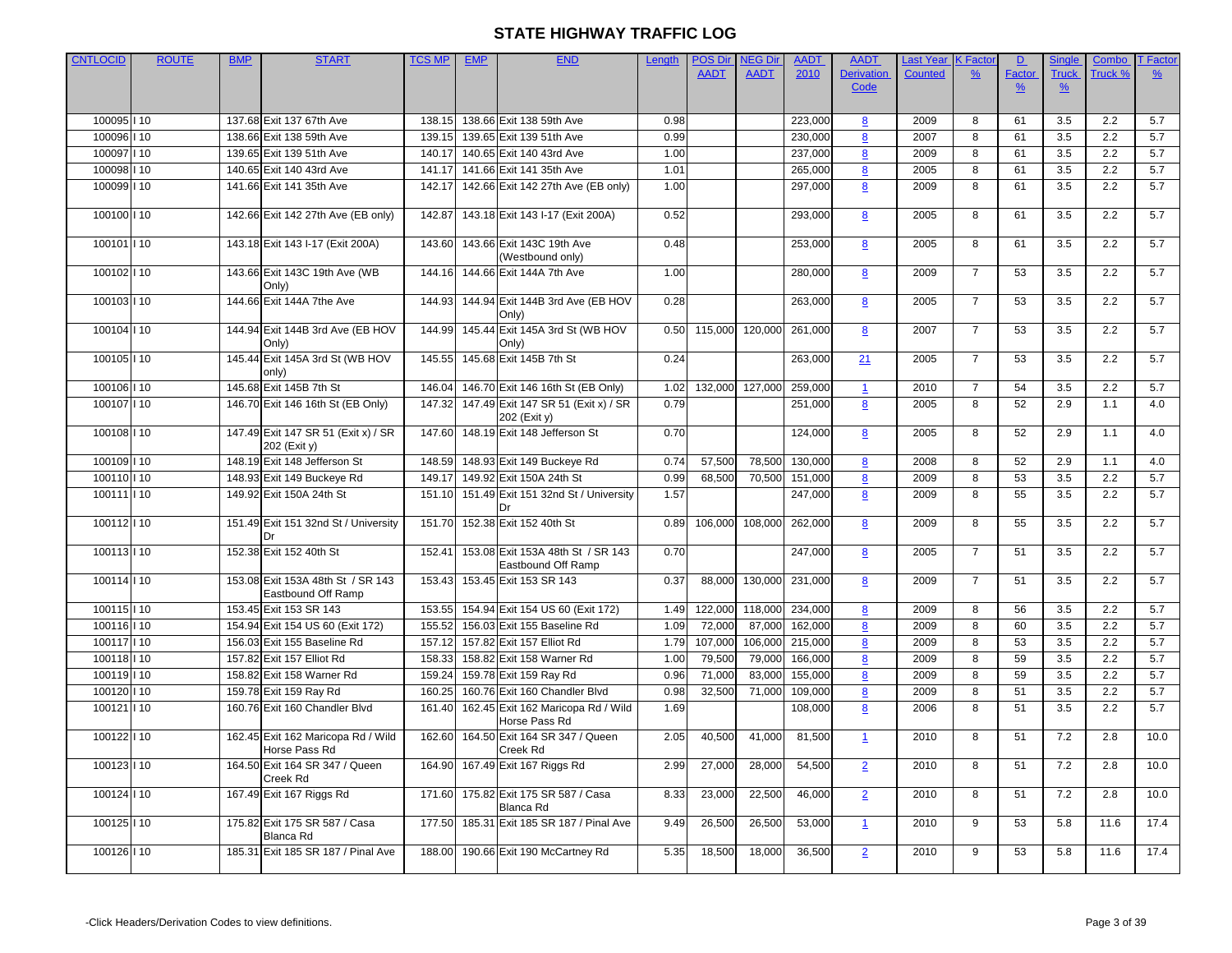|             |  |                                                         |        |                                                         |      | <b>AADT</b> | <b>AADT</b>          | 2010    | <b>Derivation</b> | <b>Counted</b> | $\frac{9}{6}$  | <b>Factor</b> | <b>Truck</b>  | Truck % | $\frac{9}{6}$ |
|-------------|--|---------------------------------------------------------|--------|---------------------------------------------------------|------|-------------|----------------------|---------|-------------------|----------------|----------------|---------------|---------------|---------|---------------|
|             |  |                                                         |        |                                                         |      |             |                      |         | Code              |                |                | $\frac{9}{6}$ | $\frac{9}{6}$ |         |               |
|             |  |                                                         |        |                                                         |      |             |                      |         |                   |                |                |               |               |         |               |
| 100095   10 |  | 137.68 Exit 137 67th Ave                                | 138.15 | 138.66 Exit 138 59th Ave                                | 0.98 |             |                      | 223,000 | 8                 | 2009           | 8              | 61            | 3.5           | 2.2     | 5.7           |
| 100096   10 |  | 138.66 Exit 138 59th Ave                                | 139.15 | 139.65 Exit 139 51th Ave                                | 0.99 |             |                      | 230,000 | 8                 | 2007           | 8              | 61            | 3.5           | 2.2     | 5.7           |
| 100097   10 |  | 139.65 Exit 139 51th Ave                                | 140.17 | 140.65 Exit 140 43rd Ave                                | 1.00 |             |                      | 237,000 | 8                 | 2009           | 8              | 61            | 3.5           | 2.2     | 5.7           |
| 100098   10 |  | 140.65 Exit 140 43rd Ave                                | 141.17 | 141.66 Exit 141 35th Ave                                | 1.01 |             |                      | 265,000 | 8                 | 2005           | 8              | 61            | 3.5           | 2.2     | 5.7           |
| 100099   10 |  | 141.66 Exit 141 35th Ave                                | 142.17 | 142.66 Exit 142 27th Ave (EB only)                      | 1.00 |             |                      | 297,000 | 8                 | 2009           | 8              | 61            | 3.5           | 2.2     | 5.7           |
| 100100   10 |  | 142.66 Exit 142 27th Ave (EB only)                      | 142.87 | 143.18 Exit 143 I-17 (Exit 200A)                        | 0.52 |             |                      | 293,000 | 8                 | 2005           | 8              | 61            | 3.5           | 2.2     | 5.7           |
| 100101   10 |  | 143.18 Exit 143 I-17 (Exit 200A)                        | 143.60 | 143.66 Exit 143C 19th Ave<br>(Westbound only)           | 0.48 |             |                      | 253,000 | 8                 | 2005           | 8              | 61            | 3.5           | 2.2     | 5.7           |
| 100102   10 |  | 143.66 Exit 143C 19th Ave (WB<br>Only)                  | 144.16 | 144.66 Exit 144A 7th Ave                                | 1.00 |             |                      | 280,000 | 8                 | 2009           | $\overline{7}$ | 53            | 3.5           | 2.2     | 5.7           |
| 100103   10 |  | 144.66 Exit 144A 7the Ave                               | 144.93 | 144.94 Exit 144B 3rd Ave (EB HOV                        | 0.28 |             |                      | 263,000 | 8                 | 2005           | $\overline{7}$ | 53            | 3.5           | 2.2     | 5.7           |
|             |  |                                                         |        | Only)                                                   |      |             |                      |         |                   |                |                |               |               |         |               |
| 100104   10 |  | 144.94 Exit 144B 3rd Ave (EB HOV<br>Only)               | 144.99 | 145.44 Exit 145A 3rd St (WB HOV<br>Only)                |      |             | 0.50 115,000 120,000 | 261,000 | 8                 | 2007           | $\overline{7}$ | 53            | 3.5           | 2.2     | 5.7           |
| 100105   10 |  | 145.44 Exit 145A 3rd St (WB HOV                         | 145.55 | 145.68 Exit 145B 7th St                                 | 0.24 |             |                      | 263,000 | 21                | 2005           | $\overline{7}$ | 53            | 3.5           | 2.2     | 5.7           |
|             |  | only)                                                   |        |                                                         |      |             |                      |         |                   |                |                |               |               |         |               |
| 100106   10 |  | 145.68 Exit 145B 7th St                                 | 146.04 | 146.70 Exit 146 16th St (EB Only)                       | 1.02 | 132,000     | 127,000              | 259,000 | $\overline{1}$    | 2010           | $\overline{7}$ | 54            | 3.5           | 2.2     | 5.7           |
| 100107   10 |  | 146.70 Exit 146 16th St (EB Only)                       | 147.32 | 147.49 Exit 147 SR 51 (Exit x) / SR<br>202 (Exit y)     | 0.79 |             |                      | 251,000 | 8                 | 2005           | 8              | 52            | 2.9           | 1.1     | 4.0           |
| 100108   10 |  | 147.49 Exit 147 SR 51 (Exit x) / SR<br>202 (Exit y)     | 147.60 | 148.19 Exit 148 Jefferson St                            | 0.70 |             |                      | 124,000 | 8                 | 2005           | 8              | 52            | 2.9           | 1.1     | 4.0           |
| 100109   10 |  | 148.19 Exit 148 Jefferson St                            | 148.59 | 148.93 Exit 149 Buckeye Rd                              | 0.74 | 57,500      | 78,500               | 130,000 | 8                 | 2008           | 8              | 52            | 2.9           | 1.1     | 4.0           |
| 100110   10 |  | 148.93 Exit 149 Buckeye Rd                              | 149.17 | 149.92 Exit 150A 24th St                                | 0.99 | 68,500      | 70,500               | 151,000 | 8                 | 2009           | 8              | 53            | 3.5           | 2.2     | 5.7           |
| 100111   10 |  | 149.92 Exit 150A 24th St                                | 151.10 | 151.49 Exit 151 32nd St / University                    | 1.57 |             |                      | 247,000 | 8                 | 2009           | 8              | 55            | 3.5           | 2.2     | 5.7           |
|             |  |                                                         |        |                                                         |      |             |                      |         |                   |                |                |               |               |         |               |
| 100112   10 |  | 151.49 Exit 151 32nd St / University                    | 151.70 | 152.38 Exit 152 40th St                                 | 0.89 | 106,000     | 108,000              | 262,000 | 8                 | 2009           | 8              | 55            | 3.5           | 2.2     | 5.7           |
| 100113   10 |  | 152.38 Exit 152 40th St                                 | 152.41 | 153.08 Exit 153A 48th St / SR 143<br>Eastbound Off Ramp | 0.70 |             |                      | 247,000 | 8                 | 2005           | $\overline{7}$ | 51            | 3.5           | 2.2     | 5.7           |
| 100114   10 |  | 153.08 Exit 153A 48th St / SR 143<br>Eastbound Off Ramp | 153.43 | 153.45 Exit 153 SR 143                                  | 0.37 | 88,000      | 130,000              | 231,000 | 8                 | 2009           | $\overline{7}$ | 51            | 3.5           | 2.2     | 5.7           |
| 100115   10 |  | 153.45 Exit 153 SR 143                                  | 153.55 | 154.94 Exit 154 US 60 (Exit 172)                        | 1.49 | 122,000     | 118,000              | 234,000 | 8                 | 2009           | 8              | 56            | 3.5           | 2.2     | 5.7           |
| 100116   10 |  | 154.94 Exit 154 US 60 (Exit 172)                        | 155.52 | 156.03 Exit 155 Baseline Rd                             | 1.09 | 72,000      | 87,000               | 162,000 | 8                 | 2009           | 8              | 60            | 3.5           | 2.2     | 5.7           |
| 100117   10 |  | 156.03 Exit 155 Baseline Rd                             | 157.12 | 157.82 Exit 157 Elliot Rd                               | 1.79 | 107,000     | 106,000              | 215,000 | 8                 | 2009           | 8              | 53            | 3.5           | 2.2     | 5.7           |
| 100118   10 |  | 157.82 Exit 157 Elliot Rd                               | 158.33 | 158.82 Exit 158 Warner Rd                               | 1.00 | 79,500      | 79,000               | 166,000 | 8                 | 2009           | 8              | 59            | 3.5           | 2.2     | 5.7           |
| 100119   10 |  | 158.82 Exit 158 Warner Rd                               | 159.24 | 159.78 Exit 159 Ray Rd                                  | 0.96 | 71,000      | 83,000               | 155,000 | 8                 | 2009           | 8              | 59            | 3.5           | 2.2     | 5.7           |
| 100120   10 |  | 159.78 Exit 159 Ray Rd                                  | 160.25 | 160.76 Exit 160 Chandler Blvd                           | 0.98 | 32,500      | 71,000               | 109,000 | 8                 | 2009           | 8              | 51            | 3.5           | 2.2     | 5.7           |
| 100121   10 |  | 160.76 Exit 160 Chandler Blvd                           | 161.40 | 162.45 Exit 162 Maricopa Rd / Wild<br>Horse Pass Rd     | 1.69 |             |                      | 108,000 | 8                 | 2006           | 8              | 51            | 3.5           | 2.2     | 5.7           |
| 100122   10 |  | 162.45 Exit 162 Maricopa Rd / Wild                      | 162.60 | 164.50 Exit 164 SR 347 / Queen                          | 2.05 | 40,500      | 41,000               | 81,500  | $\mathbf{1}$      | 2010           | 8              | 51            | 7.2           | 2.8     | 10.0          |
| 100123   10 |  | Horse Pass Rd<br>164.50 Exit 164 SR 347 / Queen         | 164.90 | Creek Rd<br>167.49 Exit 167 Riggs Rd                    | 2.99 | 27,000      | 28,000               | 54,500  | $\overline{2}$    | 2010           | 8              | 51            | 7.2           | 2.8     | 10.0          |
|             |  | Creek Rd                                                |        |                                                         |      |             |                      |         |                   |                |                |               |               |         |               |
| 100124   10 |  | 167.49 Exit 167 Riggs Rd                                | 171.60 | 175.82 Exit 175 SR 587 / Casa<br>Blanca Rd              | 8.33 | 23,000      | 22,500               | 46,000  | $\overline{2}$    | 2010           | 8              | 51            | 7.2           | 2.8     | 10.0          |
| 100125   10 |  | 175.82 Exit 175 SR 587 / Casa<br>Blanca Rd              | 177.50 | 185.31 Exit 185 SR 187 / Pinal Ave                      | 9.49 | 26,500      | 26,500               | 53,000  | $\mathbf{1}$      | 2010           | 9              | 53            | 5.8           | 11.6    | 17.4          |
| 100126   10 |  | 185.31 Exit 185 SR 187 / Pinal Ave                      | 188.00 | 190.66 Exit 190 McCartney Rd                            | 5.35 | 18,500      | 18,000               | 36,500  | $\overline{2}$    | 2010           | 9              | 53            | 5.8           | 11.6    | 17.4          |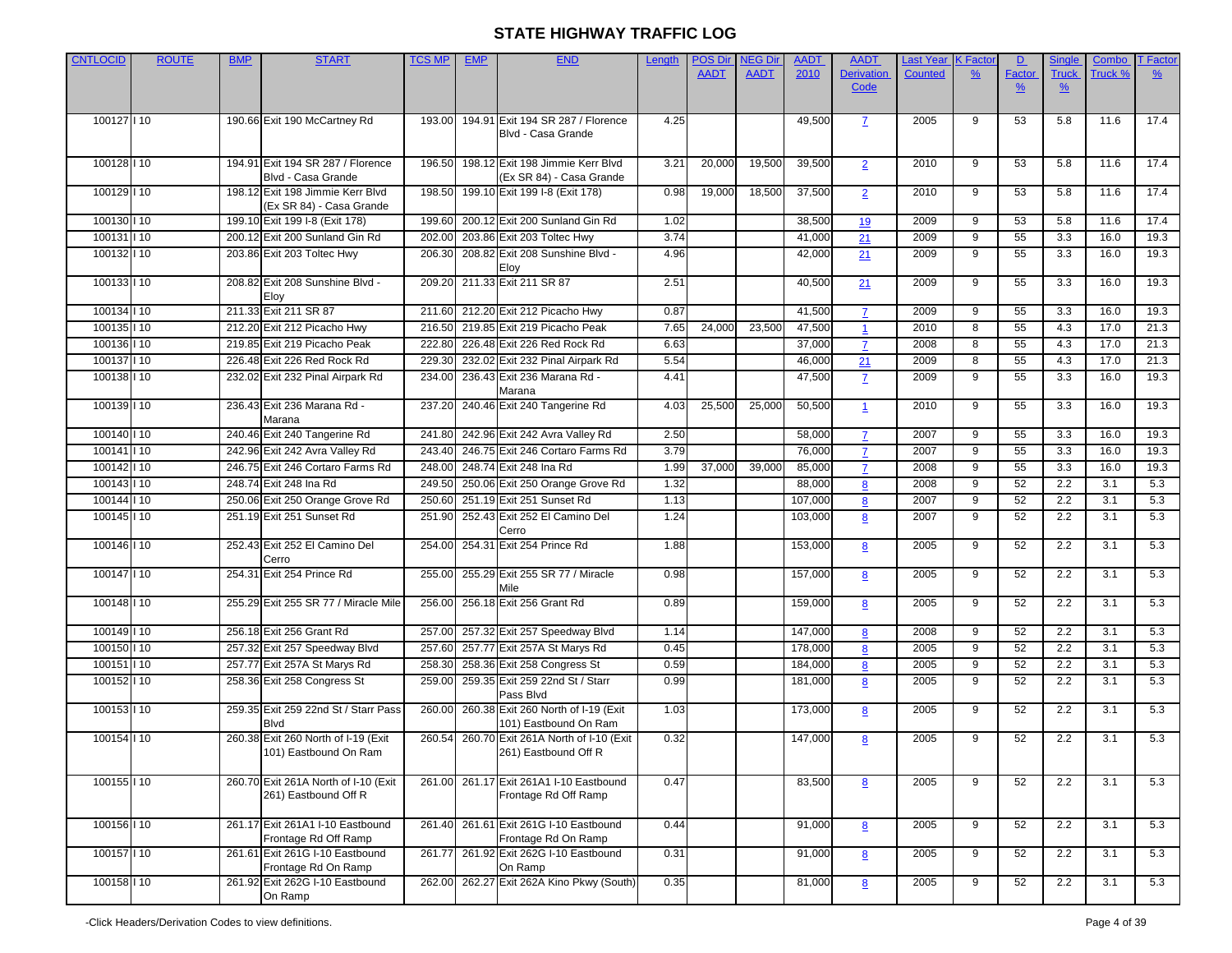| <b>CNTLOCID</b> | <b>ROUTE</b> | <b>BMP</b> | <b>START</b>                         | <b>TCS MP</b> | <b>EMP</b> | <b>END</b>                                | Length | <b>POS Dir</b> | <b>JEG Dir</b> | <b>AADT</b> | <b>AADT</b>       | <b>∟ast Yea</b> ı | K Facto        | $\mathbf{D}$  | Single        | Combo   | <b>T</b> Factor |
|-----------------|--------------|------------|--------------------------------------|---------------|------------|-------------------------------------------|--------|----------------|----------------|-------------|-------------------|-------------------|----------------|---------------|---------------|---------|-----------------|
|                 |              |            |                                      |               |            |                                           |        | <b>AADT</b>    | <b>AADT</b>    | 2010        | <b>Derivation</b> | <b>Counted</b>    | $\frac{9}{6}$  | Factor        | <b>Truck</b>  | Truck 9 | $\frac{9}{6}$   |
|                 |              |            |                                      |               |            |                                           |        |                |                |             | Code              |                   |                | $\frac{9}{6}$ | $\frac{9}{6}$ |         |                 |
|                 |              |            |                                      |               |            |                                           |        |                |                |             |                   |                   |                |               |               |         |                 |
| 100127   10     |              |            | 190.66 Exit 190 McCartney Rd         | 193.00        |            | 194.91 Exit 194 SR 287 / Florence         | 4.25   |                |                | 49,500      | $\mathbf{Z}$      | 2005              | 9              | 53            | 5.8           | 11.6    | 17.4            |
|                 |              |            |                                      |               |            | Blvd - Casa Grande                        |        |                |                |             |                   |                   |                |               |               |         |                 |
|                 |              |            |                                      |               |            |                                           |        |                |                |             |                   |                   |                |               |               |         |                 |
| 100128   10     |              |            | 194.91 Exit 194 SR 287 / Florence    | 196.50        |            | 198.12 Exit 198 Jimmie Kerr Blvd          | 3.21   | 20,000         | 19,500         | 39,500      | $\overline{2}$    | 2010              | 9              | 53            | 5.8           | 11.6    | 17.4            |
|                 |              |            | Blvd - Casa Grande                   |               |            | (Ex SR 84) - Casa Grande                  |        |                |                |             |                   |                   |                |               |               |         |                 |
| 100129   10     |              |            | 198.12 Exit 198 Jimmie Kerr Blvd     | 198.50        |            | 199.10 Exit 199 I-8 (Exit 178)            | 0.98   | 19,000         | 18,500         | 37,500      | $\overline{2}$    | 2010              | 9              | 53            | 5.8           | 11.6    | 17.4            |
|                 |              |            | (Ex SR 84) - Casa Grande             |               |            |                                           |        |                |                |             |                   |                   |                |               |               |         |                 |
| 100130   10     |              |            | 199.10 Exit 199 I-8 (Exit 178)       | 199.60        |            | 200.12 Exit 200 Sunland Gin Rd            | 1.02   |                |                | 38,500      | 19                | 2009              | 9              | 53            | 5.8           | 11.6    | 17.4            |
| 100131   10     |              |            | 200.12 Exit 200 Sunland Gin Rd       | 202.00        |            | 203.86 Exit 203 Toltec Hwy                | 3.74   |                |                | 41,000      | 21                | 2009              | 9              | 55            | 3.3           | 16.0    | 19.3            |
| 100132   10     |              |            | 203.86 Exit 203 Toltec Hwy           | 206.30        |            | 208.82 Exit 208 Sunshine Blvd -           | 4.96   |                |                | 42,000      | 21                | 2009              | 9              | 55            | 3.3           | 16.0    | 19.3            |
|                 |              |            |                                      |               |            | Eloy                                      |        |                |                |             |                   |                   |                |               |               |         |                 |
| 100133   10     |              |            | 208.82 Exit 208 Sunshine Blvd -      | 209.20        |            | 211.33 Exit 211 SR 87                     | 2.51   |                |                | 40,500      | 21                | 2009              | 9              | 55            | 3.3           | 16.0    | 19.3            |
|                 |              |            | Eloy                                 |               |            |                                           |        |                |                |             |                   |                   |                |               |               |         |                 |
| 100134   10     |              |            | 211.33 Exit 211 SR 87                | 211.60        |            | 212.20 Exit 212 Picacho Hwy               | 0.87   |                |                | 41,500      | $\overline{7}$    | 2009              | 9              | 55            | 3.3           | 16.0    | 19.3            |
| 100135   10     |              |            | 212.20 Exit 212 Picacho Hwy          | 216.50        |            | 219.85 Exit 219 Picacho Peak              | 7.65   | 24,000         | 23,500         | 47,500      | $\overline{1}$    | 2010              | 8              | 55            | 4.3           | 17.0    | 21.3            |
|                 |              |            |                                      |               |            |                                           |        |                |                |             |                   |                   | 8              |               |               |         |                 |
| 100136   10     |              |            | 219.85 Exit 219 Picacho Peak         | 222.80        |            | 226.48 Exit 226 Red Rock Rd               | 6.63   |                |                | 37,000      | $\overline{1}$    | 2008              |                | 55            | 4.3           | 17.0    | 21.3            |
| 100137   10     |              |            | 226.48 Exit 226 Red Rock Rd          | 229.30        |            | 232.02 Exit 232 Pinal Airpark Rd          | 5.54   |                |                | 46,000      | 21                | 2009              | $\overline{8}$ | 55            | 4.3           | 17.0    | 21.3            |
| 100138   10     |              |            | 232.02 Exit 232 Pinal Airpark Rd     | 234.00        |            | 236.43 Exit 236 Marana Rd -               | 4.41   |                |                | 47,500      | $\overline{L}$    | 2009              | $\overline{9}$ | 55            | 3.3           | 16.0    | 19.3            |
|                 |              |            |                                      |               |            | Marana                                    |        |                |                |             |                   |                   |                |               |               |         |                 |
| 100139   10     |              |            | 236.43 Exit 236 Marana Rd -          | 237.20        |            | 240.46 Exit 240 Tangerine Rd              | 4.03   | 25,500         | 25,000         | 50,500      | $\mathbf{1}$      | 2010              | 9              | 55            | 3.3           | 16.0    | 19.3            |
|                 |              |            | Marana                               |               |            |                                           |        |                |                |             |                   |                   |                |               |               |         |                 |
| 100140   10     |              |            | 240.46 Exit 240 Tangerine Rd         | 241.80        |            | 242.96 Exit 242 Avra Valley Rd            | 2.50   |                |                | 58,000      | $\overline{7}$    | 2007              | 9              | 55            | 3.3           | 16.0    | 19.3            |
| 100141   10     |              |            | 242.96 Exit 242 Avra Valley Rd       | 243.40        |            | 246.75 Exit 246 Cortaro Farms Rd          | 3.79   |                |                | 76,000      | $\overline{7}$    | 2007              | 9              | 55            | 3.3           | 16.0    | 19.3            |
| 100142   10     |              |            | 246.75 Exit 246 Cortaro Farms Rd     | 248.00        |            | 248.74 Exit 248 Ina Rd                    | 1.99   | 37,000         | 39,000         | 85,000      | $\mathbf{Z}$      | 2008              | $\overline{9}$ | 55            | 3.3           | 16.0    | 19.3            |
| 100143   10     |              |            | 248.74 Exit 248 Ina Rd               | 249.50        |            | 250.06 Exit 250 Orange Grove Rd           | 1.32   |                |                | 88,000      | 8                 | 2008              | 9              | 52            | 2.2           | 3.1     | 5.3             |
| 100144   10     |              |            | 250.06 Exit 250 Orange Grove Rd      | 250.60        |            | 251.19 Exit 251 Sunset Rd                 | 1.13   |                |                | 107,000     | 8                 | 2007              | $\overline{9}$ | 52            | 2.2           | 3.1     | 5.3             |
| 100145   10     |              |            | 251.19 Exit 251 Sunset Rd            | 251.90        |            | 252.43 Exit 252 El Camino Del             | 1.24   |                |                | 103,000     | 8                 | 2007              | 9              | 52            | 2.2           | 3.1     | 5.3             |
|                 |              |            |                                      |               |            | Cerro                                     |        |                |                |             |                   |                   |                |               |               |         |                 |
| 100146   10     |              |            | 252.43 Exit 252 El Camino Del        | 254.00        |            | 254.31 Exit 254 Prince Rd                 | 1.88   |                |                | 153,000     | 8                 | 2005              | 9              | 52            | 2.2           | 3.1     | 5.3             |
|                 |              |            | Cerro                                |               |            |                                           |        |                |                |             |                   |                   |                |               |               |         |                 |
| 100147   10     |              |            | 254.31 Exit 254 Prince Rd            | 255.00        |            | 255.29 Exit 255 SR 77 / Miracle           | 0.98   |                |                | 157,000     | 8                 | 2005              | 9              | 52            | 2.2           | 3.1     | 5.3             |
|                 |              |            |                                      |               |            | Mile                                      |        |                |                |             |                   |                   |                |               |               |         |                 |
| 100148   10     |              |            | 255.29 Exit 255 SR 77 / Miracle Mile | 256.00        |            | 256.18 Exit 256 Grant Rd                  | 0.89   |                |                | 159,000     | $\underline{8}$   | 2005              | 9              | 52            | 2.2           | 3.1     | 5.3             |
|                 |              |            |                                      |               |            |                                           |        |                |                |             |                   |                   |                |               |               |         |                 |
| 100149   10     |              |            | 256.18 Exit 256 Grant Rd             | 257.00        |            | 257.32 Exit 257 Speedway Blvd             | 1.14   |                |                | 147,000     | 8                 | 2008              | 9              | 52            | 2.2           | 3.1     | 5.3             |
| 100150   10     |              |            | 257.32 Exit 257 Speedway Blvd        | 257.60        |            | 257.77 Exit 257A St Marys Rd              | 0.45   |                |                | 178,000     | 8                 | 2005              | 9              | 52            | 2.2           | 3.1     | 5.3             |
| 100151   10     |              |            | 257.77 Exit 257A St Marys Rd         | 258.30        |            | 258.36 Exit 258 Congress St               | 0.59   |                |                | 184,000     | 8                 | 2005              | 9              | 52            | 2.2           | 3.1     | 5.3             |
|                 |              |            | 258.36 Exit 258 Congress St          |               |            | 259.35 Exit 259 22nd St / Starr           |        |                |                |             |                   |                   | 9              |               | 2.2           |         |                 |
| 100152   10     |              |            |                                      | 259.00        |            | Pass Blvd                                 | 0.99   |                |                | 181,000     | 8                 | 2005              |                | 52            |               | 3.1     | 5.3             |
| 100153   10     |              |            | 259.35 Exit 259 22nd St / Starr Pass | 260.00        |            | 260.38 Exit 260 North of I-19 (Exit       | 1.03   |                |                | 173,000     |                   | 2005              | 9              | 52            | 2.2           | 3.1     | 5.3             |
|                 |              |            | <b>Blvd</b>                          |               |            | 101) Eastbound On Ram                     |        |                |                |             | $\underline{8}$   |                   |                |               |               |         |                 |
| 100154   10     |              |            | 260.38 Exit 260 North of I-19 (Exit  | 260.54        |            | 260.70 Exit 261A North of I-10 (Exit      | 0.32   |                |                | 147,000     |                   | 2005              | 9              | 52            |               | 3.1     | 5.3             |
|                 |              |            |                                      |               |            |                                           |        |                |                |             | 8                 |                   |                |               | 2.2           |         |                 |
|                 |              |            | 101) Eastbound On Ram                |               |            | 261) Eastbound Off R                      |        |                |                |             |                   |                   |                |               |               |         |                 |
| 100155   10     |              |            | 260.70 Exit 261A North of I-10 (Exit |               |            | 261.00 261.17 Exit 261A1 I-10 Eastbound   | 0.47   |                |                | 83,500      | 8                 | 2005              | 9              | 52            | 2.2           | 3.1     | 5.3             |
|                 |              |            | 261) Eastbound Off R                 |               |            | Frontage Rd Off Ramp                      |        |                |                |             |                   |                   |                |               |               |         |                 |
|                 |              |            |                                      |               |            |                                           |        |                |                |             |                   |                   |                |               |               |         |                 |
| 100156   10     |              |            | 261.17 Exit 261A1 I-10 Eastbound     |               |            | 261.40 261.61 Exit 261G I-10 Eastbound    | 0.44   |                |                | 91,000      | 8                 | 2005              | 9              | 52            | 2.2           | 3.1     | 5.3             |
|                 |              |            | Frontage Rd Off Ramp                 |               |            | Frontage Rd On Ramp                       |        |                |                |             |                   |                   |                |               |               |         |                 |
| 100157   10     |              |            | 261.61 Exit 261G I-10 Eastbound      | 261.77        |            | 261.92 Exit 262G I-10 Eastbound           | 0.31   |                |                | 91,000      | 8                 | 2005              | 9              | 52            | 2.2           | 3.1     | 5.3             |
|                 |              |            | Frontage Rd On Ramp                  |               |            | On Ramp                                   |        |                |                |             |                   |                   |                |               |               |         |                 |
| 100158   10     |              |            | 261.92 Exit 262G I-10 Eastbound      |               |            | 262.00 262.27 Exit 262A Kino Pkwy (South) | 0.35   |                |                | 81,000      | 8                 | 2005              | 9              | 52            | 2.2           | 3.1     | 5.3             |
|                 |              |            | On Ramp                              |               |            |                                           |        |                |                |             |                   |                   |                |               |               |         |                 |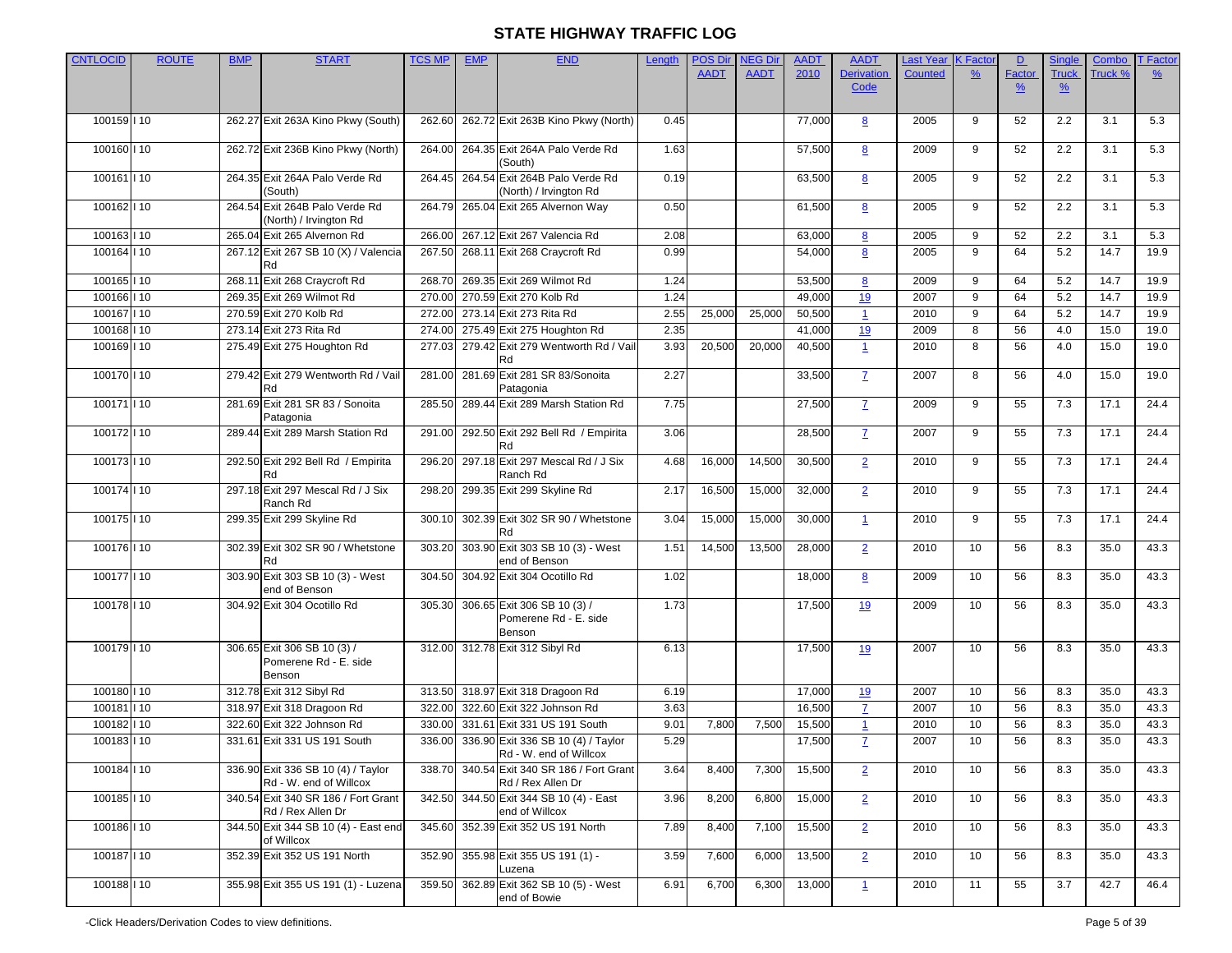| <b>CNTLOCID</b> | <b>ROUTE</b> | <b>BMP</b> | <b>START</b>                                             | <b>TCS MP</b> | <b>EMP</b> | <b>END</b>                                                   | Length | <b>POS Dir</b> | <b>JEG Dir</b> | <b>AADT</b> | <b>AADT</b>             | <b>Last Year</b> | <b>K</b> Factc  | D             | Single        | Combo   | <b>T</b> Factor |
|-----------------|--------------|------------|----------------------------------------------------------|---------------|------------|--------------------------------------------------------------|--------|----------------|----------------|-------------|-------------------------|------------------|-----------------|---------------|---------------|---------|-----------------|
|                 |              |            |                                                          |               |            |                                                              |        | <b>AADT</b>    | <b>AADT</b>    | 2010        | <b>Derivation</b>       | <b>Counted</b>   | $\frac{9}{6}$   | <b>Factor</b> | <b>Truck</b>  | Truck % | $\frac{9}{6}$   |
|                 |              |            |                                                          |               |            |                                                              |        |                |                |             | Code                    |                  |                 | $\frac{9}{6}$ | $\frac{9}{6}$ |         |                 |
|                 |              |            |                                                          |               |            |                                                              |        |                |                |             |                         |                  |                 |               |               |         |                 |
| 100159   10     |              |            | 262.27 Exit 263A Kino Pkwy (South)                       | 262.60        |            | 262.72 Exit 263B Kino Pkwy (North)                           | 0.45   |                |                | 77,000      | 8                       | 2005             | 9               | 52            | 2.2           | 3.1     | 5.3             |
| 100160   10     |              |            | 262.72 Exit 236B Kino Pkwy (North)                       | 264.00        |            | 264.35 Exit 264A Palo Verde Rd                               | 1.63   |                |                | 57,500      | 8                       | 2009             | 9               | 52            | 2.2           | 3.1     | 5.3             |
|                 |              |            |                                                          |               |            | (South)                                                      |        |                |                |             |                         |                  |                 |               |               |         |                 |
| 100161   10     |              |            | 264.35 Exit 264A Palo Verde Rd                           | 264.45        |            | 264.54 Exit 264B Palo Verde Rd                               | 0.19   |                |                | 63,500      | 8                       | 2005             | 9               | 52            | 2.2           | 3.1     | 5.3             |
|                 |              |            | (South)                                                  |               |            | (North) / Irvington Rd                                       |        |                |                |             |                         |                  |                 |               |               |         |                 |
| 100162   10     |              |            | 264.54 Exit 264B Palo Verde Rd<br>(North) / Irvington Rd | 264.79        |            | 265.04 Exit 265 Alvernon Way                                 | 0.50   |                |                | 61,500      | 8                       | 2005             | 9               | 52            | 2.2           | 3.1     | 5.3             |
| 100163   10     |              |            | 265.04 Exit 265 Alvernon Rd                              | 266.00        |            | 267.12 Exit 267 Valencia Rd                                  | 2.08   |                |                | 63,000      | 8                       | 2005             | $\overline{9}$  | 52            | 2.2           | 3.1     | 5.3             |
| 100164   10     |              |            | 267.12 Exit 267 SB 10 (X) / Valencia                     | 267.50        |            | 268.11 Exit 268 Craycroft Rd                                 | 0.99   |                |                | 54,000      | $\underline{8}$         | 2005             | $\overline{9}$  | 64            | 5.2           | 14.7    | 19.9            |
|                 |              |            |                                                          |               |            |                                                              |        |                |                |             |                         |                  |                 |               |               |         |                 |
| 100165   10     |              |            | 268.11 Exit 268 Craycroft Rd                             | 268.70        |            | 269.35 Exit 269 Wilmot Rd                                    | 1.24   |                |                | 53,500      | 8                       | 2009             | 9               | 64            | 5.2           | 14.7    | 19.9            |
| 100166   10     |              |            | 269.35 Exit 269 Wilmot Rd                                | 270.00        |            | 270.59 Exit 270 Kolb Rd                                      | 1.24   |                |                | 49,000      | 19                      | 2007             | 9               | 64            | 5.2           | 14.7    | 19.9            |
| 100167   10     |              |            | 270.59 Exit 270 Kolb Rd                                  | 272.00        |            | 273.14 Exit 273 Rita Rd                                      | 2.55   | 25,000         | 25,000         | 50,500      | $\mathbf{\overline{1}}$ | 2010             | 9               | 64            | 5.2           | 14.7    | 19.9            |
| 100168   10     |              |            | 273.14 Exit 273 Rita Rd                                  | 274.00        |            | 275.49 Exit 275 Houghton Rd                                  | 2.35   |                |                | 41,000      | 19                      | 2009             | 8               | 56            | 4.0           | 15.0    | 19.0            |
| 100169   10     |              |            | 275.49 Exit 275 Houghton Rd                              | 277.03        |            | 279.42 Exit 279 Wentworth Rd / Vail                          | 3.93   | 20,500         | 20,000         | 40,500      | $\mathbf{1}$            | 2010             | 8               | 56            | 4.0           | 15.0    | 19.0            |
| 100170   10     |              |            | 279.42 Exit 279 Wentworth Rd / Vail                      | 281.00        |            | Rd<br>281.69 Exit 281 SR 83/Sonoita                          | 2.27   |                |                | 33,500      |                         | 2007             | 8               | 56            | 4.0           | 15.0    | 19.0            |
|                 |              |            | Rd                                                       |               |            | Patagonia                                                    |        |                |                |             | $\mathbf{Z}$            |                  |                 |               |               |         |                 |
| 100171   10     |              |            | 281.69 Exit 281 SR 83 / Sonoita                          | 285.50        |            | 289.44 Exit 289 Marsh Station Rd                             | 7.75   |                |                | 27,500      | $\mathbf{Z}$            | 2009             | 9               | 55            | 7.3           | 17.1    | 24.4            |
|                 |              |            | Patagonia                                                |               |            |                                                              |        |                |                |             |                         |                  |                 |               |               |         |                 |
| 100172   10     |              |            | 289.44 Exit 289 Marsh Station Rd                         | 291.00        |            | 292.50 Exit 292 Bell Rd / Empirita                           | 3.06   |                |                | 28,500      | $\mathbf{Z}$            | 2007             | 9               | 55            | 7.3           | 17.1    | 24.4            |
| 100173   10     |              |            | 292.50 Exit 292 Bell Rd / Empirita                       | 296.20        |            | Rd<br>297.18 Exit 297 Mescal Rd / J Six                      | 4.68   | 16,000         | 14,500         | 30,500      |                         | 2010             | 9               | 55            | 7.3           | 17.1    | 24.4            |
|                 |              |            | Rd                                                       |               |            | Ranch Rd                                                     |        |                |                |             | $\overline{2}$          |                  |                 |               |               |         |                 |
| 100174 10       |              |            | 297.18 Exit 297 Mescal Rd / J Six                        | 298.20        |            | 299.35 Exit 299 Skyline Rd                                   | 2.17   | 16,500         | 15,000         | 32,000      | $\overline{2}$          | 2010             | 9               | 55            | 7.3           | 17.1    | 24.4            |
|                 |              |            | Ranch Rd                                                 |               |            |                                                              |        |                |                |             |                         |                  |                 |               |               |         |                 |
| 100175   10     |              |            | 299.35 Exit 299 Skyline Rd                               | 300.10        |            | 302.39 Exit 302 SR 90 / Whetstone                            | 3.04   | 15,000         | 15,000         | 30,000      | $\mathbf{1}$            | 2010             | 9               | 55            | 7.3           | 17.1    | 24.4            |
| 100176   10     |              |            | 302.39 Exit 302 SR 90 / Whetstone                        | 303.20        |            | Rd<br>303.90 Exit 303 SB 10 (3) - West                       | 1.51   |                | 13,500         |             |                         | 2010             | 10              | 56            | 8.3           | 35.0    | 43.3            |
|                 |              |            | Rd                                                       |               |            | end of Benson                                                |        | 14,500         |                | 28,000      | $\overline{2}$          |                  |                 |               |               |         |                 |
| 100177   10     |              |            | 303.90 Exit 303 SB 10 (3) - West                         | 304.50        |            | 304.92 Exit 304 Ocotillo Rd                                  | 1.02   |                |                | 18,000      | 8                       | 2009             | 10              | 56            | 8.3           | 35.0    | 43.3            |
|                 |              |            | end of Benson                                            |               |            |                                                              |        |                |                |             |                         |                  |                 |               |               |         |                 |
| 100178   10     |              |            | 304.92 Exit 304 Ocotillo Rd                              | 305.30        |            | 306.65 Exit 306 SB 10 (3) /                                  | 1.73   |                |                | 17,500      | 19                      | 2009             | 10 <sup>°</sup> | 56            | 8.3           | 35.0    | 43.3            |
|                 |              |            |                                                          |               |            | Pomerene Rd - E. side<br>Benson                              |        |                |                |             |                         |                  |                 |               |               |         |                 |
| 100179   10     |              |            | 306.65 Exit 306 SB 10 (3) /                              |               |            | 312.00 312.78 Exit 312 Sibyl Rd                              | 6.13   |                |                | 17,500      | 19                      | 2007             | 10              | 56            | 8.3           | 35.0    | 43.3            |
|                 |              |            | Pomerene Rd - E. side                                    |               |            |                                                              |        |                |                |             |                         |                  |                 |               |               |         |                 |
|                 |              |            | Benson                                                   |               |            |                                                              |        |                |                |             |                         |                  |                 |               |               |         |                 |
| 100180   10     |              |            | 312.78 Exit 312 Sibyl Rd                                 | 313.50        |            | 318.97 Exit 318 Dragoon Rd                                   | 6.19   |                |                | 17,000      | 19                      | 2007             | 10 <sup>°</sup> | 56            | 8.3           | 35.0    | 43.3            |
| 100181   10     |              |            | 318.97 Exit 318 Dragoon Rd                               | 322.00        |            | 322.60 Exit 322 Johnson Rd                                   | 3.63   |                |                | 16,500      | $\mathbf{Z}$            | 2007             | 10              | 56            | 8.3           | 35.0    | 43.3            |
| 100182   10     |              |            | 322.60 Exit 322 Johnson Rd                               | 330.00        |            | 331.61 Exit 331 US 191 South                                 | 9.01   | 7,800          | 7,500          | 15,500      | $\overline{\mathbf{1}}$ | 2010             | 10              | 56            | 8.3           | 35.0    | 43.3            |
| 100183   10     |              |            | 331.61 Exit 331 US 191 South                             | 336.00        |            | 336.90 Exit 336 SB 10 (4) / Taylor<br>Rd - W. end of Willcox | 5.29   |                |                | 17,500      | $\overline{1}$          | 2007             | 10              | 56            | 8.3           | 35.0    | 43.3            |
| 100184   10     |              |            | 336.90 Exit 336 SB 10 (4) / Taylor                       | 338.70        |            | 340.54 Exit 340 SR 186 / Fort Grant                          | 3.64   | 8,400          | 7,300          | 15,500      | $\overline{2}$          | 2010             | 10              | 56            | 8.3           | 35.0    | 43.3            |
|                 |              |            | Rd - W. end of Willcox                                   |               |            | Rd / Rex Allen Dr                                            |        |                |                |             |                         |                  |                 |               |               |         |                 |
| 100185   10     |              |            | 340.54 Exit 340 SR 186 / Fort Grant                      |               |            | 342.50 344.50 Exit 344 SB 10 (4) - East                      | 3.96   | 8,200          | 6,800          | 15,000      | $\overline{2}$          | 2010             | 10              | 56            | 8.3           | 35.0    | 43.3            |
|                 |              |            | Rd / Rex Allen Dr                                        |               |            | end of Willcox                                               |        |                |                |             |                         |                  |                 |               |               |         |                 |
| 100186   10     |              |            | 344.50 Exit 344 SB 10 (4) - East end                     | 345.60        |            | 352.39 Exit 352 US 191 North                                 | 7.89   | 8,400          | 7,100          | 15,500      | $\overline{2}$          | 2010             | 10              | 56            | 8.3           | 35.0    | 43.3            |
| 100187   10     |              |            | of Willcox<br>352.39 Exit 352 US 191 North               | 352.90        |            | 355.98 Exit 355 US 191 (1) -                                 | 3.59   | 7,600          | 6,000          | 13,500      | $\overline{2}$          | 2010             | 10              | 56            | 8.3           | 35.0    | 43.3            |
|                 |              |            |                                                          |               |            | Luzena                                                       |        |                |                |             |                         |                  |                 |               |               |         |                 |
| 100188   10     |              |            | 355.98 Exit 355 US 191 (1) - Luzena                      |               |            | 359.50 362.89 Exit 362 SB 10 (5) - West                      | 6.91   | 6,700          | 6,300          | 13,000      | $\perp$                 | 2010             | 11              | 55            | 3.7           | 42.7    | 46.4            |
|                 |              |            |                                                          |               |            | end of Bowie                                                 |        |                |                |             |                         |                  |                 |               |               |         |                 |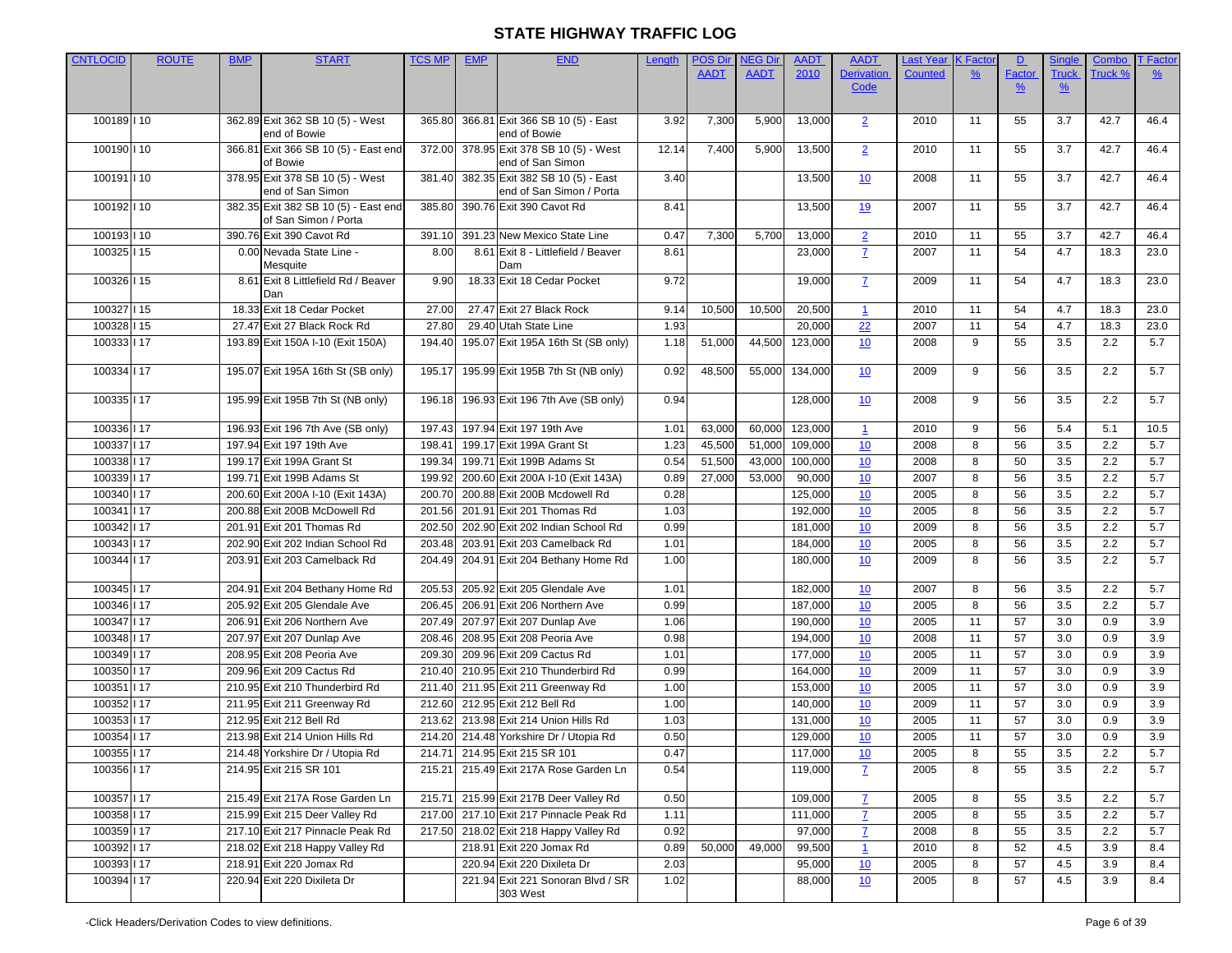| <b>CNTLOCID</b> | <b>ROUTE</b> | <b>BMP</b> | <b>START</b>                                         | <b>TCS MP</b> | <b>EMP</b> | <b>END</b>                                       | Length       | <b>POS Dir</b> | <b>NEG Dir</b> | <b>AADT</b>        | <b>AADT</b>             | Last Year      | <b>K</b> Facto | $\mathbf{D}$  | Single        | Combo      | <b>T</b> Factor |
|-----------------|--------------|------------|------------------------------------------------------|---------------|------------|--------------------------------------------------|--------------|----------------|----------------|--------------------|-------------------------|----------------|----------------|---------------|---------------|------------|-----------------|
|                 |              |            |                                                      |               |            |                                                  |              | <b>AADT</b>    | <b>AADT</b>    | 2010               | <b>Derivation</b>       | <b>Counted</b> | $\frac{9}{6}$  | <b>Factor</b> | <b>Truck</b>  | Truck %    | $\frac{9}{6}$   |
|                 |              |            |                                                      |               |            |                                                  |              |                |                |                    | Code                    |                |                | $\frac{9}{6}$ | $\frac{9}{6}$ |            |                 |
|                 |              |            |                                                      |               |            |                                                  |              |                |                |                    |                         |                |                |               |               |            |                 |
| 100189   10     |              |            | 362.89 Exit 362 SB 10 (5) - West                     | 365.80        |            | 366.81 Exit 366 SB 10 (5) - East                 | 3.92         | 7,300          | 5,900          | 13,000             | $\overline{2}$          | 2010           | 11             | 55            | 3.7           | 42.7       | 46.4            |
| 100190   10     |              |            | end of Bowie<br>366.81 Exit 366 SB 10 (5) - East end | 372.00        |            | end of Bowie<br>378.95 Exit 378 SB 10 (5) - West | 12.14        | 7,400          | 5,900          | 13,500             | $\overline{2}$          | 2010           | 11             | 55            | 3.7           | 42.7       | 46.4            |
|                 |              |            | of Bowie                                             |               |            | end of San Simon                                 |              |                |                |                    |                         |                |                |               |               |            |                 |
| 100191   10     |              |            | 378.95 Exit 378 SB 10 (5) - West                     | 381.40        |            | 382.35 Exit 382 SB 10 (5) - East                 | 3.40         |                |                | 13,500             | 10                      | 2008           | 11             | 55            | 3.7           | 42.7       | 46.4            |
|                 |              |            | end of San Simon                                     |               |            | end of San Simon / Porta                         |              |                |                |                    |                         |                |                |               |               |            |                 |
| 100192   10     |              |            | 382.35 Exit 382 SB 10 (5) - East end                 | 385.80        |            | 390.76 Exit 390 Cavot Rd                         | 8.41         |                |                | 13,500             | 19                      | 2007           | 11             | 55            | 3.7           | 42.7       | 46.4            |
|                 |              |            | of San Simon / Porta                                 |               |            |                                                  |              |                |                |                    |                         |                |                |               |               |            |                 |
| 100193   10     |              |            | 390.76 Exit 390 Cavot Rd                             | 391.10        |            | 391.23 New Mexico State Line                     | 0.47         | 7,300          | 5,700          | 13,000             | $\overline{2}$          | 2010           | 11             | 55            | 3.7           | 42.7       | 46.4            |
| 100325   15     |              |            | 0.00 Nevada State Line -                             | 8.00          |            | 8.61 Exit 8 - Littlefield / Beaver               | 8.61         |                |                | 23,000             | $\mathbf{Z}$            | 2007           | 11             | 54            | 4.7           | 18.3       | 23.0            |
|                 |              |            | Mesquite                                             |               |            | Dam                                              |              |                |                |                    |                         |                |                |               |               |            |                 |
| 100326   15     |              |            | 8.61 Exit 8 Littlefield Rd / Beaver<br>Dan           | 9.90          |            | 18.33 Exit 18 Cedar Pocket                       | 9.72         |                |                | 19,000             | $\mathbf{Z}$            | 2009           | 11             | 54            | 4.7           | 18.3       | 23.0            |
| 100327   15     |              |            | 18.33 Exit 18 Cedar Pocket                           | 27.00         |            | 27.47 Exit 27 Black Rock                         | 9.14         | 10,500         | 10,500         | 20,500             | $\mathbf{1}$            | 2010           | 11             | 54            | 4.7           | 18.3       | 23.0            |
| 100328   15     |              |            | 27.47 Exit 27 Black Rock Rd                          | 27.80         |            | 29.40 Utah State Line                            | 1.93         |                |                | 20,000             | 22                      | 2007           | 11             | 54            | 4.7           | 18.3       | 23.0            |
| 100333   17     |              |            | 193.89 Exit 150A I-10 (Exit 150A)                    | 194.40        |            | 195.07 Exit 195A 16th St (SB only)               | 1.18         | 51,000         | 44,500         | 123,000            | 10                      | 2008           | 9              | 55            | 3.5           | 2.2        | 5.7             |
|                 |              |            |                                                      |               |            |                                                  |              |                |                |                    |                         |                |                |               |               |            |                 |
| 100334   17     |              |            | 195.07 Exit 195A 16th St (SB only)                   | 195.17        |            | 195.99 Exit 195B 7th St (NB only)                | 0.92         | 48,500         | 55,000         | 134,000            | 10                      | 2009           | 9              | 56            | 3.5           | 2.2        | 5.7             |
|                 |              |            |                                                      |               |            |                                                  |              |                |                |                    |                         |                |                |               |               |            |                 |
| 100335   17     |              |            | 195.99 Exit 195B 7th St (NB only)                    | 196.18        |            | 196.93 Exit 196 7th Ave (SB only)                | 0.94         |                |                | 128,000            | 10                      | 2008           | 9              | 56            | 3.5           | 2.2        | 5.7             |
|                 |              |            |                                                      |               |            |                                                  |              |                |                |                    |                         |                |                |               |               |            |                 |
| 100336   17     |              |            | 196.93 Exit 196 7th Ave (SB only)                    | 197.43        |            | 197.94 Exit 197 19th Ave                         | 1.01         | 63,000         | 60,000         | 123,000            | $\mathbf{\overline{1}}$ | 2010           | 9              | 56            | 5.4           | 5.1        | 10.5            |
| 100337   17     |              |            | 197.94 Exit 197 19th Ave                             | 198.41        |            | 199.17 Exit 199A Grant St                        | 1.23         | 45,500         | 51,000         | 109,000            | 10                      | 2008           | 8              | 56            | 3.5           | 2.2        | 5.7             |
| 100338   17     |              |            | 199.17 Exit 199A Grant St                            | 199.34        |            | 199.71 Exit 199B Adams St                        | 0.54         | 51,500         | 43,000         | 100,000            | 10                      | 2008           | 8              | 50            | 3.5           | 2.2        | 5.7             |
| 100339   17     |              |            | 199.71 Exit 199B Adams St                            | 199.92        |            | 200.60 Exit 200A I-10 (Exit 143A)                | 0.89         | 27,000         | 53,000         | 90,000             | 10                      | 2007           | 8              | 56            | 3.5           | 2.2        | 5.7             |
| 100340   17     |              |            | 200.60 Exit 200A I-10 (Exit 143A)                    | 200.70        |            | 200.88 Exit 200B Mcdowell Rd                     | 0.28         |                |                | 125,000            | 10                      | 2005           | 8              | 56            | 3.5           | 2.2        | 5.7             |
| 100341   17     |              |            | 200.88 Exit 200B McDowell Rd                         | 201.56        |            | 201.91 Exit 201 Thomas Rd                        | 1.03         |                |                | 192,000            | 10                      | 2005           | 8              | 56            | 3.5           | 2.2        | 5.7             |
| 100342   17     |              |            | 201.91 Exit 201 Thomas Rd                            | 202.50        |            | 202.90 Exit 202 Indian School Rd                 | 0.99         |                |                | 181,000            | 10                      | 2009           | 8              | 56            | 3.5           | 2.2        | 5.7             |
| 100343   17     |              |            | 202.90 Exit 202 Indian School Rd                     | 203.48        |            | 203.91 Exit 203 Camelback Rd                     | 1.01         |                |                | 184,000            | 10                      | 2005           | 8              | 56            | 3.5           | 2.2        | 5.7             |
| 100344   17     |              |            | 203.91 Exit 203 Camelback Rd                         | 204.49        |            | 204.91 Exit 204 Bethany Home Rd                  | 1.00         |                |                | 180,000            | 10                      | 2009           | 8              | 56            | 3.5           | 2.2        | 5.7             |
| 100345   17     |              |            | 204.91 Exit 204 Bethany Home Rd                      | 205.53        |            | 205.92 Exit 205 Glendale Ave                     | 1.01         |                |                | 182,000            | 10                      | 2007           | 8              | 56            | 3.5           | 2.2        | 5.7             |
| 100346   17     |              |            | 205.92 Exit 205 Glendale Ave                         | 206.45        |            | 206.91 Exit 206 Northern Ave                     | 0.99         |                |                | 187,000            | 10                      | 2005           | 8              | 56            | 3.5           | 2.2        | 5.7             |
| 100347   17     |              |            | 206.91 Exit 206 Northern Ave                         | 207.49        |            | 207.97 Exit 207 Dunlap Ave                       | 1.06         |                |                | 190,000            | 10                      | 2005           | 11             | 57            | 3.0           | 0.9        | 3.9             |
| 100348   17     |              |            | 207.97 Exit 207 Dunlap Ave                           | 208.46        |            | 208.95 Exit 208 Peoria Ave                       | 0.98         |                |                | 194,000            | 10                      | 2008           | 11             | 57            | 3.0           | 0.9        | 3.9             |
| 100349   17     |              |            | 208.95 Exit 208 Peoria Ave                           | 209.30        |            | 209.96 Exit 209 Cactus Rd                        | 1.01         |                |                | 177,000            | 10                      | 2005           | 11             | 57            | 3.0           | 0.9        | 3.9             |
| 100350   17     |              |            | 209.96 Exit 209 Cactus Rd                            | 210.40        |            | 210.95 Exit 210 Thunderbird Rd                   | 0.99         |                |                | 164,000            | 10                      | 2009           | 11             | 57            | 3.0           | 0.9        | 3.9             |
| 100351   17     |              |            | 210.95 Exit 210 Thunderbird Rd                       | 211.40        |            | 211.95 Exit 211 Greenway Rd                      | 1.00         |                |                | 153,000            | 10                      | 2005           | 11             | 57            | 3.0           | 0.9        | 3.9             |
| 100352          | 117          |            | 211.95 Exit 211 Greenway Rd                          | 212.60        |            | 212.95 Exit 212 Bell Rd                          | 1.00         |                |                | 140,000            | 10                      | 2009           | 11             | 57            | 3.0           | 0.9        | 3.9             |
| 100353   17     |              |            | 212.95 Exit 212 Bell Rd                              | 213.62        |            | 213.98 Exit 214 Union Hills Rd                   | 1.03         |                |                | 131,000            | 10                      | 2005           | 11             | 57            | 3.0           | 0.9        | 3.9             |
| 100354   17     |              |            | 213.98 Exit 214 Union Hills Rd                       | 214.20        |            | 214.48 Yorkshire Dr / Utopia Rd                  | 0.50         |                |                | 129,000            | 10                      | 2005           | 11             | 57            | 3.0           | 0.9        | 3.9             |
| 100355   17     |              |            | 214.48 Yorkshire Dr / Utopia Rd                      |               |            | 214.71 214.95 Exit 215 SR 101                    |              |                |                |                    |                         | 2005           |                | 55            |               |            | 5.7             |
| 100356   17     |              |            | 214.95 Exit 215 SR 101                               |               |            | 215.21 215.49 Exit 217A Rose Garden Ln           | 0.47<br>0.54 |                |                | 117,000<br>119,000 | <u>10</u>               | 2005           | ୪<br>8         | 55            | 3.5<br>3.5    | 2.2<br>2.2 | 5.7             |
|                 |              |            |                                                      |               |            |                                                  |              |                |                |                    | $\mathbf{Z}$            |                |                |               |               |            |                 |
| 100357   17     |              |            | 215.49 Exit 217A Rose Garden Ln                      |               |            | 215.71 215.99 Exit 217B Deer Valley Rd           | 0.50         |                |                | 109,000            | $\mathbf{Z}$            | 2005           | 8              | 55            | 3.5           | 2.2        | 5.7             |
| 100358   17     |              |            | 215.99 Exit 215 Deer Valley Rd                       | 217.00        |            | 217.10 Exit 217 Pinnacle Peak Rd                 | 1.11         |                |                | 111,000            | $\overline{1}$          | 2005           | 8              | 55            | 3.5           | 2.2        | 5.7             |
| 100359   17     |              |            | 217.10 Exit 217 Pinnacle Peak Rd                     | 217.50        |            | 218.02 Exit 218 Happy Valley Rd                  | 0.92         |                |                | 97,000             | $\mathbf{Z}$            | 2008           | 8              | 55            | 3.5           | 2.2        | 5.7             |
| 100392   17     |              |            | 218.02 Exit 218 Happy Valley Rd                      |               |            | 218.91 Exit 220 Jomax Rd                         | 0.89         | 50,000         | 49,000         | 99,500             | $\mathbf{\overline{1}}$ | 2010           | 8              | 52            | 4.5           | 3.9        | 8.4             |
| 100393   17     |              |            | 218.91 Exit 220 Jomax Rd                             |               |            | 220.94 Exit 220 Dixileta Dr                      | 2.03         |                |                | 95,000             | 10                      | 2005           | 8              | 57            | 4.5           | 3.9        | 8.4             |
| 100394   17     |              |            | 220.94 Exit 220 Dixileta Dr                          |               |            | 221.94 Exit 221 Sonoran Blvd / SR                | 1.02         |                |                | 88,000             | 10                      | 2005           | 8              | 57            | 4.5           | 3.9        | 8.4             |
|                 |              |            |                                                      |               |            | 303 West                                         |              |                |                |                    |                         |                |                |               |               |            |                 |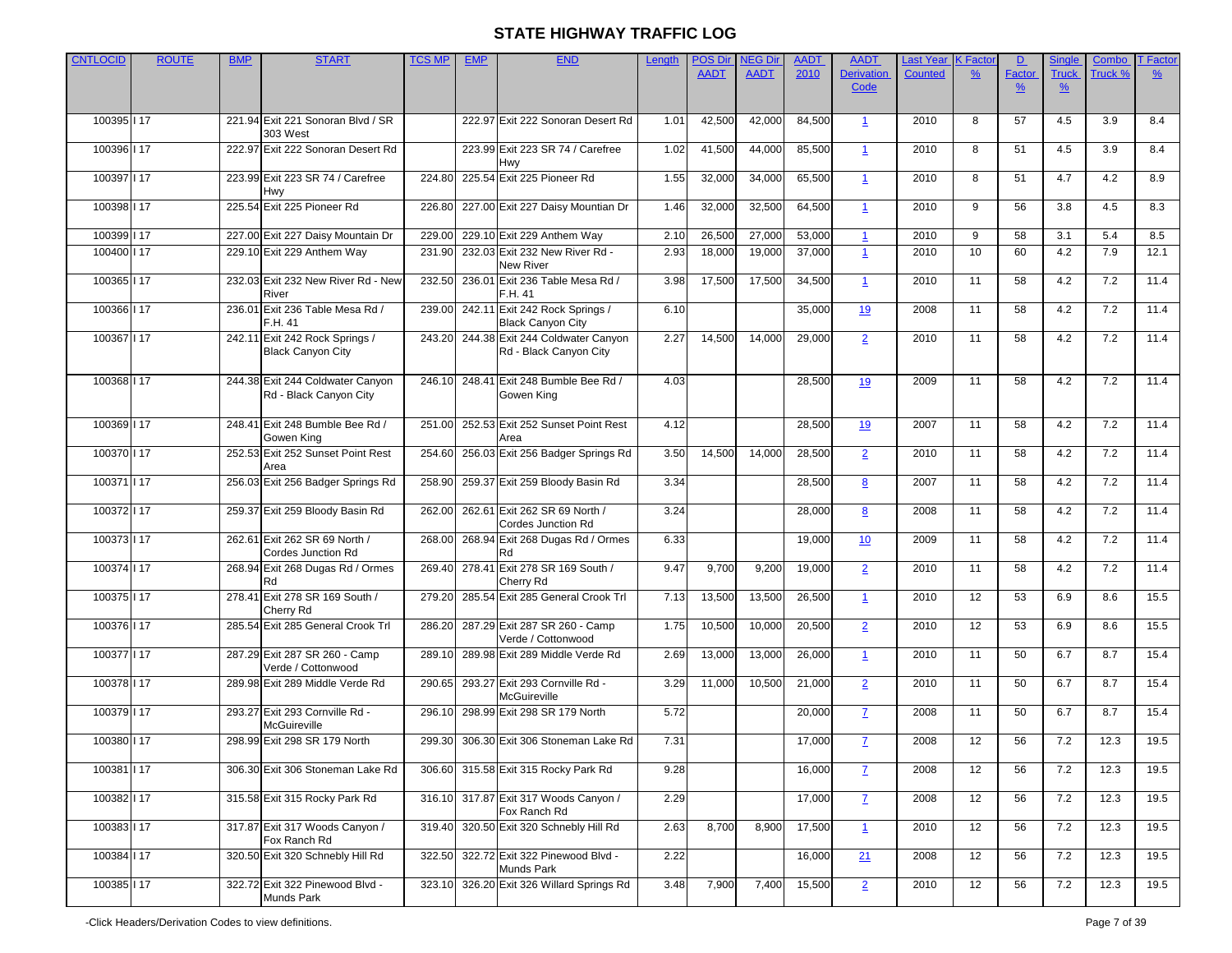| <b>CNTLOCID</b> | <b>ROUTE</b> | <b>BMP</b> | <b>START</b>                                               | <b>TCS MP</b> | <b>EMP</b> | <b>END</b>                                                 | Length | <b>POS Dir</b> | <b>JEG Dir</b> | <b>AADT</b> | <b>AADT</b>               | Last Year      | <b>K Factc</b> | $\mathbf{D}$                   | Single                        | Combo          | <b>Factor</b> |
|-----------------|--------------|------------|------------------------------------------------------------|---------------|------------|------------------------------------------------------------|--------|----------------|----------------|-------------|---------------------------|----------------|----------------|--------------------------------|-------------------------------|----------------|---------------|
|                 |              |            |                                                            |               |            |                                                            |        | <b>AADT</b>    | <b>AADT</b>    | 2010        | <b>Derivation</b><br>Code | <b>Counted</b> | $\frac{9}{6}$  | <b>Factor</b><br>$\frac{9}{6}$ | <b>Truck</b><br>$\frac{9}{6}$ | <b>Truck %</b> | $\frac{9}{6}$ |
|                 |              |            |                                                            |               |            |                                                            |        |                |                |             |                           |                |                |                                |                               |                |               |
| 100395   17     |              |            | 221.94 Exit 221 Sonoran Blvd / SR<br>303 West              |               |            | 222.97 Exit 222 Sonoran Desert Rd                          | 1.01   | 42,500         | 42,000         | 84,500      | $\mathbf{1}$              | 2010           | 8              | 57                             | 4.5                           | 3.9            | 8.4           |
| 100396   17     |              |            | 222.97 Exit 222 Sonoran Desert Rd                          |               |            | 223.99 Exit 223 SR 74 / Carefree<br>Hwy                    | 1.02   | 41,500         | 44,000         | 85,500      | $\mathbf{1}$              | 2010           | 8              | 51                             | 4.5                           | 3.9            | 8.4           |
| 100397   17     |              |            | 223.99 Exit 223 SR 74 / Carefree<br>Hwy                    | 224.80        |            | 225.54 Exit 225 Pioneer Rd                                 | 1.55   | 32,000         | 34,000         | 65,500      | $\mathbf{1}$              | 2010           | 8              | 51                             | 4.7                           | 4.2            | 8.9           |
| 100398 117      |              |            | 225.54 Exit 225 Pioneer Rd                                 | 226.80        |            | 227.00 Exit 227 Daisy Mountian Dr                          | 1.46   | 32,000         | 32,500         | 64,500      | $\mathbf{1}$              | 2010           | 9              | 56                             | 3.8                           | 4.5            | 8.3           |
| 100399 117      |              |            | 227.00 Exit 227 Daisy Mountain Dr                          | 229.00        |            | 229.10 Exit 229 Anthem Way                                 | 2.10   | 26,500         | 27,000         | 53,000      | $\mathbf{1}$              | 2010           | 9              | 58                             | 3.1                           | 5.4            | 8.5           |
| 100400   17     |              |            | 229.10 Exit 229 Anthem Way                                 | 231.90        |            | 232.03 Exit 232 New River Rd -<br>New River                | 2.93   | 18,000         | 19,000         | 37,000      | $\mathbf{1}$              | 2010           | 10             | 60                             | 4.2                           | 7.9            | 12.1          |
| 100365   17     |              |            | 232.03 Exit 232 New River Rd - New<br>River                | 232.50        |            | 236.01 Exit 236 Table Mesa Rd /<br>F.H. 41                 | 3.98   | 17,500         | 17,500         | 34,500      | $\overline{1}$            | 2010           | 11             | 58                             | 4.2                           | 7.2            | 11.4          |
| 100366   17     |              |            | 236.01 Exit 236 Table Mesa Rd /<br>F.H. 41                 | 239.00        |            | 242.11 Exit 242 Rock Springs /<br><b>Black Canyon City</b> | 6.10   |                |                | 35,000      | 19                        | 2008           | 11             | 58                             | 4.2                           | 7.2            | 11.4          |
| 100367   17     |              |            | 242.11 Exit 242 Rock Springs /<br><b>Black Canyon City</b> | 243.20        |            | 244.38 Exit 244 Coldwater Canyon<br>Rd - Black Canyon City | 2.27   | 14,500         | 14,000         | 29,000      | $\overline{2}$            | 2010           | 11             | 58                             | 4.2                           | 7.2            | 11.4          |
| 100368   17     |              |            | 244.38 Exit 244 Coldwater Canyon<br>Rd - Black Canyon City | 246.10        |            | 248.41 Exit 248 Bumble Bee Rd /<br>Gowen King              | 4.03   |                |                | 28,500      | <u>19</u>                 | 2009           | 11             | 58                             | 4.2                           | 7.2            | 11.4          |
| 100369   17     |              |            | 248.41 Exit 248 Bumble Bee Rd /<br>Gowen King              | 251.00        |            | 252.53 Exit 252 Sunset Point Rest<br>Area                  | 4.12   |                |                | 28,500      | 19                        | 2007           | 11             | 58                             | 4.2                           | 7.2            | 11.4          |
| 100370   17     |              |            | 252.53 Exit 252 Sunset Point Rest<br>Area                  | 254.60        |            | 256.03 Exit 256 Badger Springs Rd                          | 3.50   | 14,500         | 14,000         | 28,500      | $\overline{2}$            | 2010           | 11             | 58                             | 4.2                           | 7.2            | 11.4          |
| 100371   17     |              |            | 256.03 Exit 256 Badger Springs Rd                          | 258.90        |            | 259.37 Exit 259 Bloody Basin Rd                            | 3.34   |                |                | 28,500      | 8                         | 2007           | 11             | 58                             | 4.2                           | 7.2            | 11.4          |
| 100372   17     |              |            | 259.37 Exit 259 Bloody Basin Rd                            | 262.00        |            | 262.61 Exit 262 SR 69 North /<br>Cordes Junction Rd        | 3.24   |                |                | 28,000      | 8                         | 2008           | 11             | 58                             | 4.2                           | 7.2            | 11.4          |
| 100373   17     |              |            | 262.61 Exit 262 SR 69 North /<br>Cordes Junction Rd        | 268.00        |            | 268.94 Exit 268 Dugas Rd / Ormes<br>Rd                     | 6.33   |                |                | 19,000      | 10                        | 2009           | 11             | 58                             | 4.2                           | 7.2            | 11.4          |
| 100374   17     |              |            | 268.94 Exit 268 Dugas Rd / Ormes<br>Rd                     | 269.40        |            | 278.41 Exit 278 SR 169 South /<br>Cherry Rd                | 9.47   | 9,700          | 9,200          | 19,000      | $\overline{2}$            | 2010           | 11             | 58                             | 4.2                           | 7.2            | 11.4          |
| 100375   17     |              | 278.41     | Exit 278 SR 169 South /<br>Cherry Rd                       | 279.20        |            | 285.54 Exit 285 General Crook Trl                          | 7.13   | 13,500         | 13,500         | 26,500      | $\mathbf{1}$              | 2010           | 12             | 53                             | 6.9                           | 8.6            | 15.5          |
| 100376   17     |              |            | 285.54 Exit 285 General Crook Trl                          | 286.20        |            | 287.29 Exit 287 SR 260 - Camp<br>Verde / Cottonwood        | 1.75   | 10,500         | 10,000         | 20,500      | $\overline{2}$            | 2010           | 12             | 53                             | 6.9                           | 8.6            | 15.5          |
| 100377   17     |              |            | 287.29 Exit 287 SR 260 - Camp<br>Verde / Cottonwood        | 289.10        |            | 289.98 Exit 289 Middle Verde Rd                            | 2.69   | 13,000         | 13,000         | 26,000      | $\mathbf{1}$              | 2010           | 11             | 50                             | 6.7                           | 8.7            | 15.4          |
| 100378   17     |              |            | 289.98 Exit 289 Middle Verde Rd                            | 290.65        |            | 293.27 Exit 293 Cornville Rd -<br>McGuireville             | 3.29   | 11,000         | 10,500         | 21,000      | $\overline{2}$            | 2010           | 11             | 50                             | 6.7                           | 8.7            | 15.4          |
| 100379   17     |              |            | 293.27 Exit 293 Cornville Rd -<br>McGuireville             | 296.10        |            | 298.99 Exit 298 SR 179 North                               | 5.72   |                |                | 20,000      | $\mathbf{Z}$              | 2008           | 11             | 50                             | 6.7                           | 8.7            | 15.4          |
| 100380   17     |              |            | 298.99 Exit 298 SR 179 North                               | 299.30        |            | 306.30 Exit 306 Stoneman Lake Rd                           | 7.31   |                |                | 17,000      | $\mathbf{Z}$              | 2008           | 12             | 56                             | 7.2                           | 12.3           | 19.5          |
| 100381   17     |              |            | 306.30 Exit 306 Stoneman Lake Rd                           | 306.60        |            | 315.58 Exit 315 Rocky Park Rd                              | 9.28   |                |                | 16,000      | $\mathbf{Z}$              | 2008           | 12             | 56                             | 7.2                           | 12.3           | 19.5          |
| 100382   17     |              |            | 315.58 Exit 315 Rocky Park Rd                              | 316.10        |            | 317.87 Exit 317 Woods Canyon /<br>Fox Ranch Rd             | 2.29   |                |                | 17,000      | $\mathbf{Z}$              | 2008           | 12             | 56                             | 7.2                           | 12.3           | 19.5          |
| 100383   17     |              |            | 317.87 Exit 317 Woods Canyon /<br>Fox Ranch Rd             | 319.40        |            | 320.50 Exit 320 Schnebly Hill Rd                           | 2.63   | 8,700          | 8,900          | 17,500      | $\mathbf{1}$              | 2010           | 12             | 56                             | 7.2                           | 12.3           | 19.5          |
| 100384   17     |              |            | 320.50 Exit 320 Schnebly Hill Rd                           | 322.50        |            | 322.72 Exit 322 Pinewood Blvd -<br><b>Munds Park</b>       | 2.22   |                |                | 16,000      | 21                        | 2008           | 12             | 56                             | 7.2                           | 12.3           | 19.5          |
| 100385   17     |              |            | 322.72 Exit 322 Pinewood Blvd -<br>Munds Park              |               |            | 323.10 326.20 Exit 326 Willard Springs Rd                  | 3.48   | 7,900          | 7,400          | 15,500      | $\overline{2}$            | 2010           | 12             | 56                             | 7.2                           | 12.3           | 19.5          |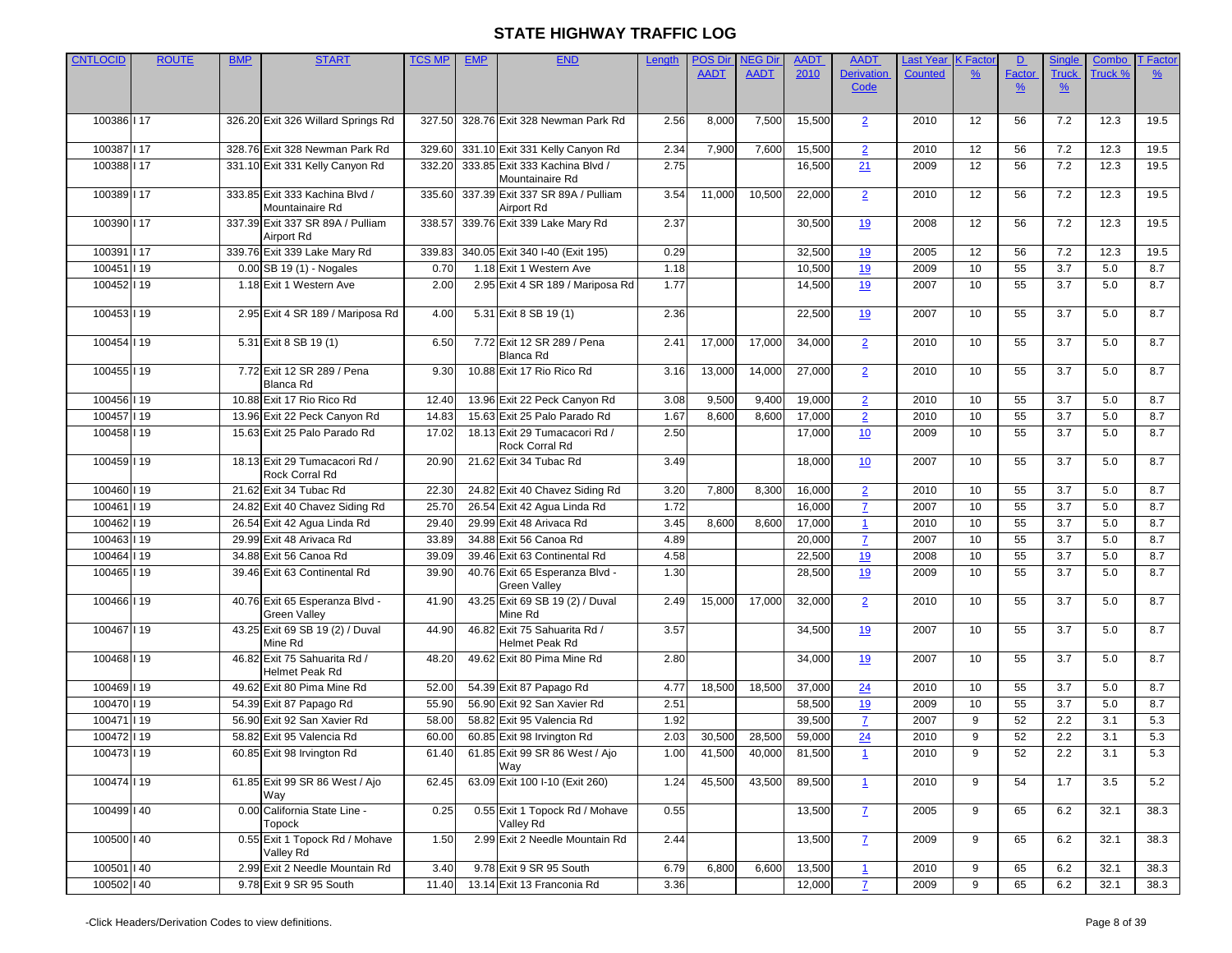| <b>CNTLOCID</b> | <b>ROUTE</b> | <b>BMP</b> | <b>START</b>                                   | <b>TCS MP</b> | <b>EMP</b> | <b>END</b>                                            | Length | <b>POS Dir</b> | <b>NEG Dir</b> | <b>AADT</b> | <b>AADT</b>             | <b>Last Year</b> | <b>K</b> Facto  | D             | Single        | Combo   | <b>T</b> Factor |
|-----------------|--------------|------------|------------------------------------------------|---------------|------------|-------------------------------------------------------|--------|----------------|----------------|-------------|-------------------------|------------------|-----------------|---------------|---------------|---------|-----------------|
|                 |              |            |                                                |               |            |                                                       |        | <b>AADT</b>    | <b>AADT</b>    | 2010        | <b>Derivation</b>       | <b>Counted</b>   | $\frac{9}{6}$   | <b>Factor</b> | <b>Truck</b>  | Truck % | $\frac{9}{6}$   |
|                 |              |            |                                                |               |            |                                                       |        |                |                |             | Code                    |                  |                 | $\frac{9}{6}$ | $\frac{9}{6}$ |         |                 |
|                 |              |            |                                                |               |            |                                                       |        |                |                |             |                         |                  |                 |               |               |         |                 |
| 100386   17     |              |            | 326.20 Exit 326 Willard Springs Rd             | 327.50        |            | 328.76 Exit 328 Newman Park Rd                        | 2.56   | 8,000          | 7,500          | 15,500      | $\overline{2}$          | 2010             | 12              | 56            | 7.2           | 12.3    | 19.5            |
| 100387   17     |              |            | 328.76 Exit 328 Newman Park Rd                 | 329.60        |            | 331.10 Exit 331 Kelly Canyon Rd                       | 2.34   | 7,900          | 7,600          | 15,500      | $\overline{2}$          | 2010             | 12              | 56            | 7.2           | 12.3    | 19.5            |
| 100388   17     |              |            | 331.10 Exit 331 Kelly Canyon Rd                | 332.20        |            | 333.85 Exit 333 Kachina Blvd /                        | 2.75   |                |                | 16,500      | $\overline{21}$         | 2009             | 12              | 56            | 7.2           | 12.3    | 19.5            |
|                 |              |            |                                                |               |            | Mountainaire Rd                                       |        |                |                |             |                         |                  |                 |               |               |         |                 |
| 100389   17     |              |            | 333.85 Exit 333 Kachina Blvd /                 | 335.60        |            | 337.39 Exit 337 SR 89A / Pulliam                      | 3.54   | 11,000         | 10,500         | 22,000      | $\overline{2}$          | 2010             | 12              | 56            | 7.2           | 12.3    | 19.5            |
|                 |              |            | Mountainaire Rd                                |               |            | Airport Rd                                            |        |                |                |             |                         |                  |                 |               |               |         |                 |
| 100390   17     |              |            | 337.39 Exit 337 SR 89A / Pulliam<br>Airport Rd | 338.57        |            | 339.76 Exit 339 Lake Mary Rd                          | 2.37   |                |                | 30,500      | <u>19</u>               | 2008             | 12              | 56            | 7.2           | 12.3    | 19.5            |
| 100391   17     |              |            | 339.76 Exit 339 Lake Mary Rd                   | 339.83        |            | 340.05 Exit 340 I-40 (Exit 195)                       | 0.29   |                |                | 32,500      | <u>19</u>               | 2005             | 12              | 56            | 7.2           | 12.3    | 19.5            |
| 100451          | 119          |            | 0.00 SB 19 (1) - Nogales                       | 0.70          |            | 1.18 Exit 1 Western Ave                               | 1.18   |                |                | 10,500      | 19                      | 2009             | 10              | 55            | 3.7           | 5.0     | 8.7             |
| 100452   19     |              |            | 1.18 Exit 1 Western Ave                        | 2.00          |            | 2.95 Exit 4 SR 189 / Mariposa Rd                      | 1.77   |                |                | 14,500      | 19                      | 2007             | 10              | 55            | 3.7           | 5.0     | 8.7             |
|                 |              |            |                                                |               |            |                                                       |        |                |                |             |                         |                  |                 |               |               |         |                 |
| 100453   19     |              |            | 2.95 Exit 4 SR 189 / Mariposa Rd               | 4.00          |            | 5.31 Exit 8 SB 19 (1)                                 | 2.36   |                |                | 22,500      | 19                      | 2007             | 10              | 55            | 3.7           | 5.0     | 8.7             |
| 100454   19     |              |            | 5.31 Exit 8 SB 19 (1)                          | 6.50          |            | 7.72 Exit 12 SR 289 / Pena                            | 2.41   | 17,000         | 17,000         | 34,000      | $\overline{2}$          | 2010             | 10              | 55            | 3.7           | 5.0     | 8.7             |
|                 |              |            |                                                |               |            | <b>Blanca Rd</b>                                      |        |                |                |             |                         |                  |                 |               |               |         |                 |
| 100455   19     |              |            | 7.72 Exit 12 SR 289 / Pena                     | 9.30          |            | 10.88 Exit 17 Rio Rico Rd                             | 3.16   | 13,000         | 14,000         | 27,000      | $\overline{2}$          | 2010             | 10              | 55            | 3.7           | 5.0     | 8.7             |
|                 |              |            | Blanca Rd                                      |               |            |                                                       |        |                |                |             |                         |                  |                 |               |               |         |                 |
| 100456   19     |              |            | 10.88 Exit 17 Rio Rico Rd                      | 12.40         |            | 13.96 Exit 22 Peck Canyon Rd                          | 3.08   | 9,500          | 9,400          | 19,000      | $\overline{2}$          | 2010             | 10 <sup>°</sup> | 55            | 3.7           | 5.0     | 8.7             |
| 100457          | <b>119</b>   |            | 13.96 Exit 22 Peck Canyon Rd                   | 14.83         |            | 15.63 Exit 25 Palo Parado Rd                          | 1.67   | 8,600          | 8,600          | 17,000      | $\overline{2}$          | 2010             | 10              | 55            | 3.7           | 5.0     | 8.7             |
| 100458   19     |              |            | 15.63 Exit 25 Palo Parado Rd                   | 17.02         |            | 18.13 Exit 29 Tumacacori Rd /<br>Rock Corral Rd       | 2.50   |                |                | 17,000      | 10                      | 2009             | 10 <sup>°</sup> | 55            | 3.7           | 5.0     | 8.7             |
| 100459   19     |              |            | 18.13 Exit 29 Tumacacori Rd /                  | 20.90         |            | 21.62 Exit 34 Tubac Rd                                | 3.49   |                |                | 18,000      | 10                      | 2007             | 10              | 55            | 3.7           | 5.0     | 8.7             |
|                 |              |            | Rock Corral Rd                                 |               |            |                                                       |        |                |                |             |                         |                  |                 |               |               |         |                 |
| 100460   19     |              |            | 21.62 Exit 34 Tubac Rd                         | 22.30         |            | 24.82 Exit 40 Chavez Siding Rd                        | 3.20   | 7,800          | 8,300          | 16,000      | $\overline{2}$          | 2010             | 10              | 55            | 3.7           | 5.0     | 8.7             |
| 100461          | 19           |            | 24.82 Exit 40 Chavez Siding Rd                 | 25.70         |            | 26.54 Exit 42 Agua Linda Rd                           | 1.72   |                |                | 16,000      | $\overline{7}$          | 2007             | 10 <sup>°</sup> | 55            | 3.7           | 5.0     | 8.7             |
| 100462          | <b>119</b>   |            | 26.54 Exit 42 Agua Linda Rd                    | 29.40         |            | 29.99 Exit 48 Arivaca Rd                              | 3.45   | 8,600          | 8,600          | 17,000      | $\mathbf{\overline{1}}$ | 2010             | 10              | 55            | 3.7           | 5.0     | 8.7             |
| 100463          | l 19         |            | 29.99 Exit 48 Arivaca Rd                       | 33.89         |            | 34.88 Exit 56 Canoa Rd                                | 4.89   |                |                | 20,000      | $\mathbf{Z}$            | 2007             | 10 <sup>°</sup> | 55            | 3.7           | 5.0     | 8.7             |
| 100464          | <b>119</b>   |            | 34.88 Exit 56 Canoa Rd                         | 39.09         |            | 39.46 Exit 63 Continental Rd                          | 4.58   |                |                | 22,500      | <u>19</u>               | 2008             | 10              | 55            | 3.7           | 5.0     | 8.7             |
| 100465   19     |              |            | 39.46 Exit 63 Continental Rd                   | 39.90         |            | 40.76 Exit 65 Esperanza Blvd -<br><b>Green Valley</b> | 1.30   |                |                | 28,500      | 19                      | 2009             | 10 <sup>°</sup> | 55            | 3.7           | 5.0     | 8.7             |
| 100466   19     |              |            | 40.76 Exit 65 Esperanza Blvd -                 | 41.90         |            | 43.25 Exit 69 SB 19 (2) / Duval                       | 2.49   | 15,000         | 17,000         | 32,000      | $\overline{2}$          | 2010             | 10 <sup>°</sup> | 55            | 3.7           | 5.0     | 8.7             |
|                 |              |            | <b>Green Valley</b>                            |               |            | Mine Rd                                               |        |                |                |             |                         |                  |                 |               |               |         |                 |
| 100467   19     |              |            | 43.25 Exit 69 SB 19 (2) / Duval<br>Mine Rd     | 44.90         |            | 46.82 Exit 75 Sahuarita Rd /<br>Helmet Peak Rd        | 3.57   |                |                | 34,500      | 19                      | 2007             | 10              | 55            | 3.7           | 5.0     | 8.7             |
| 100468   19     |              |            | 46.82 Exit 75 Sahuarita Rd /                   | 48.20         |            | 49.62 Exit 80 Pima Mine Rd                            | 2.80   |                |                | 34,000      | <u>19</u>               | 2007             | 10              | 55            | 3.7           | 5.0     | 8.7             |
|                 |              |            | Helmet Peak Rd                                 |               |            |                                                       |        |                |                |             |                         |                  |                 |               |               |         |                 |
| 100469   19     |              |            | 49.62 Exit 80 Pima Mine Rd                     | 52.00         |            | 54.39 Exit 87 Papago Rd                               | 4.77   | 18,500         | 18,500         | 37,000      | 24                      | 2010             | 10              | 55            | 3.7           | 5.0     | 8.7             |
| 100470   19     |              |            | 54.39 Exit 87 Papago Rd                        | 55.90         |            | 56.90 Exit 92 San Xavier Rd                           | 2.51   |                |                | 58,500      | 19                      | 2009             | 10              | 55            | 3.7           | 5.0     | 8.7             |
| 100471          | <b>119</b>   |            | 56.90 Exit 92 San Xavier Rd                    | 58.00         |            | 58.82 Exit 95 Valencia Rd                             | 1.92   |                |                | 39,500      | $\mathbf{Z}$            | 2007             | 9               | 52            | 2.2           | 3.1     | 5.3             |
| 100472   19     |              |            | 58.82 Exit 95 Valencia Rd                      | 60.00         |            | 60.85 Exit 98 Irvington Rd                            | 2.03   | 30,500         | 28,500         | 59,000      | 24                      | 2010             | 9               | 52            | 2.2           | 3.1     | 5.3             |
| 100473   19     |              |            | 60.85 Exit 98 Irvington Rd                     | 61.40         |            | 61.85 Exit 99 SR 86 West / Ajo<br>Way                 | 1.00   | 41,500         | 40,000         | 81,500      | $\overline{1}$          | 2010             | 9               | 52            | 2.2           | 3.1     | 5.3             |
| 100474   19     |              |            | 61.85 Exit 99 SR 86 West / Ajo<br>Way          | 62.45         |            | 63.09 Exit 100 I-10 (Exit 260)                        | 1.24   | 45,500         | 43,500         | 89,500      | $\mathbf{1}$            | 2010             | 9               | 54            | 1.7           | 3.5     | 5.2             |
| 100499   40     |              |            | 0.00 California State Line -                   | 0.25          |            | 0.55 Exit 1 Topock Rd / Mohave                        | 0.55   |                |                | 13,500      | $\mathbf{Z}$            | 2005             | 9               | 65            | 6.2           | 32.1    | 38.3            |
|                 |              |            | Topock                                         |               |            | Valley Rd                                             |        |                |                |             |                         |                  |                 |               |               |         |                 |
| 100500   40     |              |            | 0.55 Exit 1 Topock Rd / Mohave<br>Valley Rd    | 1.50          |            | 2.99 Exit 2 Needle Mountain Rd                        | 2.44   |                |                | 13,500      | $\mathbf{Z}$            | 2009             | 9               | 65            | 6.2           | 32.1    | 38.3            |
| 100501   40     |              |            | 2.99 Exit 2 Needle Mountain Rd                 | 3.40          |            | 9.78 Exit 9 SR 95 South                               | 6.79   | 6,800          | 6,600          | 13,500      | $\overline{1}$          | 2010             | 9               | 65            | 6.2           | 32.1    | 38.3            |
| 100502   40     |              |            | 9.78 Exit 9 SR 95 South                        | 11.40         |            | 13.14 Exit 13 Franconia Rd                            | 3.36   |                |                | 12,000      | $\overline{7}$          | 2009             | 9               | 65            | 6.2           | 32.1    | 38.3            |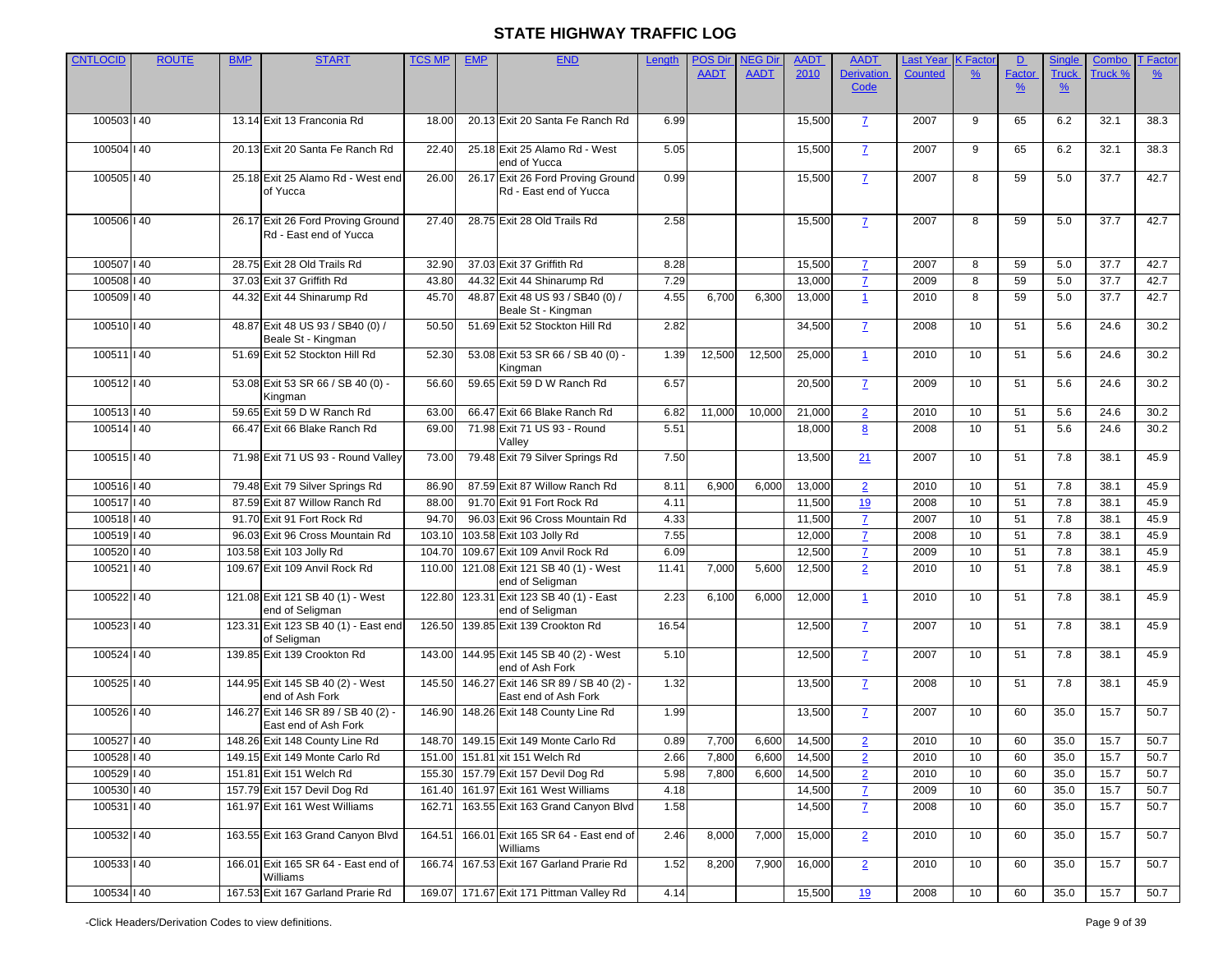| <b>CNTLOCID</b>            | <b>ROUTE</b> | <b>BMP</b> | <b>START</b>                                                  | <b>TCS MP</b>  | <b>EMP</b> | <b>END</b>                                                | Length       | <b>POS Dir</b> | <b>JEG Dir</b> | <b>AADT</b>      | <b>AADT</b>       | <b>Last Year</b> | <b>K</b> Factc  | D             | Single        | Combo        | <b>T</b> Factor |
|----------------------------|--------------|------------|---------------------------------------------------------------|----------------|------------|-----------------------------------------------------------|--------------|----------------|----------------|------------------|-------------------|------------------|-----------------|---------------|---------------|--------------|-----------------|
|                            |              |            |                                                               |                |            |                                                           |              | <b>AADT</b>    | <b>AADT</b>    | 2010             | <b>Derivation</b> | <b>Counted</b>   | $\frac{9}{6}$   | <b>Factor</b> | <b>Truck</b>  | Truck 9      | $\frac{9}{6}$   |
|                            |              |            |                                                               |                |            |                                                           |              |                |                |                  | Code              |                  |                 | $\frac{9}{6}$ | $\frac{9}{6}$ |              |                 |
|                            |              |            |                                                               |                |            |                                                           |              |                |                |                  |                   |                  |                 |               |               |              |                 |
| 100503   40                |              |            | 13.14 Exit 13 Franconia Rd                                    | 18.00          |            | 20.13 Exit 20 Santa Fe Ranch Rd                           | 6.99         |                |                | 15,500           | $\mathbf{Z}$      | 2007             | 9               | 65            | 6.2           | 32.1         | 38.3            |
| 100504   40                |              |            | 20.13 Exit 20 Santa Fe Ranch Rd                               | 22.40          |            | 25.18 Exit 25 Alamo Rd - West                             | 5.05         |                |                | 15,500           | $\mathbf{Z}$      | 2007             | 9               | 65            | 6.2           | 32.1         | 38.3            |
|                            |              |            |                                                               |                |            | end of Yucca                                              |              |                |                |                  |                   |                  |                 |               |               |              |                 |
| 100505   40                |              |            | 25.18 Exit 25 Alamo Rd - West end                             | 26.00          |            | 26.17 Exit 26 Ford Proving Ground                         | 0.99         |                |                | 15,500           | $\mathbf{Z}$      | 2007             | 8               | 59            | 5.0           | 37.7         | 42.7            |
|                            |              |            | of Yucca                                                      |                |            | Rd - East end of Yucca                                    |              |                |                |                  |                   |                  |                 |               |               |              |                 |
|                            |              |            |                                                               |                |            |                                                           |              |                |                |                  |                   |                  |                 |               |               |              |                 |
| 100506   40                |              |            | 26.17 Exit 26 Ford Proving Ground                             | 27.40          |            | 28.75 Exit 28 Old Trails Rd                               | 2.58         |                |                | 15,500           | $\mathbf{Z}$      | 2007             | 8               | 59            | 5.0           | 37.7         | 42.7            |
|                            |              |            | Rd - East end of Yucca                                        |                |            |                                                           |              |                |                |                  |                   |                  |                 |               |               |              |                 |
| 100507   40                |              |            | 28.75 Exit 28 Old Trails Rd                                   | 32.90          |            | 37.03 Exit 37 Griffith Rd                                 | 8.28         |                |                | 15,500           | $\overline{7}$    | 2007             | 8               | 59            | 5.0           | 37.7         | 42.7            |
| 100508   40                |              |            | 37.03 Exit 37 Griffith Rd                                     | 43.80          |            | 44.32 Exit 44 Shinarump Rd                                | 7.29         |                |                | 13,000           | $\mathbf{Z}$      | 2009             | 8               | 59            | 5.0           | 37.7         | 42.7            |
| 100509   40                |              |            | 44.32 Exit 44 Shinarump Rd                                    | 45.70          |            | 48.87 Exit 48 US 93 / SB40 (0) /                          | 4.55         | 6,700          | 6,300          | 13,000           | $\mathbf{1}$      | 2010             | 8               | 59            | 5.0           | 37.7         | 42.7            |
|                            |              |            |                                                               |                |            | Beale St - Kingman                                        |              |                |                |                  |                   |                  |                 |               |               |              |                 |
| 100510   40                |              |            | 48.87 Exit 48 US 93 / SB40 (0) /                              | 50.50          |            | 51.69 Exit 52 Stockton Hill Rd                            | 2.82         |                |                | 34,500           | $\mathbf{Z}$      | 2008             | 10 <sup>°</sup> | 51            | 5.6           | 24.6         | 30.2            |
|                            |              |            | Beale St - Kingman                                            |                |            |                                                           |              |                |                |                  |                   |                  |                 |               |               |              |                 |
| 100511   40                |              |            | 51.69 Exit 52 Stockton Hill Rd                                | 52.30          |            | 53.08 Exit 53 SR 66 / SB 40 (0) -                         | 1.39         | 12,500         | 12,500         | 25,000           | $\mathbf{1}$      | 2010             | 10 <sup>°</sup> | 51            | 5.6           | 24.6         | 30.2            |
| 100512   40                |              |            | 53.08 Exit 53 SR 66 / SB 40 (0) -                             | 56.60          |            | Kingman<br>59.65 Exit 59 D W Ranch Rd                     | 6.57         |                |                | 20,500           | $\mathbf{Z}$      | 2009             | 10 <sup>°</sup> | 51            | 5.6           | 24.6         | 30.2            |
|                            |              |            | Kingman                                                       |                |            |                                                           |              |                |                |                  |                   |                  |                 |               |               |              |                 |
| 100513   40                |              |            | 59.65 Exit 59 D W Ranch Rd                                    | 63.00          |            | 66.47 Exit 66 Blake Ranch Rd                              | 6.82         | 11,000         | 10,000         | 21,000           | $\overline{2}$    | 2010             | 10              | 51            | 5.6           | 24.6         | 30.2            |
| 100514   40                |              |            | 66.47 Exit 66 Blake Ranch Rd                                  | 69.00          |            | 71.98 Exit 71 US 93 - Round                               | 5.51         |                |                | 18,000           | 8                 | 2008             | 10 <sup>°</sup> | 51            | 5.6           | 24.6         | 30.2            |
|                            |              |            |                                                               |                |            | Valley                                                    |              |                |                |                  |                   |                  |                 |               |               |              |                 |
| 100515   40                |              |            | 71.98 Exit 71 US 93 - Round Valley                            | 73.00          |            | 79.48 Exit 79 Silver Springs Rd                           | 7.50         |                |                | 13,500           | $\overline{21}$   | 2007             | 10 <sup>°</sup> | 51            | 7.8           | 38.1         | 45.9            |
|                            |              |            |                                                               |                |            |                                                           |              |                |                |                  |                   |                  |                 |               |               |              |                 |
| 100516   40                |              |            | 79.48 Exit 79 Silver Springs Rd                               | 86.90          |            | 87.59 Exit 87 Willow Ranch Rd                             | 8.11         | 6,900          | 6,000          | 13,000           | $\overline{2}$    | 2010             | 10 <sup>°</sup> | 51            | 7.8           | 38.1         | 45.9            |
| 100517   40                |              |            | 87.59 Exit 87 Willow Ranch Rd                                 | 88.00<br>94.70 |            | 91.70 Exit 91 Fort Rock Rd                                | 4.11<br>4.33 |                |                | 11,500           | 19                | 2008<br>2007     | 10              | 51            | 7.8           | 38.1         | 45.9            |
| 100518   40<br>100519   40 |              |            | 91.70 Exit 91 Fort Rock Rd<br>96.03 Exit 96 Cross Mountain Rd | 103.10         |            | 96.03 Exit 96 Cross Mountain Rd                           | 7.55         |                |                | 11,500           | $\mathbf{Z}$      | 2008             | 10<br>10        | 51<br>51      | 7.8<br>7.8    | 38.1<br>38.1 | 45.9<br>45.9    |
| 100520   40                |              |            | 103.58 Exit 103 Jolly Rd                                      | 104.70         |            | 103.58 Exit 103 Jolly Rd<br>109.67 Exit 109 Anvil Rock Rd | 6.09         |                |                | 12,000<br>12,500 | $\mathbf{Z}$      | 2009             | 10              | 51            | 7.8           | 38.1         | 45.9            |
| 100521   40                |              |            | 109.67 Exit 109 Anvil Rock Rd                                 | 110.00         |            | 121.08 Exit 121 SB 40 (1) - West                          | 11.41        | 7,000          | 5,600          | 12,500           | $\mathbf{Z}$      | 2010             | 10              | 51            | 7.8           | 38.1         | 45.9            |
|                            |              |            |                                                               |                |            | end of Seligman                                           |              |                |                |                  | $\overline{2}$    |                  |                 |               |               |              |                 |
| 100522   40                |              |            | 121.08 Exit 121 SB 40 (1) - West                              | 122.80         |            | 123.31 Exit 123 SB 40 (1) - East                          | 2.23         | 6,100          | 6,000          | 12,000           | $\mathbf{1}$      | 2010             | 10 <sup>°</sup> | 51            | 7.8           | 38.1         | 45.9            |
|                            |              |            | end of Seligman                                               |                |            | end of Seligman                                           |              |                |                |                  |                   |                  |                 |               |               |              |                 |
| 100523   40                |              |            | 123.31 Exit 123 SB 40 (1) - East end                          | 126.50         |            | 139.85 Exit 139 Crookton Rd                               | 16.54        |                |                | 12,500           | $\mathbf{Z}$      | 2007             | 10 <sup>°</sup> | 51            | 7.8           | 38.1         | 45.9            |
|                            |              |            | of Seligman                                                   |                |            |                                                           |              |                |                |                  |                   |                  |                 |               |               |              |                 |
| 100524   40                |              |            | 139.85 Exit 139 Crookton Rd                                   | 143.00         |            | 144.95 Exit 145 SB 40 (2) - West<br>end of Ash Fork       | 5.10         |                |                | 12,500           | $\mathbf{Z}$      | 2007             | 10              | 51            | 7.8           | 38.1         | 45.9            |
| 100525   40                |              |            | 144.95 Exit 145 SB 40 (2) - West                              | 145.50         |            | 146.27 Exit 146 SR 89 / SB 40 (2) -                       | 1.32         |                |                | 13,500           | $\mathbf{Z}$      | 2008             | 10 <sup>°</sup> | 51            | 7.8           | 38.1         | 45.9            |
|                            |              |            | end of Ash Fork                                               |                |            | East end of Ash Fork                                      |              |                |                |                  |                   |                  |                 |               |               |              |                 |
| 100526   40                |              |            | 146.27 Exit 146 SR 89 / SB 40 (2) -                           | 146.90         |            | 148.26 Exit 148 County Line Rd                            | 1.99         |                |                | 13,500           | $\mathbf{Z}$      | 2007             | 10              | 60            | 35.0          | 15.7         | 50.7            |
|                            |              |            | East end of Ash Fork                                          |                |            |                                                           |              |                |                |                  |                   |                  |                 |               |               |              |                 |
| 100527   40                |              |            | 148.26 Exit 148 County Line Rd                                |                |            | 148.70 149.15 Exit 149 Monte Carlo Rd                     | 0.89         | 7,700          | 6,600          | 14,500           | $\overline{2}$    | 2010             | 10              | 60            | 35.0          | 15.7         | 50.7            |
| 100528   40                |              |            | 149.15 Exit 149 Monte Carlo Rd                                |                |            | 151.00 151.81 xit 151 Welch Rd                            | 2.66         | 7,800          | 6,600          | 14,500           | $\overline{2}$    | 2010             | 10              | 60            | 35.0          | 15.7         | 50.7            |
| 100529   40                |              |            | 151.81 Exit 151 Welch Rd                                      | 155.30         |            | 157.79 Exit 157 Devil Dog Rd                              | 5.98         | 7,800          | 6,600          | 14,500           | $\overline{2}$    | 2010             | 10              | 60            | 35.0          | 15.7         | 50.7            |
| 100530   40                |              |            | 157.79 Exit 157 Devil Dog Rd                                  | 161.40         |            | 161.97 Exit 161 West Williams                             | 4.18         |                |                | 14,500           | $\mathbf{Z}$      | 2009             | 10              | 60            | 35.0          | 15.7         | 50.7            |
| 100531   40                |              |            | 161.97 Exit 161 West Williams                                 | 162.71         |            | 163.55 Exit 163 Grand Canyon Blvd                         | 1.58         |                |                | 14,500           | $\overline{L}$    | 2008             | 10              | 60            | 35.0          | 15.7         | 50.7            |
|                            |              |            |                                                               |                |            |                                                           |              |                |                |                  |                   |                  |                 |               |               |              |                 |
| 100532   40                |              |            | 163.55 Exit 163 Grand Canyon Blvd                             | 164.51         |            | 166.01 Exit 165 SR 64 - East end of<br>Williams           | 2.46         | 8,000          | 7,000          | 15,000           | $\overline{2}$    | 2010             | 10              | 60            | 35.0          | 15.7         | 50.7            |
| 100533   40                |              |            | 166.01 Exit 165 SR 64 - East end of                           |                |            | 166.74 167.53 Exit 167 Garland Prarie Rd                  | 1.52         | 8,200          | 7,900          | 16,000           | $\overline{2}$    | 2010             | 10              | 60            | 35.0          | 15.7         | 50.7            |
|                            |              |            | Williams                                                      |                |            |                                                           |              |                |                |                  |                   |                  |                 |               |               |              |                 |
| 100534   40                |              |            | 167.53 Exit 167 Garland Prarie Rd                             |                |            | 169.07 171.67 Exit 171 Pittman Valley Rd                  | 4.14         |                |                | 15,500           | 19                | 2008             | 10              | 60            | 35.0          | 15.7         | 50.7            |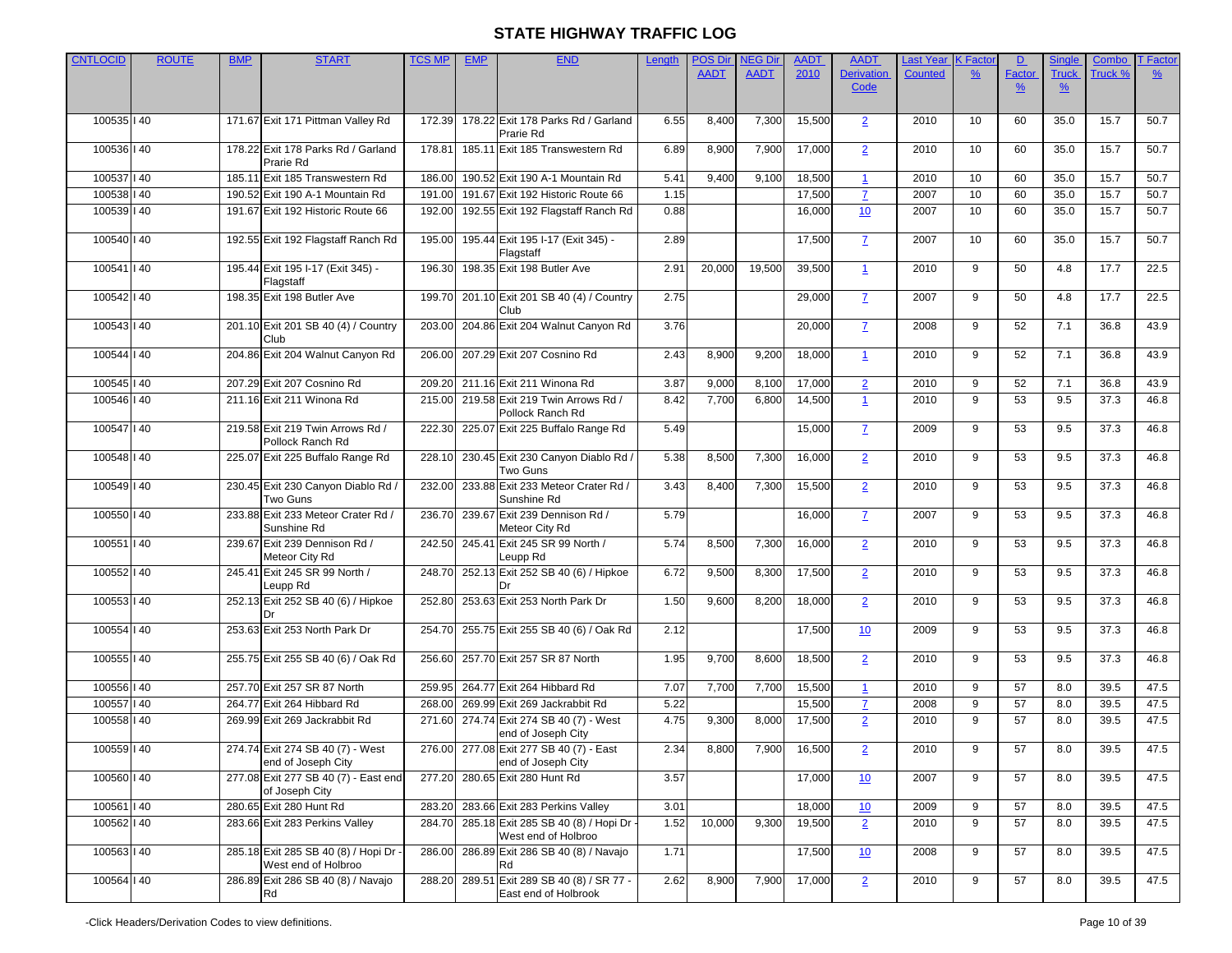| <b>CNTLOCID</b> | <b>ROUTE</b> | <b>BMP</b> | <b>START</b>                                               | <b>TCS MP</b> | <b>EMP</b> | <b>END</b>                                                    | Length | <b>POS Dir</b> | <b>NEG Dir</b> | <b>AADT</b>  | <b>AADT</b>               | Last Year      | <b>K</b> Facto  | D                              | <b>Single</b>                 | Combo   | <b>T</b> Factor |
|-----------------|--------------|------------|------------------------------------------------------------|---------------|------------|---------------------------------------------------------------|--------|----------------|----------------|--------------|---------------------------|----------------|-----------------|--------------------------------|-------------------------------|---------|-----------------|
|                 |              |            |                                                            |               |            |                                                               |        | <b>AADT</b>    | <b>AADT</b>    | 2010         | <b>Derivation</b><br>Code | <b>Counted</b> | $\frac{9}{6}$   | <b>Factor</b><br>$\frac{9}{6}$ | <b>Truck</b><br>$\frac{9}{6}$ | Truck 9 | $\frac{9}{6}$   |
| 100535   40     |              |            | 171.67 Exit 171 Pittman Valley Rd                          | 172.39        |            | 178.22 Exit 178 Parks Rd / Garland<br>Prarie Rd               | 6.55   | 8,400          | 7,300          | 15,500       | $\overline{2}$            | 2010           | 10              | 60                             | 35.0                          | 15.7    | 50.7            |
| 100536   40     |              |            | 178.22 Exit 178 Parks Rd / Garland<br>Prarie Rd            | 178.81        |            | 185.11 Exit 185 Transwestern Rd                               | 6.89   | 8,900          | 7,900          | 17,000       | $\overline{2}$            | 2010           | 10 <sup>°</sup> | 60                             | 35.0                          | 15.7    | 50.7            |
| 100537   40     |              |            | 185.11 Exit 185 Transwestern Rd                            | 186.00        |            | 190.52 Exit 190 A-1 Mountain Rd                               | 5.41   | 9,400          | 9,100          | 18,500       | $\overline{1}$            | 2010           | 10              | 60                             | 35.0                          | 15.7    | 50.7            |
| 100538   40     |              |            | 190.52 Exit 190 A-1 Mountain Rd                            | 191.00        |            | 191.67 Exit 192 Historic Route 66                             | 1.15   |                |                | 17,500       | $\mathbf{Z}$              | 2007           | 10              | 60                             | 35.0                          | 15.7    | 50.7            |
| 100539   40     |              |            | 191.67 Exit 192 Historic Route 66                          | 192.00        |            | 192.55 Exit 192 Flagstaff Ranch Rd                            | 0.88   |                |                | 16,000       | 10                        | 2007           | 10              | 60                             | 35.0                          | 15.7    | 50.7            |
| 100540   40     |              |            | 192.55 Exit 192 Flagstaff Ranch Rd                         | 195.00        |            | 195.44 Exit 195 I-17 (Exit 345) -<br>Flagstaff                | 2.89   |                |                | 17,500       | $\mathbf{Z}$              | 2007           | 10              | 60                             | 35.0                          | 15.7    | 50.7            |
| 100541   40     |              |            | 195.44 Exit 195 I-17 (Exit 345) -<br>Flagstaff             | 196.30        |            | 198.35 Exit 198 Butler Ave                                    | 2.91   | 20,000         | 19,500         | 39,500       | $\mathbf{1}$              | 2010           | 9               | 50                             | 4.8                           | 17.7    | 22.5            |
| 100542   40     |              |            | 198.35 Exit 198 Butler Ave                                 | 199.70        |            | 201.10 Exit 201 SB 40 (4) / Country<br>Club                   | 2.75   |                |                | 29,000       | $\mathbf{Z}$              | 2007           | 9               | 50                             | 4.8                           | 17.7    | 22.5            |
| 100543   40     |              |            | 201.10 Exit 201 SB 40 (4) / Country<br>Club                | 203.00        |            | 204.86 Exit 204 Walnut Canyon Rd                              | 3.76   |                |                | 20,000       | $\mathbf{Z}$              | 2008           | 9               | 52                             | 7.1                           | 36.8    | 43.9            |
| 100544   40     |              |            | 204.86 Exit 204 Walnut Canyon Rd                           | 206.00        |            | 207.29 Exit 207 Cosnino Rd                                    | 2.43   | 8,900          | 9,200          | 18,000       | $\mathbf{1}$              | 2010           | 9               | 52                             | 7.1                           | 36.8    | 43.9            |
| 100545   40     |              |            | 207.29 Exit 207 Cosnino Rd                                 | 209.20        |            | 211.16 Exit 211 Winona Rd                                     | 3.87   | 9,000          | 8,100          | 17,000       | $\overline{2}$            | 2010           | 9               | 52                             | 7.1                           | 36.8    | 43.9            |
| 100546   40     |              |            | 211.16 Exit 211 Winona Rd                                  | 215.00        |            | 219.58 Exit 219 Twin Arrows Rd /<br>Pollock Ranch Rd          | 8.42   | 7,700          | 6,800          | 14,500       | $\mathbf{1}$              | 2010           | $\overline{9}$  | 53                             | 9.5                           | 37.3    | 46.8            |
| 100547   40     |              |            | 219.58 Exit 219 Twin Arrows Rd /<br>Pollock Ranch Rd       | 222.30        |            | 225.07 Exit 225 Buffalo Range Rd                              | 5.49   |                |                | 15,000       | $\mathbf{Z}$              | 2009           | 9               | 53                             | 9.5                           | 37.3    | 46.8            |
| 100548   40     |              |            | 225.07 Exit 225 Buffalo Range Rd                           | 228.10        |            | 230.45 Exit 230 Canyon Diablo Rd /<br>Two Guns                | 5.38   | 8,500          | 7,300          | 16,000       | $\overline{2}$            | 2010           | 9               | 53                             | 9.5                           | 37.3    | 46.8            |
| 100549   40     |              |            | 230.45 Exit 230 Canyon Diablo Rd<br>Two Guns               | 232.00        |            | 233.88 Exit 233 Meteor Crater Rd /<br>Sunshine Rd             | 3.43   | 8,400          | 7,300          | 15,500       | $\overline{2}$            | 2010           | 9               | 53                             | 9.5                           | 37.3    | 46.8            |
| 100550   40     |              |            | 233.88 Exit 233 Meteor Crater Rd /<br>Sunshine Rd          | 236.70        |            | 239.67 Exit 239 Dennison Rd /<br>Meteor City Rd               | 5.79   |                |                | 16,000       | $\mathbf{Z}$              | 2007           | 9               | 53                             | 9.5                           | 37.3    | 46.8            |
| 100551   40     |              |            | 239.67 Exit 239 Dennison Rd /<br>Meteor City Rd            | 242.50        |            | 245.41 Exit 245 SR 99 North /<br>Leupp Rd                     | 5.74   | 8,500          | 7,300          | 16,000       | $\overline{2}$            | 2010           | 9               | 53                             | 9.5                           | 37.3    | 46.8            |
| 100552   40     |              |            | 245.41 Exit 245 SR 99 North /<br>Leupp Rd                  | 248.70        |            | 252.13 Exit 252 SB 40 (6) / Hipkoe<br>Dr                      | 6.72   | 9,500          | 8,300          | 17,500       | $\overline{2}$            | 2010           | $\overline{9}$  | 53                             | 9.5                           | 37.3    | 46.8            |
| 100553   40     |              |            | 252.13 Exit 252 SB 40 (6) / Hipkoe                         | 252.80        |            | 253.63 Exit 253 North Park Dr                                 | 1.50   | 9,600          | 8,200          | 18,000       | $\overline{2}$            | 2010           | 9               | 53                             | 9.5                           | 37.3    | 46.8            |
| 100554   40     |              |            | 253.63 Exit 253 North Park Dr                              | 254.70        |            | 255.75 Exit 255 SB 40 (6) / Oak Rd                            | 2.12   |                |                | 17,500       | 10                        | 2009           | 9               | 53                             | 9.5                           | 37.3    | 46.8            |
| 100555   40     |              |            | 255.75 Exit 255 SB 40 (6) / Oak Rd                         | 256.60        |            | 257.70 Exit 257 SR 87 North                                   | 1.95   | 9,700          | 8,600          | 18,500       | $\overline{2}$            | 2010           | 9               | 53                             | 9.5                           | 37.3    | 46.8            |
| 100556   40     |              |            | 257.70 Exit 257 SR 87 North                                | 259.95        |            | 264.77 Exit 264 Hibbard Rd                                    | 7.07   | 7,700          | 7,700          | 15,500       | $\overline{1}$            | 2010           | 9               | 57                             | 8.0                           | 39.5    | 47.5            |
| 100557   40     |              |            | 264.77 Exit 264 Hibbard Rd                                 | 268.00        |            | 269.99 Exit 269 Jackrabbit Rd                                 | 5.22   |                |                | 15,500       | $\mathbf{Z}$              | 2008           | 9               | 57                             | 8.0                           | 39.5    | 47.5            |
| 100558   40     |              |            | 269.99 Exit 269 Jackrabbit Rd                              | 271.60        |            | 274.74 Exit 274 SB 40 (7) - West<br>end of Joseph City        | 4.75   | 9,300          | 8,000          | 17,500       | $\overline{2}$            | 2010           | 9               | 57                             | 8.0                           | 39.5    | 47.5            |
| 100559   40     |              |            | 274.74 Exit 274 SB 40 (7) - West<br>end of Joseph City     |               |            | 276.00 277.08 Exit 277 SB 40 (7) - East<br>end of Joseph City | 2.34   | 8,800          |                | 7,900 16,500 | $\overline{2}$            | 2010           | 9               | 57                             | 8.0                           | 39.5    | 47.5            |
| 100560   40     |              |            | 277.08 Exit 277 SB 40 (7) - East end<br>of Joseph City     |               |            | 277.20 280.65 Exit 280 Hunt Rd                                | 3.57   |                |                | 17,000       | 10                        | 2007           | $\overline{9}$  | 57                             | 8.0                           | 39.5    | 47.5            |
| 100561   40     |              |            | 280.65 Exit 280 Hunt Rd                                    | 283.20        |            | 283.66 Exit 283 Perkins Valley                                | 3.01   |                |                | 18,000       | 10                        | 2009           | 9               | 57                             | 8.0                           | 39.5    | 47.5            |
| 100562   40     |              |            | 283.66 Exit 283 Perkins Valley                             | 284.70        |            | 285.18 Exit 285 SB 40 (8) / Hopi Dr -<br>West end of Holbroo  | 1.52   | 10,000         | 9,300          | 19,500       | $\overline{2}$            | 2010           | 9               | 57                             | 8.0                           | 39.5    | 47.5            |
| 100563   40     |              |            | 285.18 Exit 285 SB 40 (8) / Hopi Dr<br>West end of Holbroo | 286.00        |            | 286.89 Exit 286 SB 40 (8) / Navajo<br>Rd                      | 1.71   |                |                | 17,500       | 10                        | 2008           | 9               | 57                             | 8.0                           | 39.5    | 47.5            |
| 100564   40     |              |            | 286.89 Exit 286 SB 40 (8) / Navajo<br>Rd                   | 288.20        |            | 289.51 Exit 289 SB 40 (8) / SR 77 -<br>East end of Holbrook   | 2.62   | 8,900          | 7,900          | 17,000       | $\overline{2}$            | 2010           | 9               | 57                             | 8.0                           | 39.5    | 47.5            |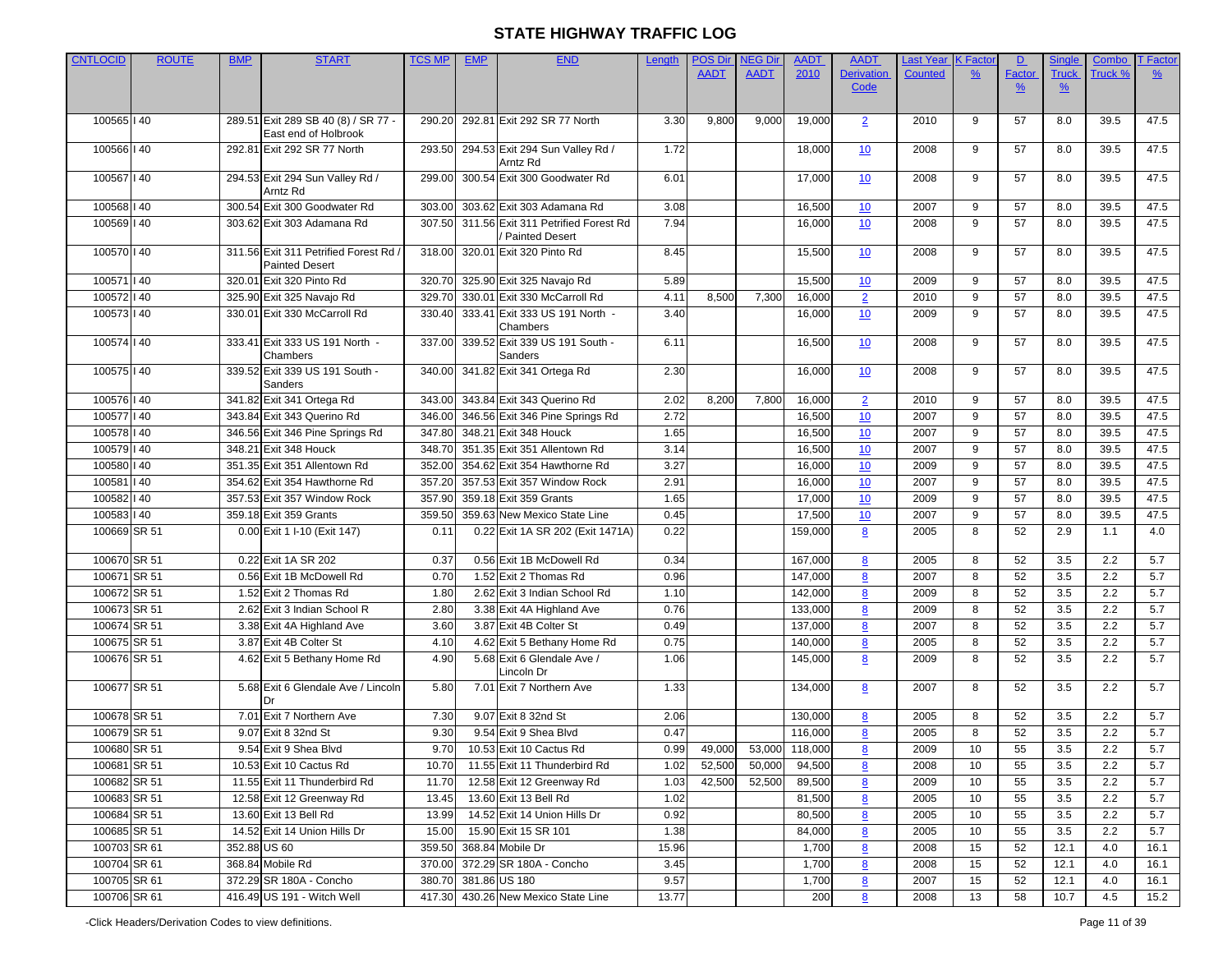| <b>CNTLOCID</b> | <b>ROUTE</b> | <b>BMP</b> | <b>START</b>                                        | <b>TCS MP</b> | <b>EMP</b> | <b>END</b>                                                | Length | <b>POS Dir</b> | <b>NEG Dir</b>        | <b>AADT</b> | <b>AADT</b>       | Last Year      | <b>K</b> Facto | D             | <b>Single</b> | Combo   | <b>T</b> Factor |
|-----------------|--------------|------------|-----------------------------------------------------|---------------|------------|-----------------------------------------------------------|--------|----------------|-----------------------|-------------|-------------------|----------------|----------------|---------------|---------------|---------|-----------------|
|                 |              |            |                                                     |               |            |                                                           |        | <b>AADT</b>    | <b>AADT</b>           | 2010        | <b>Derivation</b> | <b>Counted</b> | $\frac{9}{6}$  | <b>Factor</b> | <b>Truck</b>  | Truck 9 | $\frac{9}{6}$   |
|                 |              |            |                                                     |               |            |                                                           |        |                |                       |             | Code              |                |                | $\frac{9}{6}$ | $\frac{9}{6}$ |         |                 |
|                 |              |            |                                                     |               |            |                                                           |        |                |                       |             |                   |                |                |               |               |         |                 |
| 100565   40     |              |            | 289.51 Exit 289 SB 40 (8) / SR 77 -                 | 290.20        |            | 292.81 Exit 292 SR 77 North                               | 3.30   | 9,800          | 9,000                 | 19,000      | $\overline{2}$    | 2010           | 9              | 57            | 8.0           | 39.5    | 47.5            |
| 100566   40     |              |            | East end of Holbrook<br>292.81 Exit 292 SR 77 North | 293.50        |            | 294.53 Exit 294 Sun Valley Rd /                           | 1.72   |                |                       | 18,000      |                   | 2008           | 9              | 57            | 8.0           | 39.5    | 47.5            |
|                 |              |            |                                                     |               |            | Arntz Rd                                                  |        |                |                       |             | 10                |                |                |               |               |         |                 |
| 100567   40     |              |            | 294.53 Exit 294 Sun Valley Rd /                     | 299.00        |            | 300.54 Exit 300 Goodwater Rd                              | 6.01   |                |                       | 17,000      | 10                | 2008           | 9              | 57            | 8.0           | 39.5    | 47.5            |
|                 |              |            | Arntz Rd                                            |               |            |                                                           |        |                |                       |             |                   |                |                |               |               |         |                 |
| 100568   40     |              |            | 300.54 Exit 300 Goodwater Rd                        | 303.00        |            | 303.62 Exit 303 Adamana Rd                                | 3.08   |                |                       | 16,500      | 10                | 2007           | 9              | 57            | 8.0           | 39.5    | 47.5            |
| 100569   40     |              |            | 303.62 Exit 303 Adamana Rd                          | 307.50        |            | 311.56 Exit 311 Petrified Forest Rd                       | 7.94   |                |                       | 16,000      | 10                | 2008           | $\overline{9}$ | 57            | 8.0           | 39.5    | 47.5            |
|                 |              |            |                                                     |               |            | Painted Desert                                            |        |                |                       |             |                   |                |                |               |               |         |                 |
| 100570   40     |              |            | 311.56 Exit 311 Petrified Forest Rd                 | 318.00        |            | 320.01 Exit 320 Pinto Rd                                  | 8.45   |                |                       | 15,500      | 10                | 2008           | 9              | 57            | 8.0           | 39.5    | 47.5            |
| 100571   40     |              |            | <b>Painted Desert</b><br>320.01 Exit 320 Pinto Rd   | 320.70        |            |                                                           | 5.89   |                |                       | 15,500      |                   | 2009           | 9              | 57            | 8.0           | 39.5    | 47.5            |
| 100572   40     |              |            | 325.90 Exit 325 Navajo Rd                           | 329.70        |            | 325.90 Exit 325 Navajo Rd<br>330.01 Exit 330 McCarroll Rd | 4.11   | 8,500          | 7,300                 | 16,000      | 10                | 2010           | 9              | 57            | 8.0           | 39.5    | 47.5            |
| 100573   40     |              |            | 330.01 Exit 330 McCarroll Rd                        | 330.40        |            | 333.41 Exit 333 US 191 North -                            | 3.40   |                |                       |             | $\overline{2}$    | 2009           | 9              | 57            | 8.0           | 39.5    | 47.5            |
|                 |              |            |                                                     |               |            | Chambers                                                  |        |                |                       | 16,000      | 10                |                |                |               |               |         |                 |
| 100574   40     |              |            | 333.41 Exit 333 US 191 North -                      | 337.00        |            | 339.52 Exit 339 US 191 South -                            | 6.11   |                |                       | 16,500      | 10                | 2008           | 9              | 57            | 8.0           | 39.5    | 47.5            |
|                 |              |            | Chambers                                            |               |            | <b>Sanders</b>                                            |        |                |                       |             |                   |                |                |               |               |         |                 |
| 100575   40     |              |            | 339.52 Exit 339 US 191 South -                      | 340.00        |            | 341.82 Exit 341 Ortega Rd                                 | 2.30   |                |                       | 16,000      | 10                | 2008           | 9              | 57            | 8.0           | 39.5    | 47.5            |
|                 |              |            | <b>Sanders</b>                                      |               |            |                                                           |        |                |                       |             |                   |                |                |               |               |         |                 |
| 100576   40     |              |            | 341.82 Exit 341 Ortega Rd                           | 343.00        |            | 343.84 Exit 343 Querino Rd                                | 2.02   | 8,200          | 7,800                 | 16,000      | $\overline{2}$    | 2010           | 9              | 57            | 8.0           | 39.5    | 47.5            |
| 100577   40     |              |            | 343.84 Exit 343 Querino Rd                          | 346.00        |            | 346.56 Exit 346 Pine Springs Rd                           | 2.72   |                |                       | 16,500      | 10                | 2007           | 9              | 57            | 8.0           | 39.5    | 47.5            |
| 100578   40     |              |            | 346.56 Exit 346 Pine Springs Rd                     | 347.80        |            | 348.21 Exit 348 Houck                                     | 1.65   |                |                       | 16,500      | 10                | 2007           | 9              | 57            | 8.0           | 39.5    | 47.5            |
| 100579   40     |              |            | 348.21 Exit 348 Houck                               | 348.70        |            | 351.35 Exit 351 Allentown Rd                              | 3.14   |                |                       | 16,500      | 10                | 2007           | 9              | 57            | 8.0           | 39.5    | 47.5            |
| 100580   40     |              |            | 351.35 Exit 351 Allentown Rd                        | 352.00        |            | 354.62 Exit 354 Hawthorne Rd                              | 3.27   |                |                       | 16,000      | 10                | 2009           | 9              | 57            | 8.0           | 39.5    | 47.5            |
| 100581   40     |              |            | 354.62 Exit 354 Hawthorne Rd                        | 357.20        |            | 357.53 Exit 357 Window Rock                               | 2.91   |                |                       | 16,000      | 10                | 2007           | 9              | 57            | 8.0           | 39.5    | 47.5            |
| 100582   40     |              |            | 357.53 Exit 357 Window Rock                         | 357.90        |            | 359.18 Exit 359 Grants                                    | 1.65   |                |                       | 17,000      | 10                | 2009           | 9              | 57            | 8.0           | 39.5    | 47.5            |
| 100583   40     |              |            | 359.18 Exit 359 Grants                              | 359.50        |            | 359.63 New Mexico State Line                              | 0.45   |                |                       | 17,500      | 10                | 2007           | 9              | 57            | 8.0           | 39.5    | 47.5            |
| 100669 SR 51    |              |            | 0.00 Exit 1 I-10 (Exit 147)                         | 0.11          |            | 0.22 Exit 1A SR 202 (Exit 1471A)                          | 0.22   |                |                       | 159,000     | 8                 | 2005           | 8              | 52            | 2.9           | 1.1     | 4.0             |
| 100670 SR 51    |              |            | 0.22 Exit 1A SR 202                                 | 0.37          |            | 0.56 Exit 1B McDowell Rd                                  | 0.34   |                |                       | 167,000     | 8                 | 2005           | 8              | 52            | 3.5           | 2.2     | 5.7             |
| 100671 SR 51    |              |            | 0.56 Exit 1B McDowell Rd                            | 0.70          |            | 1.52 Exit 2 Thomas Rd                                     | 0.96   |                |                       | 147,000     | 8                 | 2007           | 8              | 52            | 3.5           | 2.2     | 5.7             |
| 100672 SR 51    |              |            | 1.52 Exit 2 Thomas Rd                               | 1.80          |            | 2.62 Exit 3 Indian School Rd                              | 1.10   |                |                       | 142,000     | 8                 | 2009           | 8              | 52            | 3.5           | 2.2     | 5.7             |
| 100673 SR 51    |              |            | 2.62 Exit 3 Indian School R                         | 2.80          |            | 3.38 Exit 4A Highland Ave                                 | 0.76   |                |                       | 133,000     | 8                 | 2009           | $\overline{8}$ | 52            | 3.5           | 2.2     | 5.7             |
| 100674 SR 51    |              |            | 3.38 Exit 4A Highland Ave                           | 3.60          |            | 3.87 Exit 4B Colter St                                    | 0.49   |                |                       | 137,000     | 8                 | 2007           | 8              | 52            | 3.5           | 2.2     | 5.7             |
| 100675 SR 51    |              |            | 3.87 Exit 4B Colter St                              | 4.10          |            | 4.62 Exit 5 Bethany Home Rd                               | 0.75   |                |                       | 140,000     | 8                 | 2005           | $\overline{8}$ | 52            | 3.5           | 2.2     | 5.7             |
| 100676 SR 51    |              |            | 4.62 Exit 5 Bethany Home Rd                         | 4.90          |            | 5.68 Exit 6 Glendale Ave /                                | 1.06   |                |                       | 145,000     | 8                 | 2009           | 8              | 52            | 3.5           | 2.2     | 5.7             |
|                 |              |            |                                                     |               |            | Lincoln Dr                                                |        |                |                       |             |                   |                |                |               |               |         |                 |
| 100677 SR 51    |              |            | 5.68 Exit 6 Glendale Ave / Lincoln                  | 5.80          |            | 7.01 Exit 7 Northern Ave                                  | 1.33   |                |                       | 134,000     | 8                 | 2007           | 8              | 52            | 3.5           | 2.2     | 5.7             |
|                 |              |            | Dr                                                  |               |            |                                                           |        |                |                       |             |                   |                |                |               |               |         |                 |
| 100678 SR 51    |              |            | 7.01 Exit 7 Northern Ave                            | 7.30          |            | 9.07 Exit 8 32nd St                                       | 2.06   |                |                       | 130,000     | 8                 | 2005           | 8              | 52            | 3.5           | 2.2     | 5.7             |
| 100679 SR 51    |              |            | 9.07 Exit 8 32nd St                                 | 9.30          |            | 9.54 Exit 9 Shea Blvd                                     | 0.47   |                |                       | 116,000     | 8                 | 2005           | 8              | 52            | 3.5           | 2.2     | 5.7             |
| 100680 SR 51    |              |            | 9.54 Exit 9 Shea Blvd                               | 9.70          |            | 10.53 Exit 10 Cactus Rd                                   | 0.99   |                | 49,000 53,000 118,000 |             | 8                 | 2009           | 10             | 55            | 3.5           | 2.2     | 5.7             |
| 100681 SR 51    |              |            | 10.53 Exit 10 Cactus Rd                             | 10.70         |            | 11.55 Exit 11 Thunderbird Rd                              | 1.02   | 52,500         | 50,000                | 94,500      | 8                 | 2008           | 10             | 55            | 3.5           | $2.2\,$ | 5.7             |
| 100682 SR 51    |              |            | 11.55 Exit 11 Thunderbird Rd                        | 11.70         |            | 12.58 Exit 12 Greenway Rd                                 | 1.03   | 42,500         | 52,500                | 89,500      | $\overline{8}$    | 2009           | 10             | 55            | 3.5           | 2.2     | 5.7             |
| 100683 SR 51    |              |            | 12.58 Exit 12 Greenway Rd                           | 13.45         |            | 13.60 Exit 13 Bell Rd                                     | 1.02   |                |                       | 81,500      | 8                 | 2005           | 10             | 55            | 3.5           | 2.2     | 5.7             |
| 100684 SR 51    |              |            | 13.60 Exit 13 Bell Rd                               | 13.99         |            | 14.52 Exit 14 Union Hills Dr                              | 0.92   |                |                       | 80,500      | 8                 | 2005           | 10             | 55            | 3.5           | 2.2     | 5.7             |
| 100685 SR 51    |              |            | 14.52 Exit 14 Union Hills Dr                        | 15.00         |            | 15.90 Exit 15 SR 101                                      | 1.38   |                |                       | 84,000      | 8                 | 2005           | 10             | 55            | 3.5           | 2.2     | 5.7             |
| 100703 SR 61    |              |            | 352.88 US 60                                        | 359.50        |            | 368.84 Mobile Dr                                          | 15.96  |                |                       | 1,700       | 8                 | 2008           | 15             | 52            | 12.1          | 4.0     | 16.1            |
| 100704 SR 61    |              |            | 368.84 Mobile Rd                                    | 370.00        |            | 372.29 SR 180A - Concho                                   | 3.45   |                |                       | 1,700       | $\underline{8}$   | 2008           | 15             | 52            | 12.1          | 4.0     | 16.1            |
| 100705 SR 61    |              |            | 372.29 SR 180A - Concho                             | 380.70        |            | 381.86 US 180                                             | 9.57   |                |                       | 1,700       | 8                 | 2007           | 15             | 52            | 12.1          | 4.0     | 16.1            |
| 100706 SR 61    |              |            | 416.49 US 191 - Witch Well                          | 417.30        |            | 430.26 New Mexico State Line                              | 13.77  |                |                       | 200         | 8                 | 2008           | 13             | 58            | 10.7          | 4.5     | 15.2            |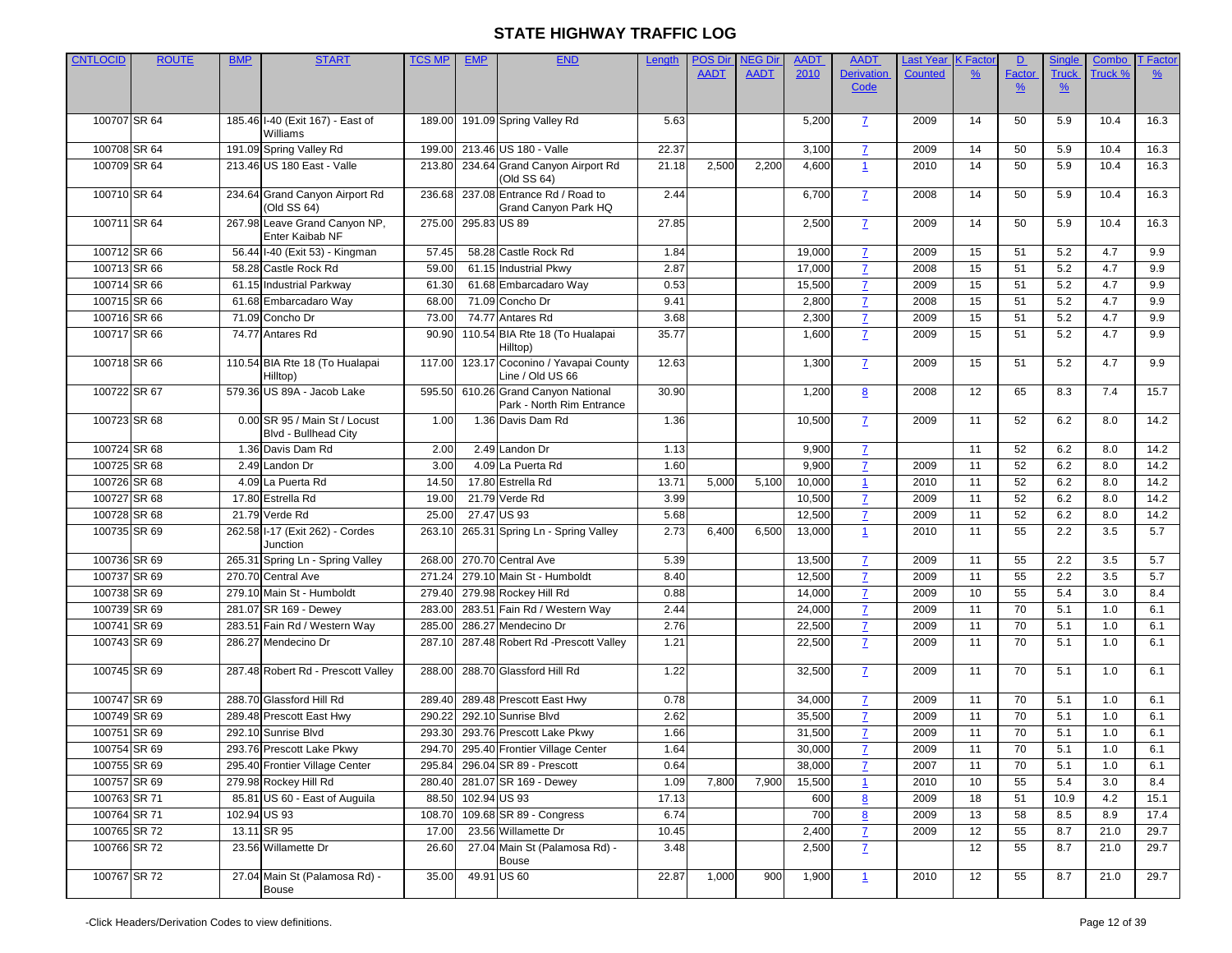| <b>CNTLOCID</b> | <b>ROUTE</b> | <b>BMP</b> | <b>START</b>                               | <b>TCS MP</b> | <b>EMP</b> | <b>END</b>                                           | Length | <b>POS Dir</b> | <b>NEG Dir</b> | <b>AADT</b> | <b>AADT</b>    | Last Yeaı      | <b>K</b> Facto | D             | Single        | Combo          | <b>T</b> Factor |
|-----------------|--------------|------------|--------------------------------------------|---------------|------------|------------------------------------------------------|--------|----------------|----------------|-------------|----------------|----------------|----------------|---------------|---------------|----------------|-----------------|
|                 |              |            |                                            |               |            |                                                      |        | <b>AADT</b>    | <b>AADT</b>    | 2010        | Derivation     | <b>Counted</b> | $\frac{9}{6}$  | <b>Factor</b> | <b>Truck</b>  | <b>Truck %</b> | $\frac{9}{6}$   |
|                 |              |            |                                            |               |            |                                                      |        |                |                |             | Code           |                |                | $\frac{9}{6}$ | $\frac{9}{6}$ |                |                 |
|                 |              |            |                                            |               |            |                                                      |        |                |                |             |                |                |                |               |               |                |                 |
| 100707 SR 64    |              |            | 185.46 I-40 (Exit 167) - East of           | 189.00        |            | 191.09 Spring Valley Rd                              | 5.63   |                |                | 5,200       | $\mathbf{Z}$   | 2009           | 14             | 50            | 5.9           | 10.4           | 16.3            |
| 100708 SR 64    |              |            | Williams<br>191.09 Spring Valley Rd        | 199.00        |            | 213.46 US 180 - Valle                                | 22.37  |                |                | 3,100       |                | 2009           | 14             | 50            | 5.9           | 10.4           | 16.3            |
| 100709 SR 64    |              |            | 213.46 US 180 East - Valle                 |               |            | 234.64 Grand Canyon Airport Rd                       | 21.18  |                |                |             | $\mathbf{Z}$   | 2010           | 14             | 50            | 5.9           | 10.4           | 16.3            |
|                 |              |            |                                            | 213.80        |            | (Old SS 64)                                          |        | 2,500          | 2,200          | 4,600       | $\mathbf{1}$   |                |                |               |               |                |                 |
| 100710 SR 64    |              |            | 234.64 Grand Canyon Airport Rd             | 236.68        |            | 237.08 Entrance Rd / Road to                         | 2.44   |                |                | 6,700       | $\mathbf{Z}$   | 2008           | 14             | 50            | 5.9           | 10.4           | 16.3            |
|                 |              |            | (Old SS 64)                                |               |            | Grand Canyon Park HQ                                 |        |                |                |             |                |                |                |               |               |                |                 |
| 100711 SR 64    |              |            | 267.98 Leave Grand Canyon NP,              | 275.00        |            | 295.83 US 89                                         | 27.85  |                |                | 2,500       | $\mathbf{Z}$   | 2009           | 14             | 50            | 5.9           | 10.4           | 16.3            |
|                 |              |            | Enter Kaibab NF                            |               |            |                                                      |        |                |                |             |                |                |                |               |               |                |                 |
| 100712 SR 66    |              |            | 56.44 I-40 (Exit 53) - Kingman             | 57.45         |            | 58.28 Castle Rock Rd                                 | 1.84   |                |                | 19,000      | $\mathbf{Z}$   | 2009           | 15             | 51            | 5.2           | 4.7            | 9.9             |
| 100713 SR 66    |              |            | 58.28 Castle Rock Rd                       | 59.00         |            | 61.15 Industrial Pkwy                                | 2.87   |                |                | 17,000      | $\overline{7}$ | 2008           | 15             | 51            | 5.2           | 4.7            | 9.9             |
| 100714 SR 66    |              |            | 61.15 Industrial Parkway                   | 61.30         |            | 61.68 Embarcadaro Way                                | 0.53   |                |                | 15,500      | $\overline{7}$ | 2009           | 15             | 51            | 5.2           | 4.7            | 9.9             |
| 100715 SR 66    |              |            | 61.68 Embarcadaro Way                      | 68.00         |            | 71.09 Concho Dr                                      | 9.41   |                |                | 2,800       | $\mathbf{Z}$   | 2008           | 15             | 51            | 5.2           | 4.7            | 9.9             |
| 100716 SR 66    |              |            | 71.09 Concho Dr                            | 73.00         |            | 74.77 Antares Rd                                     | 3.68   |                |                | 2,300       | $\mathbf{Z}$   | 2009           | 15             | 51            | 5.2           | 4.7            | 9.9             |
| 100717 SR 66    |              |            | 74.77 Antares Rd                           | 90.90         |            | 110.54 BIA Rte 18 (To Hualapai                       | 35.77  |                |                | 1,600       | $\mathbf{Z}$   | 2009           | 15             | 51            | 5.2           | 4.7            | 9.9             |
|                 |              |            |                                            |               |            | Hilltop)                                             |        |                |                |             |                |                |                |               |               |                |                 |
| 100718 SR 66    |              |            | 110.54 BIA Rte 18 (To Hualapai<br>Hilltop) | 117.00        |            | 123.17 Coconino / Yavapai County<br>Line / Old US 66 | 12.63  |                |                | 1,300       | $\mathbf{Z}$   | 2009           | 15             | 51            | 5.2           | 4.7            | 9.9             |
| 100722 SR 67    |              |            | 579.36 US 89A - Jacob Lake                 | 595.50        |            | 610.26 Grand Canyon National                         | 30.90  |                |                | 1,200       |                | 2008           | 12             | 65            | 8.3           | 7.4            | 15.7            |
|                 |              |            |                                            |               |            | Park - North Rim Entrance                            |        |                |                |             | 8              |                |                |               |               |                |                 |
| 100723 SR 68    |              |            | 0.00 SR 95 / Main St / Locust              | 1.00          |            | 1.36 Davis Dam Rd                                    | 1.36   |                |                | 10,500      | $\mathbf{Z}$   | 2009           | 11             | 52            | 6.2           | 8.0            | 14.2            |
|                 |              |            | Blvd - Bullhead City                       |               |            |                                                      |        |                |                |             |                |                |                |               |               |                |                 |
| 100724 SR 68    |              |            | 1.36 Davis Dam Rd                          | 2.00          |            | 2.49 Landon Dr                                       | 1.13   |                |                | 9,900       | $\overline{7}$ |                | 11             | 52            | 6.2           | 8.0            | 14.2            |
| 100725 SR 68    |              |            | 2.49 Landon Dr                             | 3.00          |            | 4.09 La Puerta Rd                                    | 1.60   |                |                | 9,900       | $\overline{7}$ | 2009           | 11             | 52            | 6.2           | 8.0            | 14.2            |
| 100726 SR 68    |              |            | 4.09 La Puerta Rd                          | 14.50         |            | 17.80 Estrella Rd                                    | 13.71  | 5,000          | 5,100          | 10,000      |                | 2010           | 11             | 52            | 6.2           | 8.0            | 14.2            |
| 100727 SR 68    |              |            | 17.80 Estrella Rd                          | 19.00         |            | 21.79 Verde Rd                                       | 3.99   |                |                | 10,500      | $\overline{7}$ | 2009           | 11             | 52            | 6.2           | 8.0            | 14.2            |
| 100728 SR 68    |              |            | 21.79 Verde Rd                             | 25.00         |            | 27.47 US 93                                          | 5.68   |                |                | 12,500      | $\overline{7}$ | 2009           | 11             | 52            | 6.2           | 8.0            | 14.2            |
| 100735 SR 69    |              |            | 262.58 I-17 (Exit 262) - Cordes            | 263.10        |            | 265.31 Spring Ln - Spring Valley                     | 2.73   | 6,400          | 6,500          | 13,000      | $\mathbf{1}$   | 2010           | 11             | 55            | 2.2           | 3.5            | 5.7             |
|                 |              |            | Junction                                   |               |            |                                                      |        |                |                |             |                |                |                |               |               |                |                 |
| 100736 SR 69    |              |            | 265.31 Spring Ln - Spring Valley           | 268.00        |            | 270.70 Central Ave                                   | 5.39   |                |                | 13,500      | $\mathbf{Z}$   | 2009           | 11             | 55            | 2.2           | 3.5            | 5.7             |
| 100737 SR 69    |              |            | 270.70 Central Ave                         | 271.24        |            | 279.10 Main St - Humboldt                            | 8.40   |                |                | 12,500      | $\overline{7}$ | 2009           | 11             | 55            | 2.2           | 3.5            | 5.7             |
| 100738 SR 69    |              |            | 279.10 Main St - Humboldt                  | 279.40        |            | 279.98 Rockey Hill Rd                                | 0.88   |                |                | 14,000      | $\overline{7}$ | 2009           | 10             | 55            | 5.4           | 3.0            | 8.4             |
| 100739 SR 69    |              |            | 281.07 SR 169 - Dewey                      | 283.00        |            | 283.51 Fain Rd / Western Way                         | 2.44   |                |                | 24,000      | $\overline{7}$ | 2009           | 11             | 70            | 5.1           | 1.0            | 6.1             |
| 100741 SR 69    |              |            | 283.51 Fain Rd / Western Way               | 285.00        |            | 286.27 Mendecino Dr                                  | 2.76   |                |                | 22,500      | $\mathbf{Z}$   | 2009           | 11             | 70            | 5.1           | 1.0            | 6.1             |
| 100743 SR 69    |              |            | 286.27 Mendecino Dr                        | 287.10        |            | 287.48 Robert Rd - Prescott Valley                   | 1.21   |                |                | 22,500      | $\mathbf{Z}$   | 2009           | 11             | 70            | 5.1           | 1.0            | 6.1             |
|                 |              |            |                                            |               |            |                                                      |        |                |                |             |                |                |                |               |               |                |                 |
| 100745 SR 69    |              |            | 287.48 Robert Rd - Prescott Valley         | 288.00        |            | 288.70 Glassford Hill Rd                             | 1.22   |                |                | 32,500      | $\mathbf{Z}$   | 2009           | 11             | 70            | 5.1           | 1.0            | 6.1             |
| 100747 SR 69    |              |            | 288.70 Glassford Hill Rd                   | 289.40        |            | 289.48 Prescott East Hwy                             | 0.78   |                |                | 34,000      | $\mathbf{Z}$   | 2009           | 11             | 70            | 5.1           | 1.0            | 6.1             |
| 100749 SR 69    |              |            | 289.48 Prescott East Hwy                   | 290.22        |            | 292.10 Sunrise Blvd                                  | 2.62   |                |                | 35,500      | $\overline{7}$ | 2009           | 11             | 70            | 5.1           | 1.0            | 6.1             |
| 100751 SR 69    |              |            | 292.10 Sunrise Blvd                        |               |            | 293.30 293.76 Prescott Lake Pkwy                     | 1.66   |                |                | 31,500      | $\mathbf{Z}$   | 2009           | 11             | 70            | 5.1           | 1.0            | 6.1             |
| 100754 SR 69    |              |            | 293.76 Prescott Lake Pkwy                  |               |            | 294.70 295.40 Frontier Village Center                | 1.64   |                |                | 30,000      |                | 2009           | 11             | 70            | 5.1           | 1.0            | 6.1             |
| 100755 SR 69    |              |            | 295.40 Frontier Village Center             | 295.84        |            | 296.04 SR 89 - Prescott                              | 0.64   |                |                | 38,000      | $\mathbf{Z}$   | 2007           | 11             | 70            | 5.1           | 1.0            | 6.1             |
| 100757 SR 69    |              |            | 279.98 Rockey Hill Rd                      | 280.40        |            | 281.07 SR 169 - Dewey                                | 1.09   | 7,800          | 7,900          | 15,500      | $\mathbf{Z}$   | 2010           | 10             | 55            | 5.4           | 3.0            | 8.4             |
|                 |              |            |                                            |               |            | 102.94 US 93                                         |        |                |                |             |                |                | 18             |               |               |                |                 |
| 100763 SR 71    |              |            | 85.81 US 60 - East of Auguila              | 88.50         |            |                                                      | 17.13  |                |                | 600         | 8              | 2009           |                | 51            | 10.9          | 4.2            | 15.1            |
| 100764 SR 71    |              |            | 102.94 US 93                               | 108.70        |            | 109.68 SR 89 - Congress                              | 6.74   |                |                | 700         | 8              | 2009           | 13             | 58            | 8.5           | 8.9            | 17.4            |
| 100765 SR 72    |              |            | 13.11 SR 95<br>23.56 Willamette Dr         | 17.00         |            | 23.56 Willamette Dr                                  | 10.45  |                |                | 2,400       | $\mathbf{Z}$   | 2009           | 12             | 55            | 8.7           | 21.0           | 29.7            |
| 100766 SR 72    |              |            |                                            | 26.60         |            | 27.04 Main St (Palamosa Rd) -<br><b>Bouse</b>        | 3.48   |                |                | 2,500       | $\mathbf{Z}$   |                | 12             | 55            | 8.7           | 21.0           | 29.7            |
| 100767 SR 72    |              |            | 27.04 Main St (Palamosa Rd) -              | 35.00         |            | 49.91 US 60                                          | 22.87  | 1,000          | 900            | 1,900       | $\mathbf{1}$   | 2010           | 12             | 55            | 8.7           | 21.0           | 29.7            |
|                 |              |            | Bouse                                      |               |            |                                                      |        |                |                |             |                |                |                |               |               |                |                 |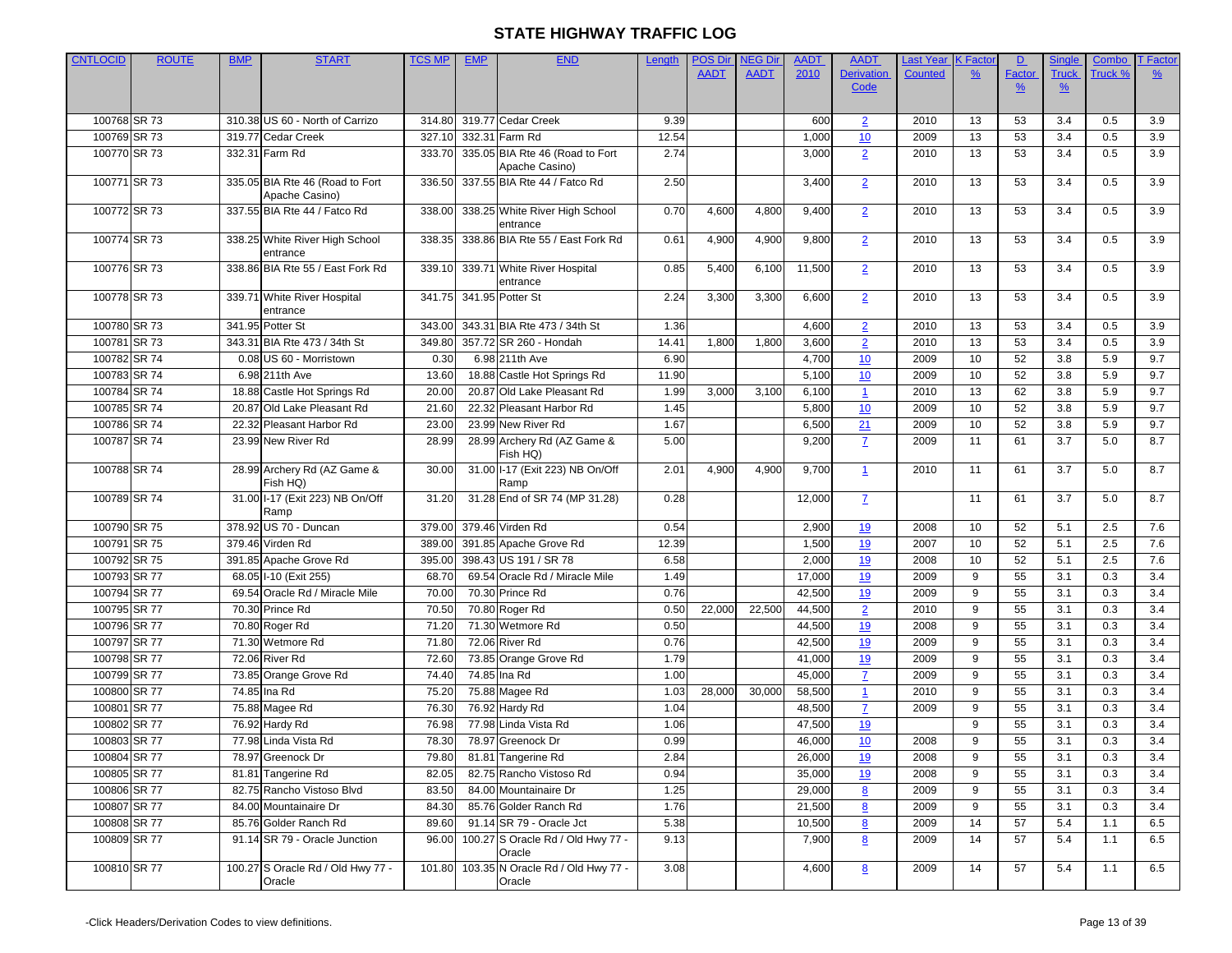| <b>CNTLOCID</b> | <b>ROUTE</b> | <b>BMP</b> | <b>START</b>                                      | <b>TCS MP</b> | <b>EMP</b> | <b>END</b>                                  | Length | <b>POS Dir</b> | <b>NEG Dir</b>       | <b>AADT</b> | <b>AADT</b>       | Last Year      | <b>K</b> Factc | D             | Single        | Combo   | <u>T Factor</u> |
|-----------------|--------------|------------|---------------------------------------------------|---------------|------------|---------------------------------------------|--------|----------------|----------------------|-------------|-------------------|----------------|----------------|---------------|---------------|---------|-----------------|
|                 |              |            |                                                   |               |            |                                             |        | <b>AADT</b>    | <b>AADT</b>          | 2010        | <b>Derivation</b> | <b>Counted</b> | $\frac{9}{6}$  | <b>Factor</b> | <b>Truck</b>  | Truck % | $\frac{9}{6}$   |
|                 |              |            |                                                   |               |            |                                             |        |                |                      |             | Code              |                |                | $\frac{9}{6}$ | $\frac{9}{6}$ |         |                 |
|                 |              |            |                                                   |               |            |                                             |        |                |                      |             |                   |                |                |               |               |         |                 |
| 100768 SR 73    |              |            | 310.38 US 60 - North of Carrizo                   | 314.80        |            | 319.77 Cedar Creek                          | 9.39   |                |                      | 600         | $\overline{2}$    | 2010           | 13             | 53            | 3.4           | 0.5     | 3.9             |
| 100769 SR 73    |              |            | 319.77 Cedar Creek                                | 327.10        |            | 332.31 Farm Rd                              | 12.54  |                |                      | 1,000       | 10                | 2009           | 13             | 53            | 3.4           | 0.5     | 3.9             |
| 100770 SR 73    |              |            | 332.31 Farm Rd                                    | 333.70        |            | 335.05 BIA Rte 46 (Road to Fort             | 2.74   |                |                      | 3,000       | $\overline{2}$    | 2010           | 13             | 53            | 3.4           | 0.5     | 3.9             |
|                 |              |            |                                                   |               |            | Apache Casino)                              |        |                |                      |             |                   |                |                |               |               |         |                 |
| 100771 SR 73    |              |            | 335.05 BIA Rte 46 (Road to Fort<br>Apache Casino) | 336.50        |            | 337.55 BIA Rte 44 / Fatco Rd                | 2.50   |                |                      | 3,400       | $\overline{2}$    | 2010           | 13             | 53            | 3.4           | 0.5     | 3.9             |
| 100772 SR 73    |              |            | 337.55 BIA Rte 44 / Fatco Rd                      | 338.00        |            | 338.25 White River High School<br>entrance  | 0.70   | 4,600          | 4,800                | 9,400       | $\overline{2}$    | 2010           | 13             | 53            | 3.4           | 0.5     | 3.9             |
| 100774 SR 73    |              |            | 338.25 White River High School<br>entrance        | 338.35        |            | 338.86 BIA Rte 55 / East Fork Rd            | 0.61   | 4,900          | 4,900                | 9,800       | $\overline{2}$    | 2010           | 13             | 53            | 3.4           | 0.5     | 3.9             |
| 100776 SR 73    |              |            | 338.86 BIA Rte 55 / East Fork Rd                  | 339.10        |            | 339.71 White River Hospital                 | 0.85   | 5,400          | $\overline{6}$ , 100 | 11,500      | $\overline{2}$    | 2010           | 13             | 53            | 3.4           | 0.5     | 3.9             |
|                 |              |            |                                                   |               |            | entrance                                    |        |                |                      |             |                   |                |                |               |               |         |                 |
| 100778 SR 73    |              |            | 339.71 White River Hospital<br>entrance           | 341.75        |            | 341.95 Potter St                            | 2.24   | 3,300          | 3,300                | 6,600       | $\overline{2}$    | 2010           | 13             | 53            | 3.4           | 0.5     | 3.9             |
| 100780 SR 73    |              |            | 341.95 Potter St                                  | 343.00        |            | 343.31 BIA Rte 473 / 34th St                | 1.36   |                |                      | 4,600       | $\overline{2}$    | 2010           | 13             | 53            | 3.4           | 0.5     | 3.9             |
| 100781 SR 73    |              |            | 343.31 BIA Rte 473 / 34th St                      | 349.80        |            | 357.72 SR 260 - Hondah                      | 14.41  | 1,800          | 1,800                | 3,600       | $\overline{2}$    | 2010           | 13             | 53            | 3.4           | 0.5     | 3.9             |
| 100782 SR 74    |              |            | 0.08 US 60 - Morristown                           | 0.30          |            | 6.98 211th Ave                              | 6.90   |                |                      | 4,700       | 10                | 2009           | 10             | 52            | 3.8           | 5.9     | 9.7             |
| 100783 SR 74    |              |            | 6.98 211th Ave                                    | 13.60         |            | 18.88 Castle Hot Springs Rd                 | 11.90  |                |                      | 5,100       | 10                | 2009           | 10             | 52            | 3.8           | 5.9     | 9.7             |
| 100784 SR 74    |              |            | 18.88 Castle Hot Springs Rd                       | 20.00         |            | 20.87 Old Lake Pleasant Rd                  | 1.99   | 3,000          | 3,100                | 6,100       | $\overline{1}$    | 2010           | 13             | 62            | 3.8           | 5.9     | 9.7             |
| 100785 SR 74    |              |            | 20.87 Old Lake Pleasant Rd                        | 21.60         |            | 22.32 Pleasant Harbor Rd                    | 1.45   |                |                      | 5,800       | 10                | 2009           | 10             | 52            | 3.8           | 5.9     | 9.7             |
| 100786 SR 74    |              |            | 22.32 Pleasant Harbor Rd                          | 23.00         |            | 23.99 New River Rd                          | 1.67   |                |                      | 6,500       | $\overline{21}$   | 2009           | 10             | 52            | 3.8           | 5.9     | 9.7             |
| 100787 SR 74    |              |            | 23.99 New River Rd                                | 28.99         |            | 28.99 Archery Rd (AZ Game &                 | 5.00   |                |                      | 9,200       | $\overline{L}$    | 2009           | 11             | 61            | 3.7           | 5.0     | 8.7             |
|                 |              |            |                                                   |               |            | Fish HQ)                                    |        |                |                      |             |                   |                |                |               |               |         |                 |
| 100788 SR 74    |              |            | 28.99 Archery Rd (AZ Game &                       | 30.00         |            | 31.00 I-17 (Exit 223) NB On/Off             | 2.01   | 4,900          | 4,900                | 9,700       | $\mathbf{1}$      | 2010           | 11             | 61            | 3.7           | 5.0     | 8.7             |
|                 |              |            | Fish HQ)                                          |               |            | Ramp                                        |        |                |                      |             |                   |                |                |               |               |         |                 |
| 100789 SR 74    |              |            | 31.00 I-17 (Exit 223) NB On/Off                   | 31.20         |            | 31.28 End of SR 74 (MP 31.28)               | 0.28   |                |                      | 12,000      | $\mathbf{Z}$      |                | 11             | 61            | 3.7           | 5.0     | 8.7             |
| 100790 SR 75    |              |            | Ramp<br>378.92 US 70 - Duncan                     | 379.00        |            | 379.46 Virden Rd                            | 0.54   |                |                      | 2,900       |                   | 2008           | 10             | 52            | 5.1           | 2.5     | 7.6             |
| 100791 SR 75    |              |            | 379.46 Virden Rd                                  | 389.00        |            | 391.85 Apache Grove Rd                      | 12.39  |                |                      | 1,500       | <u>19</u>         | 2007           | 10             | 52            | 5.1           | 2.5     | 7.6             |
| 100792 SR 75    |              |            | 391.85 Apache Grove Rd                            | 395.00        |            | 398.43 US 191 / SR 78                       | 6.58   |                |                      | 2,000       | <u>19</u>         | 2008           | 10             | 52            | 5.1           | 2.5     | 7.6             |
| 100793 SR 77    |              |            | 68.05 I-10 (Exit 255)                             | 68.70         |            | 69.54 Oracle Rd / Miracle Mile              | 1.49   |                |                      | 17,000      | 19                | 2009           | $\overline{9}$ | 55            | 3.1           | 0.3     | 3.4             |
| 100794 SR 77    |              |            | 69.54 Oracle Rd / Miracle Mile                    | 70.00         |            | 70.30 Prince Rd                             | 0.76   |                |                      | 42,500      | 19                | 2009           | 9              | 55            | 3.1           | 0.3     | 3.4             |
|                 |              |            |                                                   |               |            |                                             |        |                |                      |             | 19                | 2010           | 9              | 55            | 3.1           |         |                 |
| 100795 SR 77    |              |            | 70.30 Prince Rd                                   | 70.50         |            | 70.80 Roger Rd                              | 0.50   | 22,000         | 22,500               | 44,500      | $\overline{2}$    |                | 9              |               | 3.1           | 0.3     | 3.4             |
| 100796 SR 77    |              |            | 70.80 Roger Rd                                    | 71.20         |            | 71.30 Wetmore Rd                            | 0.50   |                |                      | 44,500      | 19                | 2008           |                | 55            |               | 0.3     | 3.4             |
| 100797 SR 77    |              |            | 71.30 Wetmore Rd                                  | 71.80         |            | 72.06 River Rd                              | 0.76   |                |                      | 42,500      | <u>19</u>         | 2009           | 9              | 55            | 3.1           | 0.3     | 3.4             |
| 100798 SR 77    |              |            | 72.06 River Rd                                    | 72.60         |            | 73.85 Orange Grove Rd                       | 1.79   |                |                      | 41,000      | <u>19</u>         | 2009           | 9              | 55            | 3.1           | 0.3     | 3.4             |
| 100799 SR 77    |              |            | 73.85 Orange Grove Rd                             | 74.40         |            | 74.85 Ina Rd                                | 1.00   |                |                      | 45,000      | $\overline{7}$    | 2009           | 9              | 55            | 3.1           | 0.3     | 3.4             |
| 100800 SR 77    |              |            | 74.85 Ina Rd                                      | 75.20         |            | 75.88 Magee Rd                              | 1.03   | 28,000         | 30,000               | 58,500      | $\mathbf{1}$      | 2010           | 9              | 55            | 3.1           | 0.3     | 3.4             |
| 100801 SR 77    |              |            | 75.88 Magee Rd                                    | 76.30         |            | 76.92 Hardy Rd                              | 1.04   |                |                      | 48,500      | $\mathbf{Z}$      | 2009           | 9              | 55            | 3.1           | 0.3     | 3.4             |
| 100802 SR 77    |              |            | 76.92 Hardy Rd                                    | 76.98         |            | 77.98 Linda Vista Rd                        | 1.06   |                |                      | 47,500      | <u>19</u>         |                | 9              | 55            | 3.1           | 0.3     | 3.4             |
| 100803 SR 77    |              |            | 77.98 Linda Vista Rd                              | 78.30         |            | 78.97 Greenock Dr                           | 0.99   |                |                      | 46,000      | 10                | 2008           | 9              | 55            | 3.1           | 0.3     | 3.4             |
| 100804 SR 77    |              |            | 78.97 Greenock Dr                                 | 79.80         |            | 81.81 Tangerine Rd                          | 2.84   |                |                      | 26,000      | <u>19</u>         | 2008           | 9              | 55            | 3.1           | 0.3     | 3.4             |
| 100805 SR 77    |              |            | 81.81 Tangerine Rd                                | 82.05         |            | 82.75 Rancho Vistoso Rd                     | 0.94   |                |                      | 35,000      | 19                | 2008           | 9              | 55            | 3.1           | 0.3     | 3.4             |
| 100806 SR 77    |              |            | 82.75 Rancho Vistoso Blvd                         | 83.50         |            | 84.00 Mountainaire Dr                       | 1.25   |                |                      | 29,000      | 8                 | 2009           | 9              | 55            | 3.1           | 0.3     | 3.4             |
| 100807 SR 77    |              |            | 84.00 Mountainaire Dr                             | 84.30         |            | 85.76 Golder Ranch Rd                       | 1.76   |                |                      | 21,500      | 8                 | 2009           | 9              | 55            | 3.1           | 0.3     | 3.4             |
| 100808 SR 77    |              |            | 85.76 Golder Ranch Rd                             | 89.60         |            | 91.14 SR 79 - Oracle Jct                    | 5.38   |                |                      | 10,500      | 8                 | 2009           | 14             | 57            | 5.4           | 1.1     | 6.5             |
| 100809 SR 77    |              |            | 91.14 SR 79 - Oracle Junction                     | 96.00         |            | 100.27 S Oracle Rd / Old Hwy 77 -<br>Oracle | 9.13   |                |                      | 7,900       | 8                 | 2009           | 14             | 57            | 5.4           | 1.1     | 6.5             |
| 100810 SR 77    |              |            | 100.27 S Oracle Rd / Old Hwy 77 -<br>Oracle       | 101.80        |            | 103.35 N Oracle Rd / Old Hwy 77 -<br>Oracle | 3.08   |                |                      | 4,600       | 8                 | 2009           | 14             | 57            | 5.4           | 1.1     | 6.5             |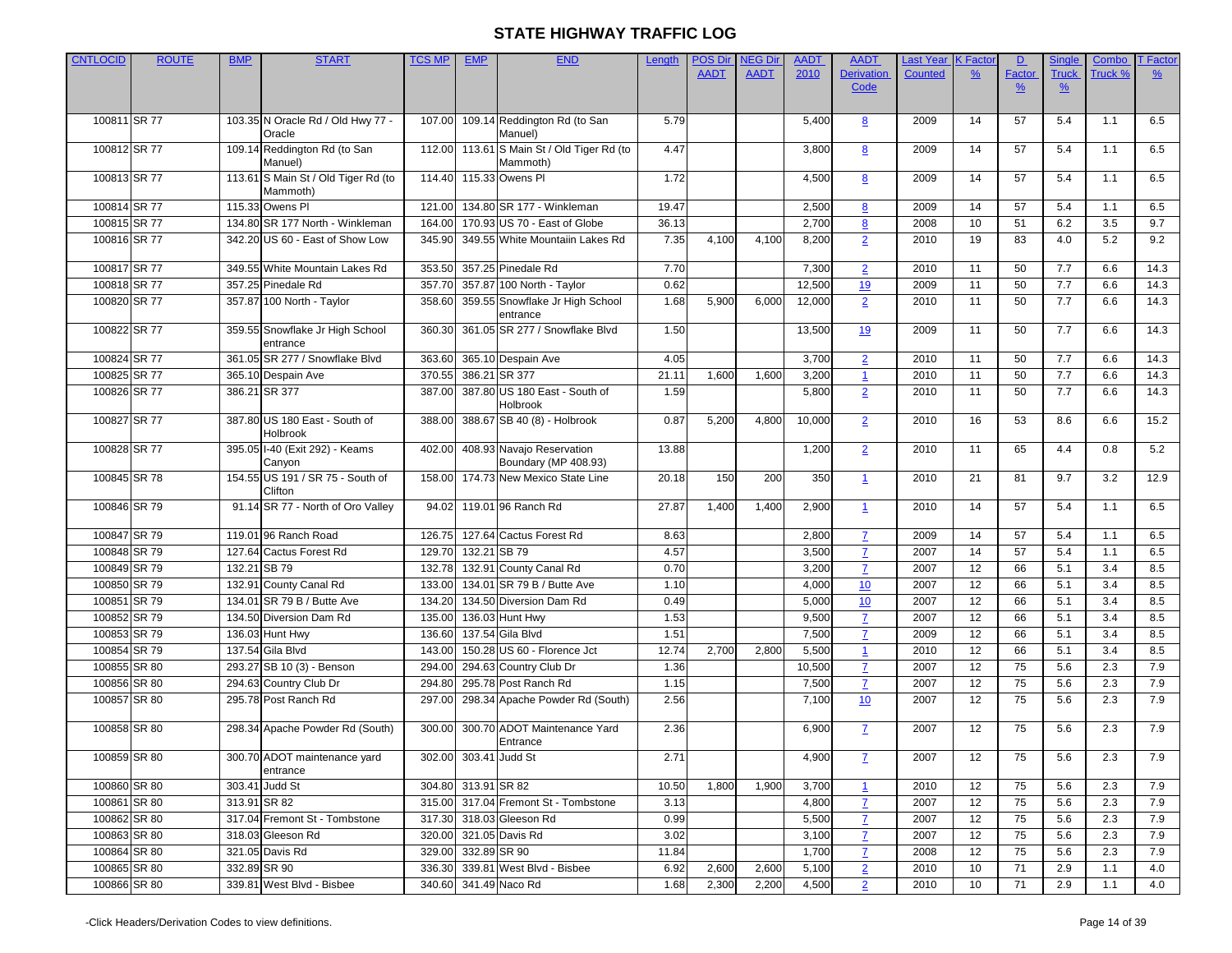| <b>CNTLOCID</b> | <b>ROUTE</b> | <b>BMP</b>   | <b>START</b>                                | <b>TCS MP</b> | <b>EMP</b>          | <b>END</b>                                     | Length | <b>POS Dir</b> | <b>JEG Dir</b> | <b>AADT</b> | <b>AADT</b>       | Last Year      | K Factc       | $\mathbf{D}$  | Singl         | Combo   | <b>T</b> Facto |
|-----------------|--------------|--------------|---------------------------------------------|---------------|---------------------|------------------------------------------------|--------|----------------|----------------|-------------|-------------------|----------------|---------------|---------------|---------------|---------|----------------|
|                 |              |              |                                             |               |                     |                                                |        | <b>AADT</b>    | <b>AADT</b>    | 2010        | <b>Derivation</b> | <b>Counted</b> | $\frac{9}{6}$ | <b>Factor</b> | <b>Truck</b>  | Truck 9 | $\frac{9}{6}$  |
|                 |              |              |                                             |               |                     |                                                |        |                |                |             | Code              |                |               | $\frac{9}{6}$ | $\frac{9}{6}$ |         |                |
|                 |              |              |                                             |               |                     |                                                |        |                |                |             |                   |                |               |               |               |         |                |
| 100811 SR 77    |              |              | 103.35 N Oracle Rd / Old Hwy 77 -           | 107.00        |                     | 109.14 Reddington Rd (to San                   | 5.79   |                |                | 5,400       | 8                 | 2009           | 14            | 57            | 5.4           | 1.1     | 6.5            |
|                 |              |              | Oracle<br>109.14 Reddington Rd (to San      |               |                     | Manuel)<br>113.61 S Main St / Old Tiger Rd (to | 4.47   |                |                |             |                   |                | 14            |               |               |         |                |
| 100812 SR 77    |              |              | Manuel)                                     | 112.00        |                     | Mammoth)                                       |        |                |                | 3,800       | 8                 | 2009           |               | 57            | 5.4           | 1.1     | 6.5            |
| 100813 SR 77    |              |              | 113.61 S Main St / Old Tiger Rd (to         | 114.40        |                     | 115.33 Owens PI                                | 1.72   |                |                | 4,500       | 8                 | 2009           | 14            | 57            | 5.4           | 1.1     | 6.5            |
|                 |              |              | Mammoth)                                    |               |                     |                                                |        |                |                |             |                   |                |               |               |               |         |                |
| 100814 SR 77    |              |              | 115.33 Owens PI                             | 121.00        |                     | 134.80 SR 177 - Winkleman                      | 19.47  |                |                | 2,500       | 8                 | 2009           | 14            | 57            | 5.4           | 1.1     | 6.5            |
| 100815 SR 77    |              |              | 134.80 SR 177 North - Winkleman             | 164.00        |                     | 170.93 US 70 - East of Globe                   | 36.13  |                |                | 2,700       | 8                 | 2008           | 10            | 51            | 6.2           | 3.5     | 9.7            |
| 100816 SR 77    |              |              | 342.20 US 60 - East of Show Low             | 345.90        |                     | 349.55 White Mountaiin Lakes Rd                | 7.35   | 4,100          | 4,100          | 8,200       | $\overline{2}$    | 2010           | 19            | 83            | 4.0           | 5.2     | 9.2            |
|                 |              |              |                                             |               |                     |                                                |        |                |                |             |                   |                |               |               |               |         |                |
| 100817 SR 77    |              |              | 349.55 White Mountain Lakes Rd              | 353.50        |                     | 357.25 Pinedale Rd                             | 7.70   |                |                | 7,300       | $\overline{2}$    | 2010           | 11            | 50            | 7.7           | 6.6     | 14.3           |
| 100818 SR 77    |              |              | 357.25 Pinedale Rd                          | 357.70        |                     | 357.87 100 North - Taylor                      | 0.62   |                |                | 12,500      | 19                | 2009           | 11            | 50            | 7.7           | 6.6     | 14.3           |
| 100820 SR 77    |              |              | 357.87 100 North - Taylor                   | 358.60        |                     | 359.55 Snowflake Jr High School                | 1.68   | 5,900          | 6,000          | 12,000      | $\overline{2}$    | 2010           | 11            | 50            | 7.7           | 6.6     | 14.3           |
|                 |              |              |                                             |               |                     | entrance                                       |        |                |                |             |                   |                |               |               |               |         |                |
| 100822 SR 77    |              |              | 359.55 Snowflake Jr High School<br>entrance | 360.30        |                     | 361.05 SR 277 / Snowflake Blvd                 | 1.50   |                |                | 13,500      | <u>19</u>         | 2009           | 11            | 50            | 7.7           | 6.6     | 14.3           |
| 100824 SR 77    |              |              | 361.05 SR 277 / Snowflake Blvd              | 363.60        |                     | 365.10 Despain Ave                             | 4.05   |                |                | 3,700       | $\overline{2}$    | 2010           | 11            | 50            | 7.7           | 6.6     | 14.3           |
| 100825 SR 77    |              |              | 365.10 Despain Ave                          | 370.55        |                     | 386.21 SR 377                                  | 21.11  | 1,600          | 1,600          | 3,200       | $\overline{1}$    | 2010           | 11            | 50            | 7.7           | 6.6     | 14.3           |
| 100826 SR 77    |              |              | 386.21 SR 377                               | 387.00        |                     | 387.80 US 180 East - South of                  | 1.59   |                |                | 5,800       | $\overline{2}$    | 2010           | 11            | 50            | 7.7           | 6.6     | 14.3           |
|                 |              |              |                                             |               |                     | Holbrook                                       |        |                |                |             |                   |                |               |               |               |         |                |
| 100827 SR 77    |              |              | 387.80 US 180 East - South of               | 388.00        |                     | 388.67 SB 40 (8) - Holbrook                    | 0.87   | 5,200          | 4,800          | 10,000      | $\overline{2}$    | 2010           | 16            | 53            | 8.6           | 6.6     | 15.2           |
|                 |              |              | Holbrook                                    |               |                     |                                                |        |                |                |             |                   |                |               |               |               |         |                |
| 100828 SR 77    |              |              | 395.05 I-40 (Exit 292) - Keams              | 402.00        |                     | 408.93 Navajo Reservation                      | 13.88  |                |                | 1,200       | $\overline{2}$    | 2010           | 11            | 65            | 4.4           | 0.8     | 5.2            |
|                 |              |              | Canyon                                      |               |                     | Boundary (MP 408.93)                           |        |                |                |             |                   |                |               |               |               |         |                |
| 100845 SR 78    |              |              | 154.55 US 191 / SR 75 - South of<br>Clifton | 158.00        |                     | 174.73 New Mexico State Line                   | 20.18  | 150            | 200            | 350         | $\mathbf{1}$      | 2010           | 21            | 81            | 9.7           | 3.2     | 12.9           |
| 100846 SR 79    |              |              | 91.14 SR 77 - North of Oro Valley           | 94.02         |                     | 119.01 96 Ranch Rd                             | 27.87  | 1,400          | 1,400          | 2,900       | $\overline{1}$    | 2010           | 14            | 57            | 5.4           | 1.1     | 6.5            |
|                 |              |              |                                             |               |                     |                                                |        |                |                |             |                   |                |               |               |               |         |                |
| 100847 SR 79    |              |              | 119.01 96 Ranch Road                        | 126.75        |                     | 127.64 Cactus Forest Rd                        | 8.63   |                |                | 2,800       | $\overline{7}$    | 2009           | 14            | 57            | 5.4           | 1.1     | 6.5            |
| 100848 SR 79    |              |              | 127.64 Cactus Forest Rd                     | 129.70        |                     | 132.21 SB 79                                   | 4.57   |                |                | 3,500       | $\mathbf{Z}$      | 2007           | 14            | 57            | 5.4           | 1.1     | 6.5            |
| 100849 SR 79    |              | 132.21 SB 79 |                                             | 132.78        |                     | 132.91 County Canal Rd                         | 0.70   |                |                | 3,200       | $\overline{7}$    | 2007           | 12            | 66            | 5.1           | 3.4     | 8.5            |
| 100850 SR 79    |              |              | 132.91 County Canal Rd                      | 133.00        |                     | 134.01 SR 79 B / Butte Ave                     | 1.10   |                |                | 4,000       | 10                | 2007           | 12            | 66            | 5.1           | 3.4     | 8.5            |
| 100851 SR 79    |              |              | 134.01 SR 79 B / Butte Ave                  | 134.20        |                     | 134.50 Diversion Dam Rd                        | 0.49   |                |                | 5,000       | 10                | 2007           | 12            | 66            | 5.1           | 3.4     | 8.5            |
| 100852 SR 79    |              |              | 134.50 Diversion Dam Rd                     | 135.00        |                     | 136.03 Hunt Hwy                                | 1.53   |                |                | 9,500       | $\overline{7}$    | 2007           | 12            | 66            | 5.1           | 3.4     | 8.5            |
| 100853 SR 79    |              |              | 136.03 Hunt Hwy                             | 136.60        |                     | 137.54 Gila Blvd                               | 1.51   |                |                | 7,500       | $\mathbf{Z}$      | 2009           | 12            | 66            | 5.1           | 3.4     | 8.5            |
| 100854 SR 79    |              |              | 137.54 Gila Blvd                            | 143.00        |                     | 150.28 US 60 - Florence Jct                    | 12.74  | 2,700          | 2,800          | 5,500       | $\mathbf{1}$      | 2010           | 12            | 66            | 5.1           | 3.4     | 8.5            |
| 100855 SR 80    |              |              | 293.27 SB 10 (3) - Benson                   | 294.00        |                     | 294.63 Country Club Dr                         | 1.36   |                |                | 10,500      | $\overline{7}$    | 2007           | 12            | 75            | 5.6           | 2.3     | 7.9            |
| 100856 SR 80    |              |              | 294.63 Country Club Dr                      | 294.80        |                     | 295.78 Post Ranch Rd                           | 1.15   |                |                | 7,500       | $\overline{7}$    | 2007           | 12            | 75            | 5.6           | 2.3     | 7.9            |
| 100857 SR 80    |              |              | 295.78 Post Ranch Rd                        | 297.00        |                     | 298.34 Apache Powder Rd (South)                | 2.56   |                |                | 7,100       | 10                | 2007           | 12            | 75            | 5.6           | 2.3     | 7.9            |
|                 |              |              |                                             |               |                     |                                                |        |                |                |             |                   |                |               |               |               |         |                |
| 100858 SR 80    |              |              | 298.34 Apache Powder Rd (South)             | 300.00        |                     | 300.70 ADOT Maintenance Yard                   | 2.36   |                |                | 6,900       | $\mathbf{Z}$      | 2007           | 12            | 75            | 5.6           | 2.3     | 7.9            |
|                 |              |              |                                             |               |                     | Entrance                                       |        |                |                |             |                   |                |               |               |               |         |                |
| 100859 SR 80    |              |              | 300.70 ADOT maintenance yard<br>entrance    |               |                     | 302.00 303.41 Judd St                          | 2.71   |                |                | 4,900       | $\mathbf{Z}$      | 2007           | 12            | 75            | 5.6           | 2.3     | 7.9            |
| 100860 SR 80    |              |              | 303.41 Judd St                              |               | 304.80 313.91 SR 82 |                                                | 10.50  | 1,800          | 1,900          | 3,700       | $\mathbf{1}$      | 2010           | 12            | 75            | 5.6           | 2.3     | 7.9            |
| 100861 SR 80    |              |              | 313.91 SR 82                                | 315.00        |                     | 317.04 Fremont St - Tombstone                  | 3.13   |                |                | 4,800       | $\mathbf{Z}$      | 2007           | 12            | 75            | 5.6           | 2.3     | 7.9            |
| 100862 SR 80    |              |              | 317.04 Fremont St - Tombstone               | 317.30        |                     | 318.03 Gleeson Rd                              | 0.99   |                |                | 5,500       | $\mathbf{Z}$      | 2007           | 12            | 75            | 5.6           | 2.3     | 7.9            |
| 100863 SR 80    |              |              | 318.03 Gleeson Rd                           | 320.00        |                     | 321.05 Davis Rd                                | 3.02   |                |                | 3,100       | $\mathbf{Z}$      | 2007           | 12            | 75            | 5.6           | 2.3     | 7.9            |
| 100864 SR 80    |              |              | 321.05 Davis Rd                             | 329.00        |                     | 332.89 SR 90                                   | 11.84  |                |                | 1,700       | $\mathbf{Z}$      | 2008           | 12            | 75            | 5.6           | 2.3     | 7.9            |
| 100865 SR 80    |              |              | 332.89 SR 90                                | 336.30        |                     | 339.81 West Blvd - Bisbee                      | 6.92   | 2,600          | 2,600          | 5,100       | $\overline{2}$    | 2010           | 10            | 71            | 2.9           | 1.1     | 4.0            |
| 100866 SR 80    |              |              | 339.81 West Blvd - Bisbee                   | 340.60        |                     | 341.49 Naco Rd                                 | 1.68   | 2,300          | 2,200          | 4,500       | $\overline{2}$    | 2010           | 10            | 71            | 2.9           | 1.1     | 4.0            |
|                 |              |              |                                             |               |                     |                                                |        |                |                |             |                   |                |               |               |               |         |                |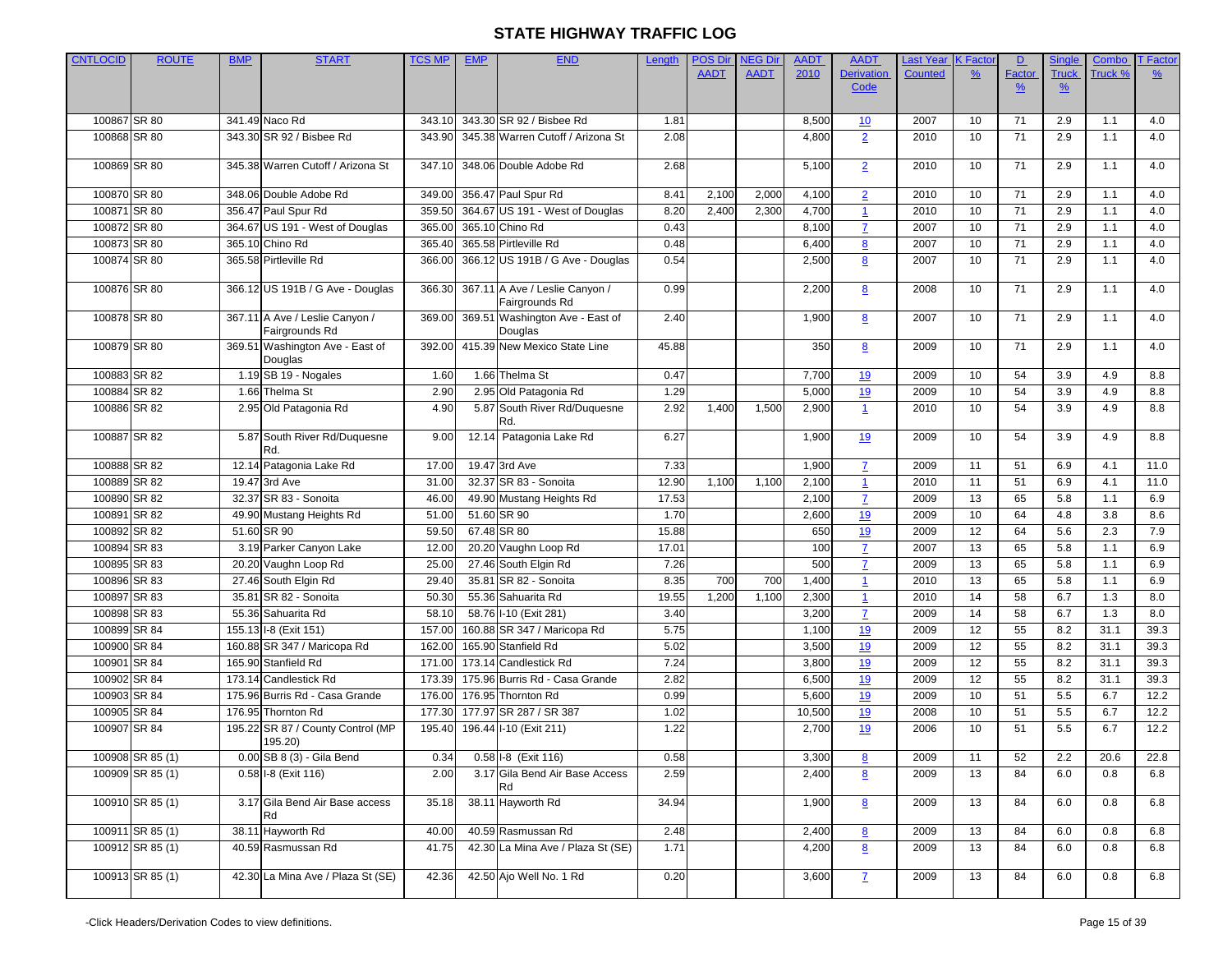| <b>CNTLOCID</b> | <b>ROUTE</b>     | <b>BMP</b> | <b>START</b>                        | <b>TCS MP</b> | <b>EMP</b> | <b>END</b>                                        | Length | <b>POS Dir</b> | <b>NEG Dir</b> | <b>AADT</b> | <b>AADT</b>             | Last Year      | K Factc         | $\mathbf{D}$  | Single        | Combo   | <u><b>Factor</b></u> |
|-----------------|------------------|------------|-------------------------------------|---------------|------------|---------------------------------------------------|--------|----------------|----------------|-------------|-------------------------|----------------|-----------------|---------------|---------------|---------|----------------------|
|                 |                  |            |                                     |               |            |                                                   |        | <b>AADT</b>    | <b>AADT</b>    | 2010        | <b>Derivation</b>       | <b>Counted</b> | $\frac{9}{6}$   | <b>Factor</b> | <b>Truck</b>  | Truck % | $\frac{9}{6}$        |
|                 |                  |            |                                     |               |            |                                                   |        |                |                |             | Code                    |                |                 | $\frac{9}{6}$ | $\frac{9}{6}$ |         |                      |
|                 |                  |            |                                     |               |            |                                                   |        |                |                |             |                         |                |                 |               |               |         |                      |
| 100867 SR 80    |                  |            | 341.49 Naco Rd                      | 343.10        |            | 343.30 SR 92 / Bisbee Rd                          | 1.81   |                |                | 8,500       | 10                      | 2007           | 10              | 71            | 2.9           | 1.1     | 4.0                  |
| 100868 SR 80    |                  |            | 343.30 SR 92 / Bisbee Rd            | 343.90        |            | 345.38 Warren Cutoff / Arizona St                 | 2.08   |                |                | 4,800       | $\overline{2}$          | 2010           | 10              | 71            | 2.9           | 1.1     | 4.0                  |
| 100869 SR 80    |                  |            | 345.38 Warren Cutoff / Arizona St   | 347.10        |            | 348.06 Double Adobe Rd                            | 2.68   |                |                | 5,100       | $\overline{2}$          | 2010           | 10              | 71            | 2.9           | 1.1     | 4.0                  |
|                 |                  |            |                                     |               |            |                                                   |        |                |                |             |                         |                |                 |               |               |         |                      |
| 100870 SR 80    |                  |            | 348.06 Double Adobe Rd              | 349.00        |            | 356.47 Paul Spur Rd                               | 8.41   | 2,100          | 2,000          | 4,100       | $\overline{2}$          | 2010           | 10              | 71            | 2.9           | 1.1     | 4.0                  |
| 100871 SR 80    |                  |            | 356.47 Paul Spur Rd                 | 359.50        |            | 364.67 US 191 - West of Douglas                   | 8.20   | 2,400          | 2,300          | 4,700       | $\mathbf 1$             | 2010           | 10 <sup>°</sup> | 71            | 2.9           | 1.1     | 4.0                  |
| 100872 SR 80    |                  |            | 364.67 US 191 - West of Douglas     | 365.00        |            | 365.10 Chino Rd                                   | 0.43   |                |                | 8,100       | $\overline{1}$          | 2007           | 10              | 71            | 2.9           | 1.1     | 4.0                  |
| 100873 SR 80    |                  |            | 365.10 Chino Rd                     | 365.40        |            | 365.58 Pirtleville Rd                             | 0.48   |                |                | 6,400       | 8                       | 2007           | 10              | 71            | 2.9           | 1.1     | 4.0                  |
| 100874 SR 80    |                  |            | 365.58 Pirtleville Rd               | 366.00        |            | 366.12 US 191B / G Ave - Douglas                  | 0.54   |                |                | 2,500       | 8                       | 2007           | 10              | 71            | 2.9           | 1.1     | 4.0                  |
|                 |                  |            |                                     |               |            |                                                   |        |                |                |             |                         |                |                 |               |               |         |                      |
| 100876 SR 80    |                  |            | 366.12 US 191B / G Ave - Douglas    | 366.30        |            | 367.11 A Ave / Leslie Canyon /                    | 0.99   |                |                | 2,200       | 8                       | 2008           | 10 <sup>°</sup> | 71            | 2.9           | 1.1     | 4.0                  |
|                 |                  |            | 367.11 A Ave / Leslie Canyon /      |               |            | Fairgrounds Rd<br>369.51 Washington Ave - East of |        |                |                |             |                         |                |                 | 71            |               |         |                      |
| 100878 SR 80    |                  |            | Fairgrounds Rd                      | 369.00        |            | Douglas                                           | 2.40   |                |                | 1,900       | 8                       | 2007           | 10              |               | 2.9           | 1.1     | 4.0                  |
| 100879 SR 80    |                  |            | 369.51 Washington Ave - East of     | 392.00        |            | 415.39 New Mexico State Line                      | 45.88  |                |                | 350         | $\underline{8}$         | 2009           | 10              | 71            | 2.9           | 1.1     | 4.0                  |
|                 |                  |            | Douglas                             |               |            |                                                   |        |                |                |             |                         |                |                 |               |               |         |                      |
| 100883 SR 82    |                  |            | 1.19 SB 19 - Nogales                | 1.60          |            | 1.66 Thelma St                                    | 0.47   |                |                | 7,700       | <u>19</u>               | 2009           | 10              | 54            | 3.9           | 4.9     | 8.8                  |
| 100884 SR 82    |                  |            | 1.66 Thelma St                      | 2.90          |            | 2.95 Old Patagonia Rd                             | 1.29   |                |                | 5,000       | 19                      | 2009           | 10              | 54            | 3.9           | 4.9     | 8.8                  |
| 100886 SR 82    |                  |            | 2.95 Old Patagonia Rd               | 4.90          |            | 5.87 South River Rd/Duquesne                      | 2.92   | 1,400          | 1,500          | 2,900       | $\mathbf{1}$            | 2010           | 10 <sup>°</sup> | 54            | 3.9           | 4.9     | 8.8                  |
|                 |                  |            |                                     |               |            | Rd.                                               |        |                |                |             |                         |                |                 |               |               |         |                      |
| 100887 SR 82    |                  |            | 5.87 South River Rd/Duquesne<br>Rd. | 9.00          |            | 12.14 Patagonia Lake Rd                           | 6.27   |                |                | 1,900       | <u>19</u>               | 2009           | 10              | 54            | 3.9           | 4.9     | 8.8                  |
| 100888 SR 82    |                  |            | 12.14 Patagonia Lake Rd             | 17.00         |            | 19.47 3rd Ave                                     | 7.33   |                |                | 1,900       | $\overline{7}$          | 2009           | 11              | 51            | 6.9           | 4.1     | 11.0                 |
| 100889 SR 82    |                  |            | 19.47 3rd Ave                       | 31.00         |            | 32.37 SR 83 - Sonoita                             | 12.90  | 1,100          | 1,100          | 2,100       | -1                      | 2010           | 11              | 51            | 6.9           | 4.1     | 11.0                 |
| 100890 SR 82    |                  |            | 32.37 SR 83 - Sonoita               | 46.00         |            | 49.90 Mustang Heights Rd                          | 17.53  |                |                | 2,100       | $\overline{7}$          | 2009           | 13              | 65            | 5.8           | 1.1     | 6.9                  |
| 100891 SR 82    |                  |            | 49.90 Mustang Heights Rd            | 51.00         |            | 51.60 SR 90                                       | 1.70   |                |                | 2,600       | <u>19</u>               | 2009           | 10              | 64            | 4.8           | 3.8     | 8.6                  |
| 100892 SR 82    |                  |            | 51.60 SR 90                         | 59.50         |            | 67.48 SR 80                                       | 15.88  |                |                | 650         | <u>19</u>               | 2009           | 12              | 64            | 5.6           | 2.3     | 7.9                  |
| 100894 SR 83    |                  |            | 3.19 Parker Canyon Lake             | 12.00         |            | 20.20 Vaughn Loop Rd                              | 17.01  |                |                | 100         | $\mathbf{Z}$            | 2007           | 13              | 65            | 5.8           | 1.1     | 6.9                  |
| 100895 SR 83    |                  |            | 20.20 Vaughn Loop Rd                | 25.00         |            | 27.46 South Elgin Rd                              | 7.26   |                |                | 500         | $\overline{7}$          | 2009           | 13              | 65            | 5.8           | 1.1     | 6.9                  |
| 100896 SR 83    |                  |            | 27.46 South Elgin Rd                | 29.40         |            | 35.81 SR 82 - Sonoita                             | 8.35   | 700            | 700            | 1,400       | $\overline{1}$          | 2010           | 13              | 65            | 5.8           | 1.1     | 6.9                  |
| 100897 SR 83    |                  | 35.81      | SR 82 - Sonoita                     | 50.30         |            | 55.36 Sahuarita Rd                                | 19.55  | 1,200          | 1,100          | 2,300       | $\overline{\mathbf{1}}$ | 2010           | 14              | 58            | 6.7           | 1.3     | 8.0                  |
| 100898 SR 83    |                  |            | 55.36 Sahuarita Rd                  | 58.10         |            | 58.76 I-10 (Exit 281)                             | 3.40   |                |                | 3,200       | 7                       | 2009           | 14              | 58            | 6.7           | 1.3     | 8.0                  |
| 100899 SR 84    |                  |            | 155.13 I-8 (Exit 151)               | 157.00        |            | 160.88 SR 347 / Maricopa Rd                       | 5.75   |                |                | 1,100       | 19                      | 2009           | 12              | 55            | 8.2           | 31.1    | 39.3                 |
| 100900 SR 84    |                  |            | 160.88 SR 347 / Maricopa Rd         | 162.00        |            | 165.90 Stanfield Rd                               | 5.02   |                |                | 3,500       | 19                      | 2009           | 12              | 55            | 8.2           | 31.1    | 39.3                 |
| 100901          | SR 84            |            | 165.90 Stanfield Rd                 | 171.00        |            | 173.14 Candlestick Rd                             | 7.24   |                |                | 3,800       | 19                      | 2009           | 12              | 55            | 8.2           | 31.1    | 39.3                 |
| 100902 SR 84    |                  |            | 173.14 Candlestick Rd               | 173.39        |            | 175.96 Burris Rd - Casa Grande                    | 2.82   |                |                | 6,500       | 19                      | 2009           | 12              | 55            | 8.2           | 31.1    | 39.3                 |
| 100903 SR 84    |                  |            | 175.96 Burris Rd - Casa Grande      | 176.00        |            | 176.95 Thornton Rd                                | 0.99   |                |                | 5,600       | 19                      | 2009           | 10              | 51            | 5.5           | 6.7     | 12.2                 |
| 100905 SR 84    |                  |            | 176.95 Thornton Rd                  | 177.30        |            | 177.97 SR 287 / SR 387                            | 1.02   |                |                | 10,500      | 19                      | 2008           | 10              | 51            | 5.5           | 6.7     | 12.2                 |
| 100907 SR 84    |                  |            | 195.22 SR 87 / County Control (MP   | 195.40        |            | 196.44 I-10 (Exit 211)                            | 1.22   |                |                | 2,700       | 19                      | 2006           | 10 <sup>°</sup> | 51            | 5.5           | 6.7     | 12.2                 |
|                 |                  |            | 195.20)                             |               |            |                                                   |        |                |                |             |                         |                |                 |               |               |         |                      |
|                 | 100908 SR 85 (1) |            | 0.00 SB 8 (3) - Gila Bend           | 0.34          |            | 0.58 I-8 (Exit 116)                               | 0.58   |                |                | 3,300       | 8                       | 2009           | 11              | 52            | 2.2           | 20.6    | 22.8                 |
|                 | 100909 SR 85 (1) |            | 0.58 I-8 (Exit 116)                 | 2.00          |            | 3.17 Gila Bend Air Base Access                    | 2.59   |                |                | 2,400       | 8                       | 2009           | 13              | 84            | 6.0           | 0.8     | 6.8                  |
|                 |                  |            |                                     |               |            | Rd                                                |        |                |                |             |                         |                |                 |               |               |         |                      |
|                 | 100910 SR 85 (1) |            | 3.17 Gila Bend Air Base access      | 35.18         |            | 38.11 Hayworth Rd                                 | 34.94  |                |                | 1,900       | 8                       | 2009           | 13              | 84            | 6.0           | 0.8     | 6.8                  |
|                 | 100911 SR 85 (1) |            | 38.11 Hayworth Rd                   | 40.00         |            | 40.59 Rasmussan Rd                                | 2.48   |                |                | 2,400       | 8                       | 2009           | 13              | 84            | 6.0           | 0.8     | 6.8                  |
|                 | 100912 SR 85 (1) |            | 40.59 Rasmussan Rd                  | 41.75         |            | 42.30 La Mina Ave / Plaza St (SE)                 | 1.71   |                |                | 4,200       | 8                       | 2009           | 13              | 84            | 6.0           | 0.8     | 6.8                  |
|                 |                  |            |                                     |               |            |                                                   |        |                |                |             |                         |                |                 |               |               |         |                      |
|                 | 100913 SR 85 (1) |            | 42.30 La Mina Ave / Plaza St (SE)   | 42.36         |            | 42.50 Ajo Well No. 1 Rd                           | 0.20   |                |                | 3,600       | $\mathbf{Z}$            | 2009           | 13              | 84            | 6.0           | 0.8     | 6.8                  |
|                 |                  |            |                                     |               |            |                                                   |        |                |                |             |                         |                |                 |               |               |         |                      |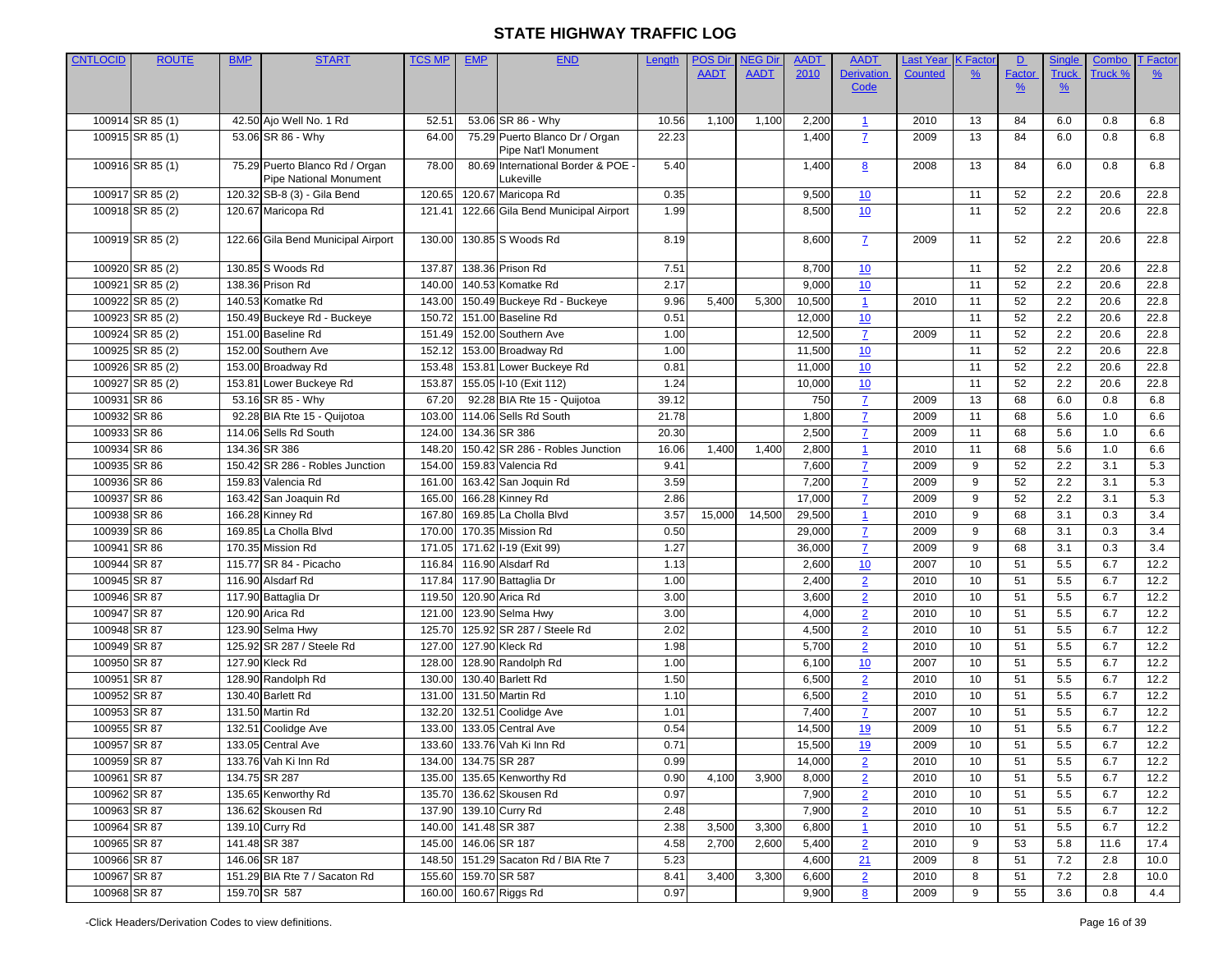| <b>CNTLOCID</b> | <b>ROUTE</b>     | <b>BMP</b> | <b>START</b>                                             | <b>TCS MP</b> | <b>EMP</b> | <b>END</b>                                            | Length | <b>POS Dir</b> | <b>JEG Dir</b> | <b>AADT</b> | <b>AADT</b>             | Last Year      | <b>K</b> Facto | $\mathbf{D}$  | <b>Single</b> | Combo   | <u>T Factor</u> |
|-----------------|------------------|------------|----------------------------------------------------------|---------------|------------|-------------------------------------------------------|--------|----------------|----------------|-------------|-------------------------|----------------|----------------|---------------|---------------|---------|-----------------|
|                 |                  |            |                                                          |               |            |                                                       |        | <b>AADT</b>    | <b>AADT</b>    | 2010        | <b>Derivation</b>       | <b>Counted</b> | $\frac{9}{6}$  | <b>Factor</b> | <b>Truck</b>  | Truck 9 | $\frac{9}{6}$   |
|                 |                  |            |                                                          |               |            |                                                       |        |                |                |             | <b>Code</b>             |                |                | $\frac{9}{6}$ | $\frac{9}{6}$ |         |                 |
|                 |                  |            |                                                          |               |            |                                                       |        |                |                |             |                         |                |                |               |               |         |                 |
|                 | 100914 SR 85 (1) |            | 42.50 Ajo Well No. 1 Rd                                  | 52.51         |            | 53.06 SR 86 - Why                                     | 10.56  | 1,100          | 1,100          | 2,200       | $\mathbf 1$             | 2010           | 13             | 84            | 6.0           | 0.8     | 6.8             |
|                 | 100915 SR 85 (1) |            | 53.06 SR 86 - Why                                        | 64.00         |            | 75.29 Puerto Blanco Dr / Organ<br>Pipe Nat'l Monument | 22.23  |                |                | 1,400       | $\mathbf{Z}$            | 2009           | 13             | 84            | 6.0           | 0.8     | 6.8             |
|                 | 100916 SR 85 (1) |            | 75.29 Puerto Blanco Rd / Organ<br>Pipe National Monument | 78.00         |            | 80.69 International Border & POE<br>ukeville          | 5.40   |                |                | 1,400       | 8                       | 2008           | 13             | 84            | 6.0           | 0.8     | 6.8             |
|                 | 100917 SR 85 (2) |            | 120.32 SB-8 (3) - Gila Bend                              | 120.65        |            | 120.67 Maricopa Rd                                    | 0.35   |                |                | 9,500       | 10                      |                | 11             | 52            | 2.2           | 20.6    | 22.8            |
|                 | 100918 SR 85 (2) |            | 120.67 Maricopa Rd                                       | 121.41        |            | 122.66 Gila Bend Municipal Airport                    | 1.99   |                |                | 8,500       | 10                      |                | 11             | 52            | 2.2           | 20.6    | 22.8            |
|                 | 100919 SR 85 (2) |            | 122.66 Gila Bend Municipal Airport                       | 130.00        |            | 130.85 S Woods Rd                                     | 8.19   |                |                | 8,600       | $\mathbf{Z}$            | 2009           | 11             | 52            | 2.2           | 20.6    | 22.8            |
|                 | 100920 SR 85 (2) |            | 130.85 S Woods Rd                                        | 137.87        |            | 138.36 Prison Rd                                      | 7.51   |                |                | 8,700       | 10                      |                | 11             | 52            | 2.2           | 20.6    | 22.8            |
|                 | 100921 SR 85 (2) |            | 138.36 Prison Rd                                         | 140.00        |            | 140.53 Komatke Rd                                     | 2.17   |                |                | 9,000       | 10                      |                | 11             | 52            | 2.2           | 20.6    | 22.8            |
|                 | 100922 SR 85 (2) |            | 140.53 Komatke Rd                                        | 143.00        |            | 150.49 Buckeye Rd - Buckeye                           | 9.96   | 5,400          | 5,300          | 10,500      | $\mathbf{1}$            | 2010           | 11             | 52            | 2.2           | 20.6    | 22.8            |
|                 | 100923 SR 85 (2) |            | 150.49 Buckeye Rd - Buckeye                              | 150.72        |            | 151.00 Baseline Rd                                    | 0.51   |                |                | 12,000      | 10                      |                | 11             | 52            | 2.2           | 20.6    | 22.8            |
|                 | 100924 SR 85 (2) |            | 151.00 Baseline Rd                                       | 151.49        |            | 152.00 Southern Ave                                   | 1.00   |                |                | 12,500      | $\mathbf{Z}$            | 2009           | 11             | 52            | 2.2           | 20.6    | 22.8            |
|                 | 100925 SR 85 (2) |            | 152.00 Southern Ave                                      | 152.12        |            | 153.00 Broadway Rd                                    | 1.00   |                |                | 11,500      | 10                      |                | 11             | 52            | 2.2           | 20.6    | 22.8            |
|                 | 100926 SR 85 (2) |            | 153.00 Broadway Rd                                       | 153.48        |            | 153.81 Lower Buckeye Rd                               | 0.81   |                |                | 11,000      | 10                      |                | 11             | 52            | 2.2           | 20.6    | 22.8            |
|                 | 100927 SR 85 (2) |            | 153.81 Lower Buckeye Rd                                  | 153.87        |            | 155.05 I-10 (Exit 112)                                | 1.24   |                |                | 10,000      | 10                      |                | 11             | 52            | 2.2           | 20.6    | 22.8            |
| 100931 SR 86    |                  |            | 53.16 SR 85 - Why                                        | 67.20         |            | 92.28 BIA Rte 15 - Quijotoa                           | 39.12  |                |                | 750         | $\mathbf{Z}$            | 2009           | 13             | 68            | 6.0           | 0.8     | 6.8             |
| 100932 SR 86    |                  |            | 92.28 BIA Rte 15 - Quijotoa                              | 103.00        |            | 114.06 Sells Rd South                                 | 21.78  |                |                | 1,800       | $\mathbf{Z}$            | 2009           | 11             | 68            | 5.6           | 1.0     | 6.6             |
| 100933 SR 86    |                  |            | 114.06 Sells Rd South                                    | 124.00        |            | 134.36 SR 386                                         | 20.30  |                |                | 2,500       | $\overline{1}$          | 2009           | 11             | 68            | 5.6           | 1.0     | 6.6             |
| 100934 SR 86    |                  |            | 134.36 SR 386                                            | 148.20        |            | 150.42 SR 286 - Robles Junction                       | 16.06  | 1,400          | 1,400          | 2,800       | $\overline{1}$          | 2010           | 11             | 68            | 5.6           | 1.0     | 6.6             |
| 100935 SR 86    |                  |            | 150.42 SR 286 - Robles Junction                          | 154.00        |            | 159.83 Valencia Rd                                    | 9.41   |                |                | 7,600       | $\overline{7}$          | 2009           | 9              | 52            | 2.2           | 3.1     | 5.3             |
| 100936 SR 86    |                  |            | 159.83 Valencia Rd                                       | 161.00        |            | 163.42 San Joquin Rd                                  | 3.59   |                |                | 7,200       | 7                       | 2009           | 9              | 52            | 2.2           | 3.1     | 5.3             |
| 100937 SR 86    |                  |            | 163.42 San Joaquin Rd                                    | 165.00        |            | 166.28 Kinney Rd                                      | 2.86   |                |                | 17,000      | $\overline{7}$          | 2009           | 9              | 52            | 2.2           | 3.1     | 5.3             |
| 100938 SR 86    |                  |            | 166.28 Kinney Rd                                         | 167.80        |            | 169.85 La Cholla Blvd                                 | 3.57   | 15,000         | 14,500         | 29,500      | $\overline{\mathbf{1}}$ | 2010           | 9              | 68            | 3.1           | 0.3     | 3.4             |
| 100939 SR 86    |                  |            | 169.85 La Cholla Blvd                                    | 170.00        |            | 170.35 Mission Rd                                     | 0.50   |                |                | 29,000      | $\mathbf{Z}$            | 2009           | 9              | 68            | 3.1           | 0.3     | 3.4             |
| 100941 SR 86    |                  |            | 170.35 Mission Rd                                        | 171.05        |            | 171.62 I-19 (Exit 99)                                 | 1.27   |                |                | 36,000      | $\mathbf{Z}$            | 2009           | 9              | 68            | 3.1           | 0.3     | 3.4             |
| 100944 SR 87    |                  |            | 115.77 SR 84 - Picacho                                   | 116.84        |            | 116.90 Alsdarf Rd                                     | 1.13   |                |                | 2,600       | 10                      | 2007           | 10             | 51            | 5.5           | 6.7     | 12.2            |
| 100945 SR 87    |                  |            | 116.90 Alsdarf Rd                                        | 117.84        |            | 117.90 Battaglia Dr                                   | 1.00   |                |                | 2,400       | $\overline{2}$          | 2010           | 10             | 51            | 5.5           | 6.7     | 12.2            |
| 100946 SR 87    |                  |            | 117.90 Battaglia Dr                                      | 119.50        |            | 120.90 Arica Rd                                       | 3.00   |                |                | 3,600       | $\overline{2}$          | 2010           | 10             | 51            | 5.5           | 6.7     | 12.2            |
| 100947 SR 87    |                  |            | 120.90 Arica Rd                                          | 121.00        |            | 123.90 Selma Hwy                                      | 3.00   |                |                | 4,000       | $\overline{2}$          | 2010           | 10             | 51            | 5.5           | 6.7     | 12.2            |
| 100948 SR 87    |                  |            | 123.90 Selma Hwy                                         | 125.70        |            | 125.92 SR 287 / Steele Rd                             | 2.02   |                |                | 4,500       | $\overline{2}$          | 2010           | 10             | 51            | 5.5           | 6.7     | 12.2            |
| 100949 SR 87    |                  |            | 125.92 SR 287 / Steele Rd                                | 127.00        |            | 127.90 Kleck Rd                                       | 1.98   |                |                | 5,700       | $\overline{2}$          | 2010           | 10             | 51            | 5.5           | 6.7     | 12.2            |
| 100950 SR 87    |                  |            | 127.90 Kleck Rd                                          | 128.00        |            | 128.90 Randolph Rd                                    | 1.00   |                |                | 6,100       | 10                      | 2007           | 10             | 51            | 5.5           | 6.7     | 12.2            |
| 100951 SR 87    |                  |            | 128.90 Randolph Rd                                       | 130.00        |            | 130.40 Barlett Rd                                     | 1.50   |                |                | 6,500       | $\overline{2}$          | 2010           | 10             | 51            | 5.5           | 6.7     | 12.2            |
| 100952 SR 87    |                  |            | 130.40 Barlett Rd                                        | 131.00        |            | 131.50 Martin Rd                                      | 1.10   |                |                | 6,500       | $\overline{2}$          | 2010           | 10             | 51            | 5.5           | 6.7     | 12.2            |
| 100953 SR 87    |                  |            | 131.50 Martin Rd                                         | 132.20        |            | 132.51 Coolidge Ave                                   | 1.01   |                |                | 7,400       | $\mathbf{Z}$            | 2007           | 10             | 51            | 5.5           | 6.7     | 12.2            |
| 100955 SR 87    |                  |            | 132.51 Coolidge Ave                                      | 133.00        |            | 133.05 Central Ave                                    | 0.54   |                |                | 14,500      | <u>19</u>               | 2009           | 10             | 51            | 5.5           | 6.7     | 12.2            |
| 100957 SR 87    |                  |            | 133.05 Central Ave                                       |               |            | 133.60 133.76 Vah Ki Inn Rd                           | 0.71   |                |                | 15,500      | 19                      | 2009           | 10             | 51            | 5.5           | 6.7     | 12.2            |
| 100959 SR 87    |                  |            | 133.76 Vah Ki Inn Rd                                     | 134.00        |            | 134.75 SR 287                                         | 0.99   |                |                | 14,000      | $\overline{2}$          | 2010           | 10             | 51            | 5.5           | 6.7     | 12.2            |
| 100961 SR 87    |                  |            | 134.75 SR 287                                            | 135.00        |            | 135.65 Kenworthy Rd                                   | 0.90   | 4,100          | 3,900          | 8,000       | $\overline{2}$          | 2010           | 10             | 51            | 5.5           | 6.7     | 12.2            |
| 100962 SR 87    |                  |            | 135.65 Kenworthy Rd                                      | 135.70        |            | 136.62 Skousen Rd                                     | 0.97   |                |                | 7,900       | $\overline{2}$          | 2010           | 10             | 51            | 5.5           | 6.7     | 12.2            |
| 100963 SR 87    |                  |            | 136.62 Skousen Rd                                        | 137.90        |            | 139.10 Curry Rd                                       | 2.48   |                |                | 7,900       | $\overline{2}$          | 2010           | 10             | 51            | 5.5           | 6.7     | 12.2            |
| 100964 SR 87    |                  |            | 139.10 Curry Rd                                          | 140.00        |            | 141.48 SR 387                                         | 2.38   | 3,500          | 3,300          | 6,800       | $\mathbf{\mathbf{1}}$   | 2010           | 10             | 51            | 5.5           | 6.7     | 12.2            |
| 100965 SR 87    |                  |            | 141.48 SR 387                                            | 145.00        |            | 146.06 SR 187                                         | 4.58   | 2,700          | 2,600          | 5,400       | $\overline{2}$          | 2010           | 9              | 53            | 5.8           | 11.6    | 17.4            |
| 100966 SR 87    |                  |            | 146.06 SR 187                                            | 148.50        |            | 151.29 Sacaton Rd / BIA Rte 7                         | 5.23   |                |                | 4,600       | 21                      | 2009           | 8              | 51            | 7.2           | 2.8     | 10.0            |
| 100967 SR 87    |                  |            | 151.29 BIA Rte 7 / Sacaton Rd                            | 155.60        |            | 159.70 SR 587                                         | 8.41   | 3,400          | 3,300          | 6,600       | $\overline{2}$          | 2010           | 8              | 51            | 7.2           | 2.8     | 10.0            |
| 100968 SR 87    |                  |            | 159.70 SR 587                                            | 160.00        |            | 160.67 Riggs Rd                                       | 0.97   |                |                | 9,900       | 8                       | 2009           | 9              | 55            | 3.6           | 0.8     | 4.4             |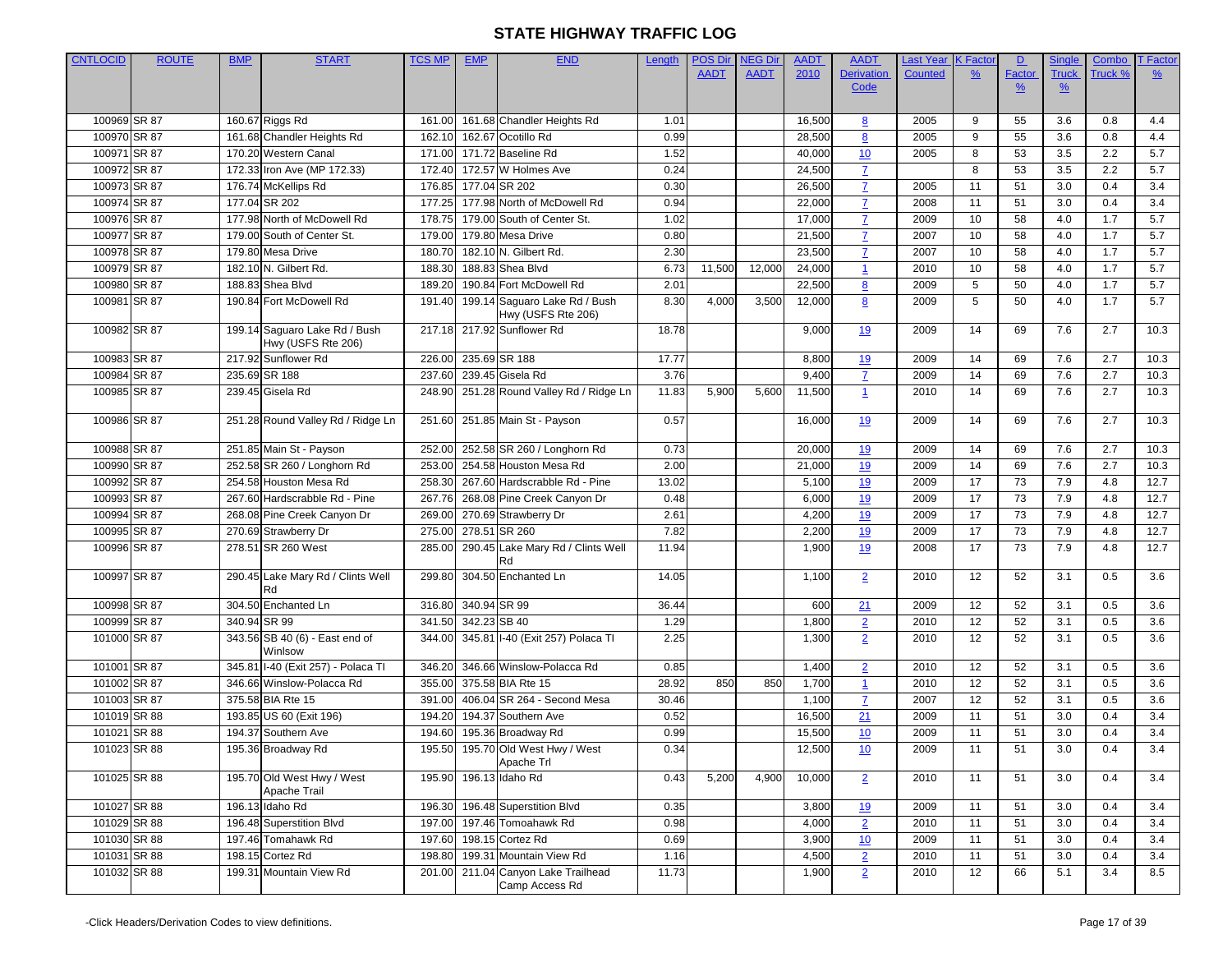| <b>CNTLOCID</b> | <b>ROUTE</b> | <b>BMP</b>   | <b>START</b>                              | <b>TCS MP</b> | <b>EMP</b> | <b>END</b>                        | Length | <b>POS Dir</b> | <b>NEG Dir</b> | <b>AADT</b> | <b>AADT</b>       | Last Year      | <b>K Facto</b> | $\mathbf{D}$  | Single        | Combo   | <b>T</b> Factor |
|-----------------|--------------|--------------|-------------------------------------------|---------------|------------|-----------------------------------|--------|----------------|----------------|-------------|-------------------|----------------|----------------|---------------|---------------|---------|-----------------|
|                 |              |              |                                           |               |            |                                   |        | <b>AADT</b>    | <b>AADT</b>    | 2010        | <b>Derivation</b> | <b>Counted</b> | $\frac{9}{6}$  | Factor        | <b>Truck</b>  | Truck % | $\frac{9}{6}$   |
|                 |              |              |                                           |               |            |                                   |        |                |                |             | Code              |                |                | $\frac{9}{6}$ | $\frac{9}{6}$ |         |                 |
|                 |              |              |                                           |               |            |                                   |        |                |                |             |                   |                |                |               |               |         |                 |
| 100969 SR 87    |              |              | 160.67 Riggs Rd                           | 161.00        |            | 161.68 Chandler Heights Rd        | 1.01   |                |                | 16,500      | 8                 | 2005           | 9              | 55            | 3.6           | 0.8     | 4.4             |
| 100970 SR 87    |              |              | 161.68 Chandler Heights Rd                | 162.10        |            | 162.67 Ocotillo Rd                | 0.99   |                |                | 28,500      | 8                 | 2005           | 9              | 55            | 3.6           | 0.8     | 4.4             |
| 100971 SR 87    |              |              | 170.20 Western Canal                      | 171.00        |            | 171.72 Baseline Rd                | 1.52   |                |                | 40,000      | 10                | 2005           | 8              | 53            | 3.5           | 2.2     | 5.7             |
| 100972 SR 87    |              |              | 172.33 Iron Ave (MP 172.33)               | 172.40        |            | 172.57 W Holmes Ave               | 0.24   |                |                | 24,500      | $\overline{7}$    |                | 8              | 53            | 3.5           | 2.2     | 5.7             |
| 100973 SR 87    |              |              | 176.74 McKellips Rd                       | 176.85        |            | 177.04 SR 202                     | 0.30   |                |                | 26,500      | $\mathbf{Z}$      | 2005           | 11             | 51            | 3.0           | 0.4     | 3.4             |
| 100974 SR 87    |              |              | 177.04 SR 202                             | 177.25        |            | 177.98 North of McDowell Rd       | 0.94   |                |                | 22,000      | $\mathbf{Z}$      | 2008           | 11             | 51            | 3.0           | 0.4     | 3.4             |
| 100976 SR 87    |              |              | 177.98 North of McDowell Rd               | 178.75        |            | 179.00 South of Center St.        | 1.02   |                |                | 17,000      | $\overline{7}$    | 2009           | 10             | 58            | 4.0           | 1.7     | 5.7             |
| 100977 SR 87    |              |              | 179.00 South of Center St.                | 179.00        |            | 179.80 Mesa Drive                 | 0.80   |                |                | 21,500      | $\mathbf{Z}$      | 2007           | 10             | 58            | 4.0           | 1.7     | 5.7             |
| 100978 SR 87    |              |              | 179.80 Mesa Drive                         | 180.70        |            | 182.10 N. Gilbert Rd.             | 2.30   |                |                | 23,500      | $\mathbf{Z}$      | 2007           | 10             | 58            | 4.0           | 1.7     | 5.7             |
| 100979 SR 87    |              |              | 182.10 N. Gilbert Rd.                     | 188.30        |            | 188.83 Shea Blvd                  | 6.73   | 11,500         | 12,000         | 24,000      | $\overline{1}$    | 2010           | 10             | 58            | 4.0           | 1.7     | 5.7             |
| 100980 SR 87    |              |              | 188.83 Shea Blvd                          | 189.20        |            | 190.84 Fort McDowell Rd           | 2.01   |                |                | 22,500      | $\underline{8}$   | 2009           | 5              | 50            | 4.0           | 1.7     | 5.7             |
| 100981 SR 87    |              |              | 190.84 Fort McDowell Rd                   | 191.40        |            | 199.14 Saguaro Lake Rd / Bush     | 8.30   | 4,000          | 3,500          | 12,000      | 8                 | 2009           | 5              | 50            | 4.0           | 1.7     | 5.7             |
|                 |              |              |                                           |               |            | Hwy (USFS Rte 206)                |        |                |                |             |                   |                |                |               |               |         |                 |
| 100982 SR 87    |              |              | 199.14 Saguaro Lake Rd / Bush             | 217.18        |            | 217.92 Sunflower Rd               | 18.78  |                |                | 9,000       | 19                | 2009           | 14             | 69            | 7.6           | 2.7     | 10.3            |
| 100983 SR 87    |              |              | Hwy (USFS Rte 206)<br>217.92 Sunflower Rd | 226.00        |            | 235.69 SR 188                     | 17.77  |                |                | 8,800       |                   | 2009           | 14             | 69            | 7.6           | 2.7     | 10.3            |
| 100984 SR 87    |              |              | 235.69 SR 188                             | 237.60        |            | 239.45 Gisela Rd                  | 3.76   |                |                | 9,400       | 19                | 2009           | 14             | 69            | 7.6           | 2.7     | 10.3            |
|                 |              |              |                                           |               |            |                                   |        |                |                |             | $\overline{7}$    |                |                |               |               |         |                 |
| 100985 SR 87    |              |              | 239.45 Gisela Rd                          | 248.90        |            | 251.28 Round Valley Rd / Ridge Ln | 11.83  | 5,900          | 5,600          | 11,500      | $\perp$           | 2010           | 14             | 69            | 7.6           | 2.7     | 10.3            |
| 100986 SR 87    |              |              | 251.28 Round Valley Rd / Ridge Ln         | 251.60        |            | 251.85 Main St - Payson           | 0.57   |                |                | 16,000      | <u>19</u>         | 2009           | 14             | 69            | 7.6           | 2.7     | 10.3            |
|                 |              |              |                                           |               |            |                                   |        |                |                |             |                   |                |                |               |               |         |                 |
| 100988 SR 87    |              |              | 251.85 Main St - Payson                   | 252.00        |            | 252.58 SR 260 / Longhorn Rd       | 0.73   |                |                | 20,000      | <u>19</u>         | 2009           | 14             | 69            | 7.6           | 2.7     | 10.3            |
| 100990 SR 87    |              |              | 252.58 SR 260 / Longhorn Rd               | 253.00        |            | 254.58 Houston Mesa Rd            | 2.00   |                |                | 21,000      | 19                | 2009           | 14             | 69            | 7.6           | 2.7     | 10.3            |
| 100992 SR 87    |              |              | 254.58 Houston Mesa Rd                    | 258.30        |            | 267.60 Hardscrabble Rd - Pine     | 13.02  |                |                | 5,100       | 19                | 2009           | 17             | 73            | 7.9           | 4.8     | 12.7            |
| 100993 SR 87    |              |              | 267.60 Hardscrabble Rd - Pine             | 267.76        |            | 268.08 Pine Creek Canyon Dr       | 0.48   |                |                | 6,000       | 19                | 2009           | 17             | 73            | 7.9           | 4.8     | 12.7            |
| 100994 SR 87    |              |              | 268.08 Pine Creek Canyon Dr               | 269.00        |            | 270.69 Strawberry Dr              | 2.61   |                |                | 4,200       | 19                | 2009           | 17             | 73            | 7.9           | 4.8     | 12.7            |
| 100995 SR 87    |              |              | 270.69 Strawberry Dr                      | 275.00        |            | 278.51 SR 260                     | 7.82   |                |                | 2,200       | <b>19</b>         | 2009           | 17             | 73            | 7.9           | 4.8     | 12.7            |
| 100996 SR 87    |              |              | 278.51 SR 260 West                        | 285.00        |            | 290.45 Lake Mary Rd / Clints Well | 11.94  |                |                | 1,900       | <b>19</b>         | 2008           | 17             | 73            | 7.9           | 4.8     | 12.7            |
|                 |              |              |                                           |               |            | Rd                                |        |                |                |             |                   |                |                |               |               |         |                 |
| 100997 SR 87    |              |              | 290.45 Lake Mary Rd / Clints Well         | 299.80        |            | 304.50 Enchanted Ln               | 14.05  |                |                | 1,100       | $\overline{2}$    | 2010           | 12             | 52            | 3.1           | 0.5     | 3.6             |
|                 |              |              |                                           |               |            |                                   |        |                |                |             |                   |                |                |               |               |         |                 |
| 100998 SR 87    |              |              | 304.50 Enchanted Ln                       | 316.80        |            | 340.94 SR 99                      | 36.44  |                |                | 600         | 21                | 2009           | 12             | 52            | 3.1           | 0.5     | 3.6             |
| 100999 SR 87    |              | 340.94 SR 99 |                                           | 341.50        |            | 342.23 SB 40                      | 1.29   |                |                | 1,800       | $\overline{2}$    | 2010           | 12             | 52            | 3.1           | 0.5     | 3.6             |
| 101000 SR 87    |              |              | 343.56 SB 40 (6) - East end of<br>Winlsow | 344.00        |            | 345.81 I-40 (Exit 257) Polaca TI  | 2.25   |                |                | 1,300       | $\overline{2}$    | 2010           | 12             | 52            | 3.1           | 0.5     | 3.6             |
| 101001 SR 87    |              |              | 345.81 I-40 (Exit 257) - Polaca TI        | 346.20        |            | 346.66 Winslow-Polacca Rd         | 0.85   |                |                | 1,400       | $\overline{2}$    | 2010           | 12             | 52            | 3.1           | 0.5     | 3.6             |
| 101002 SR 87    |              |              | 346.66 Winslow-Polacca Rd                 | 355.00        |            | 375.58 BIA Rte 15                 | 28.92  | 850            | 850            | 1,700       | $\overline{1}$    | 2010           | 12             | 52            | 3.1           | 0.5     | 3.6             |
| 101003 SR 87    |              |              | 375.58 BIA Rte 15                         | 391.00        |            | 406.04 SR 264 - Second Mesa       | 30.46  |                |                | 1,100       | $\mathbf{Z}$      | 2007           | 12             | 52            | 3.1           | 0.5     | 3.6             |
| 101019 SR 88    |              |              | 193.85 US 60 (Exit 196)                   | 194.20        |            | 194.37 Southern Ave               | 0.52   |                |                | 16,500      | 21                | 2009           | 11             | 51            | 3.0           | 0.4     | 3.4             |
| 101021 SR 88    |              |              | 194.37 Southern Ave                       | 194.60        |            | 195.36 Broadway Rd                | 0.99   |                |                | 15,500      | 10                | 2009           | 11             | 51            | 3.0           | 0.4     | 3.4             |
| 101023 SR 88    |              |              | 195.36 Broadway Rd                        |               |            | 195.50 195.70 Old West Hwy / West | 0.34   |                |                | 12,500      | 10                | 2009           | 11             | 51            | 3.0           | 0.4     | 3.4             |
|                 |              |              |                                           |               |            | Apache Trl                        |        |                |                |             |                   |                |                |               |               |         |                 |
| 101025 SR 88    |              |              | 195.70 Old West Hwy / West                |               |            | 195.90 196.13 Idaho Rd            | 0.43   | 5,200          | 4,900          | 10,000      | $\overline{2}$    | 2010           | 11             | 51            | 3.0           | 0.4     | 3.4             |
|                 |              |              | Apache Trail                              |               |            |                                   |        |                |                |             |                   |                |                |               |               |         |                 |
| 101027 SR 88    |              |              | 196.13 Idaho Rd                           | 196.30        |            | 196.48 Superstition Blvd          | 0.35   |                |                | 3,800       | 19                | 2009           | 11             | 51            | 3.0           | 0.4     | 3.4             |
| 101029 SR 88    |              |              | 196.48 Superstition Blvd                  | 197.00        |            | 197.46 Tomoahawk Rd               | 0.98   |                |                | 4,000       | $\overline{2}$    | 2010           | 11             | 51            | 3.0           | 0.4     | 3.4             |
| 101030 SR 88    |              |              | 197.46 Tomahawk Rd                        | 197.60        |            | 198.15 Cortez Rd                  | 0.69   |                |                | 3,900       | 10                | 2009           | 11             | 51            | 3.0           | 0.4     | 3.4             |
| 101031 SR 88    |              |              | 198.15 Cortez Rd                          | 198.80        |            | 199.31 Mountain View Rd           | 1.16   |                |                | 4,500       | $\overline{2}$    | 2010           | 11             | 51            | 3.0           | 0.4     | 3.4             |
| 101032 SR 88    |              |              | 199.31 Mountain View Rd                   | 201.00        |            | 211.04 Canyon Lake Trailhead      | 11.73  |                |                | 1,900       | $\overline{2}$    | 2010           | 12             | 66            | 5.1           | 3.4     | 8.5             |
|                 |              |              |                                           |               |            | Camp Access Rd                    |        |                |                |             |                   |                |                |               |               |         |                 |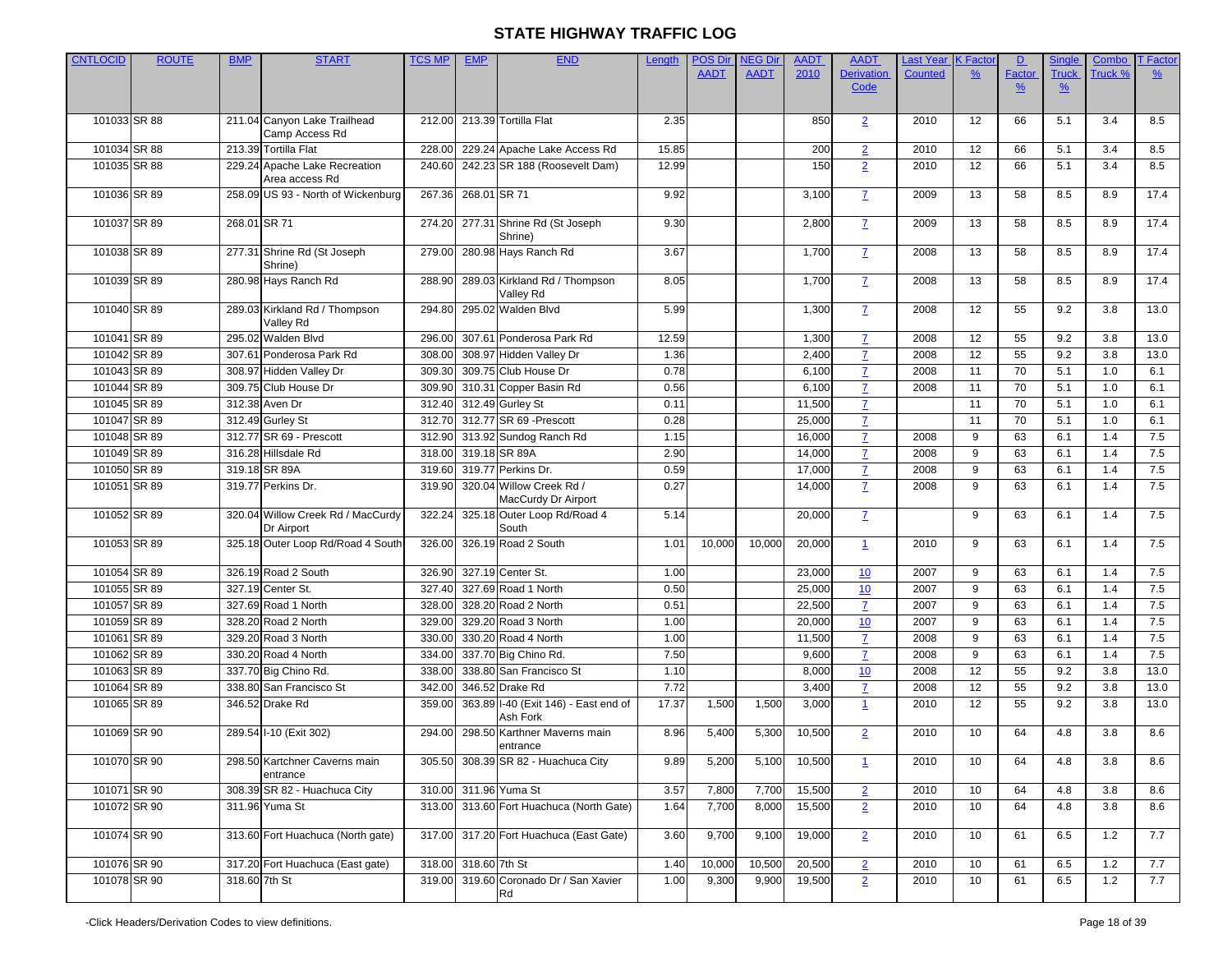| <b>CNTLOCID</b> | <b>ROUTE</b> | <b>BMP</b>    | <b>START</b>                             | <b>TCS MP</b> | <b>EMP</b>           | <b>END</b>                           | Length | <b>POS Dir</b> | <b>NEG Dir</b> | <b>AADT</b> | <b>AADT</b>       | Last Year      | <b>K</b> Facto  | D             | <b>Single</b> | Combo   | <b>T</b> Factor |
|-----------------|--------------|---------------|------------------------------------------|---------------|----------------------|--------------------------------------|--------|----------------|----------------|-------------|-------------------|----------------|-----------------|---------------|---------------|---------|-----------------|
|                 |              |               |                                          |               |                      |                                      |        | <b>AADT</b>    | <b>AADT</b>    | 2010        | <b>Derivation</b> | <b>Counted</b> | $\frac{9}{6}$   | <b>Factor</b> | <b>Truck</b>  | Truck 9 | $\frac{9}{6}$   |
|                 |              |               |                                          |               |                      |                                      |        |                |                |             | Code              |                |                 | $\frac{9}{6}$ | $\frac{9}{6}$ |         |                 |
|                 |              |               |                                          |               |                      |                                      |        |                |                |             |                   |                |                 |               |               |         |                 |
| 101033 SR 88    |              |               | 211.04 Canyon Lake Trailhead             | 212.00        |                      | 213.39 Tortilla Flat                 | 2.35   |                |                | 850         | $\overline{2}$    | 2010           | 12              | 66            | 5.1           | 3.4     | 8.5             |
|                 |              |               | Camp Access Rd                           |               |                      |                                      |        |                |                |             |                   |                |                 |               |               |         |                 |
| 101034 SR 88    |              |               | 213.39 Tortilla Flat                     | 228.00        |                      | 229.24 Apache Lake Access Rd         | 15.85  |                |                | 200         | $\overline{2}$    | 2010           | 12              | 66            | 5.1           | 3.4     | 8.5             |
| 101035 SR 88    |              |               | 229.24 Apache Lake Recreation            | 240.60        |                      | 242.23 SR 188 (Roosevelt Dam)        | 12.99  |                |                | 150         | $\overline{2}$    | 2010           | 12              | 66            | 5.1           | 3.4     | 8.5             |
|                 |              |               | Area access Rd                           |               |                      |                                      |        |                |                |             |                   |                |                 |               |               |         |                 |
| 101036 SR 89    |              |               | 258.09 US 93 - North of Wickenburg       | 267.36        | 268.01 SR 71         |                                      | 9.92   |                |                | 3,100       | $\mathbf{Z}$      | 2009           | 13              | 58            | 8.5           | 8.9     | 17.4            |
|                 |              |               |                                          |               |                      |                                      |        |                |                |             |                   |                |                 |               |               |         |                 |
| 101037 SR 89    |              | 268.01 SR 71  |                                          | 274.20        |                      | 277.31 Shrine Rd (St Joseph          | 9.30   |                |                | 2,800       | $\mathbf{Z}$      | 2009           | 13              | 58            | 8.5           | 8.9     | 17.4            |
|                 |              |               |                                          |               |                      | Shrine)                              |        |                |                |             |                   |                |                 |               |               |         |                 |
| 101038 SR 89    |              |               | 277.31 Shrine Rd (St Joseph<br>Shrine)   | 279.00        |                      | 280.98 Hays Ranch Rd                 | 3.67   |                |                | 1,700       | $\mathbf{Z}$      | 2008           | 13              | 58            | 8.5           | 8.9     | 17.4            |
| 101039 SR 89    |              |               | 280.98 Hays Ranch Rd                     | 288.90        |                      | 289.03 Kirkland Rd / Thompson        | 8.05   |                |                | 1,700       | $\mathbf{Z}$      | 2008           | 13              | 58            | 8.5           | 8.9     | 17.4            |
|                 |              |               |                                          |               |                      | Valley Rd                            |        |                |                |             |                   |                |                 |               |               |         |                 |
| 101040 SR 89    |              |               | 289.03 Kirkland Rd / Thompson            | 294.80        |                      | 295.02 Walden Blvd                   | 5.99   |                |                | 1,300       | $\mathbf{Z}$      | 2008           | 12              | 55            | 9.2           | 3.8     | 13.0            |
|                 |              |               | Valley Rd                                |               |                      |                                      |        |                |                |             |                   |                |                 |               |               |         |                 |
| 101041 SR 89    |              |               | 295.02 Walden Blvd                       | 296.00        |                      | 307.61 Ponderosa Park Rd             | 12.59  |                |                | 1,300       | $\mathbf{Z}$      | 2008           | 12              | 55            | 9.2           | 3.8     | 13.0            |
| 101042 SR 89    |              |               | 307.61 Ponderosa Park Rd                 | 308.00        |                      | 308.97 Hidden Valley Dr              | 1.36   |                |                | 2,400       | $\mathbf{Z}$      | 2008           | 12              | 55            | 9.2           | 3.8     | 13.0            |
| 101043 SR 89    |              |               | 308.97 Hidden Valley Dr                  | 309.30        |                      | 309.75 Club House Dr                 | 0.78   |                |                | 6,100       | 7                 | 2008           | 11              | 70            | 5.1           | 1.0     | 6.1             |
| 101044 SR 89    |              |               | 309.75 Club House Dr                     | 309.90        |                      | 310.31 Copper Basin Rd               | 0.56   |                |                | 6,100       | $\overline{7}$    | 2008           | 11              | 70            | 5.1           | 1.0     | 6.1             |
| 101045 SR 89    |              |               | 312.38 Aven Dr                           | 312.40        |                      | 312.49 Gurley St                     | 0.11   |                |                | 11,500      | $\overline{7}$    |                | 11              | 70            | 5.1           | 1.0     | 6.1             |
| 101047 SR 89    |              |               |                                          |               |                      | 312.77 SR 69 - Prescott              | 0.28   |                |                |             |                   |                | 11              | 70            | 5.1           |         |                 |
|                 |              |               | 312.49 Gurley St                         | 312.70        |                      |                                      |        |                |                | 25,000      | $\mathbf{Z}$      |                |                 |               |               | 1.0     | 6.1             |
| 101048 SR 89    |              |               | 312.77 SR 69 - Prescott                  | 312.90        |                      | 313.92 Sundog Ranch Rd               | 1.15   |                |                | 16,000      | $\mathbf{Z}$      | 2008           | $\overline{9}$  | 63            | 6.1           | 1.4     | 7.5             |
| 101049 SR 89    |              |               | 316.28 Hillsdale Rd                      | 318.00        |                      | 319.18 SR 89A                        | 2.90   |                |                | 14,000      | $\overline{7}$    | 2008           | $\overline{9}$  | 63            | 6.1           | 1.4     | 7.5             |
| 101050 SR 89    |              |               | 319.18 SR 89A                            | 319.60        |                      | 319.77 Perkins Dr.                   | 0.59   |                |                | 17,000      | $\overline{7}$    | 2008           | $\overline{9}$  | 63            | 6.1           | 1.4     | 7.5             |
| 101051 SR 89    |              |               | 319.77 Perkins Dr.                       | 319.90        |                      | 320.04 Willow Creek Rd /             | 0.27   |                |                | 14,000      | $\mathbf{Z}$      | 2008           | 9               | 63            | 6.1           | 1.4     | 7.5             |
|                 |              |               |                                          |               |                      | MacCurdy Dr Airport                  |        |                |                |             |                   |                |                 |               |               |         |                 |
| 101052 SR 89    |              |               | 320.04 Willow Creek Rd / MacCurdy        | 322.24        |                      | 325.18 Outer Loop Rd/Road 4          | 5.14   |                |                | 20,000      | $\mathbf{Z}$      |                | 9               | 63            | 6.1           | 1.4     | 7.5             |
|                 |              |               | Dr Airport                               |               |                      | South                                |        |                |                |             |                   |                |                 |               |               |         |                 |
| 101053 SR 89    |              |               | 325.18 Outer Loop Rd/Road 4 South        | 326.00        |                      | 326.19 Road 2 South                  | 1.01   | 10,000         | 10,000         | 20,000      | $\mathbf{1}$      | 2010           | 9               | 63            | 6.1           | 1.4     | 7.5             |
| 101054 SR 89    |              |               | 326.19 Road 2 South                      | 326.90        |                      | 327.19 Center St.                    | 1.00   |                |                | 23,000      | 10                | 2007           | $\overline{9}$  | 63            | 6.1           | 1.4     | 7.5             |
| 101055 SR 89    |              |               | 327.19 Center St.                        | 327.40        |                      | 327.69 Road 1 North                  | 0.50   |                |                | 25,000      | 10                | 2007           | 9               | 63            | 6.1           | 1.4     | 7.5             |
| 101057 SR 89    |              |               | 327.69 Road 1 North                      | 328.00        |                      | 328.20 Road 2 North                  | 0.51   |                |                | 22,500      |                   | 2007           | 9               | 63            | 6.1           | 1.4     | 7.5             |
|                 |              |               |                                          |               |                      |                                      |        |                |                |             | $\mathbf{Z}$      |                |                 |               |               |         |                 |
| 101059 SR 89    |              |               | 328.20 Road 2 North                      | 329.00        |                      | 329.20 Road 3 North                  | 1.00   |                |                | 20,000      | 10                | 2007           | 9               | 63            | 6.1           | 1.4     | 7.5             |
| 101061 SR 89    |              |               | 329.20 Road 3 North                      | 330.00        |                      | 330.20 Road 4 North                  | 1.00   |                |                | 11,500      | $\mathbf{Z}$      | 2008           | 9               | 63            | 6.1           | 1.4     | 7.5             |
| 101062 SR 89    |              |               | 330.20 Road 4 North                      | 334.00        |                      | 337.70 Big Chino Rd.                 | 7.50   |                |                | 9,600       | $\mathbf{Z}$      | 2008           | 9               | 63            | 6.1           | 1.4     | 7.5             |
| 101063 SR 89    |              |               | 337.70 Big Chino Rd.                     | 338.00        |                      | 338.80 San Francisco St              | 1.10   |                |                | 8,000       | 10                | 2008           | 12              | 55            | 9.2           | 3.8     | 13.0            |
| 101064 SR 89    |              |               | 338.80 San Francisco St                  | 342.00        |                      | 346.52 Drake Rd                      | 7.72   |                |                | 3,400       | $\mathbf{Z}$      | 2008           | 12              | 55            | 9.2           | 3.8     | 13.0            |
| 101065 SR 89    |              |               | 346.52 Drake Rd                          | 359.00        |                      | 363.89 I-40 (Exit 146) - East end of | 17.37  | 1,500          | 1,500          | 3,000       | $\mathbf{1}$      | 2010           | 12              | 55            | 9.2           | 3.8     | 13.0            |
|                 |              |               |                                          |               |                      | Ash Fork                             |        |                |                |             |                   |                |                 |               |               |         |                 |
| 101069 SR 90    |              |               | 289.54 I-10 (Exit 302)                   | 294.00        | 298.50               | Karthner Maverns main                | 8.96   | 5,400          | 5,300          | 10,500      | $\overline{2}$    | 2010           | 10 <sup>°</sup> | 64            | 4.8           | 3.8     | 8.6             |
|                 |              |               |                                          |               |                      | entrance                             |        |                |                |             |                   |                |                 |               |               |         |                 |
| 101070 SR 90    |              |               | 298.50 Kartchner Caverns main            |               |                      | 305.50 308.39 SR 82 - Huachuca City  | 9.89   | 5,200          | 5,100          | 10,500      | $\mathbf{1}$      | 2010           | 10              | 64            | 4.8           | 3.8     | 8.6             |
| 101071 SR 90    |              |               | entrance<br>308.39 SR 82 - Huachuca City |               |                      | 310.00 311.96 Yuma St                | 3.57   | 7,800          | 7,700          | 15,500      |                   | 2010           |                 |               |               |         |                 |
|                 |              |               |                                          |               |                      |                                      |        |                |                |             | $\overline{2}$    |                | 10              | 64            | 4.8           | 3.8     | 8.6             |
| 101072 SR 90    |              |               | 311.96 Yuma St                           | 313.00        |                      | 313.60 Fort Huachuca (North Gate)    | 1.64   | 7,700          | 8,000          | 15,500      | $\overline{2}$    | 2010           | 10              | 64            | 4.8           | 3.8     | 8.6             |
| 101074 SR 90    |              |               | 313.60 Fort Huachuca (North gate)        | 317.00        |                      | 317.20 Fort Huachuca (East Gate)     | 3.60   | 9,700          | 9,100          | 19,000      |                   | 2010           | 10              | 61            | 6.5           | $1.2$   | 7.7             |
|                 |              |               |                                          |               |                      |                                      |        |                |                |             | $\overline{2}$    |                |                 |               |               |         |                 |
| 101076 SR 90    |              |               | 317.20 Fort Huachuca (East gate)         |               | 318.00 318.60 7th St |                                      | 1.40   | 10,000         | 10,500         | 20,500      | $\overline{2}$    | 2010           | 10              | 61            | 6.5           | 1.2     | 7.7             |
| 101078 SR 90    |              | 318.60 7th St |                                          | 319.00        |                      | 319.60 Coronado Dr / San Xavier      | 1.00   | 9,300          | 9,900          | 19,500      | $\overline{2}$    | 2010           | 10              | 61            | 6.5           | 1.2     | 7.7             |
|                 |              |               |                                          |               |                      | Rd                                   |        |                |                |             |                   |                |                 |               |               |         |                 |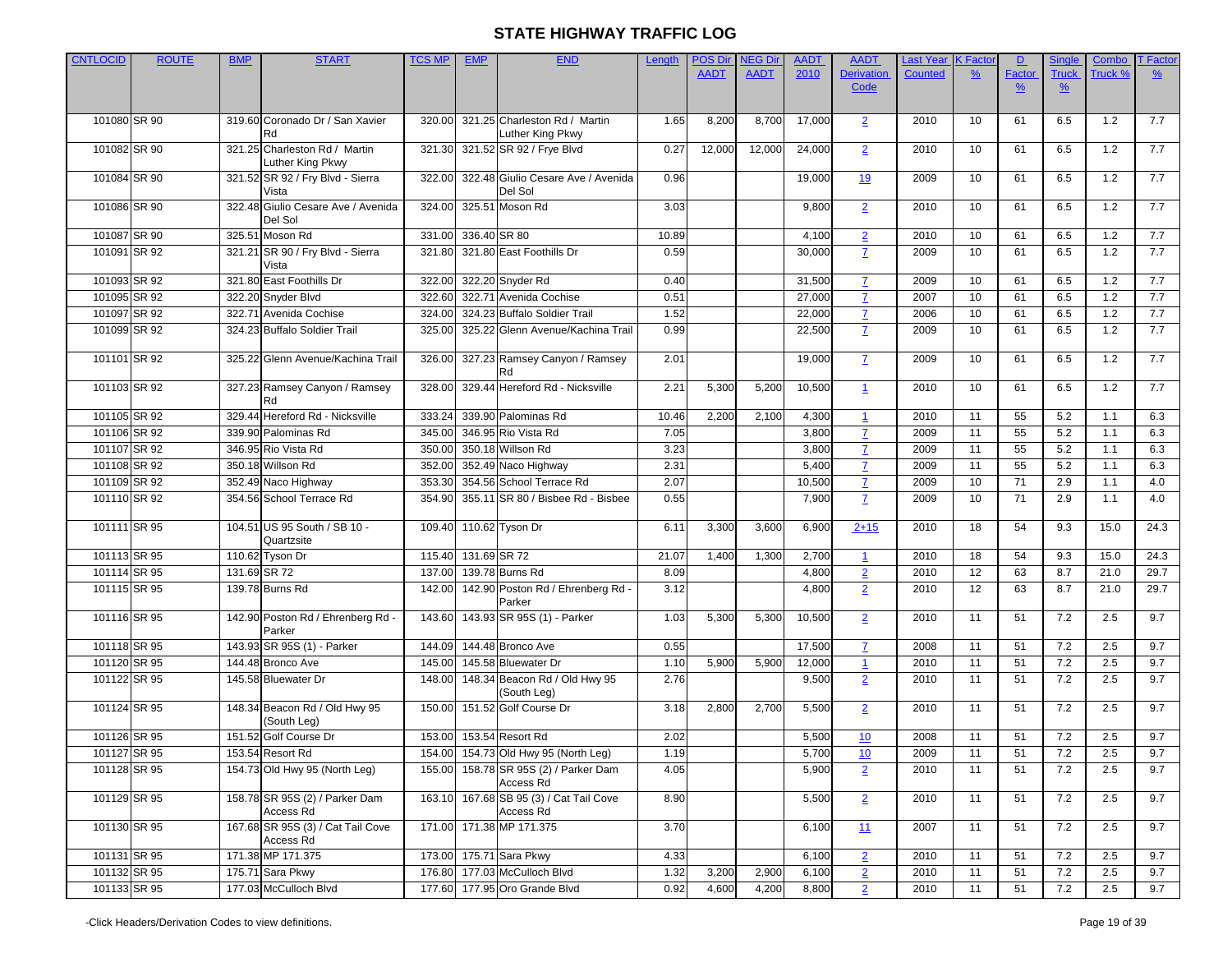| <b>CNTLOCID</b> | <b>ROUTE</b> | <b>BMP</b>   | <b>START</b>                                   | <b>TCS MP</b> | <b>EMP</b> | <b>END</b>                                           | Length | <b>POS Dir</b> | <b>NEG Direct</b> | <b>AADT</b> | <b>AADT</b>             | Last Year      | <b>K</b> Facto  | D             | <b>Single</b> | Combo   | <b>T</b> Factor |
|-----------------|--------------|--------------|------------------------------------------------|---------------|------------|------------------------------------------------------|--------|----------------|-------------------|-------------|-------------------------|----------------|-----------------|---------------|---------------|---------|-----------------|
|                 |              |              |                                                |               |            |                                                      |        | <b>AADT</b>    | <b>AADT</b>       | 2010        | <b>Derivation</b>       | <b>Counted</b> | $\frac{9}{6}$   | <b>Factor</b> | <b>Truck</b>  | Truck % | $\frac{9}{6}$   |
|                 |              |              |                                                |               |            |                                                      |        |                |                   |             | Code                    |                |                 | $\frac{9}{6}$ | $\frac{9}{6}$ |         |                 |
|                 |              |              |                                                |               |            |                                                      |        |                |                   |             |                         |                |                 |               |               |         |                 |
| 101080 SR 90    |              |              | 319.60 Coronado Dr / San Xavier<br>Rd          | 320.00        |            | 321.25 Charleston Rd / Martin<br>Luther King Pkwy    | 1.65   | 8,200          | 8,700             | 17,000      | $\overline{2}$          | 2010           | 10              | 61            | 6.5           | 1.2     | 7.7             |
| 101082 SR 90    |              |              | 321.25 Charleston Rd / Martin                  | 321.30        |            | 321.52 SR 92 / Frye Blvd                             | 0.27   | 12,000         | 12,000            | 24,000      | $\overline{2}$          | 2010           | 10 <sup>°</sup> | 61            | 6.5           | 1.2     | 7.7             |
|                 |              |              | Luther King Pkwy                               |               |            |                                                      |        |                |                   |             |                         |                |                 |               |               |         |                 |
| 101084 SR 90    |              |              | 321.52 SR 92 / Fry Blvd - Sierra               | 322.00        |            | 322.48 Giulio Cesare Ave / Avenida                   | 0.96   |                |                   | 19,000      | 19                      | 2009           | 10              | 61            | 6.5           | 1.2     | 7.7             |
|                 |              |              | Vista                                          |               |            | Del Sol                                              |        |                |                   |             |                         |                |                 |               |               |         |                 |
| 101086 SR 90    |              |              | 322.48 Giulio Cesare Ave / Avenida<br>Del Sol  | 324.00        |            | 325.51 Moson Rd                                      | 3.03   |                |                   | 9,800       | $\overline{2}$          | 2010           | 10              | 61            | 6.5           | 1.2     | 7.7             |
| 101087 SR 90    |              |              | 325.51 Moson Rd                                | 331.00        |            | 336.40 SR 80                                         | 10.89  |                |                   | 4,100       | $\overline{2}$          | 2010           | 10              | 61            | 6.5           | 1.2     | 7.7             |
| 101091 SR 92    |              |              | 321.21 SR 90 / Fry Blvd - Sierra<br>Vista      | 321.80        |            | 321.80 East Foothills Dr                             | 0.59   |                |                   | 30,000      | $\mathbf{Z}$            | 2009           | 10 <sup>°</sup> | 61            | 6.5           | 1.2     | 7.7             |
| 101093 SR 92    |              |              | 321.80 East Foothills Dr                       | 322.00        |            | 322.20 Snyder Rd                                     | 0.40   |                |                   | 31,500      | $\overline{7}$          | 2009           | 10              | 61            | 6.5           | 1.2     | 7.7             |
| 101095 SR 92    |              |              | 322.20 Snyder Blvd                             | 322.60        |            | 322.71 Avenida Cochise                               | 0.51   |                |                   | 27,000      | $\mathbf{Z}$            | 2007           | 10              | 61            | 6.5           | 1.2     | 7.7             |
| 101097 SR 92    |              |              | 322.71 Avenida Cochise                         | 324.00        |            | 324.23 Buffalo Soldier Trail                         | 1.52   |                |                   | 22,000      | $\mathbf{Z}$            | 2006           | 10 <sup>°</sup> | 61            | 6.5           | 1.2     | 7.7             |
| 101099 SR 92    |              |              | 324.23 Buffalo Soldier Trail                   | 325.00        |            | 325.22 Glenn Avenue/Kachina Trail                    | 0.99   |                |                   | 22,500      | $\mathbf{Z}$            | 2009           | 10              | 61            | 6.5           | $1.2$   | 7.7             |
|                 |              |              |                                                |               |            |                                                      |        |                |                   |             |                         |                |                 |               |               |         |                 |
| 101101 SR 92    |              |              | 325.22 Glenn Avenue/Kachina Trail              | 326.00        |            | 327.23 Ramsey Canyon / Ramsey<br>Rd                  | 2.01   |                |                   | 19,000      | $\mathbf{Z}$            | 2009           | 10              | 61            | 6.5           | 1.2     | 7.7             |
| 101103 SR 92    |              |              | 327.23 Ramsey Canyon / Ramsey                  | 328.00        |            | 329.44 Hereford Rd - Nicksville                      | 2.21   | 5,300          | 5,200             | 10,500      | $\mathbf{1}$            | 2010           | 10              | 61            | 6.5           | $1.2$   | 7.7             |
| 101105 SR 92    |              |              | 329.44 Hereford Rd - Nicksville                | 333.24        |            | 339.90 Palominas Rd                                  | 10.46  | 2,200          | 2,100             | 4,300       | $\mathbf{1}$            | 2010           | 11              | 55            | 5.2           | 1.1     | 6.3             |
| 101106 SR 92    |              |              | 339.90 Palominas Rd                            | 345.00        |            | 346.95 Rio Vista Rd                                  | 7.05   |                |                   | 3,800       | $\mathbf{Z}$            | 2009           | 11              | 55            | 5.2           | 1.1     | 6.3             |
| 101107 SR 92    |              |              | 346.95 Rio Vista Rd                            | 350.00        |            | 350.18 Willson Rd                                    | 3.23   |                |                   | 3,800       | $\mathbf{Z}$            | 2009           | 11              | 55            | 5.2           | 1.1     | 6.3             |
| 101108 SR 92    |              |              | 350.18 Willson Rd                              | 352.00        |            | 352.49 Naco Highway                                  | 2.31   |                |                   | 5,400       | $\mathbf{Z}$            | 2009           | 11              | 55            | 5.2           | 1.1     | 6.3             |
| 101109 SR 92    |              |              | 352.49 Naco Highway                            | 353.30        |            | 354.56 School Terrace Rd                             | 2.07   |                |                   | 10,500      | $\mathbf{Z}$            | 2009           | 10              | 71            | 2.9           | 1.1     | 4.0             |
| 101110 SR 92    |              |              | 354.56 School Terrace Rd                       | 354.90        |            | 355.11 SR 80 / Bisbee Rd - Bisbee                    | 0.55   |                |                   | 7,900       | $\mathbf{Z}$            | 2009           | 10              | 71            | 2.9           | 1.1     | 4.0             |
| 101111 SR 95    |              |              | 104.51 US 95 South / SB 10 -<br>Quartzsite     | 109.40        |            | 110.62 Tyson Dr                                      | 6.11   | 3,300          | 3,600             | 6,900       | $2 + 15$                | 2010           | 18              | 54            | 9.3           | 15.0    | 24.3            |
| 101113 SR 95    |              |              | 110.62 Tyson Dr                                | 115.40        |            | 131.69 SR 72                                         | 21.07  | 1,400          | 1,300             | 2,700       | $\overline{\mathbf{1}}$ | 2010           | 18              | 54            | 9.3           | 15.0    | 24.3            |
| 101114 SR 95    |              | 131.69 SR 72 |                                                | 137.00        |            | 139.78 Burns Rd                                      | 8.09   |                |                   | 4,800       | $\overline{2}$          | 2010           | 12              | 63            | 8.7           | 21.0    | 29.7            |
| 101115 SR 95    |              |              | 139.78 Burns Rd                                | 142.00        |            | 142.90 Poston Rd / Ehrenberg Rd -<br>Parker          | 3.12   |                |                   | 4,800       | $\overline{2}$          | 2010           | 12              | 63            | 8.7           | 21.0    | 29.7            |
| 101116 SR 95    |              |              | 142.90 Poston Rd / Ehrenberg Rd -<br>Parker    | 143.60        |            | 143.93 SR 95S (1) - Parker                           | 1.03   | 5,300          | 5,300             | 10,500      | $\overline{2}$          | 2010           | 11              | 51            | 7.2           | 2.5     | 9.7             |
| 101118 SR 95    |              |              | 143.93 SR 95S (1) - Parker                     | 144.09        |            | 144.48 Bronco Ave                                    | 0.55   |                |                   | 17,500      | $\mathbf{Z}$            | 2008           | 11              | 51            | 7.2           | 2.5     | 9.7             |
| 101120 SR 95    |              |              | 144.48 Bronco Ave                              | 145.00        |            | 145.58 Bluewater Dr                                  | 1.10   | 5,900          | 5,900             | 12,000      | $\mathbf{1}$            | 2010           | 11              | 51            | 7.2           | 2.5     | 9.7             |
| 101122 SR 95    |              |              | 145.58 Bluewater Dr                            | 148.00        |            | 148.34 Beacon Rd / Old Hwy 95<br>(South Leg)         | 2.76   |                |                   | 9,500       | $\overline{2}$          | 2010           | 11              | 51            | 7.2           | 2.5     | 9.7             |
| 101124 SR 95    |              |              | 148.34 Beacon Rd / Old Hwy 95<br>(South Leg)   | 150.00        |            | 151.52 Golf Course Dr                                | 3.18   | 2,800          | 2,700             | 5,500       | $\overline{2}$          | 2010           | 11              | 51            | 7.2           | 2.5     | 9.7             |
| 101126 SR 95    |              |              | 151.52 Golf Course Dr                          | 153.00        |            | 153.54 Resort Rd                                     | 2.02   |                |                   | 5,500       | 10                      | 2008           | 11              | 51            | 7.2           | 2.5     | 9.7             |
| 101127 SR 95    |              |              | 153.54 Resort Rd                               |               |            | 154.00 154.73 Old Hwy 95 (North Leg)                 | 1.19   |                |                   | 5,700       | <u>10</u>               | 2009           | 11              | 51            | $\frac{1}{2}$ | 2.5     | 9.7             |
| 101128 SR 95    |              |              | 154.73 Old Hwy 95 (North Leg)                  |               |            | 155.00 158.78 SR 95S (2) / Parker Dam                | 4.05   |                |                   | 5,900       | $\overline{2}$          | 2010           | 11              | 51            | 7.2           | 2.5     | 9.7             |
| 101129 SR 95    |              |              | 158.78 SR 95S (2) / Parker Dam                 |               |            | Access Rd<br>163.10 167.68 SB 95 (3) / Cat Tail Cove | 8.90   |                |                   | 5,500       |                         | 2010           | 11              | 51            | 7.2           | 2.5     | 9.7             |
|                 |              |              | Access Rd                                      |               |            | Access Rd                                            |        |                |                   |             | $\overline{2}$          |                |                 |               |               |         |                 |
| 101130 SR 95    |              |              | 167.68 SR 95S (3) / Cat Tail Cove<br>Access Rd |               |            | 171.00 171.38 MP 171.375                             | 3.70   |                |                   | 6,100       | 11                      | 2007           | 11              | 51            | 7.2           | 2.5     | 9.7             |
| 101131 SR 95    |              |              | 171.38 MP 171.375                              |               |            | 173.00 175.71 Sara Pkwy                              | 4.33   |                |                   | 6,100       | $\overline{2}$          | 2010           | 11              | 51            | 7.2           | 2.5     | 9.7             |
| 101132 SR 95    |              |              | 175.71 Sara Pkwy                               |               |            | 176.80 177.03 McCulloch Blvd                         | 1.32   | 3,200          | 2,900             | 6,100       | $\overline{2}$          | 2010           | 11              | 51            | 7.2           | 2.5     | 9.7             |
| 101133 SR 95    |              |              | 177.03 McCulloch Blvd                          |               |            | 177.60 177.95 Oro Grande Blvd                        | 0.92   | 4,600          | 4,200             | 8,800       | $\overline{2}$          | 2010           | 11              | 51            | 7.2           | 2.5     | 9.7             |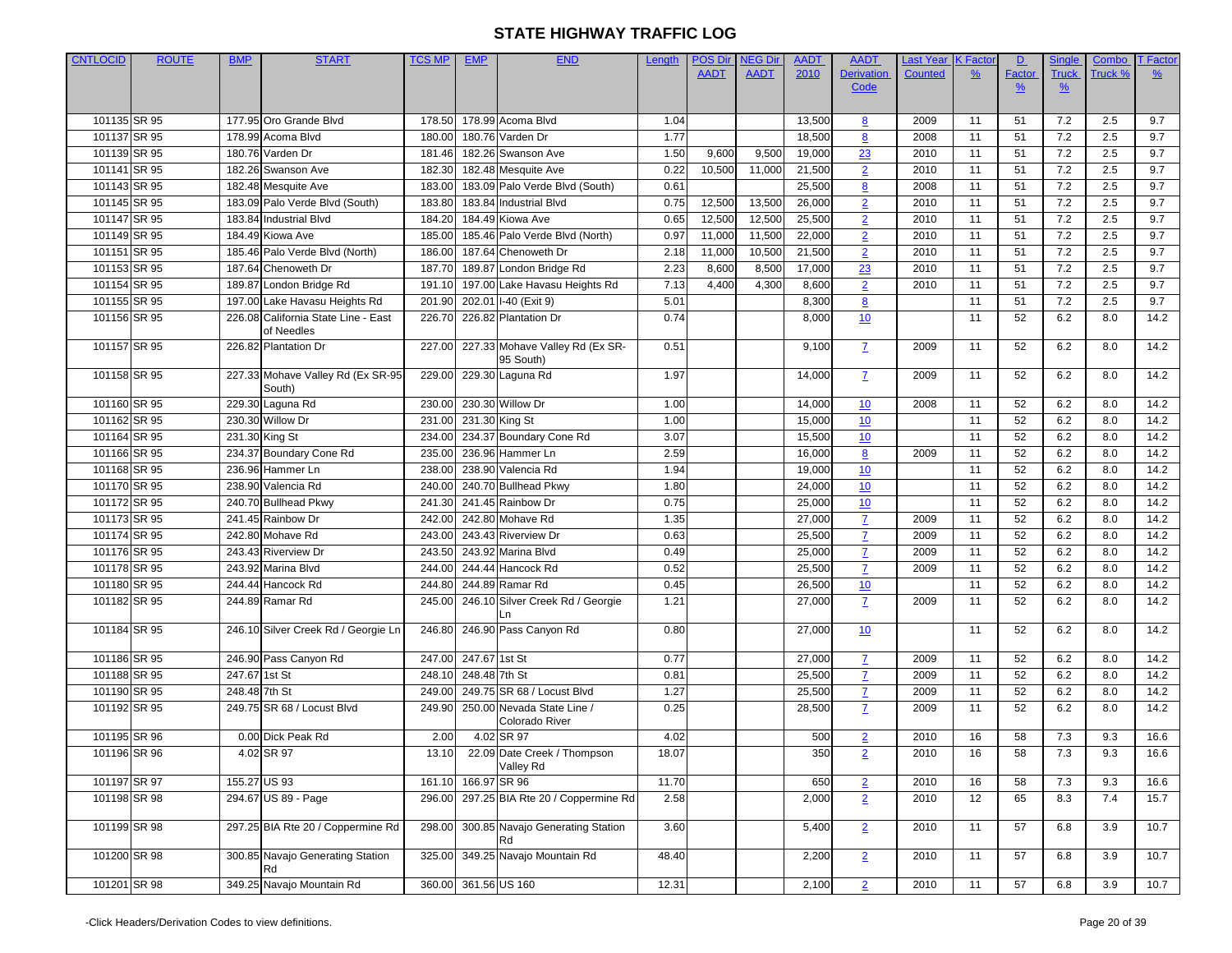| <b>CNTLOCID</b> | <b>ROUTE</b> | <b>BMP</b>    | <b>START</b>                                | <b>TCS MP</b> | <b>EMP</b>    | <b>END</b>                                   | Length | <b>POS Dir</b> | <b>NEG Dir</b> | <b>AADT</b> | <b>AADT</b>       | Last Year      | <b>K</b> Facto | D             | Single        | Combo   | T Factor      |
|-----------------|--------------|---------------|---------------------------------------------|---------------|---------------|----------------------------------------------|--------|----------------|----------------|-------------|-------------------|----------------|----------------|---------------|---------------|---------|---------------|
|                 |              |               |                                             |               |               |                                              |        | <b>AADT</b>    | <b>AADT</b>    | 2010        | <b>Derivation</b> | <b>Counted</b> | $\frac{9}{6}$  | Factor        | <b>Truck</b>  | Truck % | $\frac{9}{6}$ |
|                 |              |               |                                             |               |               |                                              |        |                |                |             | Code              |                |                | $\frac{9}{6}$ | $\frac{9}{6}$ |         |               |
|                 |              |               |                                             |               |               |                                              |        |                |                |             |                   |                |                |               |               |         |               |
| 101135 SR 95    |              |               | 177.95 Oro Grande Blvd                      | 178.50        |               | 178.99 Acoma Blvd                            | 1.04   |                |                | 13,500      | 8                 | 2009           | 11             | 51            | 7.2           | 2.5     | 9.7           |
| 101137 SR 95    |              |               | 178.99 Acoma Blvd                           | 180.00        |               | 180.76 Varden Dr                             | 1.77   |                |                | 18,500      | 8                 | 2008           | 11             | 51            | 7.2           | 2.5     | 9.7           |
| 101139 SR 95    |              |               | 180.76 Varden Dr                            | 181.46        |               | 182.26 Swanson Ave                           | 1.50   | 9,600          | 9,500          | 19,000      | 23                | 2010           | 11             | 51            | 7.2           | 2.5     | 9.7           |
| 101141 SR 95    |              |               | 182.26 Swanson Ave                          | 182.30        |               | 182.48 Mesquite Ave                          | 0.22   | 10,500         | 11,000         | 21,500      | $\overline{2}$    | 2010           | 11             | 51            | 7.2           | 2.5     | 9.7           |
| 101143 SR 95    |              |               | 182.48 Mesquite Ave                         | 183.00        |               | 183.09 Palo Verde Blvd (South)               | 0.61   |                |                | 25,500      | 8                 | 2008           | 11             | 51            | 7.2           | 2.5     | 9.7           |
| 101145 SR 95    |              |               | 183.09 Palo Verde Blvd (South)              | 183.80        |               | 183.84 Industrial Blvd                       | 0.75   | 12,500         | 13,500         | 26,000      | $\overline{2}$    | 2010           | 11             | 51            | 7.2           | 2.5     | 9.7           |
| 101147 SR 95    |              |               | 183.84 Industrial Blvd                      | 184.20        |               | 184.49 Kiowa Ave                             | 0.65   | 12,500         | 12,500         | 25,500      | $\overline{2}$    | 2010           | 11             | 51            | 7.2           | 2.5     | 9.7           |
| 101149 SR 95    |              |               | 184.49 Kiowa Ave                            | 185.00        |               | 185.46 Palo Verde Blvd (North)               | 0.97   | 11,000         | 11,500         | 22,000      | $\overline{2}$    | 2010           | 11             | 51            | 7.2           | 2.5     | 9.7           |
| 101151 SR 95    |              |               | 185.46 Palo Verde Blvd (North)              | 186.00        |               | 187.64 Chenoweth Dr                          | 2.18   | 11,000         | 10,500         | 21,500      | $\overline{2}$    | 2010           | 11             | 51            | 7.2           | 2.5     | 9.7           |
| 101153 SR 95    |              |               | 187.64 Chenoweth Dr                         | 187.70        |               | 189.87 London Bridge Rd                      | 2.23   | 8,600          | 8,500          | 17,000      | 23                | 2010           | 11             | 51            | 7.2           | 2.5     | 9.7           |
| 101154 SR 95    |              |               | 189.87 London Bridge Rd                     | 191.10        |               | 197.00 Lake Havasu Heights Rd                | 7.13   | 4,400          | 4,300          | 8,600       | $\overline{2}$    | 2010           | 11             | 51            | 7.2           | 2.5     | 9.7           |
| 101155 SR 95    |              |               | 197.00 Lake Havasu Heights Rd               | 201.90        | 202.01        | -40 (Exit 9)                                 | 5.01   |                |                | 8,300       | 8                 |                | 11             | 51            | 7.2           | 2.5     | 9.7           |
| 101156 SR 95    |              |               | 226.08 California State Line - East         | 226.70        |               | 226.82 Plantation Dr                         | 0.74   |                |                | 8,000       | 10                |                | 11             | 52            | 6.2           | 8.0     | 14.2          |
|                 |              |               | of Needles                                  |               |               |                                              |        |                |                |             |                   |                |                |               |               |         |               |
| 101157 SR 95    |              |               | 226.82 Plantation Dr                        | 227.00        |               | 227.33 Mohave Valley Rd (Ex SR-<br>95 South) | 0.51   |                |                | 9,100       | $\mathbf{Z}$      | 2009           | 11             | 52            | 6.2           | 8.0     | 14.2          |
| 101158 SR 95    |              |               | 227.33 Mohave Valley Rd (Ex SR-95<br>South) | 229.00        |               | 229.30 Laguna Rd                             | 1.97   |                |                | 14,000      | $\mathbf{Z}$      | 2009           | 11             | 52            | 6.2           | 8.0     | 14.2          |
| 101160 SR 95    |              |               | 229.30 Laguna Rd                            | 230.00        |               | 230.30 Willow Dr                             | 1.00   |                |                | 14,000      | 10                | 2008           | 11             | 52            | 6.2           | 8.0     | 14.2          |
| 101162 SR 95    |              |               | 230.30 Willow Dr                            | 231.00        |               | 231.30 King St                               | 1.00   |                |                | 15,000      | 10                |                | 11             | 52            | 6.2           | 8.0     | 14.2          |
| 101164 SR 95    |              |               | 231.30 King St                              | 234.00        |               | 234.37 Boundary Cone Rd                      | 3.07   |                |                | 15,500      | 10                |                | 11             | 52            | 6.2           | 8.0     | 14.2          |
| 101166 SR 95    |              |               | 234.37 Boundary Cone Rd                     | 235.00        |               | 236.96 Hammer Ln                             | 2.59   |                |                | 16,000      | 8                 | 2009           | 11             | 52            | 6.2           | 8.0     | 14.2          |
| 101168 SR 95    |              |               | 236.96 Hammer Ln                            | 238.00        |               | 238.90 Valencia Rd                           | 1.94   |                |                | 19,000      | 10                |                | 11             | 52            | 6.2           | 8.0     | 14.2          |
| 101170 SR 95    |              |               | 238.90 Valencia Rd                          | 240.00        |               | 240.70 Bullhead Pkwy                         | 1.80   |                |                | 24,000      | 10                |                | 11             | 52            | 6.2           | 8.0     | 14.2          |
| 101172 SR 95    |              |               | 240.70 Bullhead Pkwy                        | 241.30        |               | 241.45 Rainbow Dr                            | 0.75   |                |                | 25,000      | 10                |                | 11             | 52            | 6.2           | 8.0     | 14.2          |
| 101173 SR 95    |              |               | 241.45 Rainbow Dr                           | 242.00        |               | 242.80 Mohave Rd                             | 1.35   |                |                | 27,000      | $\mathbf{Z}$      | 2009           | 11             | 52            | 6.2           | 8.0     | 14.2          |
| 101174 SR 95    |              |               | 242.80 Mohave Rd                            | 243.00        |               | 243.43 Riverview Dr                          | 0.63   |                |                | 25,500      | $\mathbf{Z}$      | 2009           | 11             | 52            | 6.2           | 8.0     | 14.2          |
| 101176 SR 95    |              |               | 243.43 Riverview Dr                         | 243.50        |               | 243.92 Marina Blvd                           | 0.49   |                |                | 25,000      | $\mathbf{Z}$      | 2009           | 11             | 52            | 6.2           | 8.0     | 14.2          |
| 101178 SR 95    |              |               | 243.92 Marina Blvd                          | 244.00        |               | 244.44 Hancock Rd                            | 0.52   |                |                | 25,500      | $\mathbf{Z}$      | 2009           | 11             | 52            | 6.2           | 8.0     | 14.2          |
| 101180 SR 95    |              |               | 244.44 Hancock Rd                           | 244.80        |               | 244.89 Ramar Rd                              | 0.45   |                |                | 26,500      | 10                |                | 11             | 52            | 6.2           | 8.0     | 14.2          |
| 101182 SR 95    |              |               | 244.89 Ramar Rd                             | 245.00        |               | 246.10 Silver Creek Rd / Georgie             | 1.21   |                |                | 27,000      | $\mathbf{Z}$      | 2009           | 11             | 52            | 6.2           | 8.0     | 14.2          |
| 101184 SR 95    |              |               | 246.10 Silver Creek Rd / Georgie Ln         | 246.80        |               | 246.90 Pass Canyon Rd                        | 0.80   |                |                | 27,000      | 10                |                | 11             | 52            | 6.2           | 8.0     | 14.2          |
| 101186 SR 95    |              |               | 246.90 Pass Canyon Rd                       | 247.00        | 247.67 1st St |                                              | 0.77   |                |                | 27,000      | $\overline{7}$    | 2009           | 11             | 52            | 6.2           | 8.0     | 14.2          |
| 101188 SR 95    |              | 247.67 1st St |                                             | 248.10        | 248.48 7th St |                                              | 0.81   |                |                | 25,500      | $\mathbf{Z}$      | 2009           | 11             | 52            | 6.2           | 8.0     | 14.2          |
| 101190 SR 95    |              | 248.48 7th St |                                             | 249.00        |               | 249.75 SR 68 / Locust Blvd                   | 1.27   |                |                | 25,500      | $\mathbf{Z}$      | 2009           | 11             | 52            | 6.2           | 8.0     | 14.2          |
| 101192 SR 95    |              |               | 249.75 SR 68 / Locust Blvd                  | 249.90        |               | 250.00 Nevada State Line /<br>Colorado River | 0.25   |                |                | 28,500      | $\mathbf{Z}$      | 2009           | 11             | 52            | 6.2           | 8.0     | 14.2          |
| 101195 SR 96    |              |               | 0.00 Dick Peak Rd                           | 2.00          |               | 4.02 SR 97                                   | 4.02   |                |                | 500         | $\overline{2}$    | 2010           | 16             | 58            | 7.3           | 9.3     | 16.6          |
| 101196 SR 96    |              |               | 4.02 SR 97                                  | 13.10         |               | 22.09 Date Creek / Thompson                  | 18.07  |                |                | 350         | $\overline{2}$    | 2010           | 16             | 58            | 7.3           | 9.3     | 16.6          |
|                 |              |               |                                             |               |               | Valley Rd                                    |        |                |                |             |                   |                |                |               |               |         |               |
| 101197 SR 97    |              | 155.27 US 93  |                                             | 161.10        |               | 166.97 SR 96                                 | 11.70  |                |                | 650         | $\overline{2}$    | 2010           | 16             | 58            | 7.3           | 9.3     | 16.6          |
| 101198 SR 98    |              |               | 294.67 US 89 - Page                         | 296.00        |               | 297.25 BIA Rte 20 / Coppermine Rd            | 2.58   |                |                | 2,000       | $\overline{2}$    | 2010           | 12             | 65            | 8.3           | 7.4     | 15.7          |
| 101199 SR 98    |              |               | 297.25 BIA Rte 20 / Coppermine Rd           | 298.00        |               | 300.85 Navajo Generating Station<br>Rd       | 3.60   |                |                | 5,400       | $\overline{2}$    | 2010           | 11             | 57            | 6.8           | 3.9     | 10.7          |
| 101200 SR 98    |              |               | 300.85 Navajo Generating Station<br>Rd      | 325.00        |               | 349.25 Navajo Mountain Rd                    | 48.40  |                |                | 2,200       | $\overline{2}$    | 2010           | 11             | 57            | 6.8           | 3.9     | 10.7          |
| 101201 SR 98    |              |               | 349.25 Navajo Mountain Rd                   | 360.00        |               | 361.56 US 160                                | 12.31  |                |                | 2,100       | $\overline{2}$    | 2010           | 11             | 57            | 6.8           | 3.9     | 10.7          |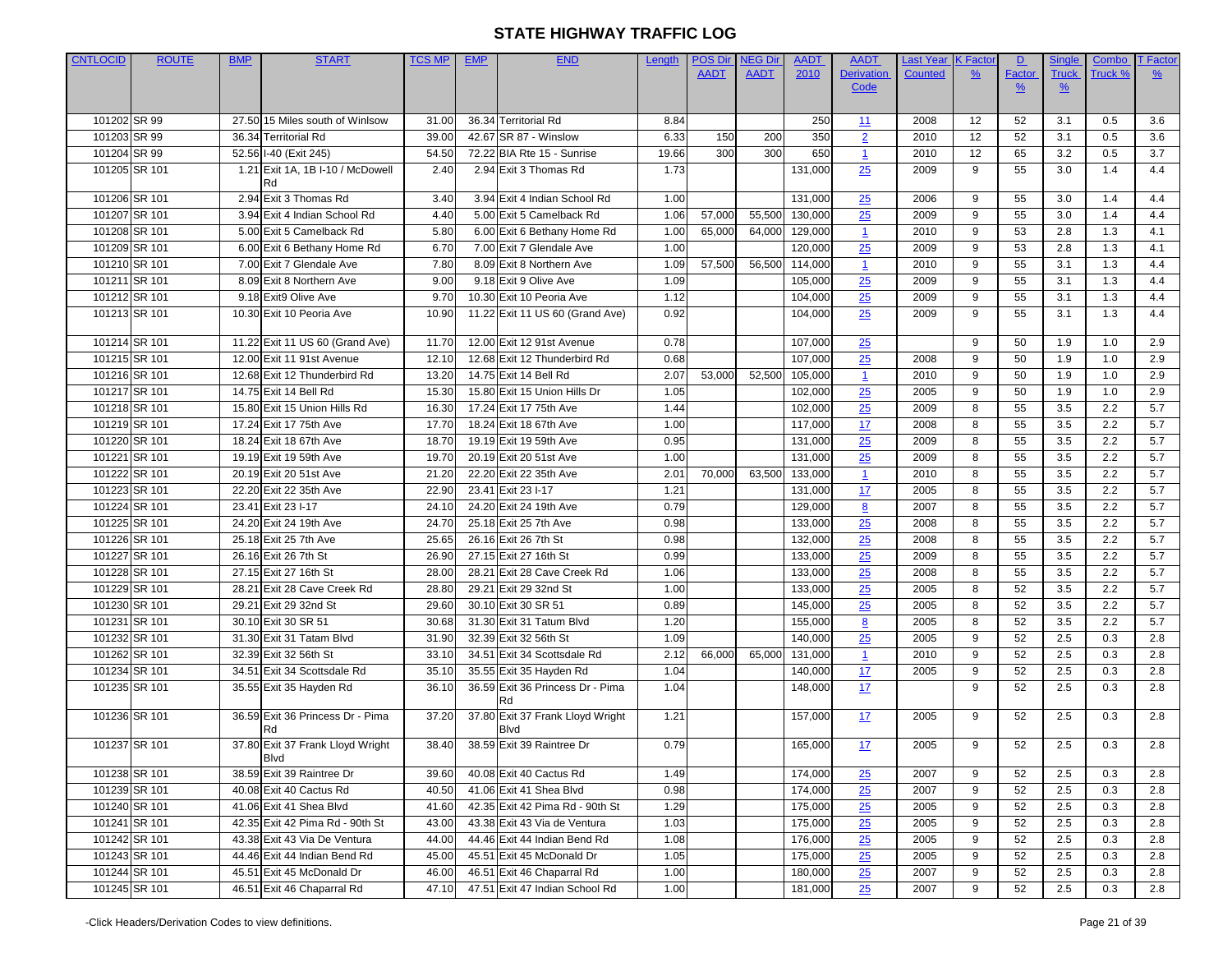| <b>CNTLOCID</b> | <b>ROUTE</b>  | <b>BMP</b> | <b>START</b>                           | <b>TCS MP</b> | <b>EMP</b> | <b>END</b>                                      | Length | <b>POS Dir</b> | <b>NEG Dir</b> | <b>AADT</b> | <b>AADT</b>             | Last Year      | <b>K</b> Facto | D             | <b>Single</b> | Combo   | <b>T</b> Factor |
|-----------------|---------------|------------|----------------------------------------|---------------|------------|-------------------------------------------------|--------|----------------|----------------|-------------|-------------------------|----------------|----------------|---------------|---------------|---------|-----------------|
|                 |               |            |                                        |               |            |                                                 |        | <b>AADT</b>    | <b>AADT</b>    | 2010        | <b>Derivation</b>       | <b>Counted</b> | $\frac{9}{6}$  | Factor        | <b>Truck</b>  | Truck % | $\frac{9}{6}$   |
|                 |               |            |                                        |               |            |                                                 |        |                |                |             | Code                    |                |                | $\frac{9}{6}$ | $\frac{9}{6}$ |         |                 |
|                 |               |            |                                        |               |            |                                                 |        |                |                |             |                         |                |                |               |               |         |                 |
| 101202 SR 99    |               |            | 27.50 15 Miles south of Winlsow        | 31.00         |            | 36.34 Territorial Rd                            | 8.84   |                |                | 250         | 11                      | 2008           | 12             | 52            | 3.1           | 0.5     | 3.6             |
| 101203 SR 99    |               |            | 36.34 Territorial Rd                   | 39.00         |            | 42.67 SR 87 - Winslow                           | 6.33   | 150            | 200            | 350         | $\overline{2}$          | 2010           | 12             | 52            | 3.1           | 0.5     | 3.6             |
| 101204 SR 99    |               |            | 52.56 I-40 (Exit 245)                  | 54.50         |            | 72.22 BIA Rte 15 - Sunrise                      | 19.66  | 300            | 300            | 650         | $\mathbf{1}$            | 2010           | 12             | 65            | 3.2           | 0.5     | 3.7             |
|                 | 101205 SR 101 |            | 1.21 Exit 1A, 1B I-10 / McDowell<br>Rd | 2.40          |            | 2.94 Exit 3 Thomas Rd                           | 1.73   |                |                | 131,000     | 25                      | 2009           | 9              | 55            | 3.0           | 1.4     | 4.4             |
|                 | 101206 SR 101 |            | 2.94 Exit 3 Thomas Rd                  | 3.40          |            | 3.94 Exit 4 Indian School Rd                    | 1.00   |                |                | 131,000     | 25                      | 2006           | 9              | 55            | 3.0           | 1.4     | 4.4             |
|                 | 101207 SR 101 |            | 3.94 Exit 4 Indian School Rd           | 4.40          |            | 5.00 Exit 5 Camelback Rd                        | 1.06   | 57,000         | 55,500         | 130,000     | 25                      | 2009           | 9              | 55            | 3.0           | 1.4     | 4.4             |
|                 | 101208 SR 101 |            | 5.00 Exit 5 Camelback Rd               | 5.80          |            | 6.00 Exit 6 Bethany Home Rd                     | 1.00   | 65,000         | 64,000         | 129,000     | $\mathbf{1}$            | 2010           | 9              | 53            | 2.8           | 1.3     | 4.1             |
|                 | 101209 SR 101 |            | 6.00 Exit 6 Bethany Home Rd            | 6.70          |            | 7.00 Exit 7 Glendale Ave                        | 1.00   |                |                | 120,000     | 25                      | 2009           | 9              | 53            | 2.8           | 1.3     | 4.1             |
| 101210 SR 101   |               |            | 7.00 Exit 7 Glendale Ave               | 7.80          |            | 8.09 Exit 8 Northern Ave                        | 1.09   | 57,500         | 56,500         | 114,000     | $\overline{1}$          | 2010           | 9              | 55            | 3.1           | 1.3     | 4.4             |
| 101211 SR 101   |               |            | 8.09 Exit 8 Northern Ave               | 9.00          |            | 9.18 Exit 9 Olive Ave                           | 1.09   |                |                | 105,000     | 25                      | 2009           | 9              | 55            | 3.1           | 1.3     | 4.4             |
|                 | 101212 SR 101 |            | 9.18 Exit9 Olive Ave                   | 9.70          |            | 10.30 Exit 10 Peoria Ave                        | 1.12   |                |                | 104,000     | 25                      | 2009           | 9              | 55            | 3.1           | 1.3     | 4.4             |
|                 | 101213 SR 101 |            | 10.30 Exit 10 Peoria Ave               | 10.90         |            | 11.22 Exit 11 US 60 (Grand Ave)                 | 0.92   |                |                | 104,000     | 25                      | 2009           | 9              | 55            | 3.1           | 1.3     | 4.4             |
| 101214 SR 101   |               |            | 11.22 Exit 11 US 60 (Grand Ave)        | 11.70         |            | 12.00 Exit 12 91st Avenue                       | 0.78   |                |                | 107,000     | 25                      |                | 9              | 50            | 1.9           | 1.0     | 2.9             |
|                 | 101215 SR 101 |            | 12.00 Exit 11 91st Avenue              | 12.10         |            | 12.68 Exit 12 Thunderbird Rd                    | 0.68   |                |                | 107,000     | 25                      | 2008           | 9              | 50            | 1.9           | 1.0     | 2.9             |
| 101216 SR 101   |               |            | 12.68 Exit 12 Thunderbird Rd           | 13.20         |            | 14.75 Exit 14 Bell Rd                           | 2.07   | 53,000         | 52,500         | 105,000     | $\overline{1}$          | 2010           | 9              | 50            | 1.9           | 1.0     | 2.9             |
|                 | 101217 SR 101 |            | 14.75 Exit 14 Bell Rd                  | 15.30         |            | 15.80 Exit 15 Union Hills Dr                    | 1.05   |                |                | 102,000     | 25                      | 2005           | 9              | 50            | 1.9           | 1.0     | 2.9             |
|                 | 101218 SR 101 |            | 15.80 Exit 15 Union Hills Rd           | 16.30         |            | 17.24 Exit 17 75th Ave                          | 1.44   |                |                | 102,000     | $\frac{25}{5}$          | 2009           | 8              | 55            | 3.5           | 2.2     | 5.7             |
|                 | 101219 SR 101 |            | 17.24 Exit 17 75th Ave                 | 17.70         |            | 18.24 Exit 18 67th Ave                          | 1.00   |                |                | 117,000     | 17                      | 2008           | 8              | 55            | 3.5           | 2.2     | 5.7             |
| 101220 SR 101   |               |            | 18.24 Exit 18 67th Ave                 | 18.70         |            | 19.19 Exit 19 59th Ave                          | 0.95   |                |                | 131,000     | 25                      | 2009           | 8              | 55            | 3.5           | 2.2     | 5.7             |
|                 | 101221 SR 101 |            | 19.19 Exit 19 59th Ave                 | 19.70         |            | 20.19 Exit 20 51st Ave                          | 1.00   |                |                | 131,000     | 25                      | 2009           | 8              | 55            | 3.5           | 2.2     | 5.7             |
|                 | 101222 SR 101 |            | 20.19 Exit 20 51st Ave                 | 21.20         |            | 22.20 Exit 22 35th Ave                          | 2.01   | 70,000         | 63,500         | 133,000     | $\mathbf{\overline{1}}$ | 2010           | 8              | 55            | 3.5           | 2.2     | 5.7             |
| 101223 SR 101   |               |            | 22.20 Exit 22 35th Ave                 | 22.90         |            | 23.41 Exit 23 I-17                              | 1.21   |                |                | 131,000     | 17                      | 2005           | 8              | 55            | 3.5           | 2.2     | 5.7             |
|                 | 101224 SR 101 |            | 23.41 Exit 23 I-17                     | 24.10         |            | 24.20 Exit 24 19th Ave                          | 0.79   |                |                | 129,000     | 8                       | 2007           | 8              | 55            | 3.5           | 2.2     | 5.7             |
|                 | 101225 SR 101 |            | 24.20 Exit 24 19th Ave                 | 24.70         |            | 25.18 Exit 25 7th Ave                           | 0.98   |                |                | 133,000     | 25                      | 2008           | 8              | 55            | 3.5           | 2.2     | 5.7             |
|                 | 101226 SR 101 |            | 25.18 Exit 25 7th Ave                  | 25.65         |            | 26.16 Exit 26 7th St                            | 0.98   |                |                | 132,000     | 25                      | 2008           | 8              | 55            | 3.5           | 2.2     | 5.7             |
|                 | 101227 SR 101 |            | 26.16 Exit 26 7th St                   | 26.90         |            | 27.15 Exit 27 16th St                           | 0.99   |                |                | 133,000     | 25                      | 2009           | 8              | 55            | 3.5           | 2.2     | 5.7             |
|                 | 101228 SR 101 |            | 27.15 Exit 27 16th St                  | 28.00         |            | 28.21 Exit 28 Cave Creek Rd                     | 1.06   |                |                | 133,000     | 25                      | 2008           | 8              | 55            | 3.5           | 2.2     | 5.7             |
|                 | 101229 SR 101 |            | 28.21 Exit 28 Cave Creek Rd            | 28.80         |            | 29.21 Exit 29 32nd St                           | 1.00   |                |                | 133,000     | 25                      | 2005           | 8              | 52            | 3.5           | 2.2     | 5.7             |
|                 | 101230 SR 101 |            | 29.21 Exit 29 32nd St                  | 29.60         |            | 30.10 Exit 30 SR 51                             | 0.89   |                |                | 145,000     | 25                      | 2005           | 8              | 52            | 3.5           | 2.2     | 5.7             |
| 101231 SR 101   |               |            | 30.10 Exit 30 SR 51                    | 30.68         |            | 31.30 Exit 31 Tatum Blvd                        | 1.20   |                |                | 155,000     | 8                       | 2005           | 8              | 52            | 3.5           | 2.2     | 5.7             |
|                 | 101232 SR 101 |            | 31.30 Exit 31 Tatam Blvd               | 31.90         |            | 32.39 Exit 32 56th St                           | 1.09   |                |                | 140,000     | 25                      | 2005           | 9              | 52            | 2.5           | 0.3     | 2.8             |
| 101262 SR 101   |               |            | 32.39 Exit 32 56th St                  | 33.10         |            | 34.51 Exit 34 Scottsdale Rd                     | 2.12   | 66,000         | 65,000         | 131,000     | $\mathbf{1}$            | 2010           | 9              | 52            | 2.5           | 0.3     | 2.8             |
|                 | 101234 SR 101 |            | 34.51 Exit 34 Scottsdale Rd            | 35.10         |            | 35.55 Exit 35 Hayden Rd                         | 1.04   |                |                | 140,000     | 17                      | 2005           | 9              | 52            | 2.5           | 0.3     | 2.8             |
| 101235 SR 101   |               |            | 35.55 Exit 35 Hayden Rd                | 36.10         |            | 36.59 Exit 36 Princess Dr - Pima<br>Rd          | 1.04   |                |                | 148,000     | 17                      |                | 9              | 52            | 2.5           | 0.3     | 2.8             |
|                 | 101236 SR 101 |            | 36.59 Exit 36 Princess Dr - Pima<br>Rd | 37.20         |            | 37.80 Exit 37 Frank Lloyd Wright<br><b>Blvd</b> | 1.21   |                |                | 157,000     | 17                      | 2005           | 9              | 52            | 2.5           | 0.3     | 2.8             |
|                 | 101237 SR 101 |            | 37.80 Exit 37 Frank Lloyd Wright       | 38.40         |            | 38.59 Exit 39 Raintree Dr                       | 0.79   |                |                | 165,000     | 17                      | 2005           | 9              | 52            | 2.5           | 0.3     | 2.8             |
|                 |               |            | <b>Blvd</b>                            |               |            |                                                 |        |                |                |             |                         |                |                |               |               |         |                 |
|                 | 101238 SR 101 |            | 38.59 Exit 39 Raintree Dr              | 39.60         |            | 40.08 Exit 40 Cactus Rd                         | 1.49   |                |                | 174,000     | 25                      | 2007           | 9              | 52            | 2.5           | 0.3     | 2.8             |
|                 | 101239 SR 101 |            | 40.08 Exit 40 Cactus Rd                | 40.50         |            | 41.06 Exit 41 Shea Blvd                         | 0.98   |                |                | 174,000     | 25                      | 2007           | 9              | 52            | 2.5           | 0.3     | 2.8             |
| 101240 SR 101   |               |            | 41.06 Exit 41 Shea Blvd                | 41.60         |            | 42.35 Exit 42 Pima Rd - 90th St                 | 1.29   |                |                | 175,000     | 25                      | 2005           | 9              | 52            | 2.5           | 0.3     | 2.8             |
|                 | 101241 SR 101 |            | 42.35 Exit 42 Pima Rd - 90th St        | 43.00         |            | 43.38 Exit 43 Via de Ventura                    | 1.03   |                |                | 175,000     | 25                      | 2005           | 9              | 52            | 2.5           | 0.3     | 2.8             |
| 101242 SR 101   |               |            | 43.38 Exit 43 Via De Ventura           | 44.00         |            | 44.46 Exit 44 Indian Bend Rd                    | 1.08   |                |                | 176,000     | 25                      | 2005           | 9              | 52            | 2.5           | 0.3     | 2.8             |
| 101243 SR 101   |               |            | 44.46 Exit 44 Indian Bend Rd           | 45.00         |            | 45.51 Exit 45 McDonald Dr                       | 1.05   |                |                | 175,000     | 25                      | 2005           | 9              | 52            | 2.5           | 0.3     | 2.8             |
| 101244 SR 101   |               |            | 45.51 Exit 45 McDonald Dr              | 46.00         |            | 46.51 Exit 46 Chaparral Rd                      | 1.00   |                |                | 180,000     | 25                      | 2007           | 9              | 52            | 2.5           | 0.3     | 2.8             |
| 101245 SR 101   |               |            | 46.51 Exit 46 Chaparral Rd             | 47.10         |            | 47.51 Exit 47 Indian School Rd                  | 1.00   |                |                | 181,000     | 25                      | 2007           | 9              | 52            | 2.5           | 0.3     | 2.8             |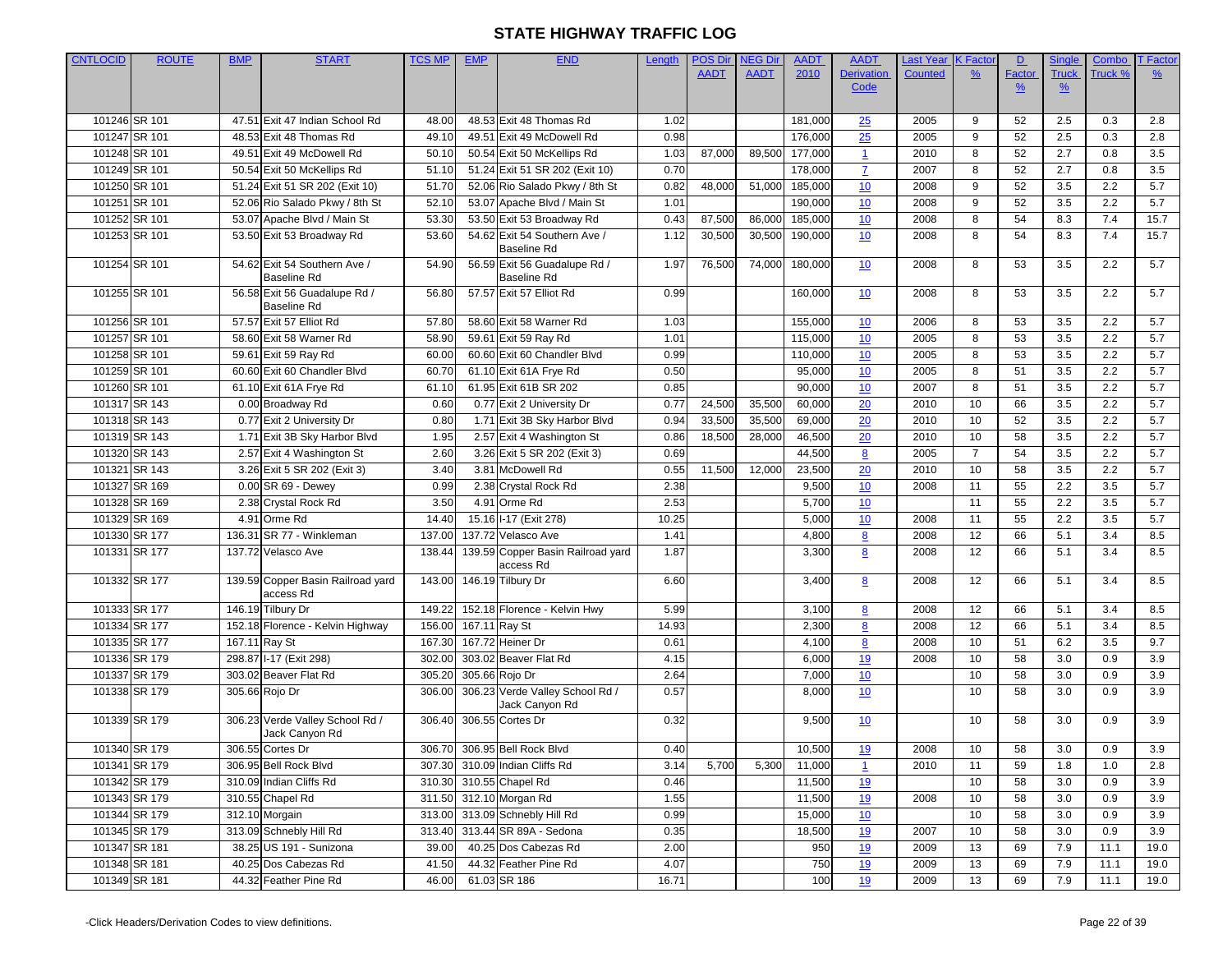| <b>CNTLOCID</b> | <b>ROUTE</b>  | <b>BMP</b> | <b>START</b>                                      | <b>TCS MP</b> | <b>EMP</b> | <b>END</b>                                        | Length | <b>POS Dir</b> | <b>NEG Direct</b> | <b>AADT</b> | <b>AADT</b>       | Last Yea       | <b>K</b> Facto  | D             | Single        | Combo   | <b>T Factor</b> |
|-----------------|---------------|------------|---------------------------------------------------|---------------|------------|---------------------------------------------------|--------|----------------|-------------------|-------------|-------------------|----------------|-----------------|---------------|---------------|---------|-----------------|
|                 |               |            |                                                   |               |            |                                                   |        | <b>AADT</b>    | <b>AADT</b>       | 2010        | <b>Derivation</b> | <b>Counted</b> | $\frac{9}{6}$   | <b>Factor</b> | <b>Truck</b>  | Truck % | $\frac{9}{6}$   |
|                 |               |            |                                                   |               |            |                                                   |        |                |                   |             | Code              |                |                 | $\frac{9}{6}$ | $\frac{9}{6}$ |         |                 |
|                 |               |            |                                                   |               |            |                                                   |        |                |                   |             |                   |                |                 |               |               |         |                 |
|                 | 101246 SR 101 |            | 47.51 Exit 47 Indian School Rd                    | 48.00         |            | 48.53 Exit 48 Thomas Rd                           | 1.02   |                |                   | 181,000     | 25                | 2005           | 9               | 52            | 2.5           | 0.3     | 2.8             |
|                 | 101247 SR 101 |            | 48.53 Exit 48 Thomas Rd                           | 49.10         |            | 49.51 Exit 49 McDowell Rd                         | 0.98   |                |                   | 176,000     | 25                | 2005           | 9               | 52            | 2.5           | 0.3     | 2.8             |
|                 | 101248 SR 101 |            | 49.51 Exit 49 McDowell Rd                         | 50.10         |            | 50.54 Exit 50 McKellips Rd                        | 1.03   | 87,000         | 89,500            | 177,000     | $\overline{1}$    | 2010           | 8               | 52            | 2.7           | 0.8     | 3.5             |
|                 | 101249 SR 101 |            | 50.54 Exit 50 McKellips Rd                        | 51.10         |            | 51.24 Exit 51 SR 202 (Exit 10)                    | 0.70   |                |                   | 178,000     | $\mathbf{Z}$      | 2007           | 8               | 52            | 2.7           | 0.8     | 3.5             |
|                 | 101250 SR 101 |            | 51.24 Exit 51 SR 202 (Exit 10)                    | 51.70         |            | 52.06 Rio Salado Pkwy / 8th St                    | 0.82   | 48,000         | 51,000            | 185,000     | 10                | 2008           | 9               | 52            | 3.5           | 2.2     | 5.7             |
|                 | 101251 SR 101 |            | 52.06 Rio Salado Pkwy / 8th St                    | 52.10         |            | 53.07 Apache Blvd / Main St                       | 1.01   |                |                   | 190,000     | 10                | 2008           | 9               | 52            | 3.5           | 2.2     | 5.7             |
|                 | 101252 SR 101 |            | 53.07 Apache Blvd / Main St                       | 53.30         |            | 53.50 Exit 53 Broadway Rd                         | 0.43   | 87,500         | 86,000            | 185,000     | 10                | 2008           | 8               | 54            | 8.3           | 7.4     | 15.7            |
|                 | 101253 SR 101 |            | 53.50 Exit 53 Broadway Rd                         | 53.60         |            | 54.62 Exit 54 Southern Ave /<br>Baseline Rd       | 1.12   | 30,500         | 30,500            | 190,000     | 10                | 2008           | 8               | 54            | 8.3           | 7.4     | 15.7            |
|                 | 101254 SR 101 |            | 54.62 Exit 54 Southern Ave /<br>Baseline Rd       | 54.90         |            | 56.59 Exit 56 Guadalupe Rd /<br>Baseline Rd       | 1.97   | 76,500         | 74,000            | 180,000     | 10                | 2008           | 8               | 53            | 3.5           | 2.2     | 5.7             |
|                 | 101255 SR 101 |            | 56.58 Exit 56 Guadalupe Rd /                      | 56.80         |            | 57.57 Exit 57 Elliot Rd                           | 0.99   |                |                   | 160,000     | 10                | 2008           | 8               | 53            | 3.5           | 2.2     | 5.7             |
|                 |               |            | Baseline Rd                                       |               |            |                                                   |        |                |                   |             |                   |                |                 |               |               |         |                 |
|                 | 101256 SR 101 |            | 57.57 Exit 57 Elliot Rd                           | 57.80         |            | 58.60 Exit 58 Warner Rd                           | 1.03   |                |                   | 155,000     | 10                | 2006           | 8               | 53            | 3.5           | 2.2     | 5.7             |
|                 | 101257 SR 101 |            | 58.60 Exit 58 Warner Rd                           | 58.90         |            | 59.61 Exit 59 Ray Rd                              | 1.01   |                |                   | 115,000     | 10                | 2005           | 8               | 53            | 3.5           | 2.2     | 5.7             |
|                 | 101258 SR 101 |            | 59.61 Exit 59 Ray Rd                              | 60.00         |            | 60.60 Exit 60 Chandler Blvd                       | 0.99   |                |                   | 110,000     | 10                | 2005           | 8               | 53            | 3.5           | 2.2     | 5.7             |
|                 | 101259 SR 101 |            | 60.60 Exit 60 Chandler Blvd                       | 60.70         |            | 61.10 Exit 61A Frye Rd                            | 0.50   |                |                   | 95,000      | 10                | 2005           | 8               | 51            | 3.5           | 2.2     | 5.7             |
|                 | 101260 SR 101 |            | 61.10 Exit 61A Frye Rd                            | 61.10         |            | 61.95 Exit 61B SR 202                             | 0.85   |                |                   | 90,000      | 10                | 2007           | 8               | 51            | 3.5           | 2.2     | 5.7             |
|                 | 101317 SR 143 |            | 0.00 Broadway Rd                                  | 0.60          |            | 0.77 Exit 2 University Dr                         | 0.77   | 24,500         | 35,500            | 60,000      | 20                | 2010           | 10              | 66            | 3.5           | 2.2     | 5.7             |
|                 | 101318 SR 143 |            | 0.77 Exit 2 University Dr                         | 0.80          |            | 1.71 Exit 3B Sky Harbor Blvd                      | 0.94   | 33,500         | 35,500            | 69,000      | 20                | 2010           | 10              | 52            | 3.5           | 2.2     | 5.7             |
|                 | 101319 SR 143 |            | 1.71 Exit 3B Sky Harbor Blvd                      | 1.95          |            | 2.57 Exit 4 Washington St                         | 0.86   | 18,500         | 28,000            | 46,500      | 20                | 2010           | 10              | 58            | 3.5           | 2.2     | 5.7             |
|                 | 101320 SR 143 |            | 2.57 Exit 4 Washington St                         | 2.60          |            | 3.26 Exit 5 SR 202 (Exit 3)                       | 0.69   |                |                   | 44,500      | 8                 | 2005           | $\overline{7}$  | 54            | 3.5           | 2.2     | 5.7             |
|                 | 101321 SR 143 |            | 3.26 Exit 5 SR 202 (Exit 3)                       | 3.40          |            | 3.81 McDowell Rd                                  | 0.55   | 11,500         | 12,000            | 23,500      | 20                | 2010           | 10              | 58            | 3.5           | 2.2     | 5.7             |
|                 | 101327 SR 169 |            | 0.00 SR 69 - Dewey                                | 0.99          |            | 2.38 Crystal Rock Rd                              | 2.38   |                |                   | 9,500       | 10                | 2008           | 11              | 55            | 2.2           | 3.5     | 5.7             |
|                 | 101328 SR 169 |            | 2.38 Crystal Rock Rd                              | 3.50          |            | 4.91 Orme Rd                                      | 2.53   |                |                   | 5,700       | 10                |                | 11              | 55            | 2.2           | 3.5     | 5.7             |
|                 | 101329 SR 169 |            | 4.91 Orme Rd                                      | 14.40         |            | 15.16 I-17 (Exit 278)                             | 10.25  |                |                   | 5,000       | 10                | 2008           | 11              | 55            | 2.2           | 3.5     | 5.7             |
|                 | 101330 SR 177 |            | 136.31 SR 77 - Winkleman                          | 137.00        | 137.72     | Velasco Ave                                       | 1.41   |                |                   | 4,800       | $\underline{8}$   | 2008           | 12              | 66            | 5.1           | 3.4     | 8.5             |
|                 | 101331 SR 177 |            | 137.72 Velasco Ave                                | 138.44        |            | 139.59 Copper Basin Railroad yard<br>access Rd    | 1.87   |                |                   | 3,300       | 8                 | 2008           | 12              | 66            | 5.1           | 3.4     | 8.5             |
|                 | 101332 SR 177 |            | 139.59 Copper Basin Railroad yard<br>access Rd    | 143.00        |            | 146.19 Tilbury Dr                                 | 6.60   |                |                   | 3,400       | 8                 | 2008           | 12              | 66            | 5.1           | 3.4     | 8.5             |
|                 | 101333 SR 177 |            | 146.19 Tilbury Dr                                 | 149.22        |            | 152.18 Florence - Kelvin Hwy                      | 5.99   |                |                   | 3,100       | 8                 | 2008           | 12              | 66            | 5.1           | 3.4     | 8.5             |
|                 | 101334 SR 177 |            | 152.18 Florence - Kelvin Highway                  | 156.00        |            | 167.11 Ray St                                     | 14.93  |                |                   | 2,300       | 8                 | 2008           | 12              | 66            | 5.1           | 3.4     | 8.5             |
|                 | 101335 SR 177 |            | 167.11 Ray St                                     | 167.30        |            | 167.72 Heiner Dr                                  | 0.61   |                |                   | 4,100       | 8                 | 2008           | 10              | 51            | 6.2           | 3.5     | 9.7             |
|                 | 101336 SR 179 |            | 298.87 I-17 (Exit 298)                            | 302.00        |            | 303.02 Beaver Flat Rd                             | 4.15   |                |                   | 6,000       | 19                | 2008           | 10              | 58            | 3.0           | 0.9     | 3.9             |
|                 | 101337 SR 179 |            | 303.02 Beaver Flat Rd                             | 305.20        |            | 305.66 Rojo Dr                                    | 2.64   |                |                   | 7,000       | 10                |                | 10              | 58            | 3.0           | 0.9     | 3.9             |
|                 | 101338 SR 179 |            | 305.66 Rojo Dr                                    | 306.00        |            | 306.23 Verde Valley School Rd /<br>Jack Canyon Rd | 0.57   |                |                   | 8,000       | 10                |                | 10              | 58            | 3.0           | 0.9     | 3.9             |
|                 | 101339 SR 179 |            | 306.23 Verde Valley School Rd /<br>Jack Canyon Rd | 306.40        |            | 306.55 Cortes Dr                                  | 0.32   |                |                   | 9,500       | 10                |                | 10              | 58            | 3.0           | 0.9     | 3.9             |
|                 | 101340 SR 179 |            | 306.55 Cortes Dr                                  |               |            | 306.70 306.95 Bell Rock Blvd                      | 0.40   |                |                   | 10,500      | <u>19</u>         | 2008           | 10 <sup>°</sup> | 58            | 3.0           | 0.9     | 3.9             |
|                 | 101341 SR 179 |            | 306.95 Bell Rock Blvd                             | 307.30        |            | 310.09 Indian Cliffs Rd                           | 3.14   | 5,700          | 5,300             | 11,000      | $\mathbf{1}$      | 2010           | 11              | 59            | 1.8           | 1.0     | 2.8             |
|                 | 101342 SR 179 |            | 310.09 Indian Cliffs Rd                           |               |            | 310.30 310.55 Chapel Rd                           | 0.46   |                |                   | 11,500      | 19                |                | 10              | 58            | 3.0           | 0.9     | 3.9             |
|                 | 101343 SR 179 |            | 310.55 Chapel Rd                                  |               |            | 311.50 312.10 Morgan Rd                           | 1.55   |                |                   | 11,500      | <u>19</u>         | 2008           | 10              | 58            | 3.0           | 0.9     | 3.9             |
|                 | 101344 SR 179 |            | 312.10 Morgain                                    | 313.00        |            | 313.09 Schnebly Hill Rd                           | 0.99   |                |                   | 15,000      | 10                |                | 10              | 58            | 3.0           | 0.9     | 3.9             |
|                 | 101345 SR 179 |            | 313.09 Schnebly Hill Rd                           | 313.40        |            | 313.44 SR 89A - Sedona                            | 0.35   |                |                   | 18,500      | <u>19</u>         | 2007           | 10              | 58            | 3.0           | 0.9     | 3.9             |
|                 | 101347 SR 181 |            | 38.25 US 191 - Sunizona                           | 39.00         |            | 40.25 Dos Cabezas Rd                              | 2.00   |                |                   | 950         | <u> 19</u>        | 2009           | 13              | 69            | 7.9           | 11.1    | 19.0            |
|                 | 101348 SR 181 |            | 40.25 Dos Cabezas Rd                              | 41.50         |            | 44.32 Feather Pine Rd                             | 4.07   |                |                   | 750         | <u>19</u>         | 2009           | 13              | 69            | 7.9           | 11.1    | 19.0            |
|                 | 101349 SR 181 |            | 44.32 Feather Pine Rd                             | 46.00         |            | 61.03 SR 186                                      | 16.71  |                |                   | 100         | 19                | 2009           | 13              | 69            | 7.9           | 11.1    | 19.0            |
|                 |               |            |                                                   |               |            |                                                   |        |                |                   |             |                   |                |                 |               |               |         |                 |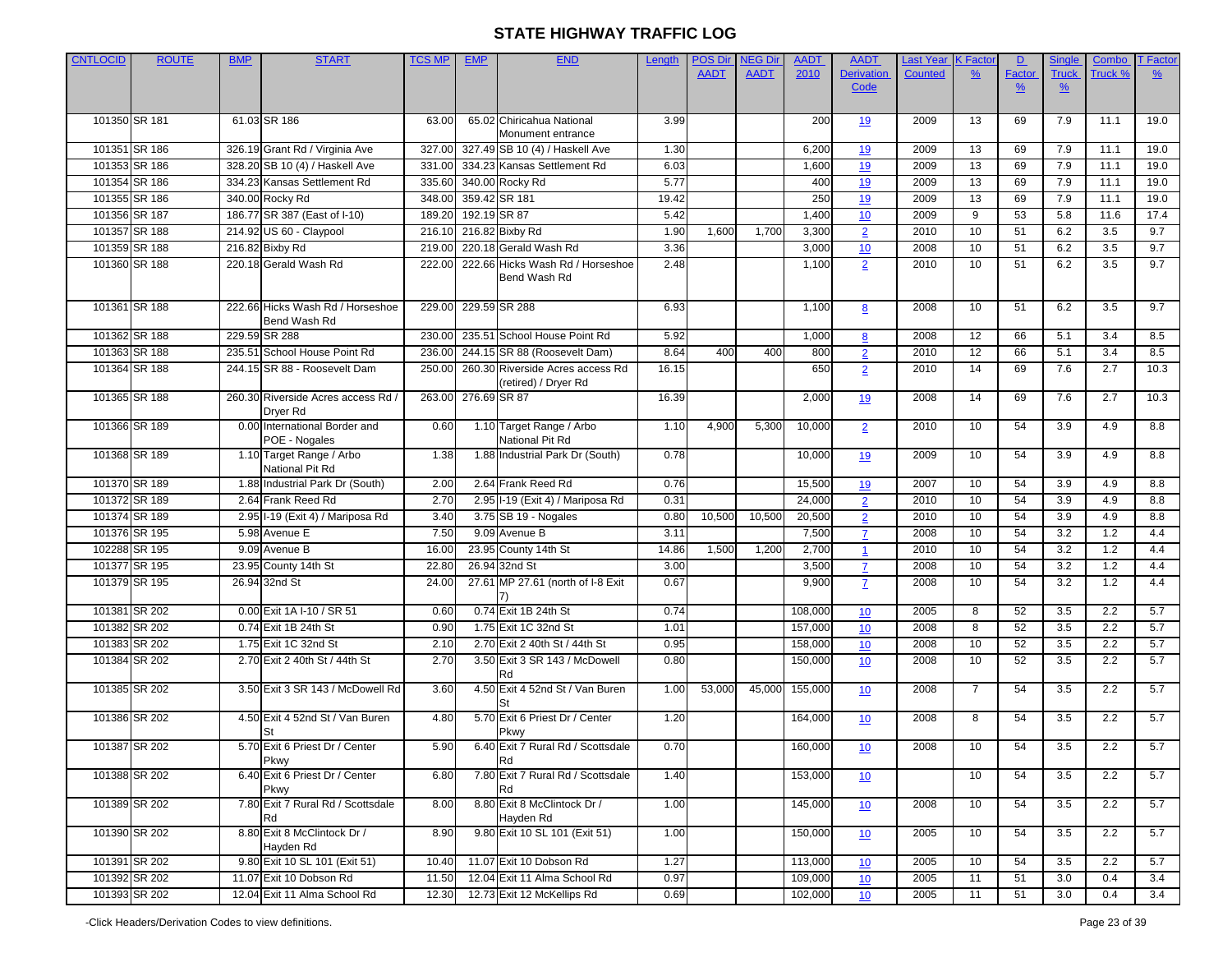| <b>CNTLOCID</b> | <b>ROUTE</b>  | <b>BMP</b> | <b>START</b>                       | <b>TCS MP</b> | <b>EMP</b>          | <b>END</b>                        | Length | <b>POS Dir</b> | <b>NEG Direct</b> | <b>AADT</b> | <b>AADT</b>       | <b>Last Year</b> | <b>K</b> Facto | $\mathbf{D}$  | Single        | Combo   | <b>T</b> Factor |
|-----------------|---------------|------------|------------------------------------|---------------|---------------------|-----------------------------------|--------|----------------|-------------------|-------------|-------------------|------------------|----------------|---------------|---------------|---------|-----------------|
|                 |               |            |                                    |               |                     |                                   |        | <b>AADT</b>    | <b>AADT</b>       | 2010        | <b>Derivation</b> | <b>Counted</b>   | $\frac{9}{6}$  | <b>Factor</b> | <b>Truck</b>  | Truck % | $\frac{9}{6}$   |
|                 |               |            |                                    |               |                     |                                   |        |                |                   |             | Code              |                  |                | $\frac{9}{6}$ | $\frac{9}{6}$ |         |                 |
|                 |               |            |                                    |               |                     |                                   |        |                |                   |             |                   |                  |                |               |               |         |                 |
|                 | 101350 SR 181 |            | 61.03 SR 186                       | 63.00         |                     | 65.02 Chiricahua National         | 3.99   |                |                   | 200         | <u>19</u>         | 2009             | 13             | 69            | 7.9           | 11.1    | 19.0            |
|                 |               |            |                                    |               |                     | Monument entrance                 |        |                |                   |             |                   |                  |                |               |               |         |                 |
|                 | 101351 SR 186 |            | 326.19 Grant Rd / Virginia Ave     | 327.00        |                     | 327.49 SB 10 (4) / Haskell Ave    | 1.30   |                |                   | 6,200       | <u>19</u>         | 2009             | 13             | 69            | 7.9           | 11.1    | 19.0            |
|                 | 101353 SR 186 |            | 328.20 SB 10 (4) / Haskell Ave     | 331.00        |                     | 334.23 Kansas Settlement Rd       | 6.03   |                |                   | 1,600       | 19                | 2009             | 13             | 69            | 7.9           | 11.1    | 19.0            |
|                 | 101354 SR 186 |            | 334.23 Kansas Settlement Rd        | 335.60        |                     | 340.00 Rocky Rd                   | 5.77   |                |                   | 400         | 19                | 2009             | 13             | 69            | 7.9           | 11.1    | 19.0            |
|                 | 101355 SR 186 |            | 340.00 Rocky Rd                    | 348.00        |                     | 359.42 SR 181                     | 19.42  |                |                   | 250         | 19                | 2009             | 13             | 69            | 7.9           | 11.1    | 19.0            |
|                 | 101356 SR 187 |            | 186.77 SR 387 (East of I-10)       | 189.20        | 192.19 SR 87        |                                   | 5.42   |                |                   | 1,400       | 10                | 2009             | $\overline{9}$ | 53            | 5.8           | 11.6    | 17.4            |
|                 | 101357 SR 188 |            | 214.92 US 60 - Claypool            | 216.10        |                     | 216.82 Bixby Rd                   | 1.90   | 1,600          | 1,700             | 3,300       | $\overline{2}$    | 2010             | 10             | 51            | 6.2           | 3.5     | 9.7             |
|                 | 101359 SR 188 |            | 216.82 Bixby Rd                    | 219.00        |                     | 220.18 Gerald Wash Rd             | 3.36   |                |                   | 3,000       | 10                | 2008             | 10             | 51            | 6.2           | 3.5     | 9.7             |
|                 | 101360 SR 188 |            | 220.18 Gerald Wash Rd              | 222.00        |                     | 222.66 Hicks Wash Rd / Horseshoe  | 2.48   |                |                   | 1,100       | $\overline{2}$    | 2010             | 10             | 51            | 6.2           | 3.5     | 9.7             |
|                 |               |            |                                    |               |                     | Bend Wash Rd                      |        |                |                   |             |                   |                  |                |               |               |         |                 |
|                 |               |            |                                    |               |                     |                                   |        |                |                   |             |                   |                  |                |               |               |         |                 |
|                 | 101361 SR 188 |            | 222.66 Hicks Wash Rd / Horseshoe   | 229.00        |                     | 229.59 SR 288                     | 6.93   |                |                   | 1,100       | 8                 | 2008             | 10             | 51            | 6.2           | 3.5     | 9.7             |
|                 |               |            | Bend Wash Rd                       |               |                     |                                   |        |                |                   |             |                   |                  |                |               |               |         |                 |
|                 | 101362 SR 188 |            | 229.59 SR 288                      | 230.00        |                     | 235.51 School House Point Rd      | 5.92   |                |                   | 1,000       | 8                 | 2008             | 12             | 66            | 5.1           | 3.4     | 8.5             |
|                 | 101363 SR 188 |            | 235.51 School House Point Rd       | 236.00        |                     | 244.15 SR 88 (Roosevelt Dam)      | 8.64   | 400            | 400               | 800         | $\overline{2}$    | 2010             | 12             | 66            | 5.1           | 3.4     | 8.5             |
|                 | 101364 SR 188 |            | 244.15 SR 88 - Roosevelt Dam       | 250.00        |                     | 260.30 Riverside Acres access Rd  | 16.15  |                |                   | 650         | $\overline{2}$    | 2010             | 14             | 69            | 7.6           | 2.7     | 10.3            |
|                 |               |            |                                    |               |                     | (retired) / Dryer Rd              |        |                |                   |             |                   |                  |                |               |               |         |                 |
|                 | 101365 SR 188 |            | 260.30 Riverside Acres access Rd / |               | 263.00 276.69 SR 87 |                                   | 16.39  |                |                   | 2,000       | <u>19</u>         | 2008             | 14             | 69            | 7.6           | 2.7     | 10.3            |
|                 |               |            | Dryer Rd                           |               |                     |                                   |        |                |                   |             |                   |                  |                |               |               |         |                 |
|                 | 101366 SR 189 |            | 0.00 International Border and      | 0.60          |                     | 1.10 Target Range / Arbo          | 1.10   | 4,900          | 5,300             | 10,000      | $\overline{2}$    | 2010             | 10             | 54            | 3.9           | 4.9     | 8.8             |
|                 |               |            | POE - Nogales                      |               |                     | National Pit Rd                   |        |                |                   |             |                   |                  |                |               |               |         |                 |
|                 | 101368 SR 189 |            | 1.10 Target Range / Arbo           | 1.38          |                     | 1.88 Industrial Park Dr (South)   | 0.78   |                |                   | 10,000      | 19                | 2009             | 10             | 54            | 3.9           | 4.9     | 8.8             |
|                 |               |            | National Pit Rd                    |               |                     |                                   |        |                |                   |             |                   |                  |                |               |               |         |                 |
|                 | 101370 SR 189 |            | 1.88 Industrial Park Dr (South)    | 2.00          |                     | 2.64 Frank Reed Rd                | 0.76   |                |                   | 15,500      | <u>19</u>         | 2007             | 10             | 54            | 3.9           | 4.9     | 8.8             |
|                 | 101372 SR 189 |            | 2.64 Frank Reed Rd                 | 2.70          |                     | 2.95 I-19 (Exit 4) / Mariposa Rd  | 0.31   |                |                   | 24,000      | $\overline{2}$    | 2010             | 10             | 54            | 3.9           | 4.9     | 8.8             |
|                 | 101374 SR 189 |            | 2.95 I-19 (Exit 4) / Mariposa Rd   | 3.40          |                     | 3.75 SB 19 - Nogales              | 0.80   | 10,500         | 10,500            | 20,500      | $\overline{2}$    | 2010             | 10             | 54            | 3.9           | 4.9     | 8.8             |
|                 | 101376 SR 195 |            | 5.98 Avenue E                      | 7.50          |                     | 9.09 Avenue B                     | 3.11   |                |                   | 7,500       | $\overline{1}$    | 2008             | 10             | 54            | 3.2           | $1.2$   | 4.4             |
|                 | 102288 SR 195 |            | 9.09 Avenue B                      | 16.00         |                     | 23.95 County 14th St              | 14.86  | 1,500          | 1,200             | 2,700       | $\overline{1}$    | 2010             | 10             | 54            | 3.2           | 1.2     | 4.4             |
|                 | 101377 SR 195 |            | 23.95 County 14th St               | 22.80         |                     | 26.94 32nd St                     | 3.00   |                |                   | 3,500       | $\overline{1}$    | 2008             | 10             | 54            | 3.2           | 1.2     | 4.4             |
|                 | 101379 SR 195 |            | 26.94 32nd St                      | 24.00         |                     | 27.61 MP 27.61 (north of I-8 Exit | 0.67   |                |                   | 9,900       | $\mathbf{Z}$      | 2008             | 10             | 54            | 3.2           | 1.2     | 4.4             |
|                 |               |            |                                    |               |                     |                                   |        |                |                   |             |                   |                  |                |               |               |         |                 |
|                 | 101381 SR 202 |            | 0.00 Exit 1A I-10 / SR 51          | 0.60          |                     | 0.74 Exit 1B 24th St              | 0.74   |                |                   | 108,000     | 10                | 2005             | 8              | 52            | 3.5           | 2.2     | 5.7             |
|                 | 101382 SR 202 |            | 0.74 Exit 1B 24th St               | 0.90          |                     | 1.75 Exit 1C 32nd St              | 1.01   |                |                   | 157,000     | 10                | 2008             | 8              | 52            | 3.5           | 2.2     | 5.7             |
|                 | 101383 SR 202 |            | 1.75 Exit 1C 32nd St               | 2.10          |                     | 2.70 Exit 2 40th St / 44th St     | 0.95   |                |                   | 158,000     | 10                | 2008             | 10             | 52            | 3.5           | 2.2     | 5.7             |
|                 | 101384 SR 202 |            | 2.70 Exit 2 40th St / 44th St      | 2.70          |                     | 3.50 Exit 3 SR 143 / McDowell     | 0.80   |                |                   |             |                   | 2008             | 10             | 52            | 3.5           | 2.2     | 5.7             |
|                 |               |            |                                    |               |                     |                                   |        |                |                   | 150,000     | 10                |                  |                |               |               |         |                 |
|                 | 101385 SR 202 |            | 3.50 Exit 3 SR 143 / McDowell Rd   | 3.60          |                     | 4.50 Exit 4 52nd St / Van Buren   | 1.00   | 53,000         | 45,000            | 155,000     | 10                | 2008             | $\overline{7}$ | 54            | 3.5           | 2.2     | 5.7             |
|                 |               |            |                                    |               |                     |                                   |        |                |                   |             |                   |                  |                |               |               |         |                 |
|                 | 101386 SR 202 |            | 4.50 Exit 4 52nd St / Van Buren    | 4.80          |                     | 5.70 Exit 6 Priest Dr / Center    | 1.20   |                |                   | 164,000     | 10                | 2008             | 8              | 54            | 3.5           | 2.2     | 5.7             |
|                 |               |            | St                                 |               |                     | Pkwy                              |        |                |                   |             |                   |                  |                |               |               |         |                 |
|                 | 101387 SR 202 |            | 5.70 Exit 6 Priest Dr / Center     | 5.90          |                     | 6.40 Exit 7 Rural Rd / Scottsdale | 0.70   |                |                   | 160,000     | 10                | 2008             | 10             | 54            | 3.5           | 2.2     | 5.7             |
|                 |               |            | Pkwy                               |               |                     | Rd                                |        |                |                   |             |                   |                  |                |               |               |         |                 |
|                 | 101388 SR 202 |            | 6.40 Exit 6 Priest Dr / Center     | 6.80          |                     | 7.80 Exit 7 Rural Rd / Scottsdale | 1.40   |                |                   | 153,000     | 10                |                  | 10             | 54            | 3.5           | 2.2     | 5.7             |
|                 |               |            | Pkwy                               |               |                     | Rd                                |        |                |                   |             |                   |                  |                |               |               |         |                 |
|                 | 101389 SR 202 |            | 7.80 Exit 7 Rural Rd / Scottsdale  | 8.00          |                     | 8.80 Exit 8 McClintock Dr /       | 1.00   |                |                   | 145,000     | 10                | 2008             | 10             | 54            | 3.5           | 2.2     | 5.7             |
|                 |               |            | Rd                                 |               |                     | Hayden Rd                         |        |                |                   |             |                   |                  |                |               |               |         |                 |
|                 | 101390 SR 202 |            | 8.80 Exit 8 McClintock Dr /        | 8.90          |                     | 9.80 Exit 10 SL 101 (Exit 51)     | 1.00   |                |                   | 150,000     | 10                | 2005             | 10             | 54            | 3.5           | 2.2     | 5.7             |
|                 |               |            | Hayden Rd                          |               |                     |                                   |        |                |                   |             |                   |                  |                |               |               |         |                 |
|                 | 101391 SR 202 |            | 9.80 Exit 10 SL 101 (Exit 51)      | 10.40         |                     | 11.07 Exit 10 Dobson Rd           | 1.27   |                |                   | 113,000     | 10                | 2005             | 10             | 54            | 3.5           | 2.2     | 5.7             |
|                 | 101392 SR 202 |            | 11.07 Exit 10 Dobson Rd            | 11.50         |                     | 12.04 Exit 11 Alma School Rd      | 0.97   |                |                   | 109,000     | 10                | 2005             | 11             | 51            | 3.0           | 0.4     | 3.4             |
|                 | 101393 SR 202 |            | 12.04 Exit 11 Alma School Rd       | 12.30         |                     | 12.73 Exit 12 McKellips Rd        | 0.69   |                |                   | 102,000     | 10                | 2005             | 11             | 51            | 3.0           | 0.4     | 3.4             |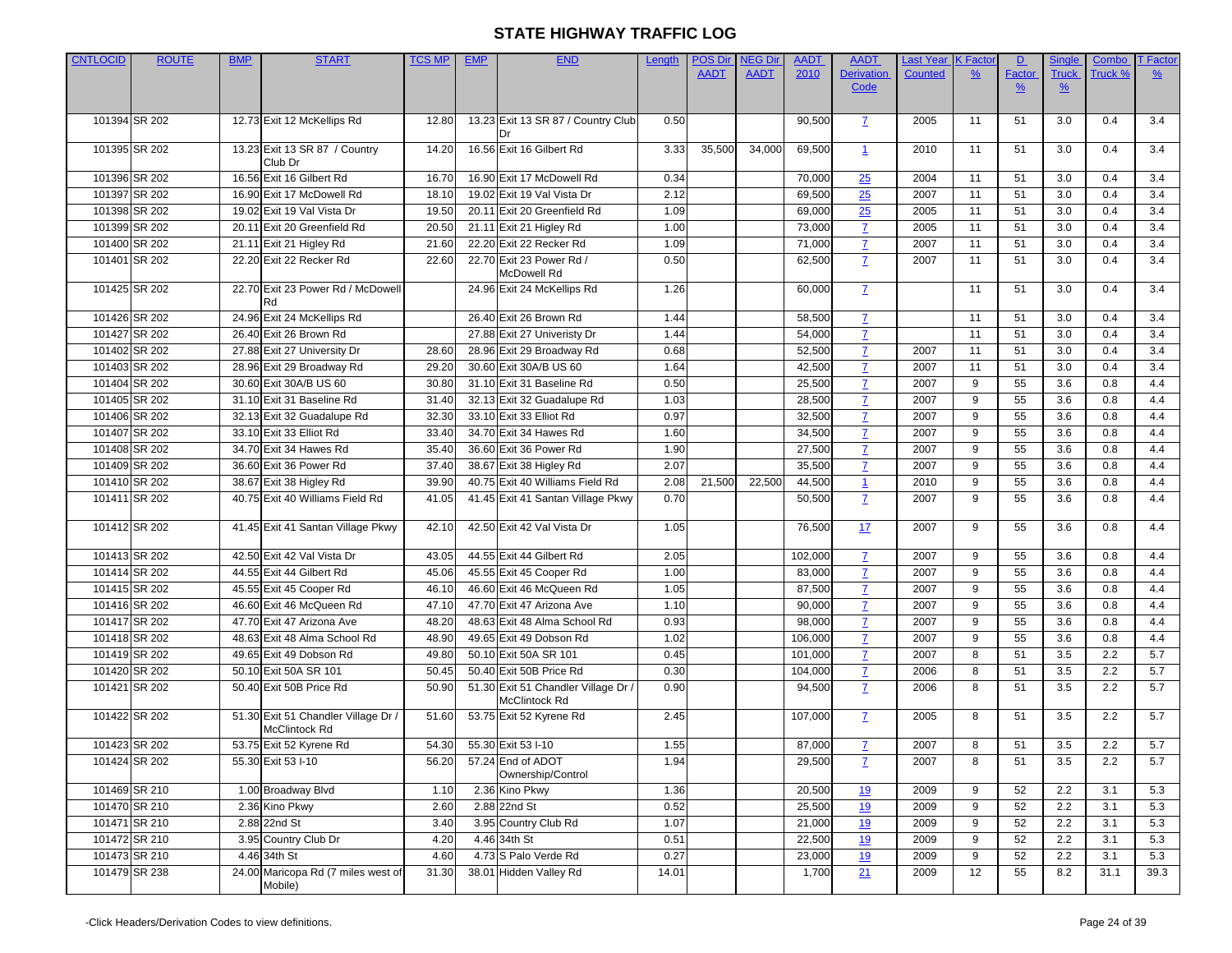| <b>CNTLOCID</b> | <b>ROUTE</b> | <b>BMP</b> | <b>START</b>                                  | <b>TCS MP</b> | <b>EMP</b> | <b>END</b>                               | Length | <b>POS Dir</b> | <b>NEG Dir</b> | <b>AADT</b> | <b>AADT</b>                             | Last Year      | <b>K</b> Facto | D             | <b>Single</b> | Combo   | <b>T</b> Factor |
|-----------------|--------------|------------|-----------------------------------------------|---------------|------------|------------------------------------------|--------|----------------|----------------|-------------|-----------------------------------------|----------------|----------------|---------------|---------------|---------|-----------------|
|                 |              |            |                                               |               |            |                                          |        | <b>AADT</b>    | <b>AADT</b>    | 2010        | <b>Derivation</b>                       | <b>Counted</b> | $\frac{9}{6}$  | <b>Factor</b> | <b>Truck</b>  | Truck % | $\frac{9}{6}$   |
|                 |              |            |                                               |               |            |                                          |        |                |                |             | Code                                    |                |                | $\frac{9}{6}$ | $\frac{9}{6}$ |         |                 |
|                 |              |            |                                               |               |            |                                          |        |                |                |             |                                         |                |                |               |               |         |                 |
| 101394 SR 202   |              |            | 12.73 Exit 12 McKellips Rd                    | 12.80         |            | 13.23 Exit 13 SR 87 / Country Club       | 0.50   |                |                | 90,500      | $\mathbf{Z}$                            | 2005           | 11             | 51            | 3.0           | 0.4     | 3.4             |
| 101395 SR 202   |              |            | 13.23 Exit 13 SR 87 / Country                 | 14.20         |            | 16.56 Exit 16 Gilbert Rd                 | 3.33   | 35,500         | 34,000         | 69,500      | $\mathbf{1}$                            | 2010           | 11             | 51            | 3.0           | 0.4     | 3.4             |
|                 |              |            | Club Dr                                       |               |            |                                          |        |                |                |             |                                         |                |                |               |               |         |                 |
| 101396 SR 202   |              |            | 16.56 Exit 16 Gilbert Rd                      | 16.70         |            | 16.90 Exit 17 McDowell Rd                | 0.34   |                |                | 70,000      | 25                                      | 2004           | 11             | 51            | 3.0           | 0.4     | 3.4             |
| 101397 SR 202   |              |            | 16.90 Exit 17 McDowell Rd                     | 18.10         |            | 19.02 Exit 19 Val Vista Dr               | 2.12   |                |                | 69,500      | 25                                      | 2007           | 11             | 51            | 3.0           | 0.4     | 3.4             |
| 101398 SR 202   |              |            | 19.02 Exit 19 Val Vista Dr                    | 19.50         |            | 20.11 Exit 20 Greenfield Rd              | 1.09   |                |                | 69,000      | 25                                      | 2005           | 11             | 51            | 3.0           | 0.4     | 3.4             |
| 101399 SR 202   |              |            | 20.11 Exit 20 Greenfield Rd                   | 20.50         |            | 21.11 Exit 21 Higley Rd                  | 1.00   |                |                | 73,000      | $\mathbf{Z}$                            | 2005           | 11             | 51            | 3.0           | 0.4     | 3.4             |
| 101400 SR 202   |              |            | 21.11 Exit 21 Higley Rd                       | 21.60         |            | 22.20 Exit 22 Recker Rd                  | 1.09   |                |                | 71,000      | $\mathbf{Z}$                            | 2007           | 11             | 51            | 3.0           | 0.4     | 3.4             |
| 101401 SR 202   |              |            | 22.20 Exit 22 Recker Rd                       | 22.60         |            | 22.70 Exit 23 Power Rd /                 | 0.50   |                |                | 62,500      | $\mathbf{Z}$                            | 2007           | 11             | 51            | 3.0           | 0.4     | 3.4             |
|                 |              |            |                                               |               |            | McDowell Rd                              |        |                |                |             |                                         |                |                |               |               |         |                 |
| 101425 SR 202   |              |            | 22.70 Exit 23 Power Rd / McDowell             |               |            | 24.96 Exit 24 McKellips Rd               | 1.26   |                |                | 60,000      | $\mathbf{Z}$                            |                | 11             | 51            | 3.0           | 0.4     | 3.4             |
| 101426 SR 202   |              |            | 24.96 Exit 24 McKellips Rd                    |               |            | 26.40 Exit 26 Brown Rd                   | 1.44   |                |                | 58,500      |                                         |                | 11             | 51            | 3.0           | 0.4     | 3.4             |
| 101427 SR 202   |              |            | 26.40 Exit 26 Brown Rd                        |               |            | 27.88 Exit 27 Univeristy Dr              | 1.44   |                |                | 54,000      |                                         |                | 11             | 51            | 3.0           | 0.4     | 3.4             |
| 101402 SR 202   |              |            | 27.88 Exit 27 University Dr                   | 28.60         |            | 28.96 Exit 29 Broadway Rd                | 0.68   |                |                | 52,500      | $\mathbf{Z}$<br>$\overline{7}$          | 2007           | 11             | 51            | 3.0           | 0.4     | 3.4             |
| 101403 SR 202   |              |            | 28.96 Exit 29 Broadway Rd                     | 29.20         |            | 30.60 Exit 30A/B US 60                   | 1.64   |                |                | 42,500      | $\overline{7}$                          | 2007           | 11             | 51            | 3.0           | 0.4     | 3.4             |
| 101404 SR 202   |              |            | 30.60 Exit 30A/B US 60                        | 30.80         |            | 31.10 Exit 31 Baseline Rd                | 0.50   |                |                | 25,500      | $\overline{7}$                          | 2007           | 9              | 55            | 3.6           | 0.8     | 4.4             |
| 101405 SR 202   |              |            | 31.10 Exit 31 Baseline Rd                     | 31.40         |            | 32.13 Exit 32 Guadalupe Rd               | 1.03   |                |                | 28,500      | $\mathbf{Z}$                            | 2007           | 9              | 55            | 3.6           | 0.8     | 4.4             |
| 101406 SR 202   |              |            | 32.13 Exit 32 Guadalupe Rd                    | 32.30         |            | 33.10 Exit 33 Elliot Rd                  | 0.97   |                |                | 32,500      | $\mathbf{Z}$                            | 2007           | 9              | 55            | 3.6           | 0.8     | 4.4             |
| 101407 SR 202   |              |            | 33.10 Exit 33 Elliot Rd                       | 33.40         |            | 34.70 Exit 34 Hawes Rd                   | 1.60   |                |                | 34,500      | $\mathbf{Z}$                            | 2007           | 9              | 55            | 3.6           | 0.8     | 4.4             |
| 101408 SR 202   |              |            | 34.70 Exit 34 Hawes Rd                        | 35.40         |            | 36.60 Exit 36 Power Rd                   | 1.90   |                |                | 27,500      | $\mathbf{Z}$                            | 2007           | 9              | 55            | 3.6           | 0.8     | 4.4             |
| 101409 SR 202   |              |            | 36.60 Exit 36 Power Rd                        | 37.40         |            | 38.67 Exit 38 Higley Rd                  | 2.07   |                |                | 35,500      |                                         | 2007           | 9              | 55            | 3.6           | 0.8     | 4.4             |
| 101410 SR 202   |              |            | 38.67 Exit 38 Higley Rd                       | 39.90         |            | 40.75 Exit 40 Williams Field Rd          | 2.08   | 21,500         | 22,500         | 44,500      | $\mathbf{Z}$                            | 2010           | 9              | 55            | 3.6           | 0.8     | 4.4             |
| 101411 SR 202   |              |            | 40.75 Exit 40 Williams Field Rd               | 41.05         |            | 41.45 Exit 41 Santan Village Pkwy        | 0.70   |                |                | 50,500      | $\mathbf{\overline{1}}$<br>$\mathbf{Z}$ | 2007           | 9              | 55            | 3.6           | 0.8     | 4.4             |
|                 |              |            |                                               |               |            |                                          |        |                |                |             |                                         |                |                |               |               |         |                 |
| 101412 SR 202   |              |            | 41.45 Exit 41 Santan Village Pkwy             | 42.10         |            | 42.50 Exit 42 Val Vista Dr               | 1.05   |                |                | 76,500      | 17                                      | 2007           | 9              | 55            | 3.6           | 0.8     | 4.4             |
| 101413 SR 202   |              |            | 42.50 Exit 42 Val Vista Dr                    | 43.05         |            | 44.55 Exit 44 Gilbert Rd                 | 2.05   |                |                | 102,000     | $\overline{7}$                          | 2007           | 9              | 55            | 3.6           | 0.8     | 4.4             |
| 101414 SR 202   |              |            | 44.55 Exit 44 Gilbert Rd                      | 45.06         |            | 45.55 Exit 45 Cooper Rd                  | 1.00   |                |                | 83,000      | $\overline{7}$                          | 2007           | $\overline{9}$ | 55            | 3.6           | 0.8     | 4.4             |
| 101415 SR 202   |              |            | 45.55 Exit 45 Cooper Rd                       | 46.10         |            | 46.60 Exit 46 McQueen Rd                 | 1.05   |                |                | 87,500      | $\overline{7}$                          | 2007           | 9              | 55            | 3.6           | 0.8     | 4.4             |
| 101416 SR 202   |              |            | 46.60 Exit 46 McQueen Rd                      | 47.10         |            | 47.70 Exit 47 Arizona Ave                | 1.10   |                |                | 90,000      | $\overline{1}$                          | 2007           | 9              | 55            | 3.6           | 0.8     | 4.4             |
| 101417 SR 202   |              |            | 47.70 Exit 47 Arizona Ave                     | 48.20         |            | 48.63 Exit 48 Alma School Rd             | 0.93   |                |                | 98,000      | $\overline{7}$                          | 2007           | 9              | 55            | 3.6           | 0.8     | 4.4             |
| 101418 SR 202   |              |            | 48.63 Exit 48 Alma School Rd                  | 48.90         |            | 49.65 Exit 49 Dobson Rd                  | 1.02   |                |                | 106,000     | $\mathbf{Z}$                            | 2007           | 9              | 55            | 3.6           | 0.8     | 4.4             |
| 101419 SR 202   |              |            | 49.65 Exit 49 Dobson Rd                       | 49.80         |            | 50.10 Exit 50A SR 101                    | 0.45   |                |                | 101,000     | $\mathbf{Z}$                            | 2007           | 8              | 51            | 3.5           | 2.2     | 5.7             |
| 101420 SR 202   |              |            | 50.10 Exit 50A SR 101                         | 50.45         |            | 50.40 Exit 50B Price Rd                  | 0.30   |                |                | 104,000     | $\mathbf{Z}$                            | 2006           | 8              | 51            | 3.5           | 2.2     | 5.7             |
| 101421 SR 202   |              |            | 50.40 Exit 50B Price Rd                       | 50.90         |            | 51.30 Exit 51 Chandler Village Dr /      | 0.90   |                |                | 94,500      | $\mathbf{Z}$                            | 2006           | 8              | 51            | 3.5           | 2.2     | 5.7             |
| 101422 SR 202   |              |            | 51.30 Exit 51 Chandler Village Dr /           | 51.60         |            | McClintock Rd<br>53.75 Exit 52 Kyrene Rd | 2.45   |                |                | 107,000     | $\mathbf{Z}$                            | 2005           | 8              | 51            | 3.5           | 2.2     | 5.7             |
|                 |              |            | McClintock Rd                                 |               |            |                                          |        |                |                |             |                                         |                |                |               |               |         |                 |
| 101423 SR 202   |              |            | 53.75 Exit 52 Kyrene Rd                       | 54.30         |            | 55.30 Exit 53 I-10                       | 1.55   |                |                | 87,000      | $\overline{7}$                          | 2007           | 8              | 51            | 3.5           | 2.2     | 5.7             |
| 101424 SR 202   |              |            | 55.30 Exit 53 I-10                            | 56.20         |            | 57.24 End of ADOT<br>Ownership/Control   | 1.94   |                |                | 29,500      | $\mathbf{Z}$                            | 2007           | 8              | 51            | 3.5           | 2.2     | 5.7             |
| 101469 SR 210   |              |            | 1.00 Broadway Blvd                            | 1.10          |            | 2.36 Kino Pkwy                           | 1.36   |                |                | 20,500      | 19                                      | 2009           | 9              | 52            | 2.2           | 3.1     | 5.3             |
| 101470 SR 210   |              |            | 2.36 Kino Pkwy                                | 2.60          |            | 2.88 22nd St                             | 0.52   |                |                | 25,500      | 19                                      | 2009           | 9              | 52            | 2.2           | 3.1     | 5.3             |
| 101471 SR 210   |              |            | 2.88 22nd St                                  | 3.40          |            | 3.95 Country Club Rd                     | 1.07   |                |                | 21,000      | 19                                      | 2009           | 9              | 52            | 2.2           | 3.1     | 5.3             |
| 101472 SR 210   |              |            | 3.95 Country Club Dr                          | 4.20          |            | 4.46 34th St                             | 0.51   |                |                | 22,500      | <u>19</u>                               | 2009           | 9              | 52            | 2.2           | 3.1     | 5.3             |
| 101473 SR 210   |              |            | 4.46 34th St                                  | 4.60          |            | 4.73 S Palo Verde Rd                     | 0.27   |                |                | 23,000      | <u>19</u>                               | 2009           | 9              | 52            | 2.2           | 3.1     | 5.3             |
| 101479 SR 238   |              |            | 24.00 Maricopa Rd (7 miles west of<br>Mobile) | 31.30         |            | 38.01 Hidden Valley Rd                   | 14.01  |                |                | 1,700       | 21                                      | 2009           | 12             | 55            | 8.2           | 31.1    | 39.3            |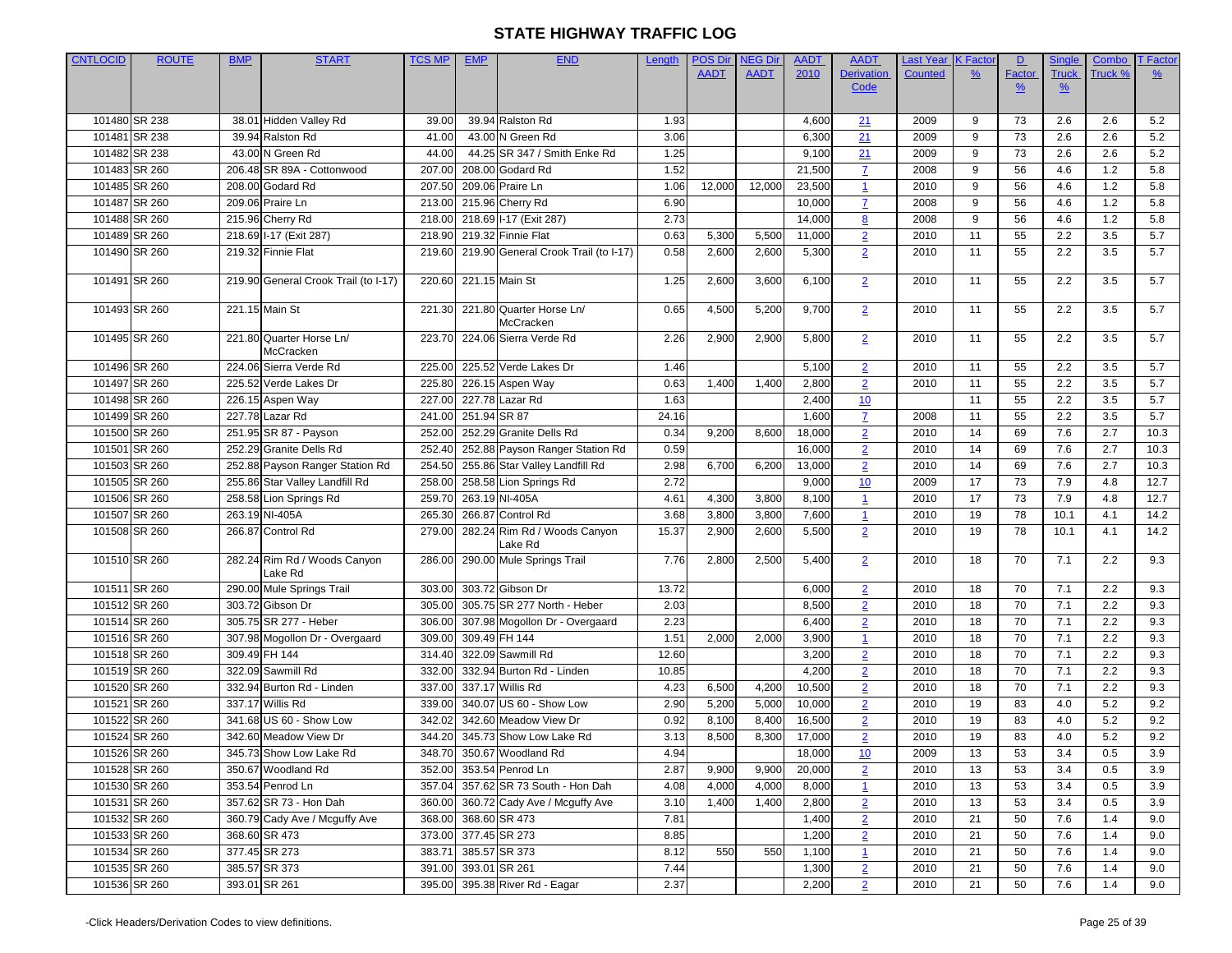| <b>CNTLOCID</b> | <b>ROUTE</b>                   | <b>BMP</b> | <b>START</b>                                            | <b>TCS MP</b>    | <b>EMP</b>   | <b>END</b>                                     | Length       | <b>POS Dir</b> | <b>JEG Dir</b> | <b>AADT</b>      | <b>AADT</b>                      | Last Year      | <b>K</b> Facto | D             | <b>Single</b> | Combo      | <b>T</b> Factor |
|-----------------|--------------------------------|------------|---------------------------------------------------------|------------------|--------------|------------------------------------------------|--------------|----------------|----------------|------------------|----------------------------------|----------------|----------------|---------------|---------------|------------|-----------------|
|                 |                                |            |                                                         |                  |              |                                                |              | <b>AADT</b>    | <b>AADT</b>    | 2010             | <b>Derivation</b>                | <b>Counted</b> | $\frac{9}{6}$  | <b>Factor</b> | <b>Truck</b>  | Truck 9    | $\frac{9}{6}$   |
|                 |                                |            |                                                         |                  |              |                                                |              |                |                |                  | <b>Code</b>                      |                |                | $\frac{9}{6}$ | $\frac{9}{6}$ |            |                 |
|                 |                                |            |                                                         |                  |              |                                                |              |                |                |                  |                                  |                |                |               |               |            |                 |
|                 | 101480 SR 238                  |            | 38.01 Hidden Valley Rd                                  | 39.00            |              | 39.94 Ralston Rd                               | 1.93         |                |                | 4,600            | 21                               | 2009           | 9              | 73            | 2.6           | 2.6        | 5.2             |
|                 | 101481 SR 238                  |            | 39.94 Ralston Rd                                        | 41.00            |              | 43.00 N Green Rd                               | 3.06         |                |                | 6,300            | 21                               | 2009           | 9              | 73            | 2.6           | 2.6        | 5.2             |
|                 | 101482 SR 238                  |            | 43.00 N Green Rd                                        | 44.00            |              | 44.25 SR 347 / Smith Enke Rd                   | 1.25         |                |                | 9,100            | 21                               | 2009           | 9              | 73            | 2.6           | 2.6        | 5.2             |
|                 | 101483 SR 260                  |            | 206.48 SR 89A - Cottonwood                              | 207.00           |              | 208.00 Godard Rd                               | 1.52         |                |                | 21,500           | $\overline{7}$                   | 2008           | 9              | 56            | 4.6           | 1.2        | 5.8             |
|                 | 101485 SR 260                  |            | 208.00 Godard Rd                                        | 207.50           |              | 209.06 Praire Ln                               | 1.06         | 12,000         | 12,000         | 23,500           | $\overline{1}$                   | 2010           | 9              | 56            | 4.6           | 1.2        | 5.8             |
|                 | 101487 SR 260                  |            | 209.06 Praire Ln                                        | 213.00           |              | 215.96 Cherry Rd                               | 6.90         |                |                | 10,000           | 7                                | 2008           | 9              | 56            | 4.6           | 1.2        | 5.8             |
|                 | 101488 SR 260                  |            | 215.96 Cherry Rd                                        | 218.00           |              | 218.69 I-17 (Exit 287)                         | 2.73         |                |                | 14,000           | 8                                | 2008           | $\overline{9}$ | 56            | 4.6           | 1.2        | 5.8             |
|                 | 101489 SR 260                  |            | 218.69 I-17 (Exit 287)                                  | 218.90           |              | 219.32 Finnie Flat                             | 0.63         | 5,300          | 5,500          | 11,000           | $\overline{2}$                   | 2010           | 11             | 55            | 2.2           | 3.5        | 5.7             |
|                 | 101490 SR 260                  |            | 219.32 Finnie Flat                                      | 219.60           |              | 219.90 General Crook Trail (to I-17)           | 0.58         | 2,600          | 2,600          | 5,300            | $\overline{2}$                   | 2010           | 11             | 55            | 2.2           | 3.5        | 5.7             |
|                 |                                |            |                                                         |                  |              |                                                |              |                |                |                  |                                  |                |                |               |               |            |                 |
|                 | 101491 SR 260                  |            | 219.90 General Crook Trail (to I-17)                    | 220.60           |              | 221.15 Main St                                 | 1.25         | 2,600          | 3,600          | 6,100            | $\overline{2}$                   | 2010           | 11             | 55            | 2.2           | 3.5        | 5.7             |
|                 | 101493 SR 260                  |            | 221.15 Main St                                          | 221.30           |              | 221.80 Quarter Horse Ln/                       | 0.65         | 4,500          | 5,200          | 9,700            | $\overline{2}$                   | 2010           | 11             | 55            | 2.2           | 3.5        | 5.7             |
|                 |                                |            |                                                         |                  |              | McCracken                                      |              |                |                |                  |                                  |                |                |               |               |            |                 |
|                 | 101495 SR 260                  |            | 221.80 Quarter Horse Ln/                                | 223.70           |              | 224.06 Sierra Verde Rd                         | 2.26         | 2,900          | 2,900          | 5,800            | $\overline{2}$                   | 2010           | 11             | 55            | 2.2           | 3.5        | 5.7             |
|                 |                                |            | McCracken                                               |                  |              |                                                |              |                |                |                  |                                  |                |                |               |               |            |                 |
|                 | 101496 SR 260                  |            | 224.06 Sierra Verde Rd                                  | 225.00           |              | 225.52 Verde Lakes Dr                          | 1.46         |                |                | 5,100            | $\overline{2}$                   | 2010           | 11             | 55            | 2.2           | 3.5        | 5.7             |
|                 | 101497 SR 260                  |            | 225.52 Verde Lakes Dr                                   | 225.80           |              | 226.15 Aspen Way                               | 0.63         | 1,400          | 1,400          | 2,800            | $\overline{2}$                   | 2010           | 11             | 55            | 2.2           | 3.5        | 5.7             |
|                 | 101498 SR 260                  |            | 226.15 Aspen Way                                        | 227.00           |              | 227.78 Lazar Rd                                | 1.63         |                |                | 2,400            | 10                               |                | 11             | 55            | 2.2           | 3.5        | 5.7             |
|                 | 101499 SR 260                  |            | 227.78 Lazar Rd                                         | 241.00           | 251.94 SR 87 |                                                | 24.16        |                |                | 1,600            | $\mathbf{Z}$                     | 2008           | 11             | 55            | 2.2           | 3.5        | 5.7             |
|                 | 101500 SR 260                  |            | 251.95 SR 87 - Payson                                   | 252.00           |              | 252.29 Granite Dells Rd                        | 0.34         | 9,200          | 8,600          | 18,000           | $\overline{2}$                   | 2010           | 14             | 69            | 7.6           | 2.7        | 10.3            |
|                 | 101501 SR 260                  |            | 252.29 Granite Dells Rd                                 | 252.40           |              | 252.88 Payson Ranger Station Rd                | 0.59         |                |                | 16,000           | $\overline{2}$                   | 2010           | 14             | 69            | 7.6           | 2.7        | 10.3            |
|                 | 101503 SR 260                  |            | 252.88 Payson Ranger Station Rd                         | 254.50           |              | 255.86 Star Valley Landfill Rd                 | 2.98         | 6,700          | 6,200          | 13,000           | $\overline{2}$                   | 2010           | 14             | 69            | 7.6           | 2.7        | 10.3            |
|                 | 101505 SR 260                  |            | 255.86 Star Valley Landfill Rd                          | 258.00           |              | 258.58 Lion Springs Rd                         | 2.72         |                |                | 9,000            | 10                               | 2009           | 17             | 73            | 7.9           | 4.8        | 12.7            |
|                 | 101506 SR 260                  |            | 258.58 Lion Springs Rd                                  | 259.70           |              | 263.19 NI-405A                                 | 4.61         | 4,300          | 3,800          | 8,100            | $\mathbf{1}$                     | 2010           | 17             | 73            | 7.9           | 4.8        | 12.7            |
|                 | 101507 SR 260                  |            | 263.19 NI-405A                                          | 265.30           |              | 266.87 Control Rd                              | 3.68         | 3,800          | 3,800          | 7,600            | $\overline{\mathbf{1}}$          | 2010           | 19             | 78            | 10.1          | 4.1        | 14.2            |
|                 | 101508 SR 260                  |            | 266.87 Control Rd                                       | 279.00           |              | 282.24 Rim Rd / Woods Canyon                   | 15.37        | 2,900          | 2,600          | 5,500            | $\overline{2}$                   | 2010           | 19             | 78            | 10.1          | 4.1        | 14.2            |
|                 |                                |            |                                                         |                  |              | Lake Rd                                        |              |                |                |                  |                                  |                |                |               |               |            |                 |
|                 | 101510 SR 260                  |            | 282.24 Rim Rd / Woods Canyon<br>Lake Rd                 | 286.00           |              | 290.00 Mule Springs Trail                      | 7.76         | 2,800          | 2,500          | 5,400            | $\overline{2}$                   | 2010           | 18             | 70            | 7.1           | 2.2        | 9.3             |
|                 | 101511 SR 260                  |            | 290.00 Mule Springs Trail                               | 303.00           |              | 303.72 Gibson Dr                               | 13.72        |                |                | 6,000            | $\overline{2}$                   | 2010           | 18             | 70            | 7.1           | 2.2        | 9.3             |
|                 | 101512 SR 260                  |            | 303.72 Gibson Dr                                        | 305.00           |              | 305.75 SR 277 North - Heber                    | 2.03         |                |                | 8,500            |                                  | 2010           | 18             | 70            | 7.1           | 2.2        | 9.3             |
|                 | 101514 SR 260                  |            | 305.75 SR 277 - Heber                                   | 306.00           |              | 307.98 Mogollon Dr - Overgaard                 | 2.23         |                |                | 6,400            | $\overline{2}$<br>$\overline{2}$ | 2010           | 18             | 70            | 7.1           | 2.2        | 9.3             |
|                 | 101516 SR 260                  |            | 307.98 Mogollon Dr - Overgaard                          | 309.00           |              | 309.49 FH 144                                  | 1.51         | 2,000          | 2,000          | 3,900            | $\mathbf{1}$                     | 2010           | 18             | 70            | 7.1           | 2.2        | 9.3             |
|                 | 101518 SR 260                  |            | 309.49 FH 144                                           | 314.40           |              | 322.09 Sawmill Rd                              | 12.60        |                |                | 3,200            | $\overline{2}$                   | 2010           | 18             | 70            | 7.1           | 2.2        | 9.3             |
|                 | 101519 SR 260                  |            | 322.09 Sawmill Rd                                       | 332.00           |              | 332.94 Burton Rd - Linden                      | 10.85        |                |                | 4,200            |                                  | 2010           | 18             | 70            | 7.1           | 2.2        | 9.3             |
|                 | 101520 SR 260                  |            | 332.94 Burton Rd - Linden                               | 337.00           |              | 337.17 Willis Rd                               | 4.23         | 6,500          | 4,200          | 10,500           | $\overline{2}$<br>$\overline{2}$ | 2010           | 18             | 70            | 7.1           | 2.2        | 9.3             |
|                 | 101521 SR 260                  |            | 337.17 Willis Rd                                        | 339.00           |              | 340.07 US 60 - Show Low                        | 2.90         | 5,200          | 5,000          | 10,000           | $\overline{2}$                   | 2010           | 19             | 83            | 4.0           | 5.2        | 9.2             |
|                 | 101522 SR 260                  |            | 341.68 US 60 - Show Low                                 | 342.02           |              | 342.60 Meadow View Dr                          | 0.92         | 8,100          | 8,400          | 16,500           | $\overline{2}$                   | 2010           | 19             | 83            | 4.0           | 5.2        | 9.2             |
|                 | 101524 SR 260                  |            | 342.60 Meadow View Dr                                   | 344.20           |              | 345.73 Show Low Lake Rd                        | 3.13         | 8,500          | 8,300          | 17,000           |                                  | 2010           | 19             | 83            | 4.0           | 5.2        | 9.2             |
|                 |                                |            |                                                         |                  |              |                                                |              |                |                |                  | $\overline{2}$                   |                |                |               |               |            |                 |
|                 | 101526 SR 260<br>101528 SR 260 |            | 345.73 Show Low Lake Rd<br>350.67 Woodland Rd           | 352.00           |              | 348.70 350.67 Woodland Rd<br>353.54 Penrod Ln  | 4.94<br>2.87 | 9,900          | 9,900          | 18,000<br>20,000 | <u> 10</u>                       | 2009<br>2010   | 13<br>13       | 53<br>53      | 3.4<br>3.4    | 0.5<br>0.5 | 3.9<br>3.9      |
|                 | 101530 SR 260                  |            | 353.54 Penrod Ln                                        | 357.04           |              | 357.62 SR 73 South - Hon Dah                   | 4.08         | 4,000          | 4,000          | 8,000            | $\overline{2}$                   | 2010           | 13             | 53            | 3.4           | 0.5        | 3.9             |
|                 | 101531 SR 260                  |            |                                                         |                  |              |                                                |              |                |                |                  | $\overline{\mathbf{1}}$          |                |                |               |               |            |                 |
|                 |                                |            | 357.62 SR 73 - Hon Dah<br>360.79 Cady Ave / Mcguffy Ave | 360.00           |              | 360.72 Cady Ave / Mcguffy Ave<br>368.60 SR 473 | 3.10         | 1,400          | 1,400          | 2,800            | $\overline{2}$                   | 2010           | 13             | 53            | 3.4           | 0.5        | 3.9             |
|                 | 101532 SR 260                  |            |                                                         | 368.00           |              |                                                | 7.81         |                |                | 1,400            | $\overline{2}$                   | 2010           | 21             | 50            | 7.6<br>7.6    | 1.4        | 9.0             |
|                 | 101533 SR 260<br>101534 SR 260 |            | 368.60 SR 473<br>377.45 SR 273                          | 373.00<br>383.71 |              | 377.45 SR 273<br>385.57 SR 373                 | 8.85<br>8.12 | 550            | 550            | 1,200            | $\overline{2}$                   | 2010           | 21             | 50            | 7.6           | 1.4        | 9.0             |
|                 | 101535 SR 260                  |            | 385.57 SR 373                                           | 391.00           |              | 393.01 SR 261                                  | 7.44         |                |                | 1,100            | $\mathbf{\mathbf{1}}$            | 2010<br>2010   | 21             | 50<br>50      |               | 1.4        | 9.0             |
|                 |                                |            |                                                         |                  |              |                                                |              |                |                | 1,300            | $\overline{2}$                   |                | 21             |               | 7.6           | 1.4        | 9.0             |
|                 | 101536 SR 260                  |            | 393.01 SR 261                                           | 395.00           |              | 395.38 River Rd - Eagar                        | 2.37         |                |                | 2,200            | $\overline{2}$                   | 2010           | 21             | 50            | 7.6           | 1.4        | 9.0             |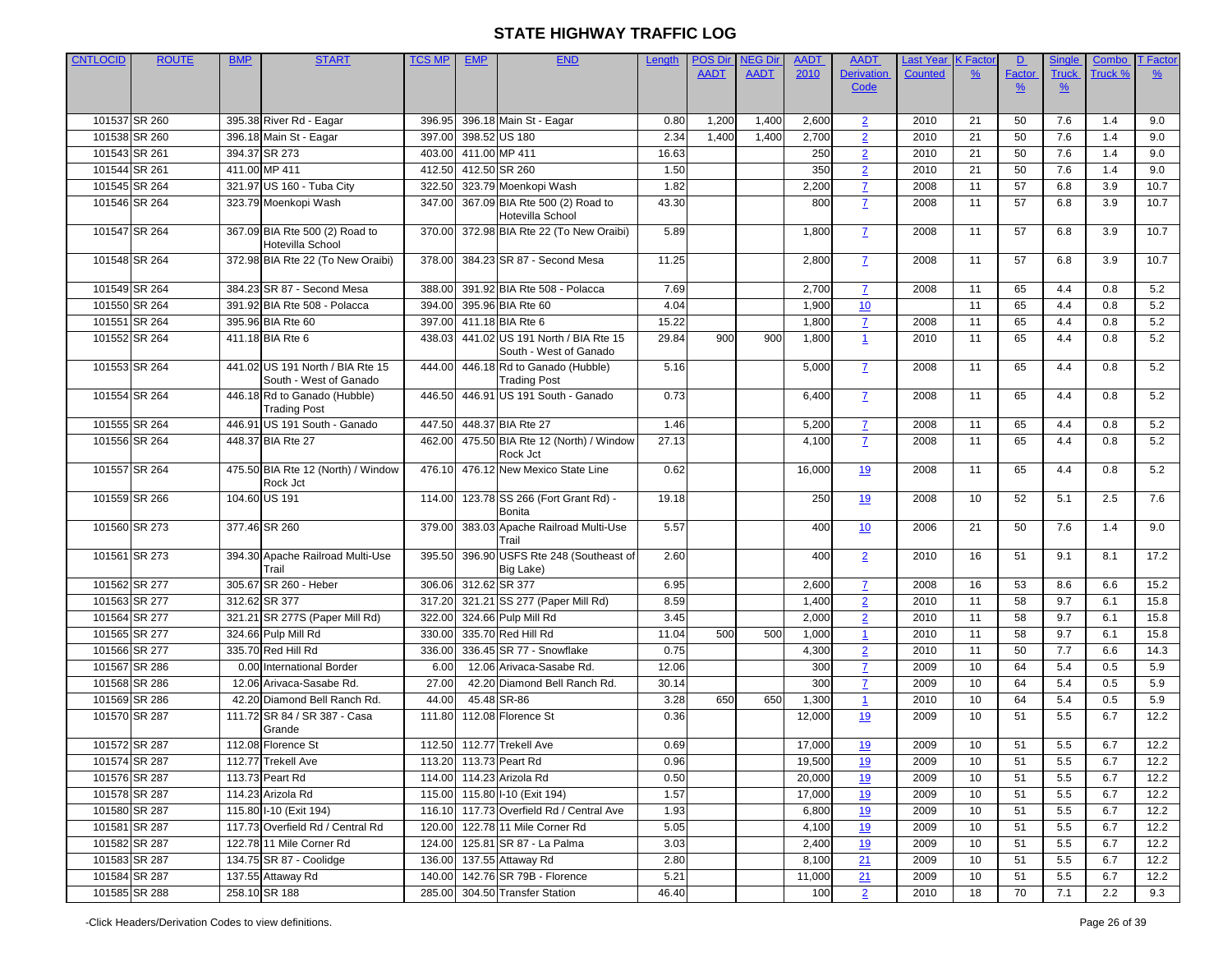| <b>CNTLOCID</b> | <b>ROUTE</b>  | <b>BMP</b> | <b>START</b>                                                 | <b>TCS MP</b> | <b>EMP</b>           | <b>END</b>                               | Length | <b>POS Dir</b> | <b>NEG Dir</b> | <b>AADT</b> | <b>AADT</b>       | Last Year      | <b>K</b> Facto  | D             | <b>Single</b> | Combo   | <b>T</b> Factor |
|-----------------|---------------|------------|--------------------------------------------------------------|---------------|----------------------|------------------------------------------|--------|----------------|----------------|-------------|-------------------|----------------|-----------------|---------------|---------------|---------|-----------------|
|                 |               |            |                                                              |               |                      |                                          |        | <b>AADT</b>    | <b>AADT</b>    | 2010        | <b>Derivation</b> | <b>Counted</b> | $\frac{9}{6}$   | <b>Factor</b> | <b>Truck</b>  | Truck % | $\frac{9}{6}$   |
|                 |               |            |                                                              |               |                      |                                          |        |                |                |             | Code              |                |                 | $\frac{9}{6}$ | $\frac{9}{6}$ |         |                 |
|                 |               |            |                                                              |               |                      |                                          |        |                |                |             |                   |                |                 |               |               |         |                 |
|                 | 101537 SR 260 |            | 395.38 River Rd - Eagar                                      | 396.95        |                      | 396.18 Main St - Eagar                   | 0.80   | 1,200          | 1,400          | 2,600       | $\overline{2}$    | 2010           | 21              | 50            | 7.6           | 1.4     | 9.0             |
|                 | 101538 SR 260 |            | 396.18 Main St - Eagar                                       | 397.00        |                      | 398.52 US 180                            | 2.34   | 1,400          | 1,400          | 2,700       | $\overline{2}$    | 2010           | 21              | 50            | 7.6           | 1.4     | 9.0             |
|                 | 101543 SR 261 |            | 394.37 SR 273                                                | 403.00        |                      | 411.00 MP 411                            | 16.63  |                |                | 250         | $\overline{2}$    | 2010           | 21              | 50            | 7.6           | 1.4     | 9.0             |
| 101544 SR 261   |               |            | 411.00 MP 411                                                | 412.50        |                      | 412.50 SR 260                            | 1.50   |                |                | 350         | $\overline{2}$    | 2010           | 21              | 50            | 7.6           | 1.4     | 9.0             |
|                 | 101545 SR 264 |            | 321.97 US 160 - Tuba City                                    | 322.50        |                      | 323.79 Moenkopi Wash                     | 1.82   |                |                | 2,200       | $\mathbf{Z}$      | 2008           | 11              | 57            | 6.8           | 3.9     | 10.7            |
|                 | 101546 SR 264 |            | 323.79 Moenkopi Wash                                         | 347.00        |                      | 367.09 BIA Rte 500 (2) Road to           | 43.30  |                |                | 800         | $\mathbf{Z}$      | 2008           | 11              | 57            | 6.8           | 3.9     | 10.7            |
|                 |               |            |                                                              |               |                      | Hotevilla School                         |        |                |                |             |                   |                |                 |               |               |         |                 |
|                 | 101547 SR 264 |            | 367.09 BIA Rte 500 (2) Road to                               | 370.00        |                      | 372.98 BIA Rte 22 (To New Oraibi)        | 5.89   |                |                | 1,800       | $\mathbf{Z}$      | 2008           | 11              | 57            | 6.8           | 3.9     | 10.7            |
|                 | 101548 SR 264 |            | <b>Hotevilla School</b><br>372.98 BIA Rte 22 (To New Oraibi) |               |                      | 384.23 SR 87 - Second Mesa               |        |                |                |             |                   | 2008           |                 | 57            |               |         | 10.7            |
|                 |               |            |                                                              | 378.00        |                      |                                          | 11.25  |                |                | 2,800       | $\mathbf{Z}$      |                | 11              |               | 6.8           | 3.9     |                 |
| 101549 SR 264   |               |            | 384.23 SR 87 - Second Mesa                                   | 388.00        |                      | 391.92 BIA Rte 508 - Polacca             | 7.69   |                |                | 2,700       | $\overline{7}$    | 2008           | 11              | 65            | 4.4           | 0.8     | 5.2             |
|                 | 101550 SR 264 |            | 391.92 BIA Rte 508 - Polacca                                 | 394.00        |                      | 395.96 BIA Rte 60                        | 4.04   |                |                | 1,900       | 10                |                | 11              | 65            | 4.4           | 0.8     | 5.2             |
|                 | 101551 SR 264 |            | 395.96 BIA Rte 60                                            | 397.00        |                      | 411.18 BIA Rte 6                         | 15.22  |                |                | 1,800       | $\mathbf{Z}$      | 2008           | 11              | 65            | 4.4           | 0.8     | 5.2             |
|                 | 101552 SR 264 |            | 411.18 BIA Rte 6                                             | 438.03        |                      | 441.02 US 191 North / BIA Rte 15         | 29.84  | 900            | 900            | 1,800       | $\mathbf{1}$      | 2010           | 11              | 65            | 4.4           | 0.8     | 5.2             |
|                 |               |            |                                                              |               |                      | South - West of Ganado                   |        |                |                |             |                   |                |                 |               |               |         |                 |
|                 | 101553 SR 264 |            | 441.02 US 191 North / BIA Rte 15                             | 444.00        |                      | 446.18 Rd to Ganado (Hubble)             | 5.16   |                |                | 5,000       | $\mathbf{Z}$      | 2008           | 11              | 65            | 4.4           | 0.8     | 5.2             |
|                 |               |            | South - West of Ganado                                       |               |                      | <b>Trading Post</b>                      |        |                |                |             |                   |                |                 |               |               |         |                 |
|                 | 101554 SR 264 |            | 446.18 Rd to Ganado (Hubble)                                 | 446.50        |                      | 446.91 US 191 South - Ganado             | 0.73   |                |                | 6,400       | $\mathbf{Z}$      | 2008           | 11              | 65            | 4.4           | 0.8     | 5.2             |
|                 |               |            | <b>Trading Post</b>                                          |               |                      |                                          |        |                |                |             |                   |                |                 |               |               |         |                 |
|                 | 101555 SR 264 |            | 446.91 US 191 South - Ganado                                 | 447.50        |                      | 448.37 BIA Rte 27                        | 1.46   |                |                | 5,200       | $\mathbf{Z}$      | 2008           | 11              | 65            | 4.4           | 0.8     | 5.2             |
|                 | 101556 SR 264 |            | 448.37 BIA Rte 27                                            | 462.00        |                      | 475.50 BIA Rte 12 (North) / Window       | 27.13  |                |                | 4,100       | $\mathbf{Z}$      | 2008           | 11              | 65            | 4.4           | 0.8     | 5.2             |
|                 | 101557 SR 264 |            | 475.50 BIA Rte 12 (North) / Window                           | 476.10        |                      | Rock Jct<br>476.12 New Mexico State Line | 0.62   |                |                | 16,000      |                   | 2008           | 11              | 65            | 4.4           | 0.8     | 5.2             |
|                 |               |            | Rock Jct                                                     |               |                      |                                          |        |                |                |             | 19                |                |                 |               |               |         |                 |
|                 | 101559 SR 266 |            | 104.60 US 191                                                | 114.00        |                      | 123.78 SS 266 (Fort Grant Rd) -          | 19.18  |                |                | 250         | 19                | 2008           | 10              | 52            | 5.1           | 2.5     | 7.6             |
|                 |               |            |                                                              |               |                      | Bonita                                   |        |                |                |             |                   |                |                 |               |               |         |                 |
|                 | 101560 SR 273 |            | 377.46 SR 260                                                | 379.00        |                      | 383.03 Apache Railroad Multi-Use         | 5.57   |                |                | 400         | 10                | 2006           | 21              | 50            | 7.6           | 1.4     | 9.0             |
|                 |               |            |                                                              |               |                      | Trail                                    |        |                |                |             |                   |                |                 |               |               |         |                 |
|                 | 101561 SR 273 |            | 394.30 Apache Railroad Multi-Use                             | 395.50        |                      | 396.90 USFS Rte 248 (Southeast of        | 2.60   |                |                | 400         | $\overline{2}$    | 2010           | 16              | 51            | 9.1           | 8.1     | 17.2            |
|                 |               |            | Trail                                                        |               |                      | Big Lake)                                |        |                |                |             |                   |                |                 |               |               |         |                 |
|                 | 101562 SR 277 |            | 305.67 SR 260 - Heber                                        |               | 306.06 312.62 SR 377 |                                          | 6.95   |                |                | 2,600       | $\overline{7}$    | 2008           | 16              | 53            | 8.6           | 6.6     | 15.2            |
|                 | 101563 SR 277 |            | 312.62 SR 377                                                | 317.20        |                      | 321.21 SS 277 (Paper Mill Rd)            | 8.59   |                |                | 1,400       | $\overline{2}$    | 2010           | 11              | 58            | 9.7           | 6.1     | 15.8            |
|                 | 101564 SR 277 |            | 321.21 SR 277S (Paper Mill Rd)                               | 322.00        |                      | 324.66 Pulp Mill Rd                      | 3.45   |                |                | 2,000       | $\overline{2}$    | 2010           | 11              | 58            | 9.7           | 6.1     | 15.8            |
|                 | 101565 SR 277 |            | 324.66 Pulp Mill Rd                                          | 330.00        |                      | 335.70 Red Hill Rd                       | 11.04  | 500            | 500            | 1,000       | $\overline{1}$    | 2010           | 11              | 58            | 9.7           | 6.1     | 15.8            |
|                 | 101566 SR 277 |            | 335.70 Red Hill Rd                                           | 336.00        |                      | 336.45 SR 77 - Snowflake                 | 0.75   |                |                | 4,300       | $\overline{2}$    | 2010           | 11              | 50            | 7.7           | 6.6     | 14.3            |
|                 | 101567 SR 286 |            | 0.00 International Border                                    | 6.00          |                      | 12.06 Arivaca-Sasabe Rd.                 | 12.06  |                |                | 300         | $\overline{7}$    | 2009           | 10              | 64            | 5.4           | 0.5     | 5.9             |
|                 | 101568 SR 286 |            | 12.06 Arivaca-Sasabe Rd.                                     | 27.00         |                      | 42.20 Diamond Bell Ranch Rd.             | 30.14  |                |                | 300         | $\overline{7}$    | 2009           | 10              | 64            | 5.4           | 0.5     | 5.9             |
|                 | 101569 SR 286 |            | 42.20 Diamond Bell Ranch Rd.                                 | 44.00         |                      | 45.48 SR-86                              | 3.28   | 650            | 650            | 1,300       | $\mathbf{1}$      | 2010           | 10 <sup>°</sup> | 64            | 5.4           | 0.5     | 5.9             |
|                 | 101570 SR 287 |            | 111.72 SR 84 / SR 387 - Casa                                 | 111.80        |                      | 112.08 Florence St                       | 0.36   |                |                | 12,000      | 19                | 2009           | 10              | 51            | 5.5           | 6.7     | 12.2            |
|                 | 101572 SR 287 |            | Grande<br>112.08 Florence St                                 |               |                      | 112.50 112.77 Trekell Ave                | 0.69   |                |                | 17,000      | 19                | 2009           | 10              | 51            | 5.5           | 6.7     | 12.2            |
| 101574 SR 287   |               |            | 112.77 Trekell Ave                                           |               |                      | 113.20 113.73 Peart Rd                   | 0.96   |                |                | 19,500      |                   | 2009           | 10              | 51            | 5.5           | 6.7     | 12.2            |
| 101576 SR 287   |               |            | 113.73 Peart Rd                                              |               |                      | 114.23 Arizola Rd                        | 0.50   |                |                | 20,000      | <u>19</u>         | 2009           | 10              | 51            | 5.5           | 6.7     | 12.2            |
|                 | 101578 SR 287 |            |                                                              | 114.00        |                      |                                          |        |                |                |             | 19                |                |                 |               |               |         |                 |
|                 |               |            | 114.23 Arizola Rd                                            | 115.00        |                      | 115.80 I-10 (Exit 194)                   | 1.57   |                |                | 17,000      | 19                | 2009           | 10              | 51            | 5.5           | 6.7     | 12.2            |
|                 | 101580 SR 287 |            | 115.80 I-10 (Exit 194)                                       | 116.10        |                      | 117.73 Overfield Rd / Central Ave        | 1.93   |                |                | 6,800       | 19                | 2009           | 10              | 51            | 5.5           | 6.7     | 12.2            |
|                 | 101581 SR 287 |            | 117.73 Overfield Rd / Central Rd                             | 120.00        |                      | 122.78 11 Mile Corner Rd                 | 5.05   |                |                | 4,100       | <u>19</u>         | 2009           | 10              | 51            | 5.5           | 6.7     | 12.2            |
|                 | 101582 SR 287 |            | 122.78 11 Mile Corner Rd                                     | 124.00        |                      | 125.81 SR 87 - La Palma                  | 3.03   |                |                | 2,400       | <u>19</u>         | 2009           | 10              | 51            | 5.5           | 6.7     | 12.2            |
|                 | 101583 SR 287 |            | 134.75 SR 87 - Coolidge                                      | 136.00        |                      | 137.55 Attaway Rd                        | 2.80   |                |                | 8,100       | 21                | 2009           | 10 <sup>°</sup> | 51            | 5.5           | 6.7     | 12.2            |
|                 | 101584 SR 287 |            | 137.55 Attaway Rd                                            | 140.00        |                      | 142.76 SR 79B - Florence                 | 5.21   |                |                | 11,000      | 21                | 2009           | 10              | 51            | 5.5           | 6.7     | 12.2            |
|                 | 101585 SR 288 |            | 258.10 SR 188                                                | 285.00        |                      | 304.50 Transfer Station                  | 46.40  |                |                | 100         | $\overline{2}$    | 2010           | 18              | 70            | 7.1           | 2.2     | 9.3             |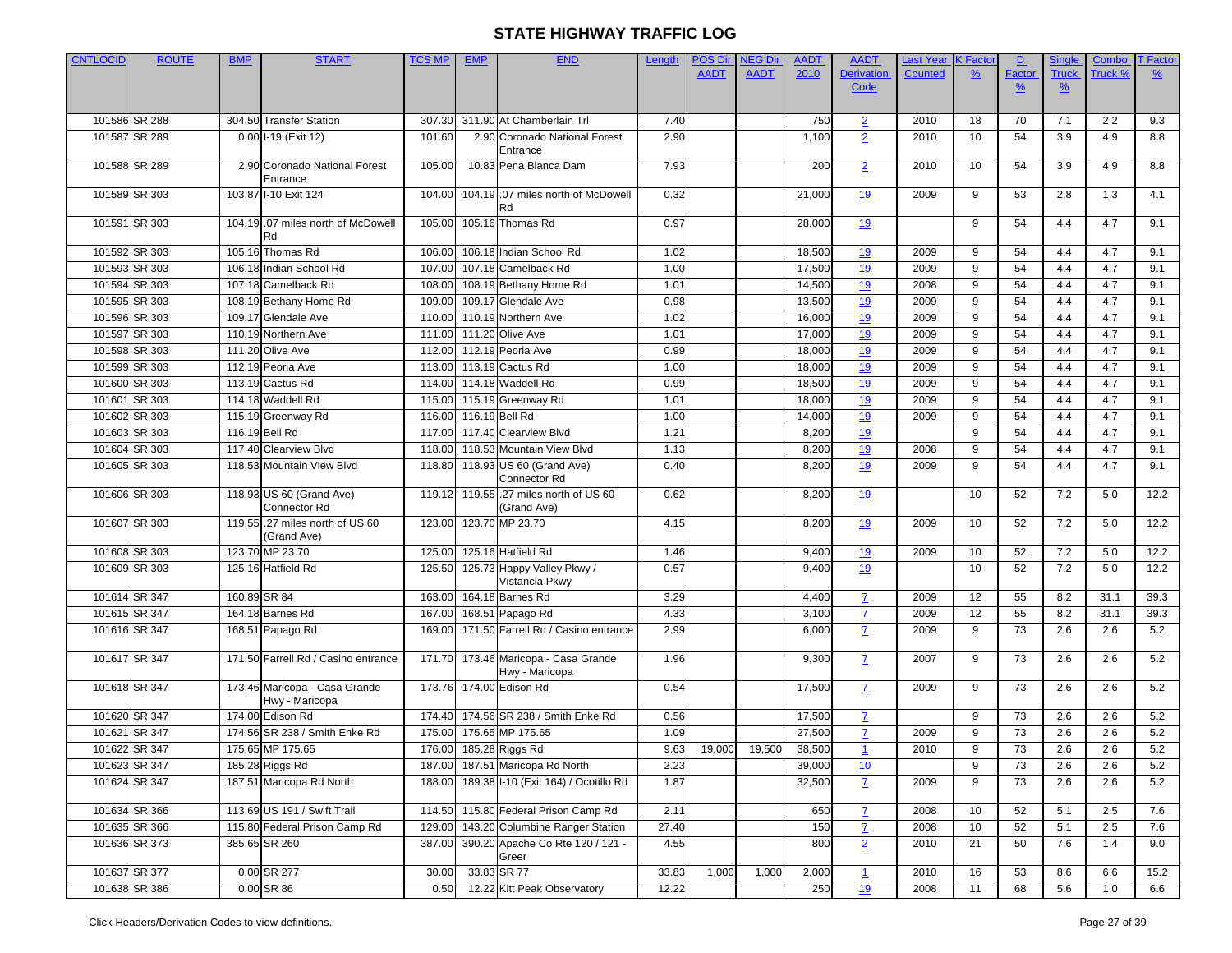| <b>CNTLOCID</b> | <b>ROUTE</b>  | <b>BMP</b>   | <b>START</b>                                    | <b>TCS MP</b> | <b>EMP</b> | <b>END</b>                                             | Length | <u>POS Dir</u> | <b>NEG Dir</b> | <b>AADT</b> | <b>AADT</b>       | <b>Last Year</b> | <b>K</b> Facto  | $\mathbf{D}$  | <b>Single</b> | Combo   | T Factor      |
|-----------------|---------------|--------------|-------------------------------------------------|---------------|------------|--------------------------------------------------------|--------|----------------|----------------|-------------|-------------------|------------------|-----------------|---------------|---------------|---------|---------------|
|                 |               |              |                                                 |               |            |                                                        |        | <b>AADT</b>    | <b>AADT</b>    | 2010        | <b>Derivation</b> | <b>Counted</b>   | $\frac{9}{6}$   | Factor        | <b>Truck</b>  | Truck % | $\frac{9}{6}$ |
|                 |               |              |                                                 |               |            |                                                        |        |                |                |             | Code              |                  |                 | $\frac{9}{6}$ | $\frac{9}{6}$ |         |               |
|                 |               |              |                                                 |               |            |                                                        |        |                |                |             |                   |                  |                 |               |               |         |               |
|                 | 101586 SR 288 |              | 304.50 Transfer Station                         | 307.30        |            | 311.90 At Chamberlain Trl                              | 7.40   |                |                | 750         | $\overline{2}$    | 2010             | 18              | 70            | 7.1           | 2.2     | 9.3           |
|                 | 101587 SR 289 |              | $0.00$ I-19 (Exit 12)                           | 101.60        |            | 2.90 Coronado National Forest<br>Entrance              | 2.90   |                |                | 1,100       | $\overline{2}$    | 2010             | 10              | 54            | 3.9           | 4.9     | 8.8           |
|                 | 101588 SR 289 |              | 2.90 Coronado National Forest<br>Entrance       | 105.00        |            | 10.83 Pena Blanca Dam                                  | 7.93   |                |                | 200         | $\overline{2}$    | 2010             | 10              | 54            | 3.9           | 4.9     | 8.8           |
| 101589 SR 303   |               |              | 103.87 I-10 Exit 124                            | 104.00        |            | 104.19.07 miles north of McDowell<br>Rd                | 0.32   |                |                | 21,000      | 19                | 2009             | 9               | 53            | 2.8           | 1.3     | 4.1           |
|                 | 101591 SR 303 |              | 104.19.07 miles north of McDowell<br>Rd         | 105.00        |            | 105.16 Thomas Rd                                       | 0.97   |                |                | 28,000      | 19                |                  | 9               | 54            | 4.4           | 4.7     | 9.1           |
| 101592 SR 303   |               |              | 105.16 Thomas Rd                                | 106.00        |            | 106.18 Indian School Rd                                | 1.02   |                |                | 18,500      | 19                | 2009             | 9               | 54            | 4.4           | 4.7     | 9.1           |
| 101593 SR 303   |               |              | 106.18 Indian School Rd                         | 107.00        |            | 107.18 Camelback Rd                                    | 1.00   |                |                | 17,500      | 19                | 2009             | 9               | 54            | 4.4           | 4.7     | 9.1           |
|                 | 101594 SR 303 |              | 107.18 Camelback Rd                             | 108.00        |            | 108.19 Bethany Home Rd                                 | 1.01   |                |                | 14,500      | 19                | 2008             | 9               | 54            | 4.4           | 4.7     | 9.1           |
|                 | 101595 SR 303 |              | 108.19 Bethany Home Rd                          | 109.00        |            | 109.17 Glendale Ave                                    | 0.98   |                |                | 13,500      | 19                | 2009             | 9               | 54            | 4.4           | 4.7     | 9.1           |
|                 | 101596 SR 303 |              | 109.17 Glendale Ave                             | 110.00        |            | 110.19 Northern Ave                                    | 1.02   |                |                | 16,000      | 19                | 2009             | 9               | 54            | 4.4           | 4.7     | 9.1           |
|                 | 101597 SR 303 |              | 110.19 Northern Ave                             | 111.00        |            | 111.20 Olive Ave                                       | 1.01   |                |                | 17,000      | <u>19</u>         | 2009             | 9               | 54            | 4.4           | 4.7     | 9.1           |
|                 | 101598 SR 303 |              | 111.20 Olive Ave                                | 112.00        |            | 112.19 Peoria Ave                                      | 0.99   |                |                | 18,000      | 19                | 2009             | 9               | 54            | 4.4           | 4.7     | 9.1           |
|                 | 101599 SR 303 |              | 112.19 Peoria Ave                               | 113.00        |            | 113.19 Cactus Rd                                       | 1.00   |                |                | 18,000      | 19                | 2009             | 9               | 54            | 4.4           | 4.7     | 9.1           |
|                 | 101600 SR 303 |              | 113.19 Cactus Rd                                | 114.00        |            | 114.18 Waddell Rd                                      | 0.99   |                |                | 18,500      | 19                | 2009             | 9               | 54            | 4.4           | 4.7     | 9.1           |
|                 | 101601 SR 303 |              | 114.18 Waddell Rd                               | 115.00        |            | 115.19 Greenway Rd                                     | 1.01   |                |                | 18,000      | 19                | 2009             | 9               | 54            | 4.4           | 4.7     | 9.1           |
|                 | 101602 SR 303 |              | 115.19 Greenway Rd                              | 116.00        |            | 116.19 Bell Rd                                         | 1.00   |                |                | 14,000      | <u>19</u>         | 2009             | 9               | 54            | 4.4           | 4.7     | 9.1           |
|                 | 101603 SR 303 |              | 116.19 Bell Rd                                  | 117.00        |            | 117.40 Clearview Blvd                                  | 1.21   |                |                | 8,200       | <u>19</u>         |                  | 9               | 54            | 4.4           | 4.7     | 9.1           |
|                 | 101604 SR 303 |              | 117.40 Clearview Blvd                           | 118.00        |            | 118.53 Mountain View Blvd                              | 1.13   |                |                | 8,200       | <u>19</u>         | 2008             | 9               | 54            | 4.4           | 4.7     | 9.1           |
|                 | 101605 SR 303 |              | 118.53 Mountain View Blvd                       | 118.80        |            | 118.93 US 60 (Grand Ave)                               | 0.40   |                |                | 8,200       | 19                | 2009             | 9               | 54            | 4.4           | 4.7     | 9.1           |
|                 |               |              |                                                 |               |            | Connector Rd                                           |        |                |                |             |                   |                  |                 |               |               |         |               |
|                 | 101606 SR 303 |              | 118.93 US 60 (Grand Ave)<br>Connector Rd        | 119.12        |            | 119.55 .27 miles north of US 60<br>(Grand Ave)         | 0.62   |                |                | 8,200       | 19                |                  | 10              | 52            | 7.2           | 5.0     | 12.2          |
|                 | 101607 SR 303 |              | 119.55 .27 miles north of US 60<br>(Grand Ave)  | 123.00        |            | 123.70 MP 23.70                                        | 4.15   |                |                | 8,200       | 19                | 2009             | 10              | 52            | 7.2           | 5.0     | 12.2          |
|                 | 101608 SR 303 |              | 123.70 MP 23.70                                 | 125.00        |            | 125.16 Hatfield Rd                                     | 1.46   |                |                | 9,400       | <u>19</u>         | 2009             | 10              | 52            | 7.2           | 5.0     | 12.2          |
|                 | 101609 SR 303 |              | 125.16 Hatfield Rd                              | 125.50        |            | 125.73 Happy Valley Pkwy /<br>Vistancia Pkwy           | 0.57   |                |                | 9,400       | 19                |                  | 10              | 52            | 7.2           | 5.0     | 12.2          |
| 101614 SR 347   |               | 160.89 SR 84 |                                                 | 163.00        |            | 164.18 Barnes Rd                                       | 3.29   |                |                | 4,400       | $\overline{7}$    | 2009             | 12              | 55            | 8.2           | 31.1    | 39.3          |
| 101615 SR 347   |               |              | 164.18 Barnes Rd                                | 167.00        |            | 168.51 Papago Rd                                       | 4.33   |                |                | 3,100       | $\overline{1}$    | 2009             | 12              | 55            | 8.2           | 31.1    | 39.3          |
|                 | 101616 SR 347 |              | 168.51 Papago Rd                                | 169.00        |            | 171.50 Farrell Rd / Casino entrance                    | 2.99   |                |                | 6,000       | $\mathbf{Z}$      | 2009             | 9               | 73            | 2.6           | 2.6     | 5.2           |
|                 | 101617 SR 347 |              | 171.50 Farrell Rd / Casino entrance             |               |            | 171.70 173.46 Maricopa - Casa Grande<br>Hwy - Maricopa | 1.96   |                |                | 9,300       | $\mathbf{Z}$      | 2007             | 9               | 73            | 2.6           | 2.6     | 5.2           |
|                 | 101618 SR 347 |              | 173.46 Maricopa - Casa Grande<br>Hwy - Maricopa |               |            | 173.76 174.00 Edison Rd                                | 0.54   |                |                | 17,500      | $\mathbf{Z}$      | 2009             | 9               | 73            | 2.6           | 2.6     | 5.2           |
| 101620 SR 347   |               |              | 174.00 Edison Rd                                | 174.40        |            | 174.56 SR 238 / Smith Enke Rd                          | 0.56   |                |                | 17,500      | $\mathbf{Z}$      |                  | 9               | 73            | 2.6           | 2.6     | 5.2           |
| 101621 SR 347   |               |              | 174.56 SR 238 / Smith Enke Rd                   |               |            | 175.00 175.65 MP 175.65                                | 1.09   |                |                | 27,500      | $\overline{L}$    | 2009             | 9               | 73            | 2.6           | 2.6     | 5.2           |
|                 | 101622 SR 347 |              | 175.65 MP 175.65                                |               |            | 176.00 185.28 Riggs Rd                                 | 9.63   |                | 19,000 19,500  | 38,500      | $\overline{1}$    | 2010             | $\overline{9}$  | 73            | 2.6           | 2.6     | 5.2           |
|                 | 101623 SR 347 |              | 185.28 Riggs Rd                                 | 187.00        |            | 187.51 Maricopa Rd North                               | 2.23   |                |                | 39,000      | 10                |                  | 9               | 73            | 2.6           | 2.6     | 5.2           |
|                 | 101624 SR 347 |              | 187.51 Maricopa Rd North                        | 188.00        |            | 189.38 I-10 (Exit 164) / Ocotillo Rd                   | 1.87   |                |                | 32,500      | $\mathbf{Z}$      | 2009             | 9               | 73            | 2.6           | 2.6     | 5.2           |
|                 | 101634 SR 366 |              | 113.69 US 191 / Swift Trail                     | 114.50        |            | 115.80 Federal Prison Camp Rd                          | 2.11   |                |                | 650         | $\mathbf{Z}$      | 2008             | 10              | 52            | 5.1           | 2.5     | 7.6           |
|                 | 101635 SR 366 |              | 115.80 Federal Prison Camp Rd                   | 129.00        |            | 143.20 Columbine Ranger Station                        | 27.40  |                |                | 150         | Z                 | 2008             | 10 <sup>1</sup> | 52            | 5.1           | 2.5     | 7.6           |
|                 | 101636 SR 373 |              | 385.65 SR 260                                   | 387.00        |            | 390.20 Apache Co Rte 120 / 121 -<br>Greer              | 4.55   |                |                | 800         | $\overline{2}$    | 2010             | 21              | 50            | 7.6           | 1.4     | 9.0           |
|                 | 101637 SR 377 |              | 0.00 SR 277                                     | 30.00         |            | 33.83 SR 77                                            | 33.83  | 1,000          | 1,000          | 2,000       |                   | 2010             | 16              | 53            | 8.6           | 6.6     | 15.2          |
|                 | 101638 SR 386 |              | 0.00 SR 86                                      | 0.50          |            | 12.22 Kitt Peak Observatory                            | 12.22  |                |                | 250         | 19                | 2008             | 11              | 68            | 5.6           | 1.0     | 6.6           |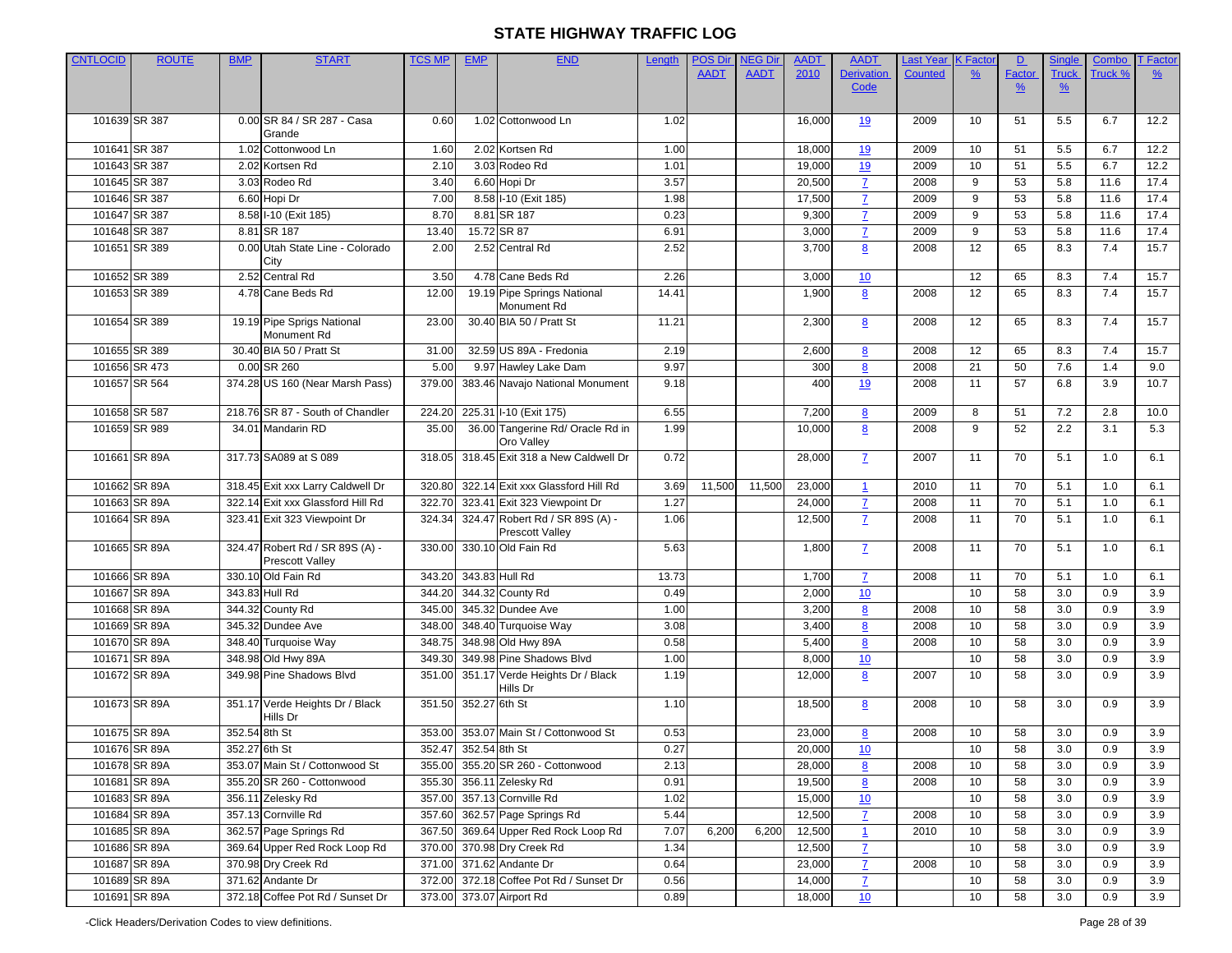| <b>CNTLOCID</b> | <b>ROUTE</b>  | <b>BMP</b>    | <b>START</b>                                              | <b>TCS MP</b> | <b>EMP</b>           | <b>END</b>                                                | Length | <u>POS Dir</u> | <b>NEG Dir</b> | <b>AADT</b> | <b>AADT</b>       | <b>Last Year</b> | <b>K</b> Facto  | D             | Single        | Combo   | <b>T</b> Factor |
|-----------------|---------------|---------------|-----------------------------------------------------------|---------------|----------------------|-----------------------------------------------------------|--------|----------------|----------------|-------------|-------------------|------------------|-----------------|---------------|---------------|---------|-----------------|
|                 |               |               |                                                           |               |                      |                                                           |        | <b>AADT</b>    | <b>AADT</b>    | 2010        | <b>Derivation</b> | <b>Counted</b>   | $\frac{9}{6}$   | <b>Factor</b> | <b>Truck</b>  | Truck % | $\frac{9}{6}$   |
|                 |               |               |                                                           |               |                      |                                                           |        |                |                |             | Code              |                  |                 | $\frac{9}{6}$ | $\frac{9}{6}$ |         |                 |
|                 |               |               |                                                           |               |                      |                                                           |        |                |                |             |                   |                  |                 |               |               |         |                 |
|                 | 101639 SR 387 |               | 0.00 SR 84 / SR 287 - Casa                                | 0.60          |                      | 1.02 Cottonwood Ln                                        | 1.02   |                |                | 16,000      | <u>19</u>         | 2009             | 10 <sup>°</sup> | 51            | 5.5           | 6.7     | 12.2            |
|                 |               |               | Grande                                                    |               |                      |                                                           |        |                |                |             |                   |                  |                 |               |               |         |                 |
|                 | 101641 SR 387 |               | 1.02 Cottonwood Ln                                        | 1.60          |                      | 2.02 Kortsen Rd                                           | 1.00   |                |                | 18,000      | 19                | 2009             | 10              | 51            | 5.5           | 6.7     | 12.2            |
|                 | 101643 SR 387 |               | 2.02 Kortsen Rd                                           | 2.10          |                      | 3.03 Rodeo Rd                                             | 1.01   |                |                | 19,000      | <u>19</u>         | 2009             | 10              | 51            | 5.5           | 6.7     | 12.2            |
|                 | 101645 SR 387 |               | 3.03 Rodeo Rd                                             | 3.40          |                      | 6.60 Hopi Dr                                              | 3.57   |                |                | 20,500      | $\overline{7}$    | 2008             | 9               | 53            | 5.8           | 11.6    | 17.4            |
|                 | 101646 SR 387 |               | 6.60 Hopi Dr                                              | 7.00          |                      | 8.58 I-10 (Exit 185)                                      | 1.98   |                |                | 17,500      | $\overline{7}$    | 2009             | $\overline{9}$  | 53            | 5.8           | 11.6    | 17.4            |
|                 | 101647 SR 387 |               | 8.58 I-10 (Exit 185)                                      | 8.70          |                      | 8.81 SR 187                                               | 0.23   |                |                | 9,300       | $\mathbf{Z}$      | 2009             | 9               | 53            | 5.8           | 11.6    | 17.4            |
|                 | 101648 SR 387 |               | 8.81 SR 187                                               | 13.40         |                      | 15.72 SR 87                                               | 6.91   |                |                | 3,000       | $\mathbf{Z}$      | 2009             | 9               | 53            | 5.8           | 11.6    | 17.4            |
|                 | 101651 SR 389 |               | 0.00 Utah State Line - Colorado<br>City                   | 2.00          |                      | 2.52 Central Rd                                           | 2.52   |                |                | 3,700       | 8                 | 2008             | 12              | 65            | 8.3           | 7.4     | 15.7            |
|                 | 101652 SR 389 |               | 2.52 Central Rd                                           | 3.50          |                      | 4.78 Cane Beds Rd                                         | 2.26   |                |                | 3,000       | 10                |                  | 12              | 65            | 8.3           | 7.4     | 15.7            |
|                 | 101653 SR 389 |               | 4.78 Cane Beds Rd                                         | 12.00         |                      | 19.19 Pipe Springs National<br>Monument Rd                | 14.41  |                |                | 1,900       | 8                 | 2008             | 12              | 65            | 8.3           | 7.4     | 15.7            |
|                 | 101654 SR 389 |               | 19.19 Pipe Sprigs National<br>Monument Rd                 | 23.00         |                      | 30.40 BIA 50 / Pratt St                                   | 11.21  |                |                | 2,300       | $\underline{8}$   | 2008             | 12              | 65            | 8.3           | 7.4     | 15.7            |
|                 | 101655 SR 389 |               | 30.40 BIA 50 / Pratt St                                   | 31.00         |                      | 32.59 US 89A - Fredonia                                   | 2.19   |                |                | 2,600       | 8                 | 2008             | 12              | 65            | 8.3           | 7.4     | 15.7            |
|                 | 101656 SR 473 |               | 0.00 SR 260                                               | 5.00          |                      | 9.97 Hawley Lake Dam                                      | 9.97   |                |                | 300         | 8                 | 2008             | 21              | 50            | 7.6           | 1.4     | 9.0             |
|                 | 101657 SR 564 |               | 374.28 US 160 (Near Marsh Pass)                           | 379.00        |                      | 383.46 Navajo National Monument                           | 9.18   |                |                | 400         | 19                | 2008             | 11              | 57            | 6.8           | 3.9     | 10.7            |
|                 |               |               |                                                           |               |                      |                                                           |        |                |                |             |                   |                  |                 |               |               |         |                 |
|                 | 101658 SR 587 |               | 218.76 SR 87 - South of Chandler                          | 224.20        |                      | 225.31 I-10 (Exit 175)                                    | 6.55   |                |                | 7,200       | 8                 | 2009             | 8               | 51            | 7.2           | 2.8     | 10.0            |
|                 | 101659 SR 989 |               | 34.01 Mandarin RD                                         | 35.00         |                      | 36.00 Tangerine Rd/ Oracle Rd in<br>Oro Valley            | 1.99   |                |                | 10,000      | 8                 | 2008             | $\overline{9}$  | 52            | 2.2           | 3.1     | 5.3             |
|                 | 101661 SR 89A |               | 317.73 SA089 at S 089                                     | 318.05        |                      | 318.45 Exit 318 a New Caldwell Dr                         | 0.72   |                |                | 28,000      | $\mathbf{Z}$      | 2007             | 11              | 70            | 5.1           | 1.0     | 6.1             |
|                 | 101662 SR 89A |               | 318.45 Exit xxx Larry Caldwell Dr                         | 320.80        |                      | 322.14 Exit xxx Glassford Hill Rd                         | 3.69   | 11,500         | 11,500         | 23,000      | $\mathbf{1}$      | 2010             | 11              | 70            | 5.1           | 1.0     | 6.1             |
|                 | 101663 SR 89A |               | 322.14 Exit xxx Glassford Hill Rd                         | 322.70        |                      | 323.41 Exit 323 Viewpoint Dr                              | 1.27   |                |                | 24,000      | $\mathbf{Z}$      | 2008             | 11              | 70            | 5.1           | 1.0     | 6.1             |
|                 | 101664 SR 89A |               | 323.41 Exit 323 Viewpoint Dr                              | 324.34        |                      | 324.47 Robert Rd / SR 89S (A) -<br><b>Prescott Valley</b> | 1.06   |                |                | 12,500      | $\mathbf{Z}$      | 2008             | 11              | 70            | 5.1           | 1.0     | 6.1             |
|                 | 101665 SR 89A |               | 324.47 Robert Rd / SR 89S (A) -<br><b>Prescott Valley</b> | 330.00        |                      | 330.10 Old Fain Rd                                        | 5.63   |                |                | 1,800       | $\mathbf{Z}$      | 2008             | 11              | 70            | 5.1           | 1.0     | 6.1             |
|                 | 101666 SR 89A |               | 330.10 Old Fain Rd                                        | 343.20        |                      | 343.83 Hull Rd                                            | 13.73  |                |                | 1,700       | $\mathbf{Z}$      | 2008             | 11              | 70            | 5.1           | 1.0     | 6.1             |
|                 | 101667 SR 89A |               | 343.83 Hull Rd                                            | 344.20        |                      | 344.32 County Rd                                          | 0.49   |                |                | 2,000       | 10                |                  | 10              | 58            | 3.0           | 0.9     | 3.9             |
|                 | 101668 SR 89A |               | 344.32 County Rd                                          | 345.00        |                      | 345.32 Dundee Ave                                         | 1.00   |                |                | 3,200       | 8                 | 2008             | 10              | 58            | 3.0           | 0.9     | 3.9             |
|                 | 101669 SR 89A |               | 345.32 Dundee Ave                                         | 348.00        |                      | 348.40 Turquoise Way                                      | 3.08   |                |                | 3,400       | 8                 | 2008             | 10              | 58            | 3.0           | 0.9     | 3.9             |
|                 | 101670 SR 89A |               | 348.40 Turquoise Way                                      | 348.75        |                      | 348.98 Old Hwy 89A                                        | 0.58   |                |                | 5,400       | 8                 | 2008             | 10              | 58            | 3.0           | 0.9     | 3.9             |
|                 | 101671 SR 89A |               | 348.98 Old Hwy 89A                                        | 349.30        |                      | 349.98 Pine Shadows Blvd                                  | 1.00   |                |                | 8,000       | 10                |                  | 10              | 58            | 3.0           | 0.9     | 3.9             |
|                 | 101672 SR 89A |               | 349.98 Pine Shadows Blvd                                  | 351.00        |                      | 351.17 Verde Heights Dr / Black<br>Hills Dr               | 1.19   |                |                | 12,000      | 8                 | 2007             | 10              | 58            | 3.0           | 0.9     | 3.9             |
|                 | 101673 SR 89A |               | 351.17 Verde Heights Dr / Black<br>Hills Dr               | 351.50        | 352.27 6th St        |                                                           | 1.10   |                |                | 18,500      | 8                 | 2008             | 10 <sup>°</sup> | 58            | 3.0           | 0.9     | 3.9             |
|                 | 101675 SR 89A | 352.54 8th St |                                                           |               |                      | 353.00 353.07 Main St / Cottonwood St                     | 0.53   |                |                | 23,000      | 8                 | 2008             | 10              | 58            | 3.0           | 0.9     | 3.9             |
|                 | 101676 SR 89A |               | 352.27 6th St                                             |               | 352.47 352.54 8th St |                                                           | 0.27   |                |                | 20,000      | 10                |                  | 10              | 58            | 3.0           | 0.9     | 3.9             |
|                 | 101678 SR 89A |               | 353.07 Main St / Cottonwood St                            | 355.00        |                      | 355.20 SR 260 - Cottonwood                                | 2.13   |                |                | 28,000      | 8                 | 2008             | 10              | 58            | 3.0           | 0.9     | 3.9             |
|                 | 101681 SR 89A |               | 355.20 SR 260 - Cottonwood                                | 355.30        |                      | 356.11 Zelesky Rd                                         | 0.91   |                |                | 19,500      | 8                 | 2008             | 10              | 58            | 3.0           | 0.9     | 3.9             |
|                 | 101683 SR 89A |               | 356.11 Zelesky Rd                                         |               |                      | 357.00 357.13 Cornville Rd                                | 1.02   |                |                | 15,000      | 10                |                  | 10              | 58            | 3.0           | 0.9     | 3.9             |
|                 | 101684 SR 89A |               | 357.13 Cornville Rd                                       | 357.60        |                      | 362.57 Page Springs Rd                                    | 5.44   |                |                | 12,500      | $\mathbf{Z}$      | 2008             | 10              | 58            | 3.0           | 0.9     | 3.9             |
|                 | 101685 SR 89A |               | 362.57 Page Springs Rd                                    | 367.50        |                      | 369.64 Upper Red Rock Loop Rd                             | 7.07   | 6,200          | 6,200          | 12,500      | $\mathbf{1}$      | 2010             | 10              | 58            | 3.0           | 0.9     | 3.9             |
|                 | 101686 SR 89A |               | 369.64 Upper Red Rock Loop Rd                             | 370.00        |                      | 370.98 Dry Creek Rd                                       | 1.34   |                |                | 12,500      | $\mathbf{Z}$      |                  | 10              | 58            | 3.0           | 0.9     | 3.9             |
|                 | 101687 SR 89A |               | 370.98 Dry Creek Rd                                       |               |                      | 371.00 371.62 Andante Dr                                  | 0.64   |                |                | 23,000      | $\mathbf{Z}$      | 2008             | 10              | 58            | 3.0           | 0.9     | 3.9             |
|                 | 101689 SR 89A |               | 371.62 Andante Dr                                         | 372.00        |                      | 372.18 Coffee Pot Rd / Sunset Dr                          | 0.56   |                |                | 14,000      | $\mathbf{Z}$      |                  | 10              | 58            | 3.0           | 0.9     | 3.9             |
|                 | 101691 SR 89A |               | 372.18 Coffee Pot Rd / Sunset Dr                          |               |                      | 373.00 373.07 Airport Rd                                  | 0.89   |                |                | 18,000      | 10                |                  | 10 <sup>°</sup> | 58            | 3.0           | 0.9     | 3.9             |
|                 |               |               |                                                           |               |                      |                                                           |        |                |                |             |                   |                  |                 |               |               |         |                 |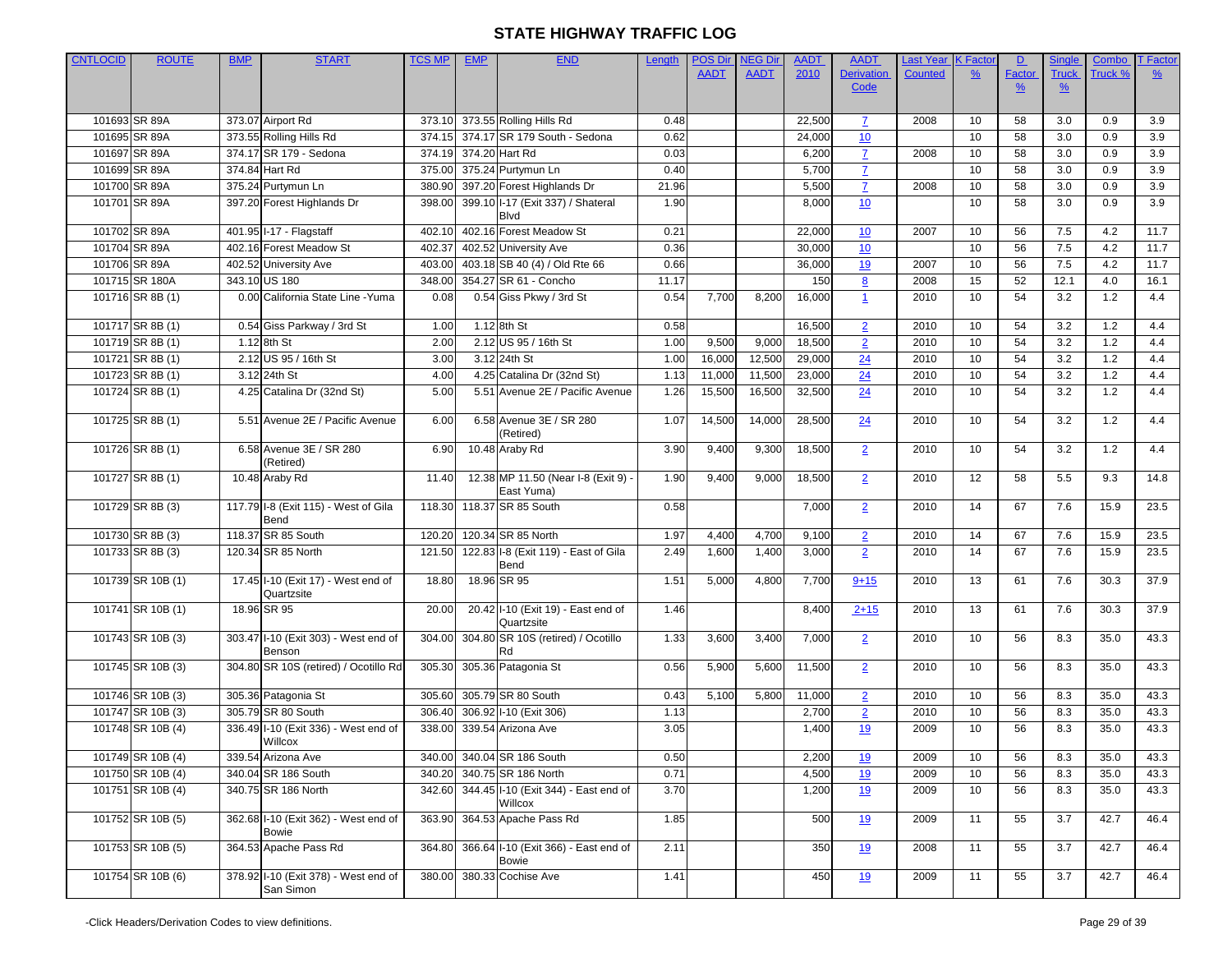| <b>CNTLOCID</b> | <b>ROUTE</b>      | <b>BMP</b> | <b>START</b>                                     | <b>TCS MP</b> | <b>EMP</b> | <b>END</b>                                      | Length | <u>POS Dir</u> | <b>JEG Dir</b> | <b>AADT</b> | <b>AADT</b>       | <b>Last Year</b> | <b>K</b> Facto  | D             | <b>Single</b> | Combo   | <b>T</b> Factor |
|-----------------|-------------------|------------|--------------------------------------------------|---------------|------------|-------------------------------------------------|--------|----------------|----------------|-------------|-------------------|------------------|-----------------|---------------|---------------|---------|-----------------|
|                 |                   |            |                                                  |               |            |                                                 |        | <b>AADT</b>    | <b>AADT</b>    | 2010        | <b>Derivation</b> | <b>Counted</b>   | $\frac{9}{6}$   | Factor        | <b>Truck</b>  | Truck % | $\frac{9}{6}$   |
|                 |                   |            |                                                  |               |            |                                                 |        |                |                |             | Code              |                  |                 | $\frac{9}{6}$ | $\frac{9}{6}$ |         |                 |
|                 |                   |            |                                                  |               |            |                                                 |        |                |                |             |                   |                  |                 |               |               |         |                 |
|                 | 101693 SR 89A     |            | 373.07 Airport Rd                                | 373.10        |            | 373.55 Rolling Hills Rd                         | 0.48   |                |                | 22,500      | $\mathbf{Z}$      | 2008             | 10              | 58            | 3.0           | 0.9     | 3.9             |
|                 | 101695 SR 89A     |            | 373.55 Rolling Hills Rd                          | 374.15        |            | 374.17 SR 179 South - Sedona                    | 0.62   |                |                | 24,000      | 10                |                  | 10              | 58            | 3.0           | 0.9     | 3.9             |
|                 | 101697 SR 89A     |            | 374.17 SR 179 - Sedona                           | 374.19        |            | 374.20 Hart Rd                                  | 0.03   |                |                | 6,200       | $\overline{7}$    | 2008             | 10              | 58            | 3.0           | 0.9     | 3.9             |
|                 | 101699 SR 89A     |            | 374.84 Hart Rd                                   | 375.00        |            | 375.24 Purtymun Ln                              | 0.40   |                |                | 5,700       | $\overline{7}$    |                  | 10              | 58            | 3.0           | 0.9     | 3.9             |
|                 | 101700 SR 89A     |            | 375.24 Purtymun Ln                               | 380.90        |            | 397.20 Forest Highlands Dr                      | 21.96  |                |                | 5,500       | $\mathbf{Z}$      | 2008             | 10              | 58            | 3.0           | 0.9     | 3.9             |
|                 | 101701 SR 89A     |            | 397.20 Forest Highlands Dr                       | 398.00        |            | 399.10 I-17 (Exit 337) / Shateral               | 1.90   |                |                | 8,000       | 10                |                  | 10 <sup>°</sup> | 58            | 3.0           | 0.9     | 3.9             |
|                 |                   |            |                                                  |               |            | <b>Blvd</b>                                     |        |                |                |             |                   |                  |                 |               |               |         |                 |
|                 | 101702 SR 89A     |            | 401.95 I-17 - Flagstaff                          | 402.10        |            | 402.16 Forest Meadow St                         | 0.21   |                |                | 22,000      | 10                | 2007             | 10              | 56            | 7.5           | 4.2     | 11.7            |
|                 | 101704 SR 89A     |            | 402.16 Forest Meadow St                          | 402.37        |            | 402.52 University Ave                           | 0.36   |                |                | 30,000      | 10                |                  | 10 <sup>°</sup> | 56            | 7.5           | 4.2     | 11.7            |
|                 | 101706 SR 89A     |            | 402.52 University Ave                            | 403.00        |            | 403.18 SB 40 (4) / Old Rte 66                   | 0.66   |                |                | 36,000      | 19                | 2007             | 10              | 56            | 7.5           | 4.2     | 11.7            |
|                 | 101715 SR 180A    |            | 343.10 US 180                                    | 348.00        |            | 354.27 SR 61 - Concho                           | 11.17  |                |                | 150         | 8                 | 2008             | 15              | 52            | 12.1          | 4.0     | 16.1            |
|                 | 101716 SR 8B (1)  |            | 0.00 California State Line - Yuma                | 0.08          |            | 0.54 Giss Pkwy / 3rd St                         | 0.54   | 7,700          | 8,200          | 16,000      | $\overline{1}$    | 2010             | 10              | 54            | 3.2           | $1.2$   | 4.4             |
|                 |                   |            |                                                  |               |            |                                                 |        |                |                |             |                   |                  |                 |               |               |         |                 |
|                 | 101717 SR 8B (1)  |            | 0.54 Giss Parkway / 3rd St                       | 1.00          |            | 1.12 8th St                                     | 0.58   |                |                | 16,500      | $\overline{2}$    | 2010             | 10 <sup>°</sup> | 54            | 3.2           | 1.2     | 4.4             |
|                 | 101719 SR 8B (1)  |            | 1.12 8th St                                      | 2.00          |            | 2.12 US 95 / 16th St                            | 1.00   | 9,500          | 9,000          | 18,500      | $\overline{2}$    | 2010             | 10              | 54            | 3.2           | 1.2     | 4.4             |
|                 | 101721 SR 8B (1)  |            | 2.12 US 95 / 16th St                             | 3.00          |            | 3.12 24th St                                    | 1.00   | 16,000         | 12,500         | 29,000      | 24                | 2010             | 10              | 54            | 3.2           | 1.2     | 4.4             |
|                 | 101723 SR 8B (1)  |            | 3.12 24th St                                     | 4.00          |            | 4.25 Catalina Dr (32nd St)                      | 1.13   | 11,000         | 11,500         | 23,000      | 24                | 2010             | 10              | 54            | 3.2           | 1.2     | 4.4             |
|                 | 101724 SR 8B (1)  |            | 4.25 Catalina Dr (32nd St)                       | 5.00          |            | 5.51 Avenue 2E / Pacific Avenue                 | 1.26   | 15,500         | 16,500         | 32,500      | 24                | 2010             | 10              | 54            | 3.2           | 1.2     | 4.4             |
|                 |                   |            |                                                  |               |            |                                                 |        |                |                |             |                   |                  |                 |               |               |         |                 |
|                 | 101725 SR 8B (1)  |            | 5.51 Avenue 2E / Pacific Avenue                  | 6.00          |            | 6.58 Avenue 3E / SR 280<br>(Retired)            | 1.07   | 14,500         | 14,000         | 28,500      | 24                | 2010             | 10 <sup>°</sup> | 54            | 3.2           | $1.2$   | 4.4             |
|                 | 101726 SR 8B (1)  |            | 6.58 Avenue 3E / SR 280                          | 6.90          |            | 10.48 Araby Rd                                  | 3.90   | 9,400          | 9,300          | 18,500      | $\overline{2}$    | 2010             | 10              | 54            | 3.2           | 1.2     | 4.4             |
|                 |                   |            | (Retired)                                        |               |            |                                                 |        |                |                |             |                   |                  |                 |               |               |         |                 |
|                 | 101727 SR 8B (1)  |            | 10.48 Araby Rd                                   | 11.40         |            | 12.38 MP 11.50 (Near I-8 (Exit 9) -             | 1.90   | 9,400          | 9,000          | 18,500      | $\overline{2}$    | 2010             | 12              | 58            | 5.5           | 9.3     | 14.8            |
|                 |                   |            |                                                  |               |            | East Yuma)                                      |        |                |                |             |                   |                  |                 |               |               |         |                 |
|                 | 101729 SR 8B (3)  |            | 117.79 I-8 (Exit 115) - West of Gila             | 118.30        |            | 118.37 SR 85 South                              | 0.58   |                |                | 7,000       | $\overline{2}$    | 2010             | 14              | 67            | 7.6           | 15.9    | 23.5            |
|                 |                   |            | Bend                                             |               |            |                                                 |        |                |                |             |                   |                  |                 |               |               |         |                 |
|                 | 101730 SR 8B (3)  |            | 118.37 SR 85 South                               | 120.20        |            | 120.34 SR 85 North                              | 1.97   | 4,400          | 4,700          | 9,100       | $\overline{2}$    | 2010             | 14              | 67            | 7.6           | 15.9    | 23.5            |
|                 | 101733 SR 8B (3)  |            | 120.34 SR 85 North                               | 121.50        |            | 122.83 I-8 (Exit 119) - East of Gila            | 2.49   | 1,600          | 1,400          | 3,000       | $\overline{2}$    | 2010             | 14              | 67            | 7.6           | 15.9    | 23.5            |
|                 |                   |            |                                                  |               |            | Bend                                            |        |                |                |             |                   |                  |                 |               |               |         |                 |
|                 | 101739 SR 10B (1) |            | 17.45 I-10 (Exit 17) - West end of<br>Quartzsite | 18.80         |            | 18.96 SR 95                                     | 1.51   | 5,000          | 4,800          | 7,700       | $9 + 15$          | 2010             | 13              | 61            | 7.6           | 30.3    | 37.9            |
|                 | 101741 SR 10B (1) |            | 18.96 SR 95                                      | 20.00         |            | 20.42 I-10 (Exit 19) - East end of              | 1.46   |                |                | 8,400       | $2 + 15$          | 2010             | 13              | 61            | 7.6           | 30.3    | 37.9            |
|                 |                   |            |                                                  |               |            | Quartzsite                                      |        |                |                |             |                   |                  |                 |               |               |         |                 |
|                 | 101743 SR 10B (3) |            | 303.47 I-10 (Exit 303) - West end of             | 304.00        |            | 304.80 SR 10S (retired) / Ocotillo              | 1.33   | 3,600          | 3,400          | 7,000       | $\overline{2}$    | 2010             | 10              | 56            | 8.3           | 35.0    | 43.3            |
|                 |                   |            | Benson                                           |               |            | Rd                                              |        |                |                |             |                   |                  |                 |               |               |         |                 |
|                 | 101745 SR 10B (3) |            | 304.80 SR 10S (retired) / Ocotillo Rd            | 305.30        |            | 305.36 Patagonia St                             | 0.56   | 5,900          | 5,600          | 11,500      | $\overline{2}$    | 2010             | 10              | 56            | 8.3           | 35.0    | 43.3            |
|                 |                   |            |                                                  |               |            |                                                 |        |                |                |             |                   |                  |                 |               |               |         |                 |
|                 | 101746 SR 10B (3) |            | 305.36 Patagonia St                              | 305.60        |            | 305.79 SR 80 South                              | 0.43   | 5,100          | 5,800          | 11,000      | $\overline{2}$    | 2010             | 10              | 56            | 8.3           | 35.0    | 43.3            |
|                 | 101747 SR 10B (3) |            | 305.79 SR 80 South                               | 306.40        |            | 306.92 I-10 (Exit 306)                          | 1.13   |                |                | 2,700       | $\overline{2}$    | 2010             | 10              | 56            | 8.3           | 35.0    | 43.3            |
|                 | 101748 SR 10B (4) |            | 336.49 I-10 (Exit 336) - West end of             | 338.00        |            | 339.54 Arizona Ave                              | 3.05   |                |                | 1,400       | <u>19</u>         | 2009             | 10 <sup>°</sup> | 56            | 8.3           | 35.0    | 43.3            |
|                 |                   |            | Willcox                                          |               |            |                                                 |        |                |                |             |                   |                  |                 |               |               |         |                 |
|                 | 101749 SR 10B (4) |            | 339.54 Arizona Ave                               |               |            | 340.00 340.04 SR 186 South                      | 0.50   |                |                | 2,200       | <u>19</u>         | 2009             | 10              | 56            | 8.3           | 35.0    | 43.3            |
|                 | 101750 SR 10B (4) |            | 340.04 SR 186 South                              | 340.20        |            | 340.75 SR 186 North                             | 0.71   |                |                | 4,500       | 19                | 2009             | 10              | 56            | 8.3           | 35.0    | 43.3            |
|                 | 101751 SR 10B (4) |            | 340.75 SR 186 North                              | 342.60        |            | 344.45 I-10 (Exit 344) - East end of<br>Willcox | 3.70   |                |                | 1,200       | 19                | 2009             | 10              | 56            | 8.3           | 35.0    | 43.3            |
|                 | 101752 SR 10B (5) |            | 362.68 I-10 (Exit 362) - West end of             | 363.90        |            | 364.53 Apache Pass Rd                           | 1.85   |                |                | 500         | <u>19</u>         | 2009             | 11              | 55            | 3.7           | 42.7    | 46.4            |
|                 |                   |            | <b>Bowie</b>                                     |               |            |                                                 |        |                |                |             |                   |                  |                 |               |               |         |                 |
|                 | 101753 SR 10B (5) |            | 364.53 Apache Pass Rd                            | 364.80        |            | 366.64 I-10 (Exit 366) - East end of            | 2.11   |                |                | 350         | 19                | 2008             | 11              | 55            | 3.7           | 42.7    | 46.4            |
|                 |                   |            |                                                  |               |            | <b>Bowie</b>                                    |        |                |                |             |                   |                  |                 |               |               |         |                 |
|                 | 101754 SR 10B (6) |            | 378.92 I-10 (Exit 378) - West end of             | 380.00        |            | 380.33 Cochise Ave                              | 1.41   |                |                | 450         | 19                | 2009             | 11              | 55            | 3.7           | 42.7    | 46.4            |
|                 |                   |            | San Simon                                        |               |            |                                                 |        |                |                |             |                   |                  |                 |               |               |         |                 |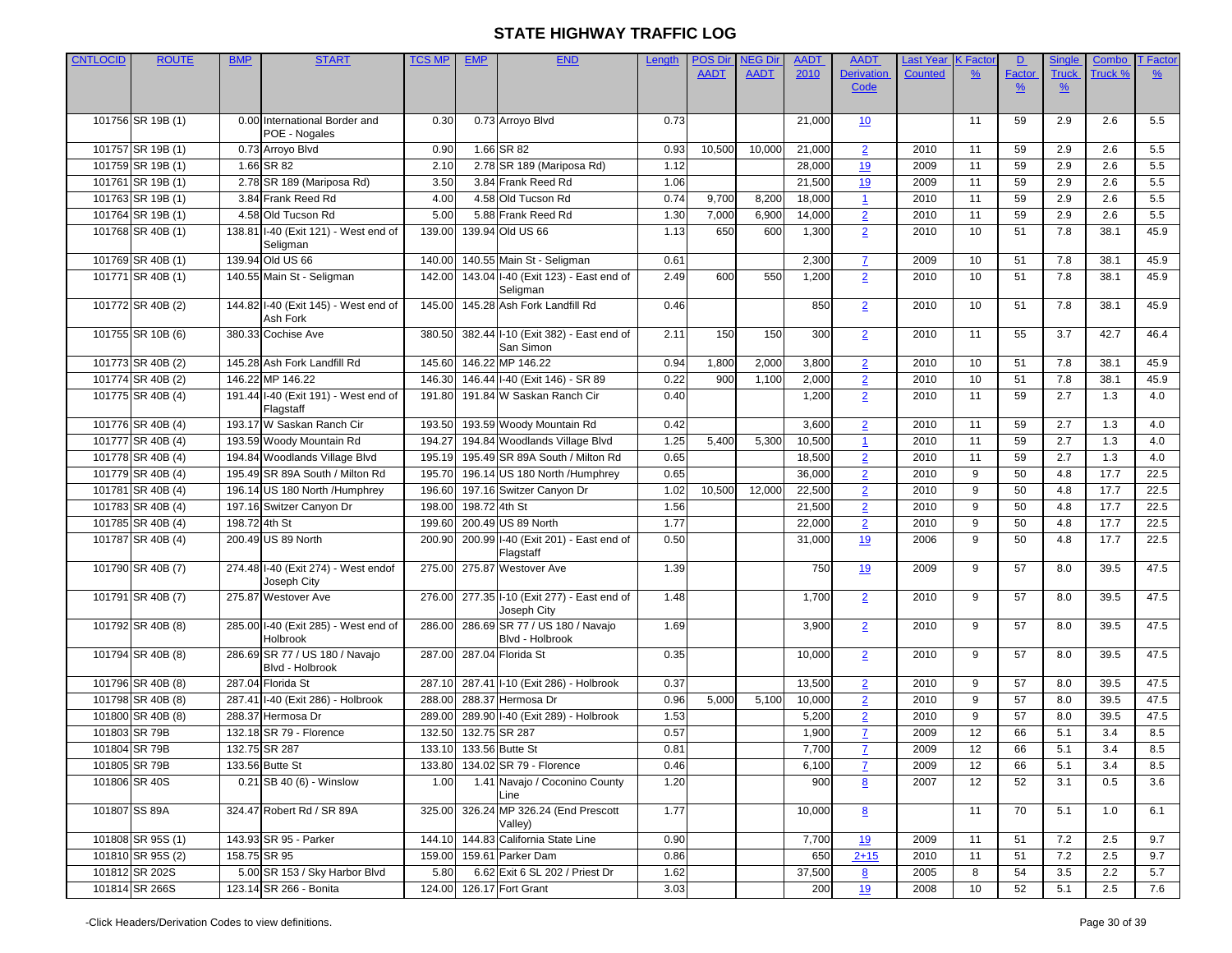| <b>CNTLOCID</b> | <b>ROUTE</b>      | <b>BMP</b>    | <b>START</b>                                       | <b>TCS MP</b> | <b>EMP</b>           | <b>END</b>                                          | Length | <b>POS Dir</b> | <b>JEG Dir</b> | <b>AADT</b> | <b>AADT</b>       | Last Year      | K Factc         | D             | Single        | Combo            | T Factor      |
|-----------------|-------------------|---------------|----------------------------------------------------|---------------|----------------------|-----------------------------------------------------|--------|----------------|----------------|-------------|-------------------|----------------|-----------------|---------------|---------------|------------------|---------------|
|                 |                   |               |                                                    |               |                      |                                                     |        | <b>AADT</b>    | <b>AADT</b>    | 2010        | <b>Derivation</b> | <b>Counted</b> | $\frac{9}{6}$   | <b>Factor</b> | Truck         | Truck %          | $\frac{9}{6}$ |
|                 |                   |               |                                                    |               |                      |                                                     |        |                |                |             | Code              |                |                 | $\frac{9}{6}$ | $\frac{9}{6}$ |                  |               |
|                 |                   |               |                                                    |               |                      |                                                     |        |                |                |             |                   |                |                 |               |               |                  |               |
|                 | 101756 SR 19B (1) |               | 0.00 International Border and                      | 0.30          |                      | 0.73 Arroyo Blvd                                    | 0.73   |                |                | 21,000      | 10                |                | 11              | 59            | 2.9           | 2.6              | 5.5           |
|                 | 101757 SR 19B (1) |               | POE - Nogales<br>0.73 Arroyo Blvd                  | 0.90          |                      | 1.66 SR 82                                          | 0.93   | 10,500         | 10,000         | 21,000      |                   | 2010           | 11              | 59            | 2.9           | 2.6              | 5.5           |
|                 | 101759 SR 19B (1) |               | 1.66 SR 82                                         | 2.10          |                      | 2.78 SR 189 (Mariposa Rd)                           | 1.12   |                |                | 28,000      | $\overline{2}$    | 2009           | 11              | 59            | 2.9           | 2.6              | 5.5           |
|                 |                   |               |                                                    |               |                      |                                                     |        |                |                |             | 19                |                |                 |               |               |                  |               |
|                 | 101761 SR 19B (1) |               | 2.78 SR 189 (Mariposa Rd)                          | 3.50          |                      | 3.84 Frank Reed Rd                                  | 1.06   |                |                | 21,500      | 19                | 2009           | 11              | 59            | 2.9           | 2.6              | 5.5           |
|                 | 101763 SR 19B (1) |               | 3.84 Frank Reed Rd                                 | 4.00          |                      | 4.58 Old Tucson Rd                                  | 0.74   | 9,700          | 8,200          | 18,000      | $\mathbf{1}$      | 2010           | 11              | 59            | 2.9           | 2.6              | 5.5           |
|                 | 101764 SR 19B (1) |               | 4.58 Old Tucson Rd                                 | 5.00          |                      | 5.88 Frank Reed Rd                                  | 1.30   | 7,000          | 6,900          | 14,000      | $\overline{2}$    | 2010           | 11              | 59            | 2.9           | 2.6              | 5.5           |
|                 | 101768 SR 40B (1) |               | 138.81 I-40 (Exit 121) - West end of<br>Seligman   | 139.00        |                      | 139.94 Old US 66                                    | 1.13   | 650            | 600            | 1,300       | $\overline{2}$    | 2010           | 10              | 51            | 7.8           | 38.1             | 45.9          |
|                 | 101769 SR 40B (1) |               | 139.94 Old US 66                                   | 140.00        |                      | 140.55 Main St - Seligman                           | 0.61   |                |                | 2,300       | $\mathbf{Z}$      | 2009           | 10              | 51            | 7.8           | 38.1             | 45.9          |
|                 | 101771 SR 40B (1) |               | 140.55 Main St - Seligman                          | 142.00        |                      | 143.04 I-40 (Exit 123) - East end of<br>Seligman    | 2.49   | 600            | 550            | 1,200       | $\overline{2}$    | 2010           | 10              | 51            | 7.8           | 38.1             | 45.9          |
|                 | 101772 SR 40B (2) |               | 144.82 I-40 (Exit 145) - West end of               | 145.00        |                      | 145.28 Ash Fork Landfill Rd                         | 0.46   |                |                | 850         | $\overline{2}$    | 2010           | 10              | 51            | 7.8           | 38.1             | 45.9          |
|                 | 101755 SR 10B (6) |               | Ash Fork<br>380.33 Cochise Ave                     | 380.50        |                      | 382.44 I-10 (Exit 382) - East end of                | 2.11   | 150            | 150            | 300         |                   | 2010           | 11              | 55            | 3.7           | 42.7             | 46.4          |
|                 |                   |               |                                                    |               |                      | San Simon                                           |        |                |                |             | $\overline{2}$    |                |                 |               |               |                  |               |
|                 | 101773 SR 40B (2) |               | 145.28 Ash Fork Landfill Rd                        | 145.60        |                      | 146.22 MP 146.22                                    | 0.94   | 1,800          | 2,000          | 3,800       | $\overline{2}$    | 2010           | 10              | 51            | 7.8           | 38.1             | 45.9          |
|                 | 101774 SR 40B (2) |               | 146.22 MP 146.22                                   | 146.30        |                      | 146.44 I-40 (Exit 146) - SR 89                      | 0.22   | 900            | 1,100          | 2,000       | $\overline{2}$    | 2010           | 10              | 51            | 7.8           | 38.1             | 45.9          |
|                 | 101775 SR 40B (4) |               | 191.44 I-40 (Exit 191) - West end of               | 191.80        |                      | 191.84 W Saskan Ranch Cir                           | 0.40   |                |                | 1,200       | $\overline{2}$    | 2010           | 11              | 59            | 2.7           | 1.3              | 4.0           |
|                 |                   |               | Flagstaff                                          |               |                      |                                                     |        |                |                |             |                   |                |                 |               |               |                  |               |
|                 | 101776 SR 40B (4) |               | 193.17 W Saskan Ranch Cir                          | 193.50        |                      | 193.59 Woody Mountain Rd                            | 0.42   |                |                | 3,600       | $\overline{2}$    | 2010           | 11              | 59            | 2.7           | 1.3              | 4.0           |
|                 | 101777 SR 40B (4) |               | 193.59 Woody Mountain Rd                           | 194.27        |                      | 194.84 Woodlands Village Blvd                       | 1.25   | 5,400          | 5,300          | 10,500      | $\overline{1}$    | 2010           | 11              | 59            | 2.7           | 1.3              | 4.0           |
|                 | 101778 SR 40B (4) |               | 194.84 Woodlands Village Blvd                      | 195.19        |                      | 195.49 SR 89A South / Milton Rd                     | 0.65   |                |                | 18,500      | $\overline{2}$    | 2010           | 11              | 59            | 2.7           | 1.3              | 4.0           |
|                 | 101779 SR 40B (4) |               | 195.49 SR 89A South / Milton Rd                    | 195.70        |                      | 196.14 US 180 North /Humphrey                       | 0.65   |                |                | 36,000      | $\overline{2}$    | 2010           | 9               | 50            | 4.8           | 17.7             | 22.5          |
|                 | 101781 SR 40B (4) |               | 196.14 US 180 North /Humphrey                      | 196.60        |                      | 197.16 Switzer Canyon Dr                            | 1.02   | 10,500         | 12,000         | 22,500      | $\overline{2}$    | 2010           | 9               | 50            | 4.8           | 17.7             | 22.5          |
|                 | 101783 SR 40B (4) |               | 197.16 Switzer Canyon Dr                           | 198.00        | 198.72 4th St        |                                                     | 1.56   |                |                | 21,500      | $\overline{2}$    | 2010           | $\overline{9}$  | 50            | 4.8           | 17.7             | 22.5          |
|                 | 101785 SR 40B (4) | 198.72 4th St |                                                    | 199.60        |                      | 200.49 US 89 North                                  | 1.77   |                |                | 22,000      | $\overline{2}$    | 2010           | 9               | 50            | 4.8           | 17.7             | 22.5          |
|                 | 101787 SR 40B (4) |               | 200.49 US 89 North                                 | 200.90        |                      | 200.99 I-40 (Exit 201) - East end of                | 0.50   |                |                | 31,000      | 19                | 2006           | $\overline{9}$  | 50            | 4.8           | 17.7             | 22.5          |
|                 |                   |               |                                                    |               |                      | Flagstaff                                           |        |                |                |             |                   |                |                 |               |               |                  |               |
|                 | 101790 SR 40B (7) |               | 274.48 I-40 (Exit 274) - West endof<br>Joseph City | 275.00        |                      | 275.87 Westover Ave                                 | 1.39   |                |                | 750         | 19                | 2009           | 9               | 57            | 8.0           | 39.5             | 47.5          |
|                 | 101791 SR 40B (7) |               | 275.87 Westover Ave                                | 276.00        |                      | 277.35 I-10 (Exit 277) - East end of<br>Joseph City | 1.48   |                |                | 1,700       | $\overline{2}$    | 2010           | 9               | 57            | 8.0           | 39.5             | 47.5          |
|                 | 101792 SR 40B (8) |               | 285.00 I-40 (Exit 285) - West end of               | 286.00        |                      | 286.69 SR 77 / US 180 / Navajo                      | 1.69   |                |                | 3,900       | $\overline{2}$    | 2010           | 9               | 57            | 8.0           | 39.5             | 47.5          |
|                 |                   |               | Holbrook                                           |               |                      | Blvd - Holbrook                                     |        |                |                |             |                   |                |                 |               |               |                  |               |
|                 | 101794 SR 40B (8) |               | 286.69 SR 77 / US 180 / Navajo<br>Blvd - Holbrook  | 287.00        |                      | 287.04 Florida St                                   | 0.35   |                |                | 10,000      | $\overline{2}$    | 2010           | 9               | 57            | 8.0           | 39.5             | 47.5          |
|                 | 101796 SR 40B (8) |               | 287.04 Florida St                                  | 287.10        |                      | 287.41 I-10 (Exit 286) - Holbrook                   | 0.37   |                |                | 13,500      | $\overline{2}$    | 2010           | 9               | 57            | 8.0           | 39.5             | 47.5          |
|                 | 101798 SR 40B (8) |               | 287.41 I-40 (Exit 286) - Holbrook                  | 288.00        |                      | 288.37 Hermosa Dr                                   | 0.96   | 5,000          | 5,100          | 10,000      | $\overline{2}$    | 2010           | 9               | 57            | 8.0           | 39.5             | 47.5          |
|                 | 101800 SR 40B (8) |               | 288.37 Hermosa Dr                                  | 289.00        |                      | 289.90 I-40 (Exit 289) - Holbrook                   | 1.53   |                |                | 5,200       | $\overline{2}$    | 2010           | 9               | 57            | 8.0           | 39.5             | 47.5          |
|                 | 101803 SR 79B     |               | 132.18 SR 79 - Florence                            |               | 132.50 132.75 SR 287 |                                                     | 0.57   |                |                | 1,900       | $\mathbf{Z}$      | 2009           | 12              | 66            | 5.1           | 3.4              | 8.5           |
|                 | 101804 SR 79B     |               | 132.75 SR 287                                      |               |                      | 133.10 133.56 Butte St                              | 0.81   |                |                | 7,700       | $\overline{I}$    | 2009           | $\overline{12}$ | 66            | 5.1           | $\overline{3.4}$ | 8.5           |
|                 | 101805 SR 79B     |               | 133.56 Butte St                                    | 133.80        |                      | 134.02 SR 79 - Florence                             | 0.46   |                |                | 6,100       | $\mathbf{Z}$      | 2009           | 12              | 66            | 5.1           | 3.4              | 8.5           |
|                 | 101806 SR 40S     |               | 0.21 SB 40 (6) - Winslow                           | 1.00          |                      | 1.41 Navajo / Coconino County<br>Line               | 1.20   |                |                | 900         | 8                 | 2007           | 12              | 52            | 3.1           | 0.5              | 3.6           |
|                 | 101807 SS 89A     |               | 324.47 Robert Rd / SR 89A                          | 325.00        |                      | 326.24 MP 326.24 (End Prescott<br>Valley)           | 1.77   |                |                | 10,000      | 8                 |                | 11              | 70            | 5.1           | 1.0              | 6.1           |
|                 | 101808 SR 95S (1) |               | 143.93 SR 95 - Parker                              | 144.10        |                      | 144.83 California State Line                        | 0.90   |                |                | 7,700       | <u>19</u>         | 2009           | 11              | 51            | 7.2           | 2.5              | 9.7           |
|                 | 101810 SR 95S (2) |               | 158.75 SR 95                                       | 159.00        |                      | 159.61 Parker Dam                                   | 0.86   |                |                | 650         | $2 + 15$          | 2010           | 11              | 51            | 7.2           | 2.5              | 9.7           |
|                 | 101812 SR 202S    |               | 5.00 SR 153 / Sky Harbor Blvd                      | 5.80          |                      | 6.62 Exit 6 SL 202 / Priest Dr                      | 1.62   |                |                | 37,500      | 8                 | 2005           | 8               | 54            | 3.5           | 2.2              | 5.7           |
|                 | 101814 SR 266S    |               | 123.14 SR 266 - Bonita                             | 124.00        |                      | 126.17 Fort Grant                                   | 3.03   |                |                | 200         | 19                | 2008           | 10 <sup>°</sup> | 52            | 5.1           | 2.5              | 7.6           |
|                 |                   |               |                                                    |               |                      |                                                     |        |                |                |             |                   |                |                 |               |               |                  |               |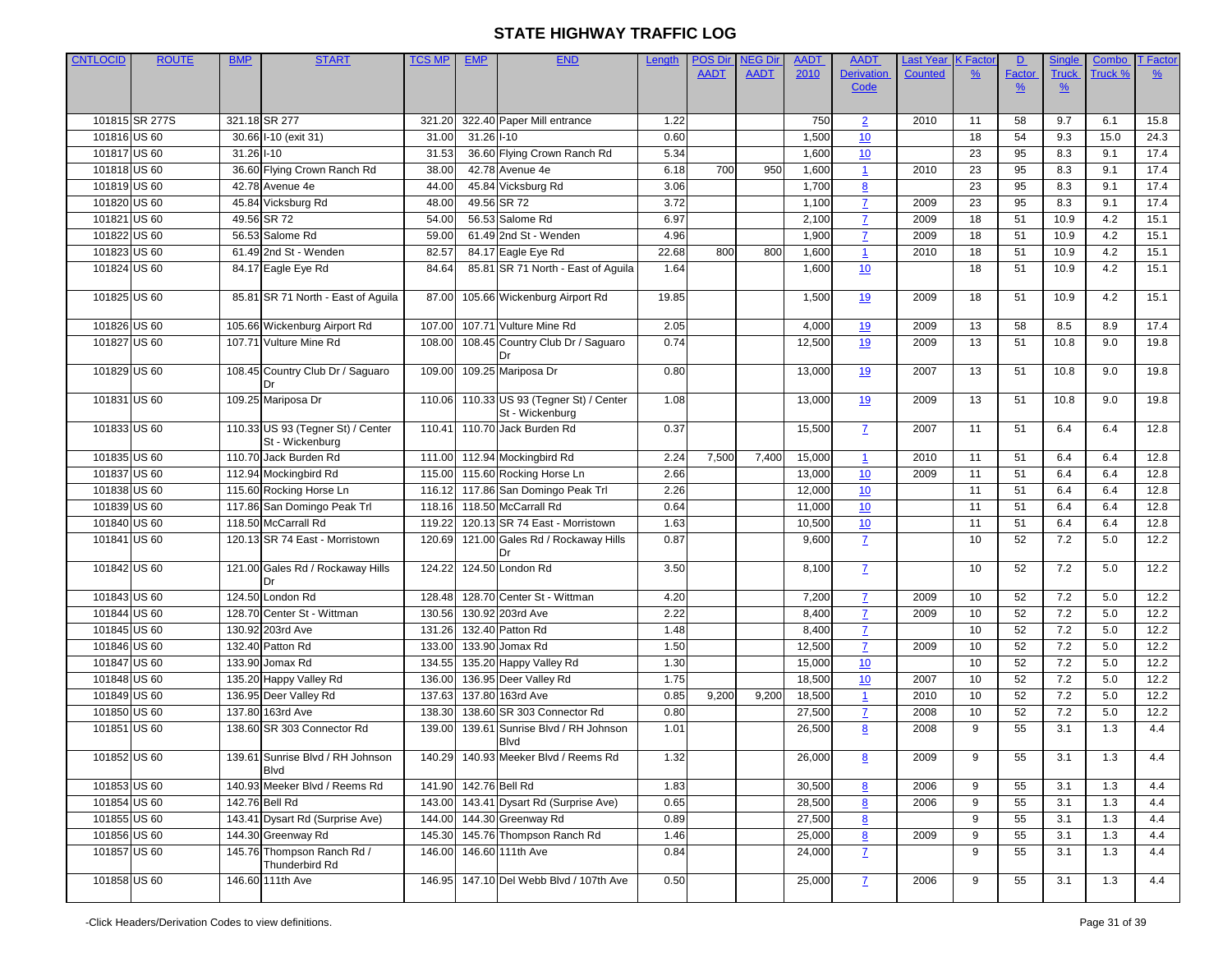| <b>CNTLOCID</b> | <b>ROUTE</b>   | <b>BMP</b> | <b>START</b>                                         | <b>TCS MP</b> | <b>EMP</b> | <b>END</b>                                   | Length | <b>POS Dir</b> | <b>JEG Dir</b> | <b>AADT</b> | <b>AADT</b>             | Last Year      | <b>K</b> Facto | D             | <b>Single</b> | Combo   | <b>T</b> Factor |
|-----------------|----------------|------------|------------------------------------------------------|---------------|------------|----------------------------------------------|--------|----------------|----------------|-------------|-------------------------|----------------|----------------|---------------|---------------|---------|-----------------|
|                 |                |            |                                                      |               |            |                                              |        | <b>AADT</b>    | <b>AADT</b>    | 2010        | Derivation              | <b>Counted</b> | $\frac{9}{6}$  | <b>Factor</b> | <b>Truck</b>  | Truck % | $\frac{9}{6}$   |
|                 |                |            |                                                      |               |            |                                              |        |                |                |             | Code                    |                |                | $\frac{9}{6}$ | $\frac{9}{6}$ |         |                 |
|                 |                |            |                                                      |               |            |                                              |        |                |                |             |                         |                |                |               |               |         |                 |
|                 | 101815 SR 277S |            | 321.18 SR 277                                        | 321.20        |            | 322.40 Paper Mill entrance                   | 1.22   |                |                | 750         | $\overline{2}$          | 2010           | 11             | 58            | 9.7           | 6.1     | 15.8            |
| 101816 US 60    |                |            | 30.66 I-10 (exit 31)                                 | 31.00         | 31.26 1-10 |                                              | 0.60   |                |                | 1,500       | 10                      |                | 18             | 54            | 9.3           | 15.0    | 24.3            |
| 101817 US 60    |                | 31.26 1-10 |                                                      | 31.53         |            | 36.60 Flying Crown Ranch Rd                  | 5.34   |                |                | 1,600       | 10                      |                | 23             | 95            | 8.3           | 9.1     | 17.4            |
| 101818 US 60    |                |            | 36.60 Flying Crown Ranch Rd                          | 38.00         |            | 42.78 Avenue 4e                              | 6.18   | 700            | 950            | 1,600       | $\overline{1}$          | 2010           | 23             | 95            | 8.3           | 9.1     | 17.4            |
| 101819 US 60    |                |            | 42.78 Avenue 4e                                      | 44.00         |            | 45.84 Vicksburg Rd                           | 3.06   |                |                | 1,700       | 8                       |                | 23             | 95            | 8.3           | 9.1     | 17.4            |
| 101820 US 60    |                |            | 45.84 Vicksburg Rd                                   | 48.00         |            | 49.56 SR 72                                  | 3.72   |                |                | 1,100       | 7                       | 2009           | 23             | 95            | 8.3           | 9.1     | 17.4            |
| 101821 US 60    |                |            | 49.56 SR 72                                          | 54.00         |            | 56.53 Salome Rd                              | 6.97   |                |                | 2,100       | $\mathbf{Z}$            | 2009           | 18             | 51            | 10.9          | 4.2     | 15.1            |
| 101822 US 60    |                |            | 56.53 Salome Rd                                      | 59.00         |            | 61.49 2nd St - Wenden                        | 4.96   |                |                | 1,900       | $\mathbf{Z}$            | 2009           | 18             | 51            | 10.9          | 4.2     | 15.1            |
| 101823 US 60    |                |            | 61.49 2nd St - Wenden                                | 82.57         |            | 84.17 Eagle Eye Rd                           | 22.68  | 800            | 800            | 1,600       | $\mathbf{1}$            | 2010           | 18             | 51            | 10.9          | 4.2     | 15.1            |
| 101824 US 60    |                |            | 84.17 Eagle Eye Rd                                   | 84.64         |            | 85.81 SR 71 North - East of Aquila           | 1.64   |                |                | 1,600       | 10                      |                | 18             | 51            | 10.9          | 4.2     | 15.1            |
|                 |                |            |                                                      |               |            |                                              |        |                |                |             |                         |                |                |               |               |         |                 |
| 101825 US 60    |                |            | 85.81 SR 71 North - East of Aguila                   | 87.00         |            | 105.66 Wickenburg Airport Rd                 | 19.85  |                |                | 1,500       | 19                      | 2009           | 18             | 51            | 10.9          | 4.2     | 15.1            |
| 101826 US 60    |                |            | 105.66 Wickenburg Airport Rd                         | 107.00        |            | 107.71 Vulture Mine Rd                       | 2.05   |                |                | 4,000       | 19                      | 2009           | 13             | 58            | 8.5           | 8.9     | 17.4            |
| 101827 US 60    |                |            | 107.71 Vulture Mine Rd                               | 108.00        |            | 108.45 Country Club Dr / Saguaro             | 0.74   |                |                | 12,500      | 19                      | 2009           | 13             | 51            | 10.8          | 9.0     | 19.8            |
|                 |                |            |                                                      |               |            |                                              |        |                |                |             |                         |                |                |               |               |         |                 |
| 101829 US 60    |                |            | 108.45 Country Club Dr / Saguaro                     | 109.00        |            | 109.25 Mariposa Dr                           | 0.80   |                |                | 13,000      | 19                      | 2007           | 13             | 51            | 10.8          | 9.0     | 19.8            |
|                 |                |            | Dr                                                   |               |            |                                              |        |                |                |             |                         |                |                |               |               |         |                 |
| 101831 US 60    |                |            | 109.25 Mariposa Dr                                   | 110.06        |            | 110.33 US 93 (Tegner St) / Center            | 1.08   |                |                | 13,000      | 19                      | 2009           | 13             | 51            | 10.8          | 9.0     | 19.8            |
|                 |                |            |                                                      |               |            | St - Wickenburg                              |        |                |                |             |                         |                |                |               |               |         |                 |
| 101833 US 60    |                |            | 110.33 US 93 (Tegner St) / Center<br>St - Wickenburg | 110.41        |            | 110.70 Jack Burden Rd                        | 0.37   |                |                | 15,500      | $\mathbf{Z}$            | 2007           | 11             | 51            | 6.4           | 6.4     | 12.8            |
| 101835 US 60    |                |            | 110.70 Jack Burden Rd                                | 111.00        |            | 112.94 Mockingbird Rd                        | 2.24   | 7,500          | 7,400          | 15,000      | $\overline{\mathbf{1}}$ | 2010           | 11             | 51            | 6.4           | 6.4     | 12.8            |
| 101837 US 60    |                |            | 112.94 Mockingbird Rd                                | 115.00        |            | 115.60 Rocking Horse Ln                      | 2.66   |                |                | 13,000      | 10                      | 2009           | 11             | 51            | 6.4           | 6.4     | 12.8            |
| 101838 US 60    |                |            | 115.60 Rocking Horse Ln                              | 116.12        |            | 117.86 San Domingo Peak Trl                  | 2.26   |                |                | 12,000      | 10                      |                | 11             | 51            | 6.4           | 6.4     | 12.8            |
| 101839 US 60    |                |            | 117.86 San Domingo Peak Trl                          | 118.16        |            | 118.50 McCarrall Rd                          | 0.64   |                |                | 11,000      | 10                      |                | 11             | 51            | 6.4           | 6.4     | 12.8            |
| 101840 US 60    |                |            | 118.50 McCarrall Rd                                  | 119.22        |            | 120.13 SR 74 East - Morristown               | 1.63   |                |                | 10,500      | 10                      |                | 11             | 51            | 6.4           | 6.4     | 12.8            |
| 101841 US 60    |                |            | 120.13 SR 74 East - Morristown                       | 120.69        |            | 121.00 Gales Rd / Rockaway Hills             | 0.87   |                |                | 9,600       | $\mathbf{Z}$            |                | 10             | 52            | 7.2           | 5.0     | 12.2            |
|                 |                |            |                                                      |               |            |                                              |        |                |                |             |                         |                |                |               |               |         |                 |
| 101842 US 60    |                |            | 121.00 Gales Rd / Rockaway Hills                     | 124.22        |            | 124.50 London Rd                             | 3.50   |                |                | 8,100       | $\mathbf{Z}$            |                | 10             | 52            | 7.2           | 5.0     | 12.2            |
|                 |                |            |                                                      |               |            |                                              |        |                |                |             |                         |                |                |               |               |         |                 |
| 101843 US 60    |                |            | 124.50 London Rd                                     | 128.48        |            | 128.70 Center St - Wittman                   | 4.20   |                |                | 7,200       | $\overline{7}$          | 2009           | 10             | 52            | 7.2           | 5.0     | 12.2            |
| 101844 US 60    |                |            | 128.70 Center St - Wittman                           | 130.56        |            | 130.92 203rd Ave                             | 2.22   |                |                | 8,400       | 7                       | 2009           | 10             | 52            | 7.2           | 5.0     | 12.2            |
| 101845 US 60    |                |            | 130.92 203rd Ave                                     | 131.26        |            | 132.40 Patton Rd                             | 1.48   |                |                | 8,400       | $\mathbf{Z}$            |                | 10             | 52            | 7.2           | 5.0     | 12.2            |
| 101846 US 60    |                |            | 132.40 Patton Rd                                     | 133.00        |            | 133.90 Jomax Rd                              | 1.50   |                |                | 12,500      | $\mathbf{Z}$            | 2009           | 10             | 52            | 7.2           | 5.0     | 12.2            |
| 101847 US 60    |                |            | 133.90 Jomax Rd                                      | 134.55        |            | 135.20 Happy Valley Rd                       | 1.30   |                |                | 15,000      | 10                      |                | 10             | 52            | 7.2           | 5.0     | 12.2            |
| 101848 US 60    |                |            | 135.20 Happy Valley Rd                               | 136.00        |            | 136.95 Deer Valley Rd                        | 1.75   |                |                | 18,500      | 10                      | 2007           | 10             | 52            | 7.2           | 5.0     | 12.2            |
| 101849 US 60    |                |            | 136.95 Deer Valley Rd                                | 137.63        |            | 137.80 163rd Ave                             | 0.85   | 9,200          | 9,200          | 18,500      | $\overline{1}$          | 2010           | 10             | 52            | 7.2           | 5.0     | 12.2            |
| 101850 US 60    |                |            | 137.80 163rd Ave                                     | 138.30        |            | 138.60 SR 303 Connector Rd                   | 0.80   |                |                | 27,500      | $\mathbf{Z}$            | 2008           | 10             | 52            | 7.2           | 5.0     | 12.2            |
| 101851 US 60    |                |            | 138.60 SR 303 Connector Rd                           | 139.00        |            | 139.61 Sunrise Blvd / RH Johnson             | 1.01   |                |                | 26,500      | 8                       | 2008           | 9              | 55            | 3.1           | 1.3     | 4.4             |
|                 |                |            |                                                      |               |            | <b>Blvd</b>                                  |        |                |                |             |                         |                |                |               |               |         |                 |
| 101852 US 60    |                |            | 139.61 Sunrise Blvd / RH Johnson                     |               |            | 140.29 140.93 Meeker Blvd / Reems Rd         | 1.32   |                |                | 26,000      | 8                       | 2009           | 9              | 55            | 3.1           | 1.3     | 4.4             |
| 101853 US 60    |                |            | <b>Blvd</b><br>140.93 Meeker Blvd / Reems Rd         | 141.90        |            | 142.76 Bell Rd                               | 1.83   |                |                | 30,500      | 8                       | 2006           | 9              | 55            | 3.1           | 1.3     | 4.4             |
| 101854 US 60    |                |            | 142.76 Bell Rd                                       | 143.00        |            | 143.41 Dysart Rd (Surprise Ave)              | 0.65   |                |                | 28,500      | 8                       | 2006           | 9              | 55            | 3.1           | 1.3     | 4.4             |
| 101855 US 60    |                |            | 143.41 Dysart Rd (Surprise Ave)                      | 144.00        |            | 144.30 Greenway Rd                           | 0.89   |                |                | 27,500      |                         |                | 9              | 55            | 3.1           | 1.3     | 4.4             |
|                 |                |            |                                                      |               |            |                                              |        |                |                |             | 8                       | 2009           | 9              |               |               |         |                 |
| 101856 US 60    |                |            | 144.30 Greenway Rd<br>145.76 Thompson Ranch Rd /     | 145.30        |            | 145.76 Thompson Ranch Rd<br>146.60 111th Ave | 1.46   |                |                | 25,000      | 8                       |                | 9              | 55            | 3.1           | 1.3     | 4.4             |
| 101857 US 60    |                |            | Thunderbird Rd                                       | 146.00        |            |                                              | 0.84   |                |                | 24,000      | $\mathbf{Z}$            |                |                | 55            | 3.1           | 1.3     | 4.4             |
| 101858 US 60    |                |            | 146.60 111th Ave                                     | 146.95        |            | 147.10 Del Webb Blvd / 107th Ave             | 0.50   |                |                | 25,000      | $\mathbf{Z}$            | 2006           | 9              | 55            | 3.1           | 1.3     | 4.4             |
|                 |                |            |                                                      |               |            |                                              |        |                |                |             |                         |                |                |               |               |         |                 |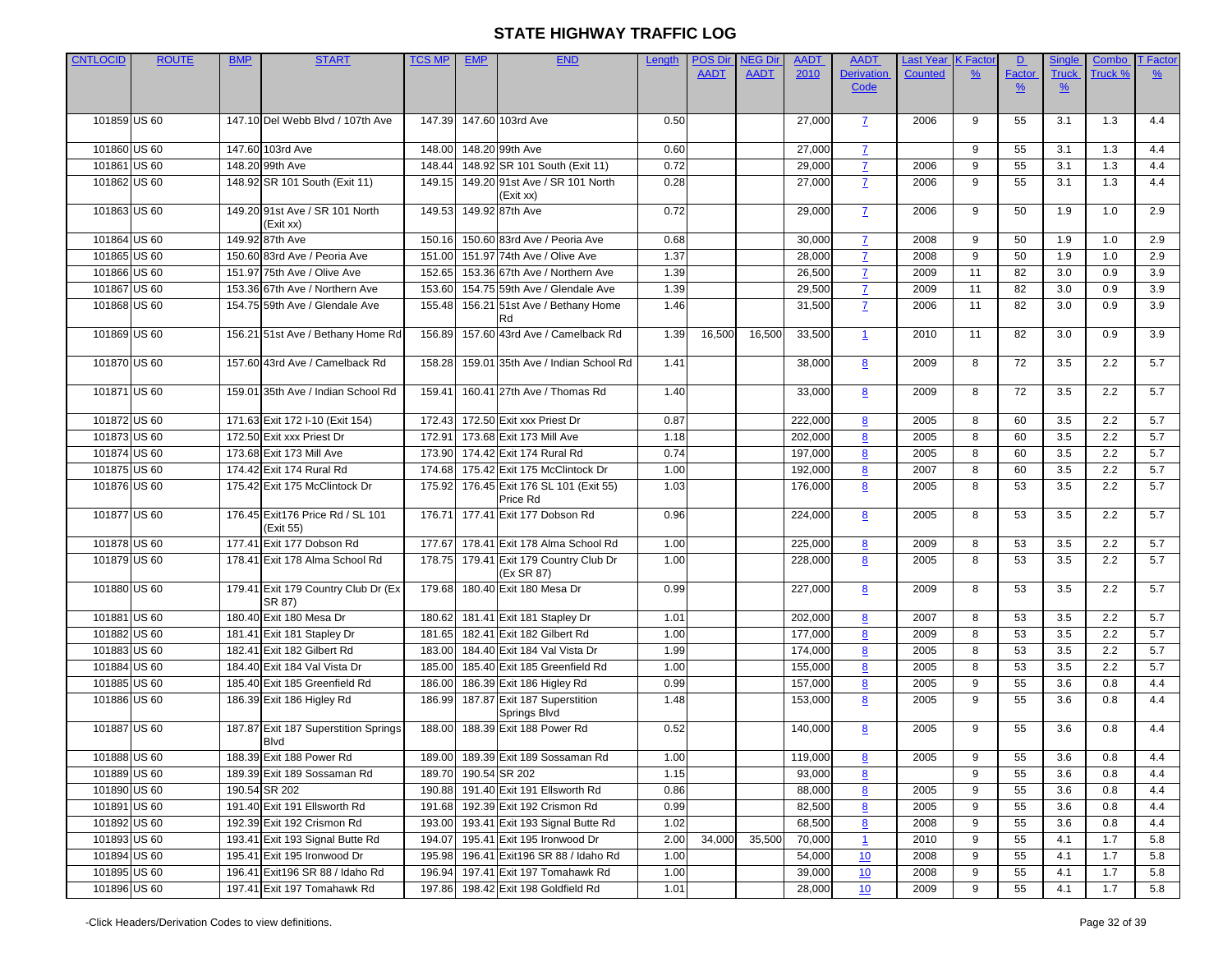| <b>CNTLOCID</b> | <b>ROUTE</b> | <b>BMP</b> | <b>START</b>                                | <b>TCS MP</b> | <b>EMP</b> | <b>END</b>                            | Length | <b>POS Dir</b> | <b>JEG Dir</b> | <b>AADT</b> | <b>AADT</b>       | <b>Last Year</b> | <b>K</b> Facto | $\mathbf{D}$  | <b>Single</b> | Combo   | <u>T Factor</u> |
|-----------------|--------------|------------|---------------------------------------------|---------------|------------|---------------------------------------|--------|----------------|----------------|-------------|-------------------|------------------|----------------|---------------|---------------|---------|-----------------|
|                 |              |            |                                             |               |            |                                       |        | <b>AADT</b>    | <b>AADT</b>    | 2010        | <b>Derivation</b> | <b>Counted</b>   | $\frac{9}{6}$  | <b>Factor</b> | <b>Truck</b>  | Truck 9 | $\frac{9}{6}$   |
|                 |              |            |                                             |               |            |                                       |        |                |                |             | Code              |                  |                | $\frac{9}{6}$ | $\frac{9}{6}$ |         |                 |
|                 |              |            |                                             |               |            |                                       |        |                |                |             |                   |                  |                |               |               |         |                 |
| 101859 US 60    |              |            | 147.10 Del Webb Blvd / 107th Ave            | 147.39        |            | 147.60 103rd Ave                      | 0.50   |                |                | 27,000      | $\mathbf{Z}$      | 2006             | 9              | 55            | 3.1           | 1.3     | 4.4             |
|                 |              |            |                                             |               |            |                                       |        |                |                |             |                   |                  |                |               |               |         |                 |
| 101860 US 60    |              |            | 147.60 103rd Ave                            | 148.00        |            | 148.20 99th Ave                       | 0.60   |                |                | 27,000      | $\mathbf{Z}$      |                  | 9              | 55            | 3.1           | 1.3     | 4.4             |
| 101861 US 60    |              |            | 148.20 99th Ave                             | 148.44        |            | 148.92 SR 101 South (Exit 11)         | 0.72   |                |                | 29,000      | $\overline{1}$    | 2006             | 9              | 55            | 3.1           | 1.3     | 4.4             |
| 101862 US 60    |              |            | 148.92 SR 101 South (Exit 11)               | 149.15        |            | 149.20 91st Ave / SR 101 North        | 0.28   |                |                | 27,000      | $\mathbf{Z}$      | 2006             | 9              | 55            | 3.1           | 1.3     | 4.4             |
|                 |              |            |                                             |               |            | (Exit xx)                             |        |                |                |             |                   |                  |                |               |               |         |                 |
| 101863 US 60    |              |            | 149.20 91st Ave / SR 101 North<br>(Exit xx) | 149.53        |            | 149.92 87th Ave                       | 0.72   |                |                | 29,000      | $\mathbf{Z}$      | 2006             | 9              | 50            | 1.9           | 1.0     | 2.9             |
| 101864 US 60    |              |            | 149.92 87th Ave                             | 150.16        |            | 150.60 83rd Ave / Peoria Ave          | 0.68   |                |                | 30,000      | $\mathbf{Z}$      | 2008             | 9              | 50            | 1.9           | 1.0     | 2.9             |
| 101865 US 60    |              |            | 150.60 83rd Ave / Peoria Ave                | 151.00        |            | 151.97 74th Ave / Olive Ave           | 1.37   |                |                | 28,000      | $\overline{7}$    | 2008             | $\overline{9}$ | 50            | 1.9           | 1.0     | 2.9             |
| 101866 US 60    |              |            | 151.97 75th Ave / Olive Ave                 | 152.65        |            | 153.36 67th Ave / Northern Ave        | 1.39   |                |                | 26,500      | $\overline{7}$    | 2009             | 11             | 82            | 3.0           | 0.9     | 3.9             |
| 101867 US 60    |              |            | 153.36 67th Ave / Northern Ave              | 153.60        |            | 154.75 59th Ave / Glendale Ave        | 1.39   |                |                | 29,500      | $\mathbf{Z}$      | 2009             | 11             | 82            | 3.0           | 0.9     | 3.9             |
|                 |              |            | 154.75 59th Ave / Glendale Ave              | 155.48        |            |                                       | 1.46   |                |                |             |                   | 2006             | 11             |               | 3.0           | 0.9     | 3.9             |
| 101868 US 60    |              |            |                                             |               |            | 156.21 51st Ave / Bethany Home<br>Rd  |        |                |                | 31,500      | $\mathbf{Z}$      |                  |                | 82            |               |         |                 |
| 101869 US 60    |              |            | 156.21 51st Ave / Bethany Home Rd           | 156.89        |            | 157.60 43rd Ave / Camelback Rd        | 1.39   | 16,500         | 16,500         | 33,500      | $\mathbf{1}$      | 2010             | 11             | 82            | 3.0           | 0.9     | 3.9             |
|                 |              |            |                                             |               |            |                                       |        |                |                |             |                   |                  |                |               |               |         |                 |
| 101870 US 60    |              |            | 157.60 43rd Ave / Camelback Rd              | 158.28        |            | 159.01 35th Ave / Indian School Rd    | 1.41   |                |                | 38,000      | 8                 | 2009             | 8              | 72            | 3.5           | 2.2     | 5.7             |
|                 |              |            |                                             |               |            |                                       |        |                |                |             |                   |                  |                |               |               |         |                 |
| 101871 US 60    |              |            | 159.01 35th Ave / Indian School Rd          | 159.41        |            | 160.41 27th Ave / Thomas Rd           | 1.40   |                |                | 33,000      | 8                 | 2009             | 8              | 72            | 3.5           | 2.2     | 5.7             |
|                 |              |            |                                             |               |            |                                       |        |                |                |             |                   |                  |                |               |               |         |                 |
| 101872 US 60    |              |            | 171.63 Exit 172 I-10 (Exit 154)             | 172.43        |            | 172.50 Exit xxx Priest Dr             | 0.87   |                |                | 222,000     | 8                 | 2005             | 8              | 60            | 3.5           | 2.2     | 5.7             |
| 101873 US 60    |              |            | 172.50 Exit xxx Priest Dr                   | 172.91        |            | 173.68 Exit 173 Mill Ave              | 1.18   |                |                | 202,000     | 8                 | 2005             | 8              | 60            | 3.5           | 2.2     | 5.7             |
| 101874 US 60    |              |            | 173.68 Exit 173 Mill Ave                    | 173.90        |            | 174.42 Exit 174 Rural Rd              | 0.74   |                |                | 197,000     | 8                 | 2005             | 8              | 60            | 3.5           | 2.2     | 5.7             |
| 101875 US 60    |              |            | 174.42 Exit 174 Rural Rd                    | 174.68        |            | 175.42 Exit 175 McClintock Dr         | 1.00   |                |                | 192,000     | 8                 | 2007             | 8              | 60            | 3.5           | 2.2     | 5.7             |
| 101876 US 60    |              |            | 175.42 Exit 175 McClintock Dr               | 175.92        |            | 176.45 Exit 176 SL 101 (Exit 55)      | 1.03   |                |                | 176,000     | 8                 | 2005             | 8              | 53            | 3.5           | 2.2     | 5.7             |
|                 |              |            |                                             |               |            | Price Rd                              |        |                |                |             |                   |                  |                |               |               |         |                 |
| 101877 US 60    |              |            | 176.45 Exit176 Price Rd / SL 101            | 176.71        |            | 177.41 Exit 177 Dobson Rd             | 0.96   |                |                | 224,000     | 8                 | 2005             | 8              | 53            | 3.5           | 2.2     | 5.7             |
|                 |              |            | (Exit 55)                                   |               |            |                                       |        |                |                |             |                   |                  |                |               |               |         |                 |
| 101878 US 60    |              |            | 177.41 Exit 177 Dobson Rd                   | 177.67        |            | 178.41 Exit 178 Alma School Rd        | 1.00   |                |                | 225,000     | 8                 | 2009             | 8              | 53            | 3.5           | 2.2     | 5.7             |
| 101879 US 60    |              |            | 178.41 Exit 178 Alma School Rd              | 178.75        |            | 179.41 Exit 179 Country Club Dr       | 1.00   |                |                | 228,000     | 8                 | 2005             | 8              | 53            | 3.5           | 2.2     | 5.7             |
| 101880 US 60    |              |            | 179.41 Exit 179 Country Club Dr (Ex)        | 179.68        |            | (Ex SR 87)<br>180.40 Exit 180 Mesa Dr | 0.99   |                |                |             |                   | 2009             | 8              | 53            | 3.5           | 2.2     | 5.7             |
|                 |              |            | SR 87)                                      |               |            |                                       |        |                |                | 227,000     | 8                 |                  |                |               |               |         |                 |
| 101881 US 60    |              |            | 180.40 Exit 180 Mesa Dr                     | 180.62        |            | 181.41 Exit 181 Stapley Dr            | 1.01   |                |                | 202,000     | 8                 | 2007             | 8              | 53            | 3.5           | 2.2     | 5.7             |
| 101882 US 60    |              |            | 181.41 Exit 181 Stapley Dr                  | 181.65        |            | 182.41 Exit 182 Gilbert Rd            | 1.00   |                |                | 177,000     | 8                 | 2009             | 8              | 53            | 3.5           | 2.2     | 5.7             |
| 101883 US 60    |              |            | 182.41 Exit 182 Gilbert Rd                  | 183.00        |            | 184.40 Exit 184 Val Vista Dr          | 1.99   |                |                | 174,000     | 8                 | 2005             | 8              | 53            | 3.5           | 2.2     | 5.7             |
| 101884 US 60    |              |            | 184.40 Exit 184 Val Vista Dr                | 185.00        |            | 185.40 Exit 185 Greenfield Rd         | 1.00   |                |                | 155,000     | 8                 | 2005             | 8              | 53            | 3.5           | 2.2     | 5.7             |
| 101885 US 60    |              |            | 185.40 Exit 185 Greenfield Rd               | 186.00        |            | 186.39 Exit 186 Higley Rd             | 0.99   |                |                | 157,000     |                   | 2005             | 9              | 55            | 3.6           | 0.8     | 4.4             |
|                 |              |            |                                             |               |            | 187.87 Exit 187 Superstition          |        |                |                |             | 8                 |                  | 9              |               |               |         |                 |
| 101886 US 60    |              |            | 186.39 Exit 186 Higley Rd                   | 186.99        |            | Springs Blvd                          | 1.48   |                |                | 153,000     | 8                 | 2005             |                | 55            | 3.6           | 0.8     | 4.4             |
| 101887 US 60    |              |            | 187.87 Exit 187 Superstition Springs        | 188.00        |            | 188.39 Exit 188 Power Rd              | 0.52   |                |                | 140,000     | 8                 | 2005             | 9              | 55            | 3.6           | 0.8     | 4.4             |
|                 |              |            | <b>Blvd</b>                                 |               |            |                                       |        |                |                |             |                   |                  |                |               |               |         |                 |
| 101888 US 60    |              |            | 188.39 Exit 188 Power Rd                    | 189.00        |            | 189.39 Exit 189 Sossaman Rd           | 1.00   |                |                | 119,000     | 8                 | 2005             | 9              | 55            | 3.6           | 0.8     | 4.4             |
| 101889 US 60    |              |            | 189.39 Exit 189 Sossaman Rd                 | 189.70        |            | 190.54 SR 202                         | 1.15   |                |                | 93,000      | 8                 |                  | 9              | 55            | 3.6           | 0.8     | 4.4             |
| 101890 US 60    |              |            | 190.54 SR 202                               | 190.88        |            | 191.40 Exit 191 Ellsworth Rd          | 0.86   |                |                | 88,000      | 8                 | 2005             | 9              | 55            | 3.6           | 0.8     | 4.4             |
| 101891 US 60    |              |            | 191.40 Exit 191 Ellsworth Rd                | 191.68        |            | 192.39 Exit 192 Crismon Rd            | 0.99   |                |                | 82,500      | 8                 | 2005             | 9              | 55            | 3.6           | 0.8     | 4.4             |
| 101892 US 60    |              |            | 192.39 Exit 192 Crismon Rd                  | 193.00        |            | 193.41 Exit 193 Signal Butte Rd       | 1.02   |                |                | 68,500      | 8                 | 2008             | 9              | 55            | 3.6           | 0.8     | 4.4             |
| 101893 US 60    |              |            | 193.41 Exit 193 Signal Butte Rd             | 194.07        |            | 195.41 Exit 195 Ironwood Dr           | 2.00   | 34,000         | 35,500         | 70,000      | $\mathbf{1}$      | 2010             | 9              | 55            | 4.1           | 1.7     | 5.8             |
| 101894 US 60    |              |            | 195.41 Exit 195 Ironwood Dr                 | 195.98        |            | 196.41 Exit196 SR 88 / Idaho Rd       | 1.00   |                |                | 54,000      | 10                | 2008             | 9              | 55            | 4.1           | 1.7     | 5.8             |
| 101895 US 60    |              |            | 196.41 Exit196 SR 88 / Idaho Rd             | 196.94        |            | 197.41 Exit 197 Tomahawk Rd           | 1.00   |                |                |             |                   | 2008             | 9              | 55            | 4.1           | 1.7     | 5.8             |
|                 |              |            |                                             |               |            |                                       |        |                |                | 39,000      | 10                |                  |                |               |               |         |                 |
| 101896 US 60    |              |            | 197.41 Exit 197 Tomahawk Rd                 | 197.86        |            | 198.42 Exit 198 Goldfield Rd          | 1.01   |                |                | 28,000      | 10                | 2009             | 9              | 55            | 4.1           | 1.7     | 5.8             |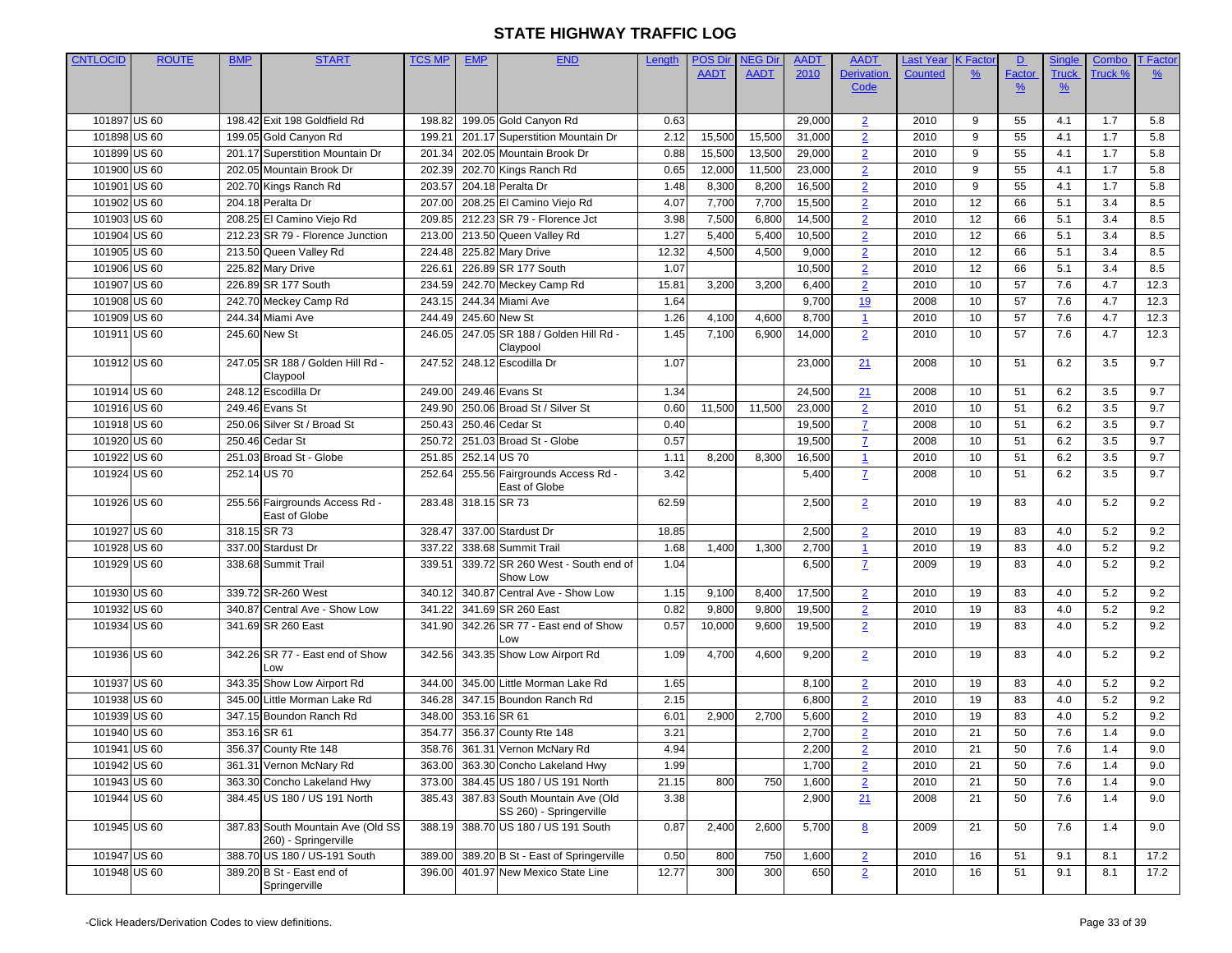| <b>CNTLOCID</b> | <b>ROUTE</b> | <b>BMP</b>   | <b>START</b>                               | <b>TCS MP</b> | <b>EMP</b>   | <b>END</b>                                    | Length | <b>POS Dir</b> | <b>JEG Dir</b> | <b>AADT</b> | <b>AADT</b>       | Last Year      | <b>K</b> Facto | D             | <b>Single</b> | Combo   | <b>T</b> Factor |
|-----------------|--------------|--------------|--------------------------------------------|---------------|--------------|-----------------------------------------------|--------|----------------|----------------|-------------|-------------------|----------------|----------------|---------------|---------------|---------|-----------------|
|                 |              |              |                                            |               |              |                                               |        | <b>AADT</b>    | <b>AADT</b>    | 2010        | <b>Derivation</b> | <b>Counted</b> | $\frac{9}{6}$  | <b>Factor</b> | <b>Truck</b>  | Truck % | $\frac{9}{6}$   |
|                 |              |              |                                            |               |              |                                               |        |                |                |             | <b>Code</b>       |                |                | $\frac{9}{6}$ | $\frac{9}{6}$ |         |                 |
|                 |              |              |                                            |               |              |                                               |        |                |                |             |                   |                |                |               |               |         |                 |
| 101897 US 60    |              |              | 198.42 Exit 198 Goldfield Rd               | 198.82        |              | 199.05 Gold Canyon Rd                         | 0.63   |                |                | 29,000      | $\overline{2}$    | 2010           | 9              | 55            | 4.1           | 1.7     | 5.8             |
| 101898 US 60    |              |              | 199.05 Gold Canyon Rd                      | 199.21        |              | 201.17 Superstition Mountain Dr               | 2.12   | 15,500         | 15,500         | 31,000      | $\overline{2}$    | 2010           | 9              | 55            | 4.1           | 1.7     | 5.8             |
| 101899 US 60    |              |              | 201.17 Superstition Mountain Dr            | 201.34        |              | 202.05 Mountain Brook Dr                      | 0.88   | 15,500         | 13,500         | 29,000      | $\overline{2}$    | 2010           | 9              | 55            | 4.1           | 1.7     | 5.8             |
| 101900 US 60    |              |              | 202.05 Mountain Brook Dr                   | 202.39        |              | 202.70 Kings Ranch Rd                         | 0.65   | 12,000         | 11,500         | 23,000      | $\overline{2}$    | 2010           | 9              | 55            | 4.1           | 1.7     | 5.8             |
| 101901 US 60    |              |              | 202.70 Kings Ranch Rd                      | 203.57        |              | 204.18 Peralta Dr                             | 1.48   | 8,300          | 8,200          | 16,500      | $\overline{2}$    | 2010           | 9              | 55            | 4.1           | 1.7     | 5.8             |
| 101902 US 60    |              |              | 204.18 Peralta Dr                          | 207.00        |              | 208.25 El Camino Viejo Rd                     | 4.07   | 7,700          | 7,700          | 15,500      | $\overline{2}$    | 2010           | 12             | 66            | 5.1           | 3.4     | 8.5             |
| 101903 US 60    |              |              | 208.25 El Camino Viejo Rd                  | 209.85        |              | 212.23 SR 79 - Florence Jct                   | 3.98   | 7,500          | 6,800          | 14,500      | $\overline{2}$    | 2010           | 12             | 66            | 5.1           | 3.4     | 8.5             |
| 101904 US 60    |              |              | 212.23 SR 79 - Florence Junction           | 213.00        |              | 213.50 Queen Valley Rd                        | 1.27   | 5,400          | 5,400          | 10,500      | $\overline{2}$    | 2010           | 12             | 66            | 5.1           | 3.4     | 8.5             |
| 101905 US 60    |              |              | 213.50 Queen Valley Rd                     | 224.48        |              | 225.82 Mary Drive                             | 12.32  | 4,500          | 4,500          | 9,000       | $\overline{2}$    | 2010           | 12             | 66            | 5.1           | 3.4     | 8.5             |
| 101906 US 60    |              |              | 225.82 Mary Drive                          | 226.61        |              | 226.89 SR 177 South                           | 1.07   |                |                | 10,500      | $\overline{2}$    | 2010           | 12             | 66            | 5.1           | 3.4     | 8.5             |
| 101907 US 60    |              |              | 226.89 SR 177 South                        | 234.59        |              | 242.70 Meckey Camp Rd                         | 15.81  | 3,200          | 3,200          | 6,400       | $\overline{2}$    | 2010           | 10             | 57            | 7.6           | 4.7     | 12.3            |
| 101908 US 60    |              |              | 242.70 Meckey Camp Rd                      | 243.15        |              | 244.34 Miami Ave                              | 1.64   |                |                | 9,700       | 19                | 2008           | 10             | 57            | 7.6           | 4.7     | 12.3            |
| 101909 US 60    |              |              | 244.34 Miami Ave                           | 244.49        |              | 245.60 New St                                 | 1.26   | 4,100          | 4,600          | 8,700       | $\mathbf{1}$      | 2010           | 10             | 57            | 7.6           | 4.7     | 12.3            |
| 101911 US 60    |              |              | 245.60 New St                              | 246.05        |              | 247.05 SR 188 / Golden Hill Rd -              | 1.45   | 7,100          | 6,900          | 14,000      | $\overline{2}$    | 2010           | 10             | 57            | 7.6           | 4.7     | 12.3            |
|                 |              |              |                                            |               |              | Claypool                                      |        |                |                |             |                   |                |                |               |               |         |                 |
| 101912 US 60    |              |              | 247.05 SR 188 / Golden Hill Rd -           | 247.52        |              | 248.12 Escodilla Dr                           | 1.07   |                |                | 23,000      | 21                | 2008           | 10             | 51            | 6.2           | 3.5     | 9.7             |
|                 |              |              | Claypool                                   |               |              |                                               |        |                |                |             |                   |                |                |               |               |         |                 |
| 101914 US 60    |              |              | 248.12 Escodilla Dr                        | 249.00        |              | 249.46 Evans St                               | 1.34   |                |                | 24,500      | 21                | 2008           | 10             | 51            | 6.2           | 3.5     | 9.7             |
| 101916 US 60    |              |              | 249.46 Evans St                            | 249.90        |              | 250.06 Broad St / Silver St                   | 0.60   | 11,500         | 11,500         | 23,000      | $\overline{2}$    | 2010           | 10             | 51            | 6.2           | 3.5     | 9.7             |
| 101918 US 60    |              |              | 250.06 Silver St / Broad St                | 250.43        |              | 250.46 Cedar St                               | 0.40   |                |                | 19,500      | $\mathbf{Z}$      | 2008           | 10             | 51            | 6.2           | 3.5     | 9.7             |
| 101920 US 60    |              |              | 250.46 Cedar St                            | 250.72        |              | 251.03 Broad St - Globe                       | 0.57   |                |                | 19,500      | $\mathbf{Z}$      | 2008           | 10             | 51            | 6.2           | 3.5     | 9.7             |
| 101922 US 60    |              |              | 251.03 Broad St - Globe                    | 251.85        | 252.14 US 70 |                                               | 1.11   | 8,200          | 8,300          | 16,500      | $\mathbf{1}$      | 2010           | 10             | 51            | 6.2           | 3.5     | 9.7             |
| 101924 US 60    |              | 252.14 US 70 |                                            | 252.64        |              | 255.56 Fairgrounds Access Rd -                | 3.42   |                |                | 5,400       | $\mathbf{Z}$      | 2008           | 10             | 51            | 6.2           | 3.5     | 9.7             |
|                 |              |              |                                            |               |              | East of Globe                                 |        |                |                |             |                   |                |                |               |               |         |                 |
| 101926 US 60    |              |              | 255.56 Fairgrounds Access Rd -             | 283.48        | 318.15 SR 73 |                                               | 62.59  |                |                | 2,500       | $\overline{2}$    | 2010           | 19             | 83            | 4.0           | 5.2     | 9.2             |
|                 |              |              | East of Globe                              | 328.47        |              |                                               | 18.85  |                |                |             |                   | 2010           | 19             | 83            |               | 5.2     | 9.2             |
| 101927 US 60    |              | 318.15 SR 73 |                                            | 337.22        |              | 337.00 Stardust Dr                            |        |                |                | 2,500       | $\overline{2}$    |                | 19             |               | 4.0<br>4.0    |         | 9.2             |
| 101928 US 60    |              |              | 337.00 Stardust Dr                         |               |              | 338.68 Summit Trail                           | 1.68   | 1,400          | 1,300          | 2,700       | $\mathbf{1}$      | 2010           |                | 83            |               | 5.2     |                 |
| 101929 US 60    |              |              | 338.68 Summit Trail                        | 339.51        |              | 339.72 SR 260 West - South end of<br>Show Low | 1.04   |                |                | 6,500       | $\mathbf{Z}$      | 2009           | 19             | 83            | 4.0           | 5.2     | 9.2             |
| 101930 US 60    |              |              | 339.72 SR-260 West                         | 340.12        |              | 340.87 Central Ave - Show Low                 | 1.15   | 9,100          | 8,400          | 17,500      | $\overline{2}$    | 2010           | 19             | 83            | 4.0           | 5.2     | 9.2             |
| 101932 US 60    |              |              | 340.87 Central Ave - Show Low              | 341.22        |              | 341.69 SR 260 East                            | 0.82   | 9,800          | 9,800          | 19,500      | $\overline{2}$    | 2010           | 19             | 83            | 4.0           | 5.2     | 9.2             |
| 101934 US 60    |              |              | 341.69 SR 260 East                         | 341.90        |              | 342.26 SR 77 - East end of Show               | 0.57   | 10,000         | 9,600          | 19,500      | $\overline{2}$    | 2010           | 19             | 83            | 4.0           | 5.2     | 9.2             |
|                 |              |              |                                            |               |              | LOW.                                          |        |                |                |             |                   |                |                |               |               |         |                 |
| 101936 US 60    |              |              | 342.26 SR 77 - East end of Show            | 342.56        |              | 343.35 Show Low Airport Rd                    | 1.09   | 4,700          | 4,600          | 9,200       | $\overline{2}$    | 2010           | 19             | 83            | 4.0           | 5.2     | 9.2             |
|                 |              |              | Low                                        |               |              |                                               |        |                |                |             |                   |                |                |               |               |         |                 |
| 101937 US 60    |              |              | 343.35 Show Low Airport Rd                 | 344.00        |              | 345.00 Little Morman Lake Rd                  | 1.65   |                |                | 8,100       | $\overline{2}$    | 2010           | 19             | 83            | 4.0           | 5.2     | 9.2             |
| 101938 US 60    |              |              | 345.00 Little Morman Lake Rd               | 346.28        |              | 347.15 Boundon Ranch Rd                       | 2.15   |                |                | 6,800       | $\overline{2}$    | 2010           | 19             | 83            | 4.0           | 5.2     | 9.2             |
| 101939 US 60    |              |              | 347.15 Boundon Ranch Rd                    | 348.00        | 353.16 SR 61 |                                               | 6.01   | 2,900          | 2,700          | 5,600       | $\overline{2}$    | 2010           | 19             | 83            | 4.0           | 5.2     | 9.2             |
| 101940 US 60    |              | 353.16 SR 61 |                                            | 354.77        |              | 356.37 County Rte 148                         | 3.21   |                |                | 2,700       | $\overline{2}$    | 2010           | 21             | 50            | 7.6           | 1.4     | 9.0             |
| 101941 US 60    |              |              | 356.37 County Rte 148                      |               |              | 358.76 361.31 Vernon McNary Rd                | 4.94   |                |                | 2,200       | $\overline{2}$    | 2010           | 21             | 50            | 7.6           | 1.4     | 9.0             |
| 101942 US 60    |              |              | 361.31 Vernon McNary Rd                    | 363.00        |              | 363.30 Concho Lakeland Hwy                    | 1.99   |                |                | 1,700       | $\overline{2}$    | 2010           | 21             | 50            | 7.6           | 1.4     | 9.0             |
| 101943 US 60    |              |              | 363.30 Concho Lakeland Hwy                 | 373.00        |              | 384.45 US 180 / US 191 North                  | 21.15  | 800            | 750            | 1,600       | $\overline{2}$    | 2010           | 21             | 50            | 7.6           | 1.4     | 9.0             |
| 101944 US 60    |              |              | 384.45 US 180 / US 191 North               | 385.43        |              | 387.83 South Mountain Ave (Old                | 3.38   |                |                | 2,900       | 21                | 2008           | 21             | 50            | 7.6           | 1.4     | 9.0             |
|                 |              |              |                                            |               |              | SS 260) - Springerville                       |        |                |                |             |                   |                |                |               |               |         |                 |
| 101945 US 60    |              |              | 387.83 South Mountain Ave (Old SS          |               |              | 388.19 388.70 US 180 / US 191 South           | 0.87   | 2,400          | 2,600          | 5,700       | 8                 | 2009           | 21             | 50            | 7.6           | 1.4     | 9.0             |
|                 |              |              | 260) - Springerville                       |               |              |                                               |        |                |                |             |                   |                |                |               |               |         |                 |
| 101947 US 60    |              |              | 388.70 US 180 / US-191 South               | 389.00        |              | 389.20 B St - East of Springerville           | 0.50   | 800            | 750            | 1,600       | $\overline{2}$    | 2010           | 16             | 51            | 9.1           | 8.1     | 17.2            |
| 101948 US 60    |              |              | 389.20 B St - East end of<br>Springerville | 396.00        |              | 401.97 New Mexico State Line                  | 12.77  | 300            | 300            | 650         | $\overline{2}$    | 2010           | 16             | 51            | 9.1           | 8.1     | 17.2            |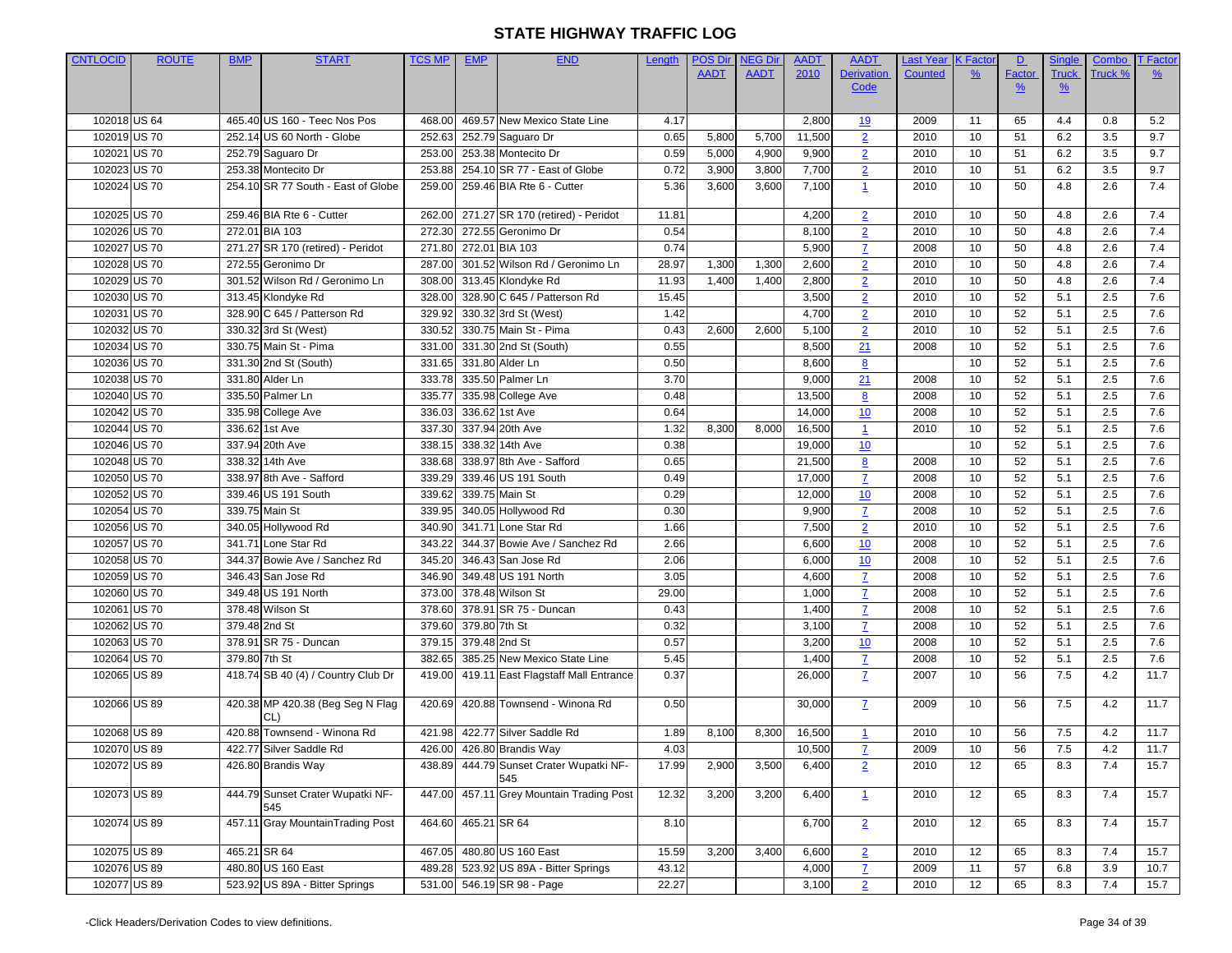| <b>CNTLOCID</b> | <b>ROUTE</b> | <b>BMP</b>    | <b>START</b>                            | <b>TCS MP</b> | <b>EMP</b>          | <b>END</b>                              | Length | <b>POS Dir</b> | <b>NEG Dir</b> | <b>AADT</b> | <b>AADT</b>             | Last Year      | <b>K</b> Facto | $\mathbf{D}$  | Singl         | Combo   | <b>T</b> Factor |
|-----------------|--------------|---------------|-----------------------------------------|---------------|---------------------|-----------------------------------------|--------|----------------|----------------|-------------|-------------------------|----------------|----------------|---------------|---------------|---------|-----------------|
|                 |              |               |                                         |               |                     |                                         |        | <b>AADT</b>    | <b>AADT</b>    | 2010        | <b>Derivation</b>       | <b>Counted</b> | $\frac{9}{6}$  | <b>Factor</b> | <b>Truck</b>  | Truck 9 | $\frac{9}{6}$   |
|                 |              |               |                                         |               |                     |                                         |        |                |                |             | Code                    |                |                | $\frac{9}{6}$ | $\frac{9}{6}$ |         |                 |
|                 |              |               |                                         |               |                     |                                         |        |                |                |             |                         |                |                |               |               |         |                 |
| 102018 US 64    |              |               | 465.40 US 160 - Teec Nos Pos            | 468.00        |                     | 469.57 New Mexico State Line            | 4.17   |                |                | 2,800       | <u>19</u>               | 2009           | 11             | 65            | 4.4           | 0.8     | 5.2             |
| 102019 US 70    |              |               | 252.14 US 60 North - Globe              | 252.63        |                     | 252.79 Saguaro Dr                       | 0.65   | 5,800          | 5,700          | 11,500      | $\overline{2}$          | 2010           | 10             | 51            | 6.2           | 3.5     | 9.7             |
| 102021 US 70    |              |               | 252.79 Saguaro Dr                       | 253.00        |                     | 253.38 Montecito Dr                     | 0.59   | 5,000          | 4,900          | 9,900       | $\overline{2}$          | 2010           | 10             | 51            | 6.2           | 3.5     | 9.7             |
| 102023 US 70    |              |               | 253.38 Montecito Dr                     | 253.88        |                     | 254.10 SR 77 - East of Globe            | 0.72   | 3,900          | 3,800          | 7,700       | $\overline{2}$          | 2010           | 10             | 51            | 6.2           | 3.5     | 9.7             |
| 102024 US 70    |              |               | 254.10 SR 77 South - East of Globe      | 259.00        |                     | 259.46 BIA Rte 6 - Cutter               | 5.36   | 3,600          | 3,600          | 7,100       | $\mathbf{1}$            | 2010           | 10             | 50            | 4.8           | 2.6     | 7.4             |
|                 |              |               |                                         |               |                     |                                         |        |                |                |             |                         |                |                |               |               |         |                 |
| 102025 US 70    |              |               | 259.46 BIA Rte 6 - Cutter               | 262.00        |                     | 271.27 SR 170 (retired) - Peridot       | 11.81  |                |                | 4,200       | $\overline{2}$          | 2010           | 10             | 50            | 4.8           | 2.6     | 7.4             |
| 102026 US 70    |              |               | 272.01 BIA 103                          | 272.30        |                     | 272.55 Geronimo Dr                      | 0.54   |                |                | 8,100       | $\overline{2}$          | 2010           | 10             | 50            | 4.8           | 2.6     | 7.4             |
| 102027 US 70    |              |               | 271.27 SR 170 (retired) - Peridot       | 271.80        |                     | 272.01 BIA 103                          | 0.74   |                |                | 5,900       | $\mathbf{Z}$            | 2008           | 10             | 50            | 4.8           | 2.6     | 7.4             |
| 102028 US 70    |              |               | 272.55 Geronimo Dr                      | 287.00        |                     | 301.52 Wilson Rd / Geronimo Ln          | 28.97  | 1,300          | 1,300          | 2,600       | $\overline{2}$          | 2010           | 10             | 50            | 4.8           | 2.6     | 7.4             |
| 102029 US 70    |              |               | 301.52 Wilson Rd / Geronimo Ln          | 308.00        |                     | 313.45 Klondyke Rd                      | 11.93  | 1,400          | 1,400          | 2,800       | $\overline{2}$          | 2010           | 10             | 50            | 4.8           | 2.6     | 7.4             |
| 102030 US 70    |              |               | 313.45 Klondyke Rd                      | 328.00        |                     | 328.90 C 645 / Patterson Rd             | 15.45  |                |                | 3,500       | $\overline{2}$          | 2010           | 10             | 52            | 5.1           | 2.5     | 7.6             |
| 102031 US 70    |              |               | 328.90 C 645 / Patterson Rd             | 329.92        |                     | 330.32 3rd St (West)                    | 1.42   |                |                | 4,700       | $\overline{2}$          | 2010           | 10             | 52            | 5.1           | 2.5     | 7.6             |
| 102032 US 70    |              |               | 330.32 3rd St (West)                    | 330.52        |                     | 330.75 Main St - Pima                   | 0.43   | 2,600          | 2,600          | 5,100       | $\overline{2}$          | 2010           | 10             | 52            | 5.1           | 2.5     | 7.6             |
| 102034 US 70    |              |               | 330.75 Main St - Pima                   | 331.00        |                     | 331.30 2nd St (South)                   | 0.55   |                |                | 8,500       | 21                      | 2008           | 10             | 52            | 5.1           | 2.5     | 7.6             |
| 102036 US 70    |              |               | 331.30 2nd St (South)                   | 331.65        |                     | 331.80 Alder Ln                         | 0.50   |                |                | 8,600       | 8                       |                | 10             | 52            | 5.1           | 2.5     | 7.6             |
| 102038 US 70    |              |               | 331.80 Alder Ln                         | 333.78        |                     | 335.50 Palmer Ln                        | 3.70   |                |                | 9,000       | 21                      | 2008           | 10             | 52            | 5.1           | 2.5     | 7.6             |
| 102040 US 70    |              |               | 335.50 Palmer Ln                        | 335.77        |                     | 335.98 College Ave                      | 0.48   |                |                | 13,500      | 8                       | 2008           | 10             | 52            | 5.1           | 2.5     | 7.6             |
| 102042 US 70    |              |               | 335.98 College Ave                      | 336.03        |                     | 336.62 1st Ave                          | 0.64   |                |                | 14,000      | 10                      | 2008           | 10             | 52            | 5.1           | 2.5     | 7.6             |
| 102044 US 70    |              |               | 336.62 1st Ave                          | 337.30        |                     | 337.94 20th Ave                         | 1.32   | 8,300          | 8,000          | 16,500      | $\overline{1}$          | 2010           | 10             | 52            | 5.1           | 2.5     | 7.6             |
| 102046 US 70    |              |               | 337.94 20th Ave                         | 338.15        |                     | 338.32 14th Ave                         | 0.38   |                |                | 19,000      | 10                      |                | 10             | 52            | 5.1           | 2.5     | 7.6             |
| 102048 US 70    |              |               | 338.32 14th Ave                         | 338.68        |                     | 338.97 8th Ave - Safford                | 0.65   |                |                | 21,500      | 8                       | 2008           | 10             | 52            | 5.1           | 2.5     | 7.6             |
| 102050 US 70    |              |               | 338.97 8th Ave - Safford                | 339.29        |                     | 339.46 US 191 South                     | 0.49   |                |                | 17,000      | $\overline{7}$          | 2008           | 10             | 52            | 5.1           | 2.5     | 7.6             |
| 102052 US 70    |              |               | 339.46 US 191 South                     | 339.62        |                     | 339.75 Main St                          | 0.29   |                |                | 12,000      | 10                      | 2008           | 10             | 52            | 5.1           | 2.5     | 7.6             |
| 102054 US 70    |              |               | 339.75 Main St                          | 339.95        |                     | 340.05 Hollywood Rd                     | 0.30   |                |                | 9,900       | $\mathbf{Z}$            | 2008           | 10             | 52            | 5.1           | 2.5     | 7.6             |
| 102056 US 70    |              |               | 340.05 Hollywood Rd                     | 340.90        |                     | 341.71 Lone Star Rd                     | 1.66   |                |                | 7,500       | $\overline{2}$          | 2010           | 10             | 52            | 5.1           | 2.5     | 7.6             |
| 102057 US 70    |              |               | 341.71 Lone Star Rd                     | 343.22        |                     | 344.37 Bowie Ave / Sanchez Rd           | 2.66   |                |                | 6,600       | 10                      | 2008           | 10             | 52            | 5.1           | 2.5     | 7.6             |
| 102058 US 70    |              |               | 344.37 Bowie Ave / Sanchez Rd           | 345.20        |                     | 346.43 San Jose Rd                      | 2.06   |                |                | 6,000       | 10                      | 2008           | 10             | 52            | 5.1           | 2.5     | 7.6             |
| 102059 US 70    |              |               | 346.43 San Jose Rd                      | 346.90        |                     | 349.48 US 191 North                     | 3.05   |                |                | 4,600       | $\mathbf{Z}$            | 2008           | 10             | 52            | 5.1           | 2.5     | 7.6             |
| 102060 US 70    |              |               | 349.48 US 191 North                     | 373.00        |                     | 378.48 Wilson St                        | 29.00  |                |                | 1,000       | $\mathbf{Z}$            | 2008           | 10             | 52            | 5.1           | 2.5     | 7.6             |
| 102061 US 70    |              |               | 378.48 Wilson St                        | 378.60        |                     | 378.91 SR 75 - Duncan                   | 0.43   |                |                | 1,400       | $\mathbf{Z}$            | 2008           | 10             | 52            | 5.1           | 2.5     | 7.6             |
| 102062 US 70    |              | 379.48 2nd St |                                         | 379.60        | 379.80 7th St       |                                         | 0.32   |                |                | 3,100       | $\mathbf{Z}$            | 2008           | 10             | 52            | 5.1           | 2.5     | 7.6             |
| 102063 US 70    |              |               | 378.91 SR 75 - Duncan                   | 379.15        |                     | 379.48 2nd St                           | 0.57   |                |                | 3,200       | 10                      | 2008           | 10             | 52            | 5.1           | 2.5     | 7.6             |
| 102064 US 70    |              | 379.80 7th St |                                         | 382.65        |                     | 385.25 New Mexico State Line            | 5.45   |                |                | 1,400       | $\mathbf{Z}$            | 2008           | 10             | 52            | 5.1           | 2.5     | 7.6             |
| 102065 US 89    |              |               | 418.74 SB 40 (4) / Country Club Dr      | 419.00        |                     | 419.11 East Flagstaff Mall Entrance     | 0.37   |                |                | 26,000      | $\overline{I}$          | 2007           | 10             | 56            | 7.5           | 4.2     | 11.7            |
|                 |              |               |                                         |               |                     |                                         |        |                |                |             |                         |                |                |               |               |         |                 |
| 102066 US 89    |              |               | 420.38 MP 420.38 (Beg Seg N Flag<br>CL) | 420.69        |                     | 420.88 Townsend - Winona Rd             | 0.50   |                |                | 30,000      | $\mathbf{Z}$            | 2009           | 10             | 56            | 7.5           | 4.2     | 11.7            |
| 102068 US 89    |              |               | 420.88 Townsend - Winona Rd             |               |                     | 421.98 422.77 Silver Saddle Rd          | 1.89   | 8,100          | 8,300          | 16,500      | $\mathbf{\overline{1}}$ | 2010           | 10             | 56            | 7.5           | 4.2     | 11.7            |
| 102070 US 89    |              |               | 422.77 Silver Saddle Rd                 |               |                     | 426.00 426.80 Brandis Way               | 4.03   |                |                | 10,500      | $\mathbf{Z}$            | 2009           | 10             | 56            | 7.5           | 4.2     | 11.7            |
| 102072 US 89    |              |               | 426.80 Brandis Way                      |               |                     | 438.89 444.79 Sunset Crater Wupatki NF- | 17.99  | 2,900          | 3,500          | 6,400       | $\overline{2}$          | 2010           | 12             | 65            | 8.3           | 7.4     | 15.7            |
|                 |              |               |                                         |               |                     | 545                                     |        |                |                |             |                         |                |                |               |               |         |                 |
| 102073 US 89    |              |               | 444.79 Sunset Crater Wupatki NF-<br>545 | 447.00        |                     | 457.11 Grey Mountain Trading Post       | 12.32  | 3,200          | 3,200          | 6,400       | $\mathbf{1}$            | 2010           | 12             | 65            | 8.3           | 7.4     | 15.7            |
| 102074 US 89    |              |               | 457.11 Gray Mountain Trading Post       |               | 464.60 465.21 SR 64 |                                         | 8.10   |                |                | 6,700       | $\overline{2}$          | 2010           | 12             | 65            | 8.3           | 7.4     | 15.7            |
|                 |              |               |                                         |               |                     |                                         |        |                |                |             |                         |                |                |               |               |         |                 |
| 102075 US 89    |              | 465.21 SR 64  |                                         |               |                     | 467.05 480.80 US 160 East               | 15.59  | 3,200          | 3,400          | 6,600       | $\overline{2}$          | 2010           | 12             | 65            | 8.3           | 7.4     | 15.7            |
| 102076 US 89    |              |               | 480.80 US 160 East                      |               |                     | 489.28 523.92 US 89A - Bitter Springs   | 43.12  |                |                | 4,000       | $\mathbf{Z}$            | 2009           | 11             | 57            | 6.8           | 3.9     | 10.7            |
| 102077 US 89    |              |               | 523.92 US 89A - Bitter Springs          |               |                     | 531.00 546.19 SR 98 - Page              | 22.27  |                |                | 3,100       | $\overline{2}$          | 2010           | 12             | 65            | 8.3           | 7.4     | 15.7            |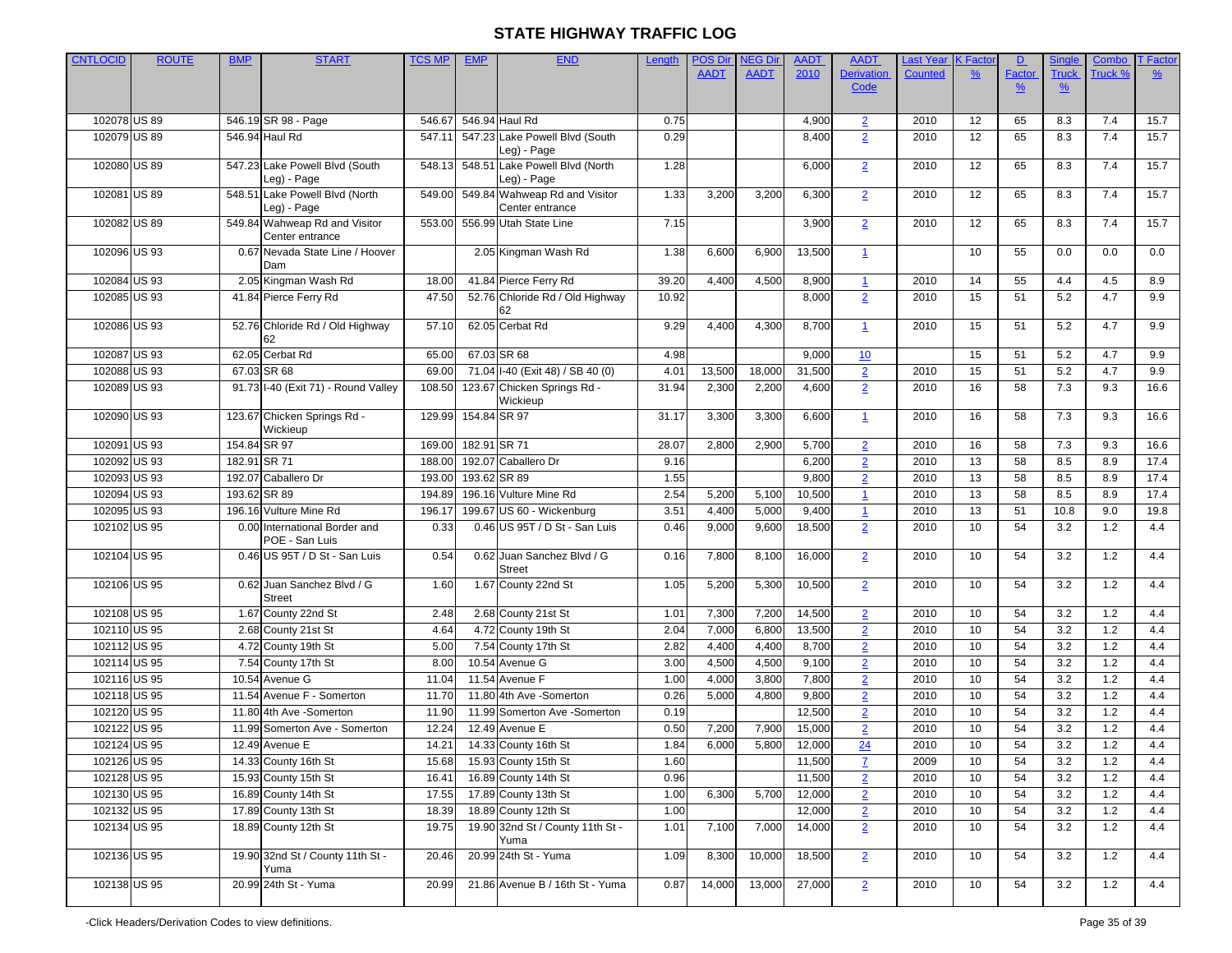| <b>CNTLOCID</b> | <b>ROUTE</b> | <b>BMP</b>   | <b>START</b>                                     | <b>TCS MP</b> | <b>EMP</b>   | <b>END</b>                                    | Length | <b>POS Dir</b> | <b>NEG Dir</b> | <b>AADT</b> | <b>AADT</b>             | Last Year      | <b>K</b> Facto  | D             | <b>Single</b> | Combo   | T Factor      |
|-----------------|--------------|--------------|--------------------------------------------------|---------------|--------------|-----------------------------------------------|--------|----------------|----------------|-------------|-------------------------|----------------|-----------------|---------------|---------------|---------|---------------|
|                 |              |              |                                                  |               |              |                                               |        | <b>AADT</b>    | <b>AADT</b>    | 2010        | <b>Derivation</b>       | <b>Counted</b> | $\frac{9}{6}$   | Factor        | <b>Truck</b>  | Truck % | $\frac{9}{6}$ |
|                 |              |              |                                                  |               |              |                                               |        |                |                |             | Code                    |                |                 | $\frac{9}{6}$ | $\frac{9}{6}$ |         |               |
|                 |              |              |                                                  |               |              |                                               |        |                |                |             |                         |                |                 |               |               |         |               |
| 102078 US 89    |              |              | 546.19 SR 98 - Page                              | 546.67        |              | 546.94 Haul Rd                                | 0.75   |                |                | 4,900       | $\overline{2}$          | 2010           | 12              | 65            | 8.3           | 7.4     | 15.7          |
| 102079 US 89    |              |              | 546.94 Haul Rd                                   | 547.11        |              | 547.23 Lake Powell Blvd (South<br>Leg) - Page | 0.29   |                |                | 8,400       | $\overline{2}$          | 2010           | 12              | 65            | 8.3           | 7.4     | 15.7          |
| 102080 US 89    |              |              | 547.23 Lake Powell Blvd (South<br>Leg) - Page    | 548.13        |              | 548.51 Lake Powell Blvd (North<br>Leg) - Page | 1.28   |                |                | 6,000       | $\overline{2}$          | 2010           | 12              | 65            | 8.3           | 7.4     | 15.7          |
| 102081 US 89    |              |              | 548.51 Lake Powell Blvd (North                   | 549.00        |              | 549.84 Wahweap Rd and Visitor                 | 1.33   | 3,200          | 3,200          | 6,300       | $\overline{2}$          | 2010           | 12              | 65            | 8.3           | 7.4     | 15.7          |
|                 |              |              | Leg) - Page                                      |               |              | Center entrance                               |        |                |                |             |                         |                |                 |               |               |         |               |
| 102082 US 89    |              |              | 549.84 Wahweap Rd and Visitor<br>Center entrance | 553.00        |              | 556.99 Utah State Line                        | 7.15   |                |                | 3,900       | $\overline{2}$          | 2010           | 12              | 65            | 8.3           | 7.4     | 15.7          |
| 102096 US 93    |              |              | 0.67 Nevada State Line / Hoover<br>Dam           |               |              | 2.05 Kingman Wash Rd                          | 1.38   | 6,600          | 6,900          | 13,500      | $\mathbf{1}$            |                | 10              | 55            | 0.0           | 0.0     | 0.0           |
| 102084 US 93    |              |              | 2.05 Kingman Wash Rd                             | 18.00         |              | 41.84 Pierce Ferry Rd                         | 39.20  | 4,400          | 4,500          | 8,900       | $\mathbf{1}$            | 2010           | 14              | 55            | 4.4           | 4.5     | 8.9           |
| 102085 US 93    |              |              | 41.84 Pierce Ferry Rd                            | 47.50         |              | 52.76 Chloride Rd / Old Highway               | 10.92  |                |                | 8,000       | $\overline{2}$          | 2010           | 15              | 51            | 5.2           | 4.7     | 9.9           |
| 102086 US 93    |              |              | 52.76 Chloride Rd / Old Highway                  | 57.10         |              | 62.05 Cerbat Rd                               | 9.29   | 4,400          | 4,300          | 8,700       | $\mathbf{1}$            | 2010           | 15              | 51            | 5.2           | 4.7     | 9.9           |
| 102087 US 93    |              |              | 62.05 Cerbat Rd                                  | 65.00         |              | 67.03 SR 68                                   | 4.98   |                |                | 9,000       | 10                      |                | 15              | 51            | 5.2           | 4.7     | 9.9           |
| 102088 US 93    |              |              | 67.03 SR 68                                      | 69.00         |              | 71.04 I-40 (Exit 48) / SB 40 (0)              | 4.01   | 13,500         | 18,000         | 31,500      | $\overline{2}$          | 2010           | 15              | 51            | 5.2           | 4.7     | 9.9           |
| 102089 US 93    |              |              | 91.73 I-40 (Exit 71) - Round Valley              | 108.50        |              | 123.67 Chicken Springs Rd -                   | 31.94  | 2,300          | 2,200          | 4,600       | $\overline{2}$          | 2010           | 16              | 58            | 7.3           | 9.3     | 16.6          |
|                 |              |              |                                                  |               |              | Wickieup                                      |        |                |                |             |                         |                |                 |               |               |         |               |
| 102090 US 93    |              |              | 123.67 Chicken Springs Rd -<br>Wickieup          | 129.99        |              | 154.84 SR 97                                  | 31.17  | 3,300          | 3,300          | 6,600       | $\mathbf{1}$            | 2010           | 16              | 58            | 7.3           | 9.3     | 16.6          |
| 102091 US 93    |              | 154.84 SR 97 |                                                  | 169.00        | 182.91 SR 71 |                                               | 28.07  | 2,800          | 2,900          | 5,700       | $\overline{2}$          | 2010           | 16              | 58            | 7.3           | 9.3     | 16.6          |
| 102092 US 93    |              | 182.91 SR 71 |                                                  | 188.00        |              | 192.07 Caballero Dr                           | 9.16   |                |                | 6,200       | $\overline{2}$          | 2010           | 13              | 58            | 8.5           | 8.9     | 17.4          |
| 102093 US 93    |              |              | 192.07 Caballero Dr                              | 193.00        |              | 193.62 SR 89                                  | 1.55   |                |                | 9,800       | $\overline{2}$          | 2010           | 13              | 58            | 8.5           | 8.9     | 17.4          |
| 102094 US 93    |              | 193.62 SR 89 |                                                  | 194.89        |              | 196.16 Vulture Mine Rd                        | 2.54   | 5,200          | 5,100          | 10,500      | $\mathbf{1}$            | 2010           | 13              | 58            | 8.5           | 8.9     | 17.4          |
| 102095 US 93    |              |              | 196.16 Vulture Mine Rd                           | 196.17        |              | 199.67 US 60 - Wickenburg                     | 3.51   | 4,400          | 5,000          | 9,400       | $\mathbf{\overline{1}}$ | 2010           | 13              | 51            | 10.8          | 9.0     | 19.8          |
| 102102 US 95    |              |              | 0.00 International Border and<br>POE - San Luis  | 0.33          |              | 0.46 US 95T / D St - San Luis                 | 0.46   | 9,000          | 9,600          | 18,500      | $\overline{2}$          | 2010           | 10              | 54            | 3.2           | $1.2$   | 4.4           |
| 102104 US 95    |              |              | 0.46 US 95T / D St - San Luis                    | 0.54          |              | 0.62 Juan Sanchez Blvd / G<br><b>Street</b>   | 0.16   | 7,800          | 8,100          | 16,000      | $\overline{2}$          | 2010           | 10              | 54            | 3.2           | 1.2     | 4.4           |
| 102106 US 95    |              |              | 0.62 Juan Sanchez Blvd / G<br><b>Street</b>      | 1.60          |              | 1.67 County 22nd St                           | 1.05   | 5,200          | 5,300          | 10,500      | $\overline{2}$          | 2010           | 10              | 54            | 3.2           | 1.2     | 4.4           |
| 102108 US 95    |              |              | 1.67 County 22nd St                              | 2.48          |              | 2.68 County 21st St                           | 1.01   | 7,300          | 7,200          | 14,500      | $\overline{2}$          | 2010           | 10              | 54            | 3.2           | $1.2$   | 4.4           |
| 102110 US 95    |              |              | 2.68 County 21st St                              | 4.64          |              | 4.72 County 19th St                           | 2.04   | 7,000          | 6,800          | 13,500      | $\overline{2}$          | 2010           | 10              | 54            | 3.2           | 1.2     | 4.4           |
| 102112 US 95    |              |              | 4.72 County 19th St                              | 5.00          |              | 7.54 County 17th St                           | 2.82   | 4,400          | 4,400          | 8,700       | $\overline{2}$          | 2010           | 10              | 54            | 3.2           | 1.2     | 4.4           |
| 102114 US 95    |              |              | 7.54 County 17th St                              | 8.0C          |              | 10.54 Avenue G                                | 3.00   | 4,500          | 4,500          | 9,100       | $\overline{2}$          | 2010           | 10              | 54            | 3.2           | 1.2     | 4.4           |
| 102116 US 95    |              |              | 10.54 Avenue G                                   | 11.04         |              | 11.54 Avenue F                                | 1.00   | 4,000          | 3,800          | 7,800       | $\overline{2}$          | 2010           | 10              | 54            | 3.2           | 1.2     | 4.4           |
| 102118 US 95    |              |              | 11.54 Avenue F - Somerton                        | 11.70         |              | 11.80 4th Ave -Somerton                       | 0.26   | 5,000          | 4,800          | 9,800       | $\overline{2}$          | 2010           | 10              | 54            | 3.2           | 1.2     | 4.4           |
| 102120 US 95    |              |              | 11.80 4th Ave -Somerton                          | 11.90         |              | 11.99 Somerton Ave -Somerton                  | 0.19   |                |                | 12,500      | $\overline{2}$          | 2010           | 10              | 54            | 3.2           | $1.2$   | 4.4           |
| 102122 US 95    |              |              | 11.99 Somerton Ave - Somerton                    | 12.24         |              | 12.49 Avenue E                                | 0.50   | 7,200          | 7,900          | 15,000      | $\overline{2}$          | 2010           | 10              | 54            | 3.2           | 1.2     | 4.4           |
| 102124 US 95    |              |              | 12.49 Avenue E                                   | 14.21         |              | 14.33 County 16th St                          | 1.84   | 6,000          | 5,800          | 12,000      | 24                      | 2010           | 10              | 54            | 3.2           | 1.2     | 4.4           |
| 102126 US 95    |              |              | 14.33 County 16th St                             | 15.68         |              | 15.93 County 15th St                          | 1.60   |                |                | 11,500      | Z                       | 2009           | 10              | 54            | 3.2           | 1.2     | 4.4           |
| 102128 US 95    |              |              | 15.93 County 15th St                             | 16.41         |              | 16.89 County 14th St                          | 0.96   |                |                | 11,500      | $\overline{2}$          | 2010           | 10 <sup>°</sup> | 54            | 3.2           | $1.2$   | 4.4           |
| 102130 US 95    |              |              | 16.89 County 14th St                             | 17.55         |              | 17.89 County 13th St                          | 1.00   | 6,300          | 5,700          | 12,000      | $\overline{2}$          | 2010           | 10              | 54            | 3.2           | $1.2$   | 4.4           |
| 102132 US 95    |              |              | 17.89 County 13th St                             | 18.39         |              | 18.89 County 12th St                          | 1.00   |                |                | 12,000      | $\overline{2}$          | 2010           | 10 <sup>1</sup> | 54            | 3.2           | $1.2$   | 4.4           |
| 102134 US 95    |              |              | 18.89 County 12th St                             | 19.75         |              | 19.90 32nd St / County 11th St -<br>Yuma      | 1.01   | 7,100          | 7,000          | 14,000      | $\overline{2}$          | 2010           | 10 <sup>1</sup> | 54            | 3.2           | $1.2$   | 4.4           |
| 102136 US 95    |              |              | 19.90 32nd St / County 11th St -<br>Yuma         | 20.46         |              | 20.99 24th St - Yuma                          | 1.09   | 8,300          | 10,000         | 18,500      | $\overline{2}$          | 2010           | 10 <sup>°</sup> | 54            | 3.2           | $1.2$   | 4.4           |
| 102138 US 95    |              |              | 20.99 24th St - Yuma                             | 20.99         |              | 21.86 Avenue B / 16th St - Yuma               | 0.87   | 14,000         | 13,000         | 27,000      | $\overline{2}$          | 2010           | 10              | 54            | 3.2           | 1.2     | 4.4           |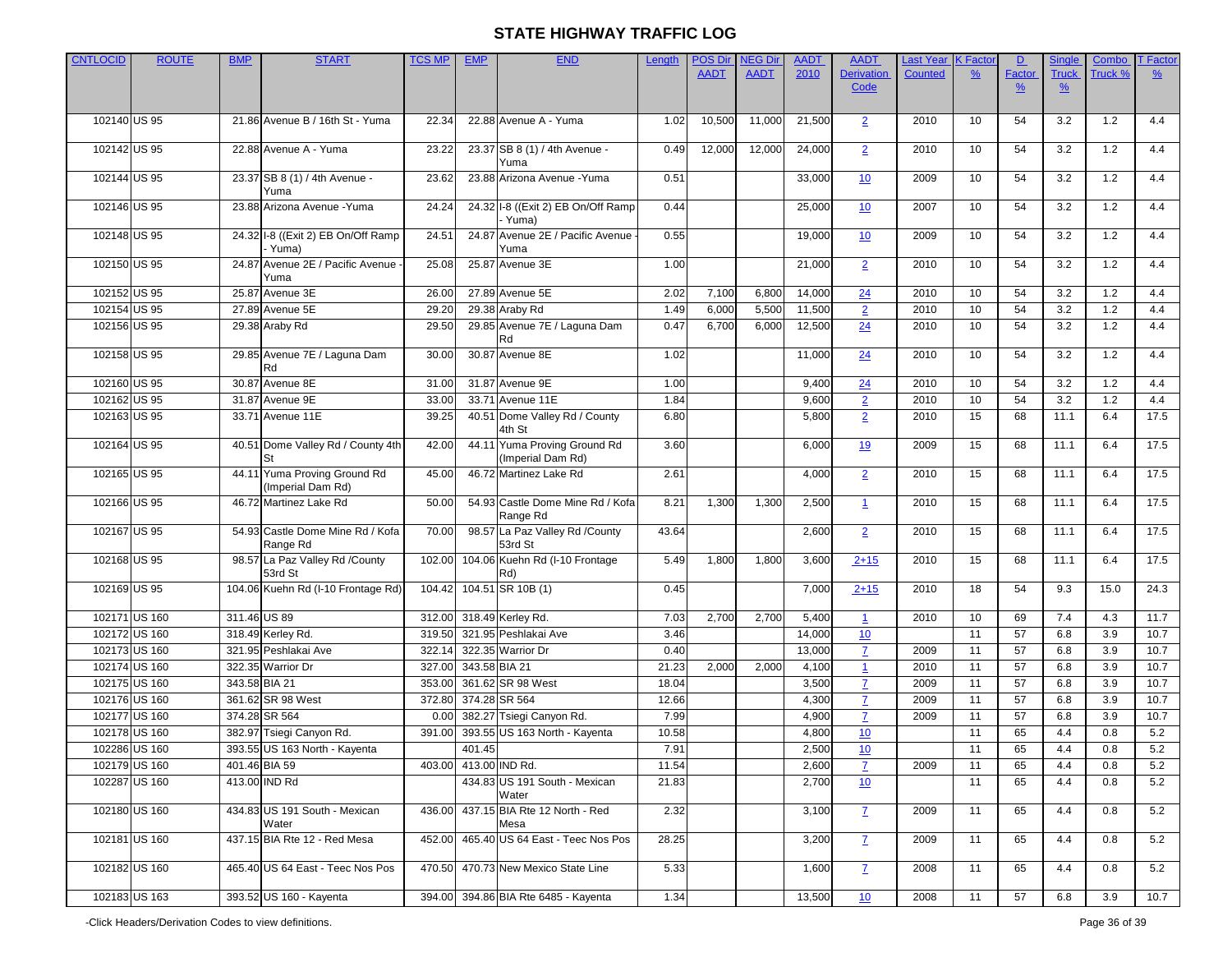| <b>CNTLOCID</b> | <b>ROUTE</b>  | <b>BMP</b>    | <b>START</b>                                | <b>TCS MP</b> | <b>EMP</b> | <b>END</b>                                  | Length | <b>POS Dir</b> | <b>NEG Dir</b> | <b>AADT</b> | <b>AADT</b>             | Last Year      | <b>K</b> Facto  | D             | <b>Single</b> | Combo   | <b>T</b> Factor |
|-----------------|---------------|---------------|---------------------------------------------|---------------|------------|---------------------------------------------|--------|----------------|----------------|-------------|-------------------------|----------------|-----------------|---------------|---------------|---------|-----------------|
|                 |               |               |                                             |               |            |                                             |        | <b>AADT</b>    | <b>AADT</b>    | 2010        | <b>Derivation</b>       | <b>Counted</b> | $\frac{9}{6}$   | <b>Factor</b> | <b>Truck</b>  | Truck % | $\frac{9}{6}$   |
|                 |               |               |                                             |               |            |                                             |        |                |                |             | Code                    |                |                 | $\frac{9}{6}$ | $\frac{9}{6}$ |         |                 |
|                 |               |               |                                             |               |            |                                             |        |                |                |             |                         |                |                 |               |               |         |                 |
| 102140 US 95    |               |               | 21.86 Avenue B / 16th St - Yuma             | 22.34         |            | 22.88 Avenue A - Yuma                       | 1.02   | 10,500         | 11,000         | 21,500      | $\overline{2}$          | 2010           | 10              | 54            | 3.2           | 1.2     | 4.4             |
|                 |               |               |                                             |               |            |                                             |        |                |                |             |                         |                |                 |               |               |         |                 |
| 102142 US 95    |               |               | 22.88 Avenue A - Yuma                       | 23.22         |            | 23.37 SB 8 (1) / 4th Avenue -               | 0.49   | 12,000         | 12,000         | 24,000      | $\overline{2}$          | 2010           | 10 <sup>°</sup> | 54            | 3.2           | 1.2     | 4.4             |
|                 |               |               |                                             |               |            | Yuma                                        |        |                |                |             |                         |                |                 |               |               |         |                 |
| 102144 US 95    |               |               | 23.37 SB 8 (1) / 4th Avenue -               | 23.62         |            | 23.88 Arizona Avenue - Yuma                 | 0.51   |                |                | 33,000      | 10                      | 2009           | 10              | 54            | 3.2           | 1.2     | 4.4             |
|                 |               |               | Yuma                                        |               |            |                                             |        |                |                |             |                         |                |                 |               |               |         |                 |
| 102146 US 95    |               |               | 23.88 Arizona Avenue - Yuma                 | 24.24         |            | 24.32 I-8 ((Exit 2) EB On/Off Ramp          | 0.44   |                |                | 25,000      | 10                      | 2007           | 10              | 54            | 3.2           | 1.2     | 4.4             |
| 102148 US 95    |               |               |                                             | 24.51         |            | · Yuma)<br>24.87 Avenue 2E / Pacific Avenue | 0.55   |                |                |             |                         | 2009           | 10 <sup>°</sup> | 54            | 3.2           | 1.2     | 4.4             |
|                 |               |               | 24.32 I-8 ((Exit 2) EB On/Off Ramp<br>Yuma) |               |            | Yuma                                        |        |                |                | 19,000      | 10                      |                |                 |               |               |         |                 |
| 102150 US 95    |               |               | 24.87 Avenue 2E / Pacific Avenue -          | 25.08         |            | 25.87 Avenue 3E                             | 1.00   |                |                | 21,000      | $\overline{2}$          | 2010           | 10              | 54            | 3.2           | 1.2     | 4.4             |
|                 |               |               | Yuma                                        |               |            |                                             |        |                |                |             |                         |                |                 |               |               |         |                 |
| 102152 US 95    |               |               | 25.87 Avenue 3E                             | 26.00         |            | 27.89 Avenue 5E                             | 2.02   | 7,100          | 6,800          | 14,000      | 24                      | 2010           | 10              | 54            | 3.2           | 1.2     | 4.4             |
| 102154 US 95    |               |               | 27.89 Avenue 5E                             | 29.20         |            | 29.38 Araby Rd                              | 1.49   | 6,000          | 5,500          | 11,500      | $\overline{2}$          | 2010           | 10              | 54            | 3.2           | 1.2     | 4.4             |
| 102156 US 95    |               |               | 29.38 Araby Rd                              | 29.50         |            | 29.85 Avenue 7E / Laguna Dam                | 0.47   | 6,700          | 6,000          | 12,500      | $\overline{24}$         | 2010           | 10              | 54            | 3.2           | 1.2     | 4.4             |
|                 |               |               |                                             |               |            |                                             |        |                |                |             |                         |                |                 |               |               |         |                 |
| 102158 US 95    |               |               | 29.85 Avenue 7E / Laguna Dam                | 30.00         |            | 30.87 Avenue 8E                             | 1.02   |                |                | 11,000      | $\overline{24}$         | 2010           | 10 <sup>°</sup> | 54            | 3.2           | 1.2     | 4.4             |
|                 |               |               | Rd                                          |               |            |                                             |        |                |                |             |                         |                |                 |               |               |         |                 |
| 102160 US 95    |               |               | 30.87 Avenue 8E                             | 31.00         |            | 31.87 Avenue 9E                             | 1.00   |                |                | 9,400       | 24                      | 2010           | 10              | 54            | 3.2           | 1.2     | 4.4             |
| 102162 US 95    |               |               | 31.87 Avenue 9E                             | 33.00         |            | 33.71 Avenue 11E                            | 1.84   |                |                | 9,600       | $\overline{2}$          | 2010           | 10              | 54            | 3.2           | 1.2     | 4.4             |
| 102163 US 95    |               |               | 33.71 Avenue 11E                            | 39.25         |            | 40.51 Dome Valley Rd / County               | 6.80   |                |                | 5,800       | $\overline{2}$          | 2010           | 15              | 68            | 11.1          | 6.4     | 17.5            |
|                 |               |               |                                             |               |            | 4th St                                      |        |                |                |             |                         |                |                 |               |               |         |                 |
| 102164 US 95    |               |               | 40.51 Dome Valley Rd / County 4th           | 42.00         |            | 44.11 Yuma Proving Ground Rd                | 3.60   |                |                | 6,000       | 19                      | 2009           | 15              | 68            | 11.1          | 6.4     | 17.5            |
|                 |               |               |                                             |               |            | (Imperial Dam Rd)                           |        |                |                |             |                         |                |                 |               |               |         |                 |
| 102165 US 95    |               |               | 44.11 Yuma Proving Ground Rd                | 45.00         |            | 46.72 Martinez Lake Rd                      | 2.61   |                |                | 4,000       | $\overline{2}$          | 2010           | 15              | 68            | 11.1          | 6.4     | 17.5            |
|                 |               |               | (Imperial Dam Rd)                           |               |            |                                             |        |                |                |             |                         |                |                 |               |               |         |                 |
| 102166 US 95    |               |               | 46.72 Martinez Lake Rd                      | 50.00         |            | 54.93 Castle Dome Mine Rd / Kofa            | 8.21   | 1,300          | 1,300          | 2,500       | $\mathbf{1}$            | 2010           | 15              | 68            | 11.1          | 6.4     | 17.5            |
|                 |               |               |                                             |               |            | Range Rd                                    |        |                |                |             |                         |                |                 |               |               |         |                 |
| 102167 US 95    |               |               | 54.93 Castle Dome Mine Rd / Kofa            | 70.00         |            | 98.57 La Paz Valley Rd /County              | 43.64  |                |                | 2,600       | $\overline{2}$          | 2010           | 15              | 68            | 11.1          | 6.4     | 17.5            |
|                 |               |               | Range Rd                                    |               |            | 53rd St                                     |        |                |                |             |                         |                |                 |               |               |         |                 |
| 102168 US 95    |               |               | 98.57 La Paz Valley Rd /County              | 102.00        |            | 104.06 Kuehn Rd (I-10 Frontage              | 5.49   | 1,800          | 1,800          | 3,600       | $2 + 15$                | 2010           | 15              | 68            | 11.1          | 6.4     | 17.5            |
|                 |               |               | 53rd St                                     |               |            | Rd)                                         |        |                |                |             |                         |                |                 |               |               |         |                 |
| 102169 US 95    |               |               | 104.06 Kuehn Rd (I-10 Frontage Rd)          | 104.42        |            | 104.51 SR 10B (1)                           | 0.45   |                |                | 7,000       | $2+15$                  | 2010           | 18              | 54            | 9.3           | 15.0    | 24.3            |
|                 | 102171 US 160 | 311.46 US 89  |                                             | 312.00        |            | 318.49 Kerley Rd.                           | 7.03   | 2,700          | 2,700          | 5,400       | $\overline{\mathbf{1}}$ | 2010           | 10 <sup>°</sup> | 69            | 7.4           | 4.3     | 11.7            |
|                 |               |               |                                             |               |            |                                             |        |                |                |             |                         |                |                 | 57            |               |         |                 |
|                 | 102172 US 160 |               | 318.49 Kerley Rd.                           | 319.50        |            | 321.95 Peshlakai Ave                        | 3.46   |                |                | 14,000      | 10                      |                | 11              |               | 6.8           | 3.9     | 10.7            |
|                 | 102173 US 160 |               | 321.95 Peshlakai Ave                        | 322.14        |            | 322.35 Warrior Dr                           | 0.40   |                |                | 13,000      | $\mathbf{Z}$            | 2009           | 11              | 57            | 6.8           | 3.9     | 10.7            |
|                 | 102174 US 160 |               | 322.35 Warrior Dr                           | 327.00        |            | 343.58 BIA 21                               | 21.23  | 2,000          | 2,000          | 4,100       | $\overline{1}$          | 2010           | 11              | 57            | 6.8           | 3.9     | 10.7            |
|                 | 102175 US 160 | 343.58 BIA 21 |                                             | 353.00        |            | 361.62 SR 98 West                           | 18.04  |                |                | 3,500       | $\overline{7}$          | 2009           | 11              | 57            | 6.8           | 3.9     | 10.7            |
|                 | 102176 US 160 |               | 361.62 SR 98 West                           | 372.80        |            | 374.28 SR 564                               | 12.66  |                |                | 4,300       | $\mathbf{Z}$            | 2009           | 11              | 57            | 6.8           | 3.9     | 10.7            |
|                 | 102177 US 160 |               | 374.28 SR 564                               | 0.00          |            | 382.27 Tsiegi Canyon Rd.                    | 7.99   |                |                | 4,900       | 7                       | 2009           | 11              | 57            | 6.8           | 3.9     | 10.7            |
|                 | 102178 US 160 |               | 382.97 Tsiegi Canyon Rd.                    | 391.00        |            | 393.55 US 163 North - Kayenta               | 10.58  |                |                | 4,800       | 10                      |                | 11              | 65            | 4.4           | 0.8     | 5.2             |
|                 | 102286 US 160 |               | 393.55 US 163 North - Kayenta               |               | 401.45     |                                             | 7.91   |                |                | 2,500       | 10                      |                | 11              | 65            | 4.4           | 0.8     | 5.2             |
|                 | 102179 US 160 |               | 401.46 BIA 59                               | 403.00        |            | 413.00 IND Rd.                              | 11.54  |                |                | 2,600       | $\mathbf{Z}$            | 2009           | 11              | 65            | 4.4           | 0.8     | 5.2             |
|                 | 102287 US 160 |               | 413.00 IND Rd                               |               |            | 434.83 US 191 South - Mexican               | 21.83  |                |                | 2,700       | <u>10</u>               |                | 11              | 65            | 4.4           | 0.8     | 5.2             |
|                 |               |               |                                             |               |            | Water                                       |        |                |                |             |                         |                |                 |               |               |         |                 |
|                 | 102180 US 160 |               | 434.83 US 191 South - Mexican               | 436.00        |            | 437.15 BIA Rte 12 North - Red               | 2.32   |                |                | 3,100       | $\mathbf{Z}$            | 2009           | 11              | 65            | 4.4           | 0.8     | 5.2             |
|                 |               |               | Water                                       |               |            | Mesa                                        |        |                |                |             |                         |                |                 |               |               |         |                 |
|                 | 102181 US 160 |               | 437.15 BIA Rte 12 - Red Mesa                | 452.00        |            | 465.40 US 64 East - Teec Nos Pos            | 28.25  |                |                | 3,200       | $\mathbf{Z}$            | 2009           | 11              | 65            | 4.4           | 0.8     | 5.2             |
|                 |               |               |                                             |               |            |                                             |        |                |                |             |                         |                |                 |               |               |         |                 |
|                 | 102182 US 160 |               | 465.40 US 64 East - Teec Nos Pos            | 470.50        |            | 470.73 New Mexico State Line                | 5.33   |                |                | 1,600       | $\mathbf{Z}$            | 2008           | 11              | 65            | 4.4           | 0.8     | 5.2             |
|                 |               |               |                                             |               |            |                                             |        |                |                |             |                         |                |                 |               |               |         |                 |
|                 | 102183 US 163 |               | 393.52 US 160 - Kayenta                     | 394.00        |            | 394.86 BIA Rte 6485 - Kayenta               | 1.34   |                |                | 13,500      | 10                      | 2008           | 11              | 57            | 6.8           | 3.9     | 10.7            |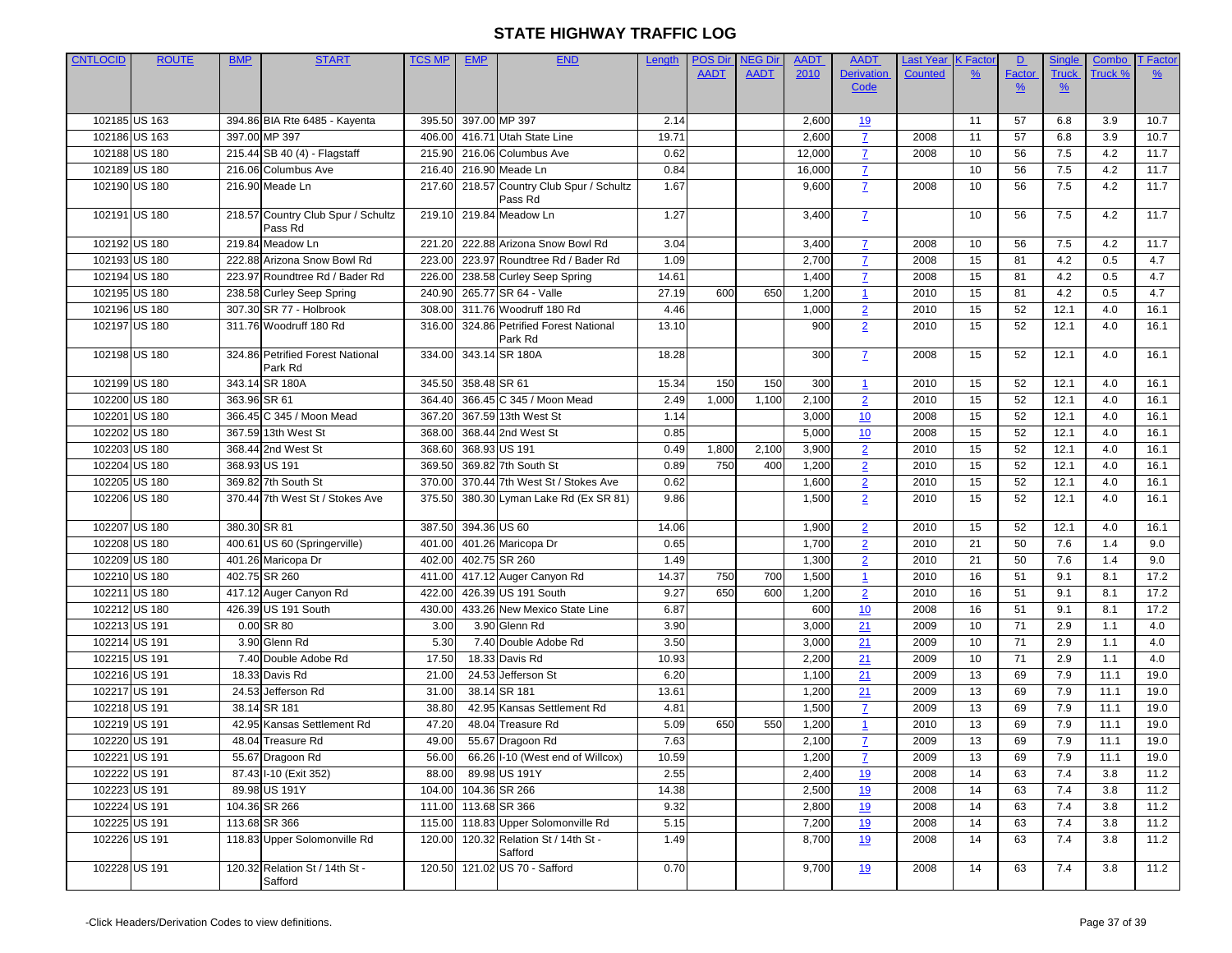| <b>CNTLOCID</b> | <b>ROUTE</b>  | <b>BMP</b>   | <b>START</b>                       | <b>TCS MP</b> | <b>EMP</b>   | <b>END</b>                                    | Length | <b>POS Dir</b> | <b>JEG Dir</b> | <b>AADT</b> | <b>AADT</b>             | Last Year      | <b>K</b> Factc  | D             | <b>Single</b> | Combo   | <u>T</u> Factor |
|-----------------|---------------|--------------|------------------------------------|---------------|--------------|-----------------------------------------------|--------|----------------|----------------|-------------|-------------------------|----------------|-----------------|---------------|---------------|---------|-----------------|
|                 |               |              |                                    |               |              |                                               |        | <b>AADT</b>    | <b>AADT</b>    | 2010        | <b>Derivation</b>       | <b>Counted</b> | $\frac{9}{6}$   | <b>Factor</b> | <b>Truck</b>  | Truck % | $\frac{9}{6}$   |
|                 |               |              |                                    |               |              |                                               |        |                |                |             | Code                    |                |                 | $\frac{9}{6}$ | $\frac{9}{6}$ |         |                 |
|                 |               |              |                                    |               |              |                                               |        |                |                |             |                         |                |                 |               |               |         |                 |
|                 | 102185 US 163 |              | 394.86 BIA Rte 6485 - Kayenta      | 395.50        |              | 397.00 MP 397                                 | 2.14   |                |                | 2,600       | <u>19</u>               |                | 11              | 57            | 6.8           | 3.9     | 10.7            |
|                 | 102186 US 163 |              | 397.00 MP 397                      | 406.00        |              | 416.71 Utah State Line                        | 19.71  |                |                | 2,600       | z                       | 2008           | 11              | 57            | 6.8           | 3.9     | 10.7            |
|                 | 102188 US 180 |              | 215.44 SB 40 (4) - Flagstaff       | 215.90        |              | 216.06 Columbus Ave                           | 0.62   |                |                | 12,000      | $\overline{7}$          | 2008           | 10              | 56            | 7.5           | 4.2     | 11.7            |
|                 | 102189 US 180 |              | 216.06 Columbus Ave                | 216.40        |              | 216.90 Meade Ln                               | 0.84   |                |                | 16,000      | $\overline{7}$          |                | 10              | 56            | 7.5           | 4.2     | 11.7            |
|                 | 102190 US 180 |              | 216.90 Meade Ln                    | 217.60        |              | 218.57 Country Club Spur / Schultz<br>Pass Rd | 1.67   |                |                | 9,600       | $\mathbf{Z}$            | 2008           | 10 <sup>°</sup> | 56            | 7.5           | 4.2     | 11.7            |
|                 | 102191 US 180 |              | 218.57 Country Club Spur / Schultz | 219.10        |              | 219.84 Meadow Ln                              | 1.27   |                |                | 3,400       | $\mathbf{Z}$            |                | 10              | 56            | 7.5           | 4.2     | 11.7            |
|                 |               |              | Pass Rd                            |               |              |                                               |        |                |                |             |                         |                |                 |               |               |         |                 |
|                 | 102192 US 180 |              | 219.84 Meadow Ln                   | 221.20        |              | 222.88 Arizona Snow Bowl Rd                   | 3.04   |                |                | 3,400       | $\mathbf{Z}$            | 2008           | 10 <sup>°</sup> | 56            | 7.5           | 4.2     | 11.7            |
|                 | 102193 US 180 |              | 222.88 Arizona Snow Bowl Rd        | 223.00        |              | 223.97 Roundtree Rd / Bader Rd                | 1.09   |                |                | 2,700       | $\mathbf{Z}$            | 2008           | 15              | 81            | 4.2           | 0.5     | 4.7             |
|                 | 102194 US 180 |              | 223.97 Roundtree Rd / Bader Rd     | 226.00        |              | 238.58 Curley Seep Spring                     | 14.61  |                |                | 1,400       | 7                       | 2008           | 15              | 81            | 4.2           | 0.5     | 4.7             |
|                 | 102195 US 180 |              | 238.58 Curley Seep Spring          | 240.90        |              | 265.77 SR 64 - Valle                          | 27.19  | 600            | 650            | 1,200       | $\overline{1}$          | 2010           | 15              | 81            | 4.2           | 0.5     | 4.7             |
|                 | 102196 US 180 |              | 307.30 SR 77 - Holbrook            | 308.00        |              | 311.76 Woodruff 180 Rd                        | 4.46   |                |                | 1,000       | $\overline{2}$          | 2010           | 15              | 52            | 12.1          | 4.0     | 16.1            |
|                 | 102197 US 180 |              | 311.76 Woodruff 180 Rd             | 316.00        |              | 324.86 Petrified Forest National<br>Park Rd   | 13.10  |                |                | 900         | $\overline{2}$          | 2010           | 15              | 52            | 12.1          | 4.0     | 16.1            |
|                 | 102198 US 180 |              | 324.86 Petrified Forest National   | 334.00        |              | 343.14 SR 180A                                | 18.28  |                |                | 300         | $\mathbf{Z}$            | 2008           | 15              | 52            | 12.1          | 4.0     | 16.1            |
|                 |               |              | Park Rd                            |               |              |                                               |        |                |                |             |                         |                |                 |               |               |         |                 |
|                 | 102199 US 180 |              | 343.14 SR 180A                     | 345.50        | 358.48 SR 61 |                                               | 15.34  | 150            | 150            | 300         | $\mathbf{\overline{1}}$ | 2010           | 15              | 52            | 12.1          | 4.0     | 16.1            |
|                 | 102200 US 180 | 363.96 SR 61 |                                    | 364.40        |              | 366.45 C 345 / Moon Mead                      | 2.49   | 1,000          | 1,100          | 2,100       | $\overline{2}$          | 2010           | 15              | 52            | 12.1          | 4.0     | 16.1            |
|                 | 102201 US 180 |              | 366.45 C 345 / Moon Mead           | 367.20        |              | 367.59 13th West St                           | 1.14   |                |                | 3,000       | 10                      | 2008           | 15              | 52            | 12.1          | 4.0     | 16.1            |
|                 | 102202 US 180 |              | 367.59 13th West St                | 368.00        |              | 368.44 2nd West St                            | 0.85   |                |                | 5,000       | 10                      | 2008           | 15              | 52            | 12.1          | 4.0     | 16.1            |
|                 | 102203 US 180 |              | 368.44 2nd West St                 | 368.60        |              | 368.93 US 191                                 | 0.49   | 1,800          | 2,100          | 3,900       | $\overline{2}$          | 2010           | 15              | 52            | 12.1          | 4.0     | 16.1            |
|                 | 102204 US 180 |              | 368.93 US 191                      | 369.50        |              | 369.82 7th South St                           | 0.89   | 750            | 400            | 1,200       | $\overline{2}$          | 2010           | 15              | 52            | 12.1          | 4.0     | 16.1            |
|                 | 102205 US 180 |              | 369.82 7th South St                | 370.00        |              | 370.44 7th West St / Stokes Ave               | 0.62   |                |                | 1,600       | $\overline{2}$          | 2010           | 15              | 52            | 12.1          | 4.0     | 16.1            |
|                 | 102206 US 180 |              | 370.44 7th West St / Stokes Ave    | 375.50        |              | 380.30 Lyman Lake Rd (Ex SR 81)               | 9.86   |                |                | 1,500       | $\overline{2}$          | 2010           | 15              | 52            | 12.1          | 4.0     | 16.1            |
|                 | 102207 US 180 | 380.30 SR 81 |                                    | 387.50        | 394.36 US 60 |                                               | 14.06  |                |                | 1,900       | $\overline{2}$          | 2010           | 15              | 52            | 12.1          | 4.0     | 16.1            |
|                 | 102208 US 180 |              | 400.61 US 60 (Springerville)       | 401.00        |              | 401.26 Maricopa Dr                            | 0.65   |                |                | 1,700       | $\overline{2}$          | 2010           | 21              | 50            | 7.6           | 1.4     | 9.0             |
|                 | 102209 US 180 |              | 401.26 Maricopa Dr                 | 402.00        |              | 402.75 SR 260                                 | 1.49   |                |                | 1,300       | $\overline{2}$          | 2010           | 21              | 50            | 7.6           | 1.4     | 9.0             |
|                 | 102210 US 180 |              | 402.75 SR 260                      | 411.00        |              | 417.12 Auger Canyon Rd                        | 14.37  | 750            | 700            | 1,500       | $\mathbf{1}$            | 2010           | 16              | 51            | 9.1           | 8.1     | 17.2            |
|                 | 102211 US 180 |              | 417.12 Auger Canyon Rd             | 422.00        |              | 426.39 US 191 South                           | 9.27   | 650            | 600            | 1,200       | $\overline{2}$          | 2010           | 16              | 51            | 9.1           | 8.1     | 17.2            |
|                 | 102212 US 180 |              | 426.39 US 191 South                | 430.00        |              | 433.26 New Mexico State Line                  | 6.87   |                |                | 600         | 10                      | 2008           | 16              | 51            | 9.1           | 8.1     | 17.2            |
|                 | 102213 US 191 |              | 0.00 SR 80                         | 3.00          |              | 3.90 Glenn Rd                                 | 3.90   |                |                | 3,000       | 21                      | 2009           | 10              | 71            | 2.9           | 1.1     | 4.0             |
|                 | 102214 US 191 |              | 3.90 Glenn Rd                      | 5.30          |              | 7.40 Double Adobe Rd                          | 3.50   |                |                | 3,000       | 21                      | 2009           | 10              | 71            | 2.9           | 1.1     | 4.0             |
|                 | 102215 US 191 |              | 7.40 Double Adobe Rd               | 17.50         |              | 18.33 Davis Rd                                | 10.93  |                |                | 2,200       | 21                      | 2009           | 10              | 71            | 2.9           | 1.1     | 4.0             |
|                 | 102216 US 191 |              | 18.33 Davis Rd                     | 21.00         |              | 24.53 Jefferson St                            | 6.20   |                |                | 1,100       | 21                      | 2009           | 13              | 69            | 7.9           | 11.1    | 19.0            |
|                 | 102217 US 191 |              | 24.53 Jefferson Rd                 | 31.00         |              | 38.14 SR 181                                  | 13.61  |                |                | 1,200       | 21                      | 2009           | 13              | 69            | 7.9           | 11.1    | 19.0            |
|                 | 102218 US 191 |              | 38.14 SR 181                       | 38.80         |              | 42.95 Kansas Settlement Rd                    | 4.81   |                |                | 1,500       | $\mathbf{Z}$            | 2009           | 13              | 69            | 7.9           | 11.1    | 19.0            |
|                 | 102219 US 191 |              | 42.95 Kansas Settlement Rd         | 47.20         |              | 48.04 Treasure Rd                             | 5.09   | 650            | 550            | 1,200       | -1                      | 2010           | 13              | 69            | 7.9           | 11.1    | 19.0            |
|                 | 102220 US 191 |              | 48.04 Treasure Rd                  | 49.00         |              | 55.67 Dragoon Rd                              | 7.63   |                |                | 2,100       | $\mathbf{Z}$            | 2009           | 13              | 69            | 7.9           | 11.1    | 19.0            |
|                 | 102221 US 191 |              | 55.67 Dragoon Rd                   | 56.00         |              | 66.26 I-10 (West end of Willcox)              | 10.59  |                |                | 1,200       | $\mathbf{Z}$            | 2009           | 13              | 69            | 7.9           | 11.1    | 19.0            |
|                 | 102222 US 191 |              | 87.43 I-10 (Exit 352)              | 88.00         |              | 89.98 US 191Y                                 | 2.55   |                |                | 2,400       | 19                      | 2008           | 14              | 63            | 7.4           | 3.8     | 11.2            |
|                 | 102223 US 191 |              | 89.98 US 191Y                      | 104.00        |              | 104.36 SR 266                                 | 14.38  |                |                | 2,500       | <u>19</u>               | 2008           | 14              | 63            | 7.4           | 3.8     | 11.2            |
|                 | 102224 US 191 |              | 104.36 SR 266                      | 111.00        |              | 113.68 SR 366                                 | 9.32   |                |                | 2,800       | 19                      | 2008           | 14              | 63            | 7.4           | 3.8     | 11.2            |
|                 | 102225 US 191 |              | 113.68 SR 366                      | 115.00        |              | 118.83 Upper Solomonville Rd                  | 5.15   |                |                | 7,200       | 19                      | 2008           | 14              | 63            | 7.4           | 3.8     | 11.2            |
|                 | 102226 US 191 |              | 118.83 Upper Solomonville Rd       | 120.00        |              | 120.32 Relation St / 14th St -                | 1.49   |                |                | 8,700       | <u>19</u>               | 2008           | 14              | 63            | 7.4           | 3.8     | 11.2            |
|                 | 102228 US 191 |              | 120.32 Relation St / 14th St -     | 120.50        |              | Safford<br>121.02 US 70 - Safford             | 0.70   |                |                | 9,700       | 19                      | 2008           | 14              | 63            | 7.4           | 3.8     | 11.2            |
|                 |               |              | Safford                            |               |              |                                               |        |                |                |             |                         |                |                 |               |               |         |                 |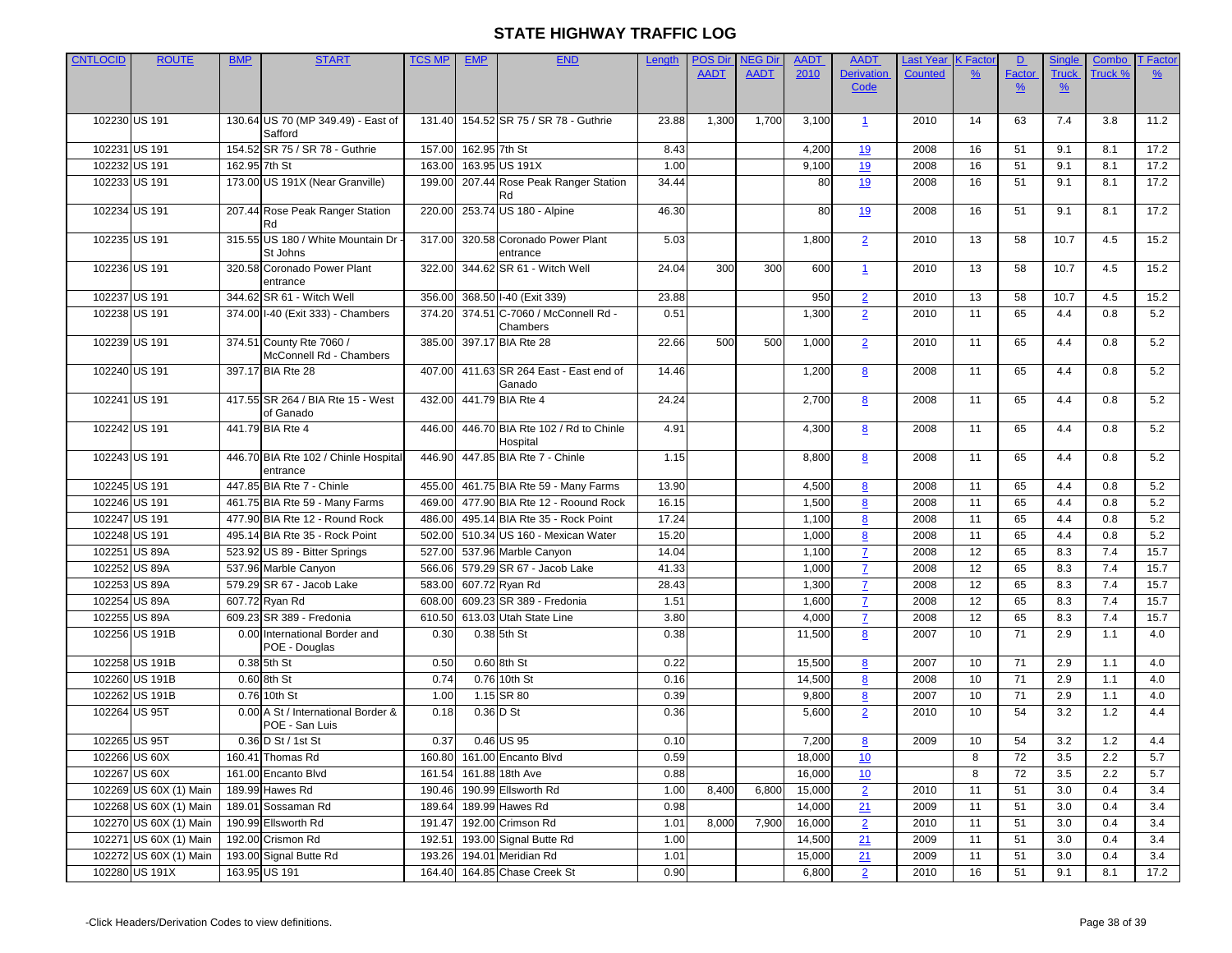| <b>CNTLOCID</b> | <b>ROUTE</b>           | <b>BMP</b>    | <b>START</b>                          | <b>TCS MP</b> | <b>EMP</b>    | <b>END</b>                                 | Length | <b>POS Dir</b> | <b>NEG Dir</b> | <b>AADT</b> | <b>AADT</b>       | <b>Last Year</b> | <b>K</b> Facto  | D             | Single        | Combo   | <u>T Factor</u> |
|-----------------|------------------------|---------------|---------------------------------------|---------------|---------------|--------------------------------------------|--------|----------------|----------------|-------------|-------------------|------------------|-----------------|---------------|---------------|---------|-----------------|
|                 |                        |               |                                       |               |               |                                            |        | <b>AADT</b>    | <b>AADT</b>    | 2010        | <b>Derivation</b> | <b>Counted</b>   | $\frac{9}{6}$   | <b>Factor</b> | <b>Truck</b>  | Truck % | $\frac{9}{6}$   |
|                 |                        |               |                                       |               |               |                                            |        |                |                |             | Code              |                  |                 | $\frac{9}{6}$ | $\frac{9}{6}$ |         |                 |
|                 |                        |               |                                       |               |               |                                            |        |                |                |             |                   |                  |                 |               |               |         |                 |
| 102230 US 191   |                        |               | 130.64 US 70 (MP 349.49) - East of    | 131.40        |               | 154.52 SR 75 / SR 78 - Guthrie             | 23.88  | 1,300          | 1,700          | 3,100       | $\overline{1}$    | 2010             | 14              | 63            | 7.4           | 3.8     | 11.2            |
|                 |                        |               | Safford                               |               |               |                                            |        |                |                |             |                   |                  |                 |               |               |         |                 |
| 102231 US 191   |                        |               | 154.52 SR 75 / SR 78 - Guthrie        | 157.00        | 162.95 7th St |                                            | 8.43   |                |                | 4,200       | 19                | 2008             | 16              | 51            | 9.1           | 8.1     | 17.2            |
| 102232 US 191   |                        | 162.95 7th St |                                       | 163.00        |               | 163.95 US 191X                             | 1.00   |                |                | 9,100       | 19                | 2008             | 16              | 51            | 9.1           | 8.1     | 17.2            |
| 102233 US 191   |                        |               | 173.00 US 191X (Near Granville)       | 199.00        |               | 207.44 Rose Peak Ranger Station            | 34.44  |                |                | 80          | 19                | 2008             | 16              | 51            | 9.1           | 8.1     | 17.2            |
|                 |                        |               |                                       |               |               | Rd                                         |        |                |                |             |                   |                  |                 |               |               |         |                 |
|                 | 102234 US 191          |               | 207.44 Rose Peak Ranger Station<br>Rd | 220.00        |               | 253.74 US 180 - Alpine                     | 46.30  |                |                | 80          | 19                | 2008             | 16              | 51            | 9.1           | 8.1     | 17.2            |
| 102235 US 191   |                        |               | 315.55 US 180 / White Mountain Dr     | 317.00        |               | 320.58 Coronado Power Plant                | 5.03   |                |                | 1,800       | $\overline{2}$    | 2010             | 13              | 58            | 10.7          | 4.5     | 15.2            |
|                 |                        |               | St Johns                              |               |               | entrance                                   |        |                |                |             |                   |                  |                 |               |               |         |                 |
| 102236 US 191   |                        |               | 320.58 Coronado Power Plant           | 322.00        |               | 344.62 SR 61 - Witch Well                  | 24.04  | 300            | 300            | 600         | $\mathbf{1}$      | 2010             | 13              | 58            | 10.7          | 4.5     | 15.2            |
|                 |                        |               | entrance                              |               |               |                                            |        |                |                |             |                   |                  |                 |               |               |         |                 |
| 102237 US 191   |                        |               | 344.62 SR 61 - Witch Well             | 356.00        |               | 368.50 I-40 (Exit 339)                     | 23.88  |                |                | 950         | $\overline{2}$    | 2010             | 13              | 58            | 10.7          | 4.5     | 15.2            |
|                 | 102238 US 191          |               | 374.00 I-40 (Exit 333) - Chambers     | 374.20        |               | 374.51 C-7060 / McConnell Rd -             | 0.51   |                |                | 1,300       | $\overline{2}$    | 2010             | 11              | 65            | 4.4           | 0.8     | 5.2             |
|                 |                        |               |                                       |               |               | Chambers                                   |        |                |                |             |                   |                  |                 |               |               |         |                 |
| 102239 US 191   |                        |               | 374.51 County Rte 7060 /              | 385.00        |               | 397.17 BIA Rte 28                          | 22.66  | 500            | 500            | 1,000       | $\overline{2}$    | 2010             | 11              | 65            | 4.4           | 0.8     | 5.2             |
|                 | 102240 US 191          |               | McConnell Rd - Chambers               |               |               |                                            |        |                |                |             |                   |                  |                 |               |               |         |                 |
|                 |                        |               | 397.17 BIA Rte 28                     | 407.00        |               | 411.63 SR 264 East - East end of<br>Ganado | 14.46  |                |                | 1,200       | 8                 | 2008             | 11              | 65            | 4.4           | 0.8     | 5.2             |
| 102241 US 191   |                        |               | 417.55 SR 264 / BIA Rte 15 - West     | 432.00        |               | 441.79 BIA Rte 4                           | 24.24  |                |                | 2,700       | 8                 | 2008             | 11              | 65            | 4.4           | 0.8     | 5.2             |
|                 |                        |               | of Ganado                             |               |               |                                            |        |                |                |             |                   |                  |                 |               |               |         |                 |
| 102242 US 191   |                        |               | 441.79 BIA Rte 4                      | 446.00        |               | 446.70 BIA Rte 102 / Rd to Chinle          | 4.91   |                |                | 4,300       | 8                 | 2008             | 11              | 65            | 4.4           | 0.8     | 5.2             |
|                 |                        |               |                                       |               |               | Hospital                                   |        |                |                |             |                   |                  |                 |               |               |         |                 |
| 102243 US 191   |                        |               | 446.70 BIA Rte 102 / Chinle Hospital  | 446.90        |               | 447.85 BIA Rte 7 - Chinle                  | 1.15   |                |                | 8,800       | 8                 | 2008             | 11              | 65            | 4.4           | 0.8     | 5.2             |
|                 |                        |               | entrance                              |               |               |                                            |        |                |                |             |                   |                  |                 |               |               |         |                 |
| 102245 US 191   |                        |               | 447.85 BIA Rte 7 - Chinle             | 455.00        |               | 461.75 BIA Rte 59 - Many Farms             | 13.90  |                |                | 4,500       | 8                 | 2008             | 11              | 65            | 4.4           | 0.8     | 5.2             |
| 102246 US 191   |                        |               | 461.75 BIA Rte 59 - Many Farms        | 469.00        |               | 477.90 BIA Rte 12 - Roound Rock            | 16.15  |                |                | 1,500       | 8                 | 2008             | 11              | 65            | 4.4           | 0.8     | 5.2             |
| 102247 US 191   |                        |               | 477.90 BIA Rte 12 - Round Rock        | 486.00        |               | 495.14 BIA Rte 35 - Rock Point             | 17.24  |                |                | 1,100       | 8                 | 2008             | 11              | 65            | 4.4           | 0.8     | 5.2             |
| 102248 US 191   |                        |               | 495.14 BIA Rte 35 - Rock Point        | 502.00        |               | 510.34 US 160 - Mexican Water              | 15.20  |                |                | 1,000       | 8                 | 2008             | 11              | 65            | 4.4           | 0.8     | 5.2             |
|                 | 102251 US 89A          |               | 523.92 US 89 - Bitter Springs         | 527.00        |               | 537.96 Marble Canyon                       | 14.04  |                |                | 1,100       | $\mathbf{Z}$      | 2008             | 12              | 65            | 8.3           | 7.4     | 15.7            |
|                 | 102252 US 89A          |               | 537.96 Marble Canyon                  | 566.06        |               | 579.29 SR 67 - Jacob Lake                  | 41.33  |                |                | 1,000       | $\overline{7}$    | 2008             | 12              | 65            | 8.3           | 7.4     | 15.7            |
|                 | 102253 US 89A          |               | 579.29 SR 67 - Jacob Lake             | 583.00        |               | 607.72 Ryan Rd                             | 28.43  |                |                | 1,300       | $\overline{7}$    | 2008             | 12              | 65            | 8.3           | 7.4     | 15.7            |
|                 | 102254 US 89A          |               | 607.72 Ryan Rd                        | 608.00        |               | 609.23 SR 389 - Fredonia                   | 1.51   |                |                | 1,600       | $\overline{7}$    | 2008             | 12              | 65            | 8.3           | 7.4     | 15.7            |
|                 | 102255 US 89A          |               | 609.23 SR 389 - Fredonia              | 610.50        |               | 613.03 Utah State Line                     | 3.80   |                |                | 4,000       | $\mathbf{Z}$      | 2008             | 12              | 65            | 8.3           | 7.4     | 15.7            |
|                 | 102256 US 191B         |               | 0.00 International Border and         | 0.30          |               | 0.38 5th St                                | 0.38   |                |                | 11,500      | $\underline{8}$   | 2007             | 10 <sup>°</sup> | 71            | 2.9           | 1.1     | 4.0             |
|                 |                        |               | POE - Douglas                         |               |               |                                            |        |                |                |             |                   |                  |                 |               |               |         |                 |
|                 | 102258 US 191B         |               | 0.38 5th St                           | 0.50          |               | 0.60 8th St                                | 0.22   |                |                | 15,500      | 8                 | 2007             | 10              | 71            | 2.9           | 1.1     | 4.0             |
|                 | 102260 US 191B         |               | 0.60 8th St                           | 0.74          |               | 0.76 10th St                               | 0.16   |                |                | 14,500      | 8                 | 2008             | 10              | 71            | 2.9           | 1.1     | 4.0             |
|                 | 102262 US 191B         |               | 0.76 10th St                          | 1.00          |               | 1.15 SR 80                                 | 0.39   |                |                | 9,800       | 8                 | 2007             | 10              | 71            | 2.9           | 1.1     | 4.0             |
|                 | 102264 US 95T          |               | 0.00 A St / International Border &    | 0.18          |               | 0.36 D St                                  | 0.36   |                |                | 5,600       | $\overline{2}$    | 2010             | 10              | 54            | 3.2           | 1.2     | 4.4             |
|                 |                        |               | POE - San Luis                        |               |               |                                            |        |                |                |             |                   |                  |                 |               |               |         |                 |
| 102265 US 95T   |                        |               | 0.36 D St / 1st St                    | 0.37          |               | 0.46 US 95                                 | 0.10   |                |                | 7,200       | 8                 | 2009             | 10              | 54            | 3.2           | 1.2     | 4.4             |
|                 | 102266 US 60X          |               | 160.41 Thomas Rd                      |               |               | 160.80 161.00 Encanto Blvd                 | 0.59   |                |                | 18,000      | <u>10</u>         |                  | 8               | 72            | 3.5           | 2.2     | 5.7             |
|                 | 102267 US 60X          |               | 161.00 Encanto Blvd                   | 161.54        |               | 161.88 18th Ave                            | 0.88   |                |                | 16,000      | 10                |                  | 8               | 72            | 3.5           | 2.2     | 5.7             |
|                 | 102269 US 60X (1) Main |               | 189.99 Hawes Rd                       | 190.46        |               | 190.99 Ellsworth Rd                        | 1.00   | 8,400          | 6,800          | 15,000      | $\overline{2}$    | 2010             | 11              | 51            | 3.0           | 0.4     | 3.4             |
|                 | 102268 US 60X (1) Main |               | 189.01 Sossaman Rd                    | 189.64        |               | 189.99 Hawes Rd                            | 0.98   |                |                | 14,000      | 21                | 2009             | 11              | 51            | 3.0           | 0.4     | 3.4             |
|                 | 102270 US 60X (1) Main |               | 190.99 Ellsworth Rd                   | 191.47        |               | 192.00 Crimson Rd                          | 1.01   | 8,000          | 7,900          | 16,000      | $\overline{2}$    | 2010             | 11              | 51            | 3.0           | 0.4     | 3.4             |
|                 | 102271 US 60X (1) Main |               | 192.00 Crismon Rd                     | 192.51        |               | 193.00 Signal Butte Rd                     | 1.00   |                |                | 14,500      | 21                | 2009             | 11              | 51            | 3.0           | 0.4     | 3.4             |
|                 | 102272 US 60X (1) Main |               | 193.00 Signal Butte Rd                | 193.26        |               | 194.01 Meridian Rd                         | 1.01   |                |                | 15,000      | 21                | 2009             | 11              | 51            | 3.0           | 0.4     | 3.4             |
|                 | 102280 US 191X         |               | 163.95 US 191                         | 164.40        |               | 164.85 Chase Creek St                      | 0.90   |                |                | 6,800       | $\overline{2}$    | 2010             | 16              | 51            | 9.1           | 8.1     | 17.2            |